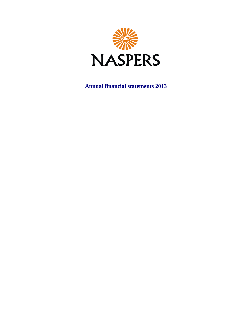

**Annual financial statements 2013**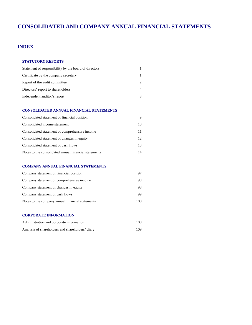# **CONSOLIDATED AND COMPANY ANNUAL FINANCIAL STATEMENTS**

## **INDEX**

### **STATUTORY REPORTS**

| Statement of responsibility by the board of directors |  |
|-------------------------------------------------------|--|
| Certificate by the company secretary                  |  |
| Report of the audit committee                         |  |
| Directors' report to shareholders                     |  |
| Independent auditor's report                          |  |

### **CONSOLIDATED ANNUAL FINANCIAL STATEMENTS**

| Consolidated statement of financial position          |    |
|-------------------------------------------------------|----|
| Consolidated income statement                         | 10 |
| Consolidated statement of comprehensive income        | 11 |
| Consolidated statement of changes in equity           | 12 |
| Consolidated statement of cash flows                  | 13 |
| Notes to the consolidated annual financial statements | 14 |

### **COMPANY ANNUAL FINANCIAL STATEMENTS**

| Company statement of financial position          |     |
|--------------------------------------------------|-----|
| Company statement of comprehensive income        | 98  |
| Company statement of changes in equity           | 98  |
| Company statement of cash flows                  | 99  |
| Notes to the company annual financial statements | 100 |

### **CORPORATE INFORMATION**

| Administration and corporate information         | 108 |
|--------------------------------------------------|-----|
| Analysis of shareholders and shareholders' diary | 109 |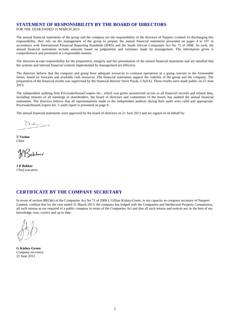# **STATEMENT OF RESPONSIBILITY BY THE BOARD OF DIRECTORS**

FOR THE YEAR ENDED 31 MARCH 2013

The annual financial statements of the group and the company are the responsibility of the directors of Naspers Limited. In discharging this responsibility, they rely on the management of the group to prepare the annual financial statements presented on pages 4 to 107 in accordance with International Financial Reporting Standards (IFRS) and the South African Companies Act No 71 of 2008. As such, the annual financial statements include amounts based on judgements and estimates made by management. The information given is comprehensive and presented in a responsible manner.

The directors accept responsibility for the preparation, integrity and fair presentation of the annual financial statements and are satisfied that the systems and internal financial controls implemented by management are effective.

The directors believe that the company and group have adequate resources to continue operations as a going concern in the foreseeable future, based on forecasts and available cash resources. The financial statements support the viability of the group and the company. The preparation of the financial results was supervised by the financial director Steve Pacak, CA(SA). These results were made public on 25 June 2013.

The independent auditing firm PricewaterhouseCoopers Inc., which was given unrestricted access to all financial records and related data, including minutes of all meetings of shareholders, the board of directors and committees of the board, has audited the annual financial statements. The directors believe that all representations made to the independent auditors during their audit were valid and appropriate. PricewaterhouseCoopers Inc.'s audit report is presented on page 8.

The annual financial statements were approved by the board of directors on 21 June 2013 and are signed on its behalf by:

Wrt

**T Vosloo** *Chair*

**J P Bekker** *Chief executive*

### **CERTIFICATE BY THE COMPANY SECRETARY**

In terms of section 88(2)(e) of the Companies Act No 71 of 2008 I, Gillian Kisbey-Green, in my capacity as company secretary of Naspers Limited, confirm that for the year ended 31 March 2013, the company has lodged with the Companies and Intellectual Property Commission, all such returns as are required of a public company in terms of the Companies Act and that all such returns and notices are, to the best of my knowledge, true, correct and up to date.

**G Kisbey-Green** *Company secretary* 21 June 2013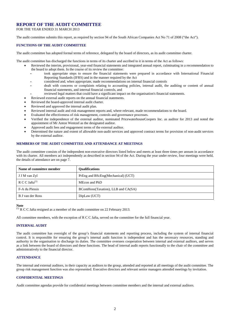### **REPORT OF THE AUDIT COMMITTEE**

FOR THE YEAR ENDED 31 MARCH 2013

The audit committee submits this report, as required by section 94 of the South African Companies Act No 71 of 2008 ("the Act").

### **FUNCTIONS OF THE AUDIT COMMITTEE**

The audit committee has adopted formal terms of reference, delegated by the board of directors, as its audit committee charter.

The audit committee has discharged the functions in terms of its charter and ascribed to it in terms of the Act as follows:

- Reviewed the interim, provisional, year-end financial statements and integrated annual report, culminating in a recommendation to the board to adopt them. In the course of its review the committee:
	- ‐ took appropriate steps to ensure the financial statements were prepared in accordance with International Financial Reporting Standards (IFRS) and in the manner required by the Act
	- ‐ considered and, when appropriate, made recommendations on internal financial controls
	- dealt with concerns or complaints relating to accounting policies, internal audit, the auditing or content of annual financial statements, and internal financial controls, and
- reviewed legal matters that could have a significant impact on the organisation's financial statements.
- Reviewed external audit reports on the annual financial statements.
- Reviewed the board-approved internal audit charter.
- Reviewed and approved the internal audit plan.
- Reviewed internal audit and risk management reports and, where relevant, made recommendations to the board.
- Evaluated the effectiveness of risk management, controls and governance processes.
- Verified the independence of the external auditor, nominated PricewaterhouseCoopers Inc. as auditor for 2013 and noted the appointment of Mr Anton Wentzel as the designated auditor.
- Approved audit fees and engagement terms of the external auditor.
- Determined the nature and extent of allowable non-audit services and approved contract terms for provision of non-audit services by the external auditor.

### **MEMBERS OF THE AUDIT COMMITTEE AND ATTENDANCE AT MEETINGS**

The audit committee consists of the independent non-executive directors listed below and meets at least three times per annum in accordance with its charter. All members act independently as described in section 94 of the Act. During the year under review, four meetings were held, the details of attendance are on page 7.

| Name of committee member   | <b>Oualifications</b>              |
|----------------------------|------------------------------------|
| J J M van Zyl              | PrEng and BScEng(Mechanical) (UCT) |
| R C C Jafta <sup>(1)</sup> | MEcon and PhD                      |
| F-A du Plessis             | BComHons(Taxation), LLB and CA(SA) |
| B J van der Ross           | DipLaw (UCT)                       |

#### **Note**

 $(1)$  R C C Jafta resigned as a member of the audit committee on 22 February 2013.

All committee members, with the exception of R C C Jafta, served on the committee for the full financial year.

### **INTERNAL AUDIT**

The audit committee has oversight of the group's financial statements and reporting process, including the system of internal financial control. It is responsible for ensuring the group's internal audit function is independent and has the necessary resources, standing and authority in the organisation to discharge its duties. The committee oversees cooperation between internal and external auditors, and serves as a link between the board of directors and these functions. The head of internal audit reports functionally to the chair of the committee and administratively to the financial director.

### **ATTENDANCE**

The internal and external auditors, in their capacity as auditors to the group, attended and reported at all meetings of the audit committee. The group risk management function was also represented. Executive directors and relevant senior managers attended meetings by invitation.

### **CONFIDENTIAL MEETINGS**

Audit committee agendas provide for confidential meetings between committee members and the internal and external auditors.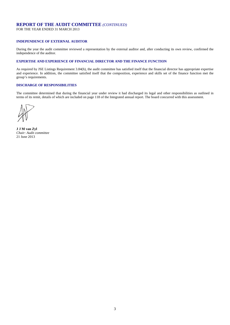### **REPORT OF THE AUDIT COMMITTEE** *(CONTINUED)*

FOR THE YEAR ENDED 31 MARCH 2013

### **INDEPENDENCE OF EXTERNAL AUDITOR**

During the year the audit committee reviewed a representation by the external auditor and, after conducting its own review, confirmed the independence of the auditor.

### **EXPERTISE AND EXPERIENCE OF FINANCIAL DIRECTOR AND THE FINANCE FUNCTION**

As required by JSE Listings Requirement 3.84(h), the audit committee has satisfied itself that the financial director has appropriate expertise and experience. In addition, the committee satisfied itself that the composition, experience and skills set of the finance function met the group's requirements.

### **DISCHARGE OF RESPONSIBILITIES**

The committee determined that during the financial year under review it had discharged its legal and other responsibilities as outlined in terms of its remit, details of which are included on page 118 of the Integrated annual report. The board concurred with this assessment.

**J J M van Zyl**  *Chair: Audit committee*  21 June 2013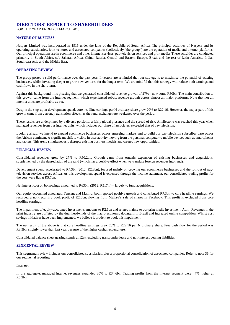### **DIRECTORS' REPORT TO SHAREHOLDERS**

FOR THE YEAR ENDED 31 MARCH 2013

### **NATURE OF BUSINESS**

Naspers Limited was incorporated in 1915 under the laws of the Republic of South Africa. The principal activities of Naspers and its operating subsidiaries, joint ventures and associated companies (collectively "the group") are the operation of media and internet platforms. Our principal operations are in ecommerce and other internet services, pay-television services and print media. These activities are conducted primarily in South Africa, sub-Saharan Africa, China, Russia, Central and Eastern Europe, Brazil and the rest of Latin America, India, South-east Asia and the Middle East.

### **OPERATING REVIEW**

The group posted a solid performance over the past year. Investors are reminded that our strategy is to maximise the potential of existing businesses, whilst investing deeper to grow new ventures for the longer term. We are mindful that this strategy will reduce both earnings and cash flows in the short term.

Against this background, it is pleasing that we generated consolidated revenue growth of 27% - now some R50bn. The main contribution to this growth came from the internet segment, which experienced robust revenue growth across almost all major platforms. Note that not all internet units are profitable as yet.

Despite the step-up in development spend, core headline earnings per N ordinary share grew 20% to R22,16. However, the major part of this growth came from currency translation effects, as the rand exchange rate weakened over the period.

These results are underpinned by a diverse portfolio, a fairly global presence and the spread of risk. A milestone was reached this year when managed revenues from our internet units, which includes our share of associates, exceeded that of pay television.

Looking ahead, we intend to expand ecommerce businesses across emerging markets and to build our pay-television subscriber base across the African continent. A significant shift is visible in user activity moving from the personal computer to mobile devices such as smartphones and tablets. This trend simultaneously disrupts existing business models and creates new opportunities.

### **FINANCIAL REVIEW**

Consolidated revenues grew by 27% to R50,2bn. Growth came from organic expansion of existing businesses and acquisitions, supplemented by the depreciation of the rand (which has a positive effect when we translate foreign revenues into rand).

Development spend accelerated to R4,3bn (2012: R2,8bn), focused mainly on growing our ecommerce businesses and the roll-out of paytelevision services across Africa. As this development spend is expensed through the income statement, our consolidated trading profits for the year were flat at R5,7bn.

Net interest cost on borrowings amounted to R630m (2012: R517m) – largely to fund acquisitions.

Our equity-accounted associates, Tencent and Mail.ru, both reported positive growth and contributed R7,3bn to core headline earnings. We recorded a non-recurring book profit of R2,6bn, flowing from Mail.ru's sale of shares in Facebook. This profit is excluded from core headline earnings.

The impairment of equity-accounted investments amounts to R2,1bn and relates mainly to our print media investment, Abril. Revenues in the print industry are buffeted by the dual headwinds of the macro-economic downturn in Brazil and increased online competition. Whilst cost savings initiatives have been implemented, we believe it prudent to book this impairment.

The net result of the above is that core headline earnings grew 20% to R22,16 per N ordinary share. Free cash flow for the period was R3,5bn, slightly lower than last year because of the higher capital expenditure.

Consolidated balance sheet gearing stands at 12%, excluding transponder lease and non-interest bearing liabilities.

#### **SEGMENTAL REVIEW**

This segmental review includes our consolidated subsidiaries, plus a proportional consolidation of associated companies. Refer to note 36 for our segmental reporting.

### **Internet**

In the aggregate, managed internet revenues expanded 80% to R34,6bn. Trading profits from the internet segment were 44% higher at R6,2bn.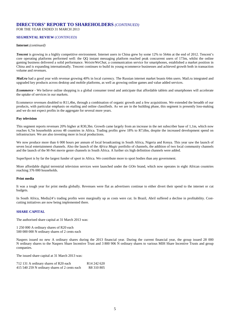# **DIRECTORS' REPORT TO SHAREHOLDERS** *(CONTINUED)*

FOR THE YEAR ENDED 31 MARCH 2013

### **SEGMENTAL REVIEW** (*CONTINUED)*

### **Internet** *(continued)*

*Tencent* is growing in a highly competitive environment. Internet users in China grew by some 12% to 564m at the end of 2012. Tencent's core operating platforms performed well: the QQ instant messaging platform reached peak concurrent users of 173m, whilst the online gaming business delivered a solid performance. *Weixin/WeChat*, a communication service for smartphones, established a market position in China and is expanding internationally. Tencent continues to build its young ecommerce businesses and achieved growth both in transaction volume and revenues.

*Mail.ru* had a good year with revenue growing 40% in local currency. The Russian internet market boasts 64m users. Mail.ru integrated and upgraded key products across desktop and mobile platforms, as well as growing online games and value added services.

*Ecommerce* - We believe online shopping is a global consumer trend and anticipate that affordable tablets and smartphones will accelerate the uptake of services in our markets.

Ecommerce revenues doubled to R11,4bn, through a combination of organic growth and a few acquisitions. We extended the breadth of our products, with particular emphasis on etailing and online classifieds. As we are in the building phase, this segment is presently loss-making and we do not expect profits in the aggregate for several more years.

### **Pay television**

This segment reports revenues 20% higher at R30,3bn. Growth came largely from an increase in the net subscriber base of 1,1m, which now reaches 6,7m households across 48 countries in Africa. Trading profits grew 18% to R7,6bn, despite the increased development spend on infrastructure. We are also investing more in local productions.

We now produce more than 6 000 hours per annum of local broadcasting in South Africa, Nigeria and Kenya. This year saw the launch of seven local entertainment channels. Also the launch of the *Africa Magic* portfolio of channels, the addition of two local community channels and the launch of the M-Net movie genre channels in South Africa. A further six high definition channels were added.

SuperSport is by far the largest funder of sport in Africa. We contribute more to sport bodies than any government.

More affordable digital terrestrial television services were launched under the *GOtv* brand, which now operates in eight African countries reaching 376 000 households.

### **Print media**

It was a tough year for print media globally. Revenues were flat as advertisers continue to either divert their spend to the internet or cut budgets.

In South Africa, Media24's trading profits were marginally up as costs were cut. In Brazil, Abril suffered a decline in profitability. Costcutting initiatives are now being implemented there.

### **SHARE CAPITAL**

The authorised share capital at 31 March 2013 was:

1 250 000 A ordinary shares of R20 each 500 000 000 N ordinary shares of 2 cents each

Naspers issued no new A ordinary shares during the 2013 financial year. During the current financial year, the group issued 28 000 N ordinary shares to the Naspers Share Incentive Trust and 3 800 906 N ordinary shares to various MIH Share Incentive Trusts and group companies.

The issued share capital at 31 March 2013 was:

| 712 131 A ordinary shares of R20 each         | R <sub>14</sub> 242 620 |
|-----------------------------------------------|-------------------------|
| 415 540 259 N ordinary shares of 2 cents each | R <sub>8</sub> 310 805  |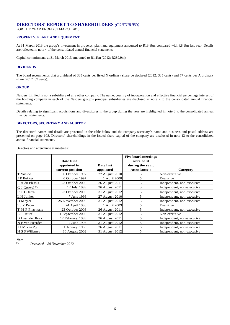### **DIRECTORS' REPORT TO SHAREHOLDERS** *(CONTINUED)*

FOR THE YEAR ENDED 31 MARCH 2013

### **PROPERTY, PLANT AND EQUIPMENT**

At 31 March 2013 the group's investment in property, plant and equipment amounted to R13,8bn, compared with R8,9bn last year. Details are reflected in note 4 of the consolidated annual financial statements.

Capital commitments at 31 March 2013 amounted to R1,1bn (2012: R289,9m).

### **DIVIDENDS**

The board recommends that a dividend of 385 cents per listed N ordinary share be declared (2012: 335 cents) and 77 cents per A ordinary share (2012: 67 cents).

### **GROUP**

Naspers Limited is not a subsidiary of any other company. The name, country of incorporation and effective financial percentage interest of the holding company in each of the Naspers group's principal subsidiaries are disclosed in note 7 to the consolidated annual financial statements.

Details relating to significant acquisitions and divestitures in the group during the year are highlighted in note 3 to the consolidated annual financial statements.

### **DIRECTORS, SECRETARY AND AUDITOR**

The directors' names and details are presented in the table below and the company secretary's name and business and postal address are presented on page 108. Directors' shareholdings in the issued share capital of the company are disclosed in note 13 to the consolidated annual financial statements.

Directors and attendance at meetings:

|                           |                  |                | <b>Five board meetings</b> |                            |
|---------------------------|------------------|----------------|----------------------------|----------------------------|
|                           | Date first       |                | were held                  |                            |
|                           | appointed in     | Date last      | during the year.           |                            |
|                           | current position | appointed      | Attendance:                | Category                   |
| T Vosloo                  | 6 October 1997   | 27 August 2010 |                            | Non-executive              |
| J P Bekker                | 6 October 1997   | 1 April 2008   | 5                          | Executive                  |
| F-A du Plessis            | 23 October 2003  | 26 August 2011 | 5                          | Independent, non-executive |
| G J Gerwel <sup>(1)</sup> | 12 July 1999     | 26 August 2011 | 3                          | Independent, non-executive |
| R C C Jafta               | 23 October 2003  | 31 August 2012 | 5                          | Independent, non-executive |
| L N Jonker                | 7 June 1996      | 27 August 2010 | 5                          | Independent, non-executive |
| D Meyer                   | 25 November 2009 | 31 August 2012 | 5                          | Independent, non-executive |
| S J Z Pacak               | 24 April 1998    | 1 April 2009   | 5                          | Executive                  |
| T M F Phaswana            | 23 October 2003  | 26 August 2011 | 5                          | Independent, non-executive |
| L P Retief                | 1 September 2008 | 31 August 2012 | 5                          | Non-executive              |
| B J van der Ross          | 12 February 1999 | 26 August 2011 | 5                          | Independent, non-executive |
| N P van Heerden           | 7 June 1996      | 31 August 2012 | 5                          | Independent, non-executive |
| J J M van Zyl             | 1 January 1988   | 26 August 2011 | 5                          | Independent, non-executive |
| H S S Willemse            | 30 August 2002   | 31 August 2012 | 5                          | Independent, non-executive |

*Note*

*(1) Deceased – 28 November 2012.*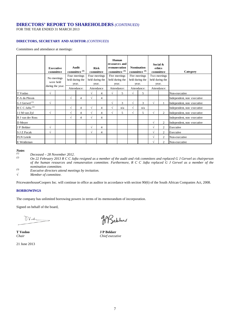### **DIRECTORS' REPORT TO SHAREHOLDERS** *(CONTINUED)*

FOR THE YEAR ENDED 31 MARCH 2013

### **DIRECTORS, SECRETARY AND AUDITOR** *(CONTINUED)*

### Committees and attendance at meetings:

|                            | committee  | Executive                                    |             | Audit<br>committee <sup>(3)</sup>         |            | <b>Risk</b><br>committee                  |            | Human<br>resources and<br>re mune ration<br>committee <sup>(3)</sup> |           | <b>Nomination</b><br>committee <sup>(3)</sup> | Social &<br>ethics<br>committee |                                          |                            |  | Category |
|----------------------------|------------|----------------------------------------------|-------------|-------------------------------------------|------------|-------------------------------------------|------------|----------------------------------------------------------------------|-----------|-----------------------------------------------|---------------------------------|------------------------------------------|----------------------------|--|----------|
|                            |            | No meetings<br>were held<br>during the year. |             | Four meetings<br>held during the<br>year. |            | Four meetings<br>held during the<br>year. |            | Five meetings<br>held during the<br>year.                            |           | Five meetings<br>held during the<br>year.     |                                 | Two meetings<br>held during the<br>year. |                            |  |          |
|                            |            |                                              | Attendance: |                                           | Attendance |                                           |            | Attendance:                                                          |           | Attendance:                                   |                                 | Attendance:                              |                            |  |          |
| T Vosloo                   | $\sqrt{ }$ |                                              |             |                                           | $\sqrt{ }$ | $\overline{4}$                            | $\sqrt{ }$ | 5                                                                    | $\sqrt{}$ | 5                                             |                                 |                                          | Non-executive              |  |          |
| F-A du Plessis             |            |                                              | $\sqrt{ }$  | $\overline{4}$                            | $\sqrt{ }$ | $\overline{4}$                            |            |                                                                      |           |                                               |                                 |                                          | Independent, non-executive |  |          |
| G J Gerwel <sup>(1)</sup>  | $\sqrt{ }$ |                                              |             |                                           |            |                                           | $\sqrt{ }$ | 3                                                                    | $\sqrt{}$ | 3                                             | $\sqrt{ }$                      |                                          | Independent, non-executive |  |          |
| R C C Jafta <sup>(2)</sup> |            |                                              | $\sqrt{ }$  | $\overline{4}$                            | $\sqrt{ }$ | $\overline{4}$                            | $\sqrt{ }$ | n/a                                                                  | $\sqrt{}$ | n/a                                           |                                 |                                          | Independent, non-executive |  |          |
| J J M van Zyl              | $\sqrt{ }$ |                                              | $\sqrt{ }$  | $\overline{4}$                            | $\sqrt{ }$ | $\overline{4}$                            | $\sqrt{ }$ | 5                                                                    | $\sqrt{}$ | 5                                             | $\sqrt{ }$                      | 2                                        | Independent, non-executive |  |          |
| <b>B</b> J van der Ross    |            |                                              | V           | 4                                         | $\sqrt{ }$ | $\overline{4}$                            |            |                                                                      |           |                                               |                                 |                                          | Independent, non-executive |  |          |
| D Meyer                    |            |                                              |             |                                           |            |                                           |            |                                                                      |           |                                               | $\sqrt{ }$                      | 2                                        | Independent, non-executive |  |          |
| J P Bekker                 | $\sqrt{ }$ |                                              |             |                                           | $\sqrt{ }$ | $\overline{4}$                            |            |                                                                      |           |                                               | $\sqrt{ }$                      | 2                                        | Executive                  |  |          |
| S J Z Pacak                | $\sqrt{ }$ |                                              |             |                                           | $\sqrt{ }$ | $\overline{4}$                            |            |                                                                      |           |                                               | $\sqrt{ }$                      | 2                                        | Executive                  |  |          |
| <b>FLN</b> Letele          |            |                                              |             |                                           |            |                                           |            |                                                                      |           |                                               | $\sqrt{ }$                      | 2                                        | Non-executive              |  |          |
| E Weideman                 |            |                                              |             |                                           |            |                                           |            |                                                                      |           |                                               | $\sqrt{ }$                      | 2                                        | Non-executive              |  |          |

# *Notes*

*(1) Deceased – 28 November 2012. (2) On 22 February 2013 R <sup>C</sup> C Jafta resigned as a member of the audit and risk commitees and replaced G J Gerwel as chairperson of the human resources and remuneration committee. Furthermore, R C C Jafta replaced G J Gerwel as a member of the nomination committee.* 

*(3) Executive directors attend meetings by invitation.*

*√ Member of committee.*

PricewaterhouseCoopers Inc. will continue in office as auditor in accordance with section 90(6) of the South African Companies Act, 2008.

### **BORROWINGS**

The company has unlimited borrowing powers in terms of its memorandum of incorporation.

Signed on behalf of the board,

Wrk

21 June 2013

WSeblus

**T Vosloo J P Bekker** *Chair Chief executive*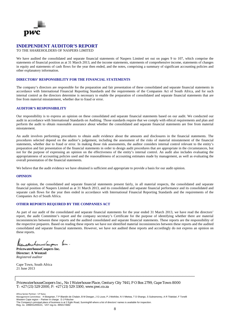

### **INDEPENDENT AUDITOR'S REPORT**

### TO THE SHAREHOLDERS OF NASPERS LIMITED

We have audited the consolidated and separate financial statements of Naspers Limited set out on pages 9 to 107, which comprise the statements of financial position as at 31 March 2013, and the income statements, statements of comprehensive income, statements of changes in equity and statements of cash flows for the year then ended, and the notes, comprising a summary of significant accounting policies and other explanatory information.

### **DIRECTORS' RESPONSIBILITY FOR THE FINANCIAL STATEMENTS**

The company's directors are responsible for the preparation and fair presentation of these consolidated and separate financial statements in accordance with International Financial Reporting Standards and the requirements of the Companies Act of South Africa, and for such internal control as the directors determine is necessary to enable the preparation of consolidated and separate financial statements that are free from material misstatement, whether due to fraud or error.

### **AUDITOR'S RESPONSIBILITY**

Our responsibility is to express an opinion on these consolidated and separate financial statements based on our audit. We conducted our audit in accordance with International Standards on Auditing. Those standards require that we comply with ethical requirements and plan and perform the audit to obtain reasonable assurance about whether the consolidated and separate financial statements are free from material misstatement.

An audit involves performing procedures to obtain audit evidence about the amounts and disclosures in the financial statements. The procedures selected depend on the auditor's judgement, including the assessment of the risks of material misstatement of the financial statements, whether due to fraud or error. In making those risk assessments, the auditor considers internal control relevant to the entity's preparation and fair presentation of the financial statements in order to design audit procedures that are appropriate in the circumstances, but not for the purpose of expressing an opinion on the effectiveness of the entity's internal control. An audit also includes evaluating the appropriateness of accounting policies used and the reasonableness of accounting estimates made by management, as well as evaluating the overall presentation of the financial statements.

We believe that the audit evidence we have obtained is sufficient and appropriate to provide a basis for our audit opinion.

### **OPINION**

In our opinion, the consolidated and separate financial statements present fairly, in all material respects, the consolidated and separate financial position of Naspers Limited as at 31 March 2013, and its consolidated and separate financial performance and its consolidated and separate cash flows for the year then ended in accordance with International Financial Reporting Standards and the requirements of the Companies Act of South Africa.

### **OTHER REPORTS REQUIRED BY THE COMPANIES ACT**

As part of our audit of the consolidated and separate financial statements for the year ended 31 March 2013, we have read the directors' report, the audit Committee's report and the company secretary's Certificate for the purpose of identifying whether there are material inconsistencies between these reports and the audited consolidated and separate financial statements. These reports are the responsibility of the respective preparers. Based on reading these reports we have not identified material inconsistencies between these reports and the audited consolidated and separate financial statements. However, we have not audited these reports and accordingly do not express an opinion on these reports.

Ricenaturhammeleupour hu.

**PricewaterhouseCoopers Inc. Director: A Wentzel** *Registered auditor* 

Cape Town, South Africa 21 June 2013

*PricewaterhouseCoopers Inc., No 1 Waterhouse Place, Century City 7441, P O Box 2799, Cape Town 8000 T: +27 (21) 529 2000, F: +27 (21) 529 3300,* www.pwc.co.za

Africa Senior Partner: S P Kana

Management Committee: H Boegman, T P Blandin de Chalain, B M Deegan, J G Louw, P J Mothibe, N V Mtetwa, T D Shango, S Subramoney, A R Tilakdari, F Tonelli Western Cape region – Partner in charge: D J Fölscher The Company's principal place of business is at 2 Eglin Road, Sunninghill where a list of directors' names is available for inspection.

Reg. no. 1998/012055/21, VAT reg.no. 4950174682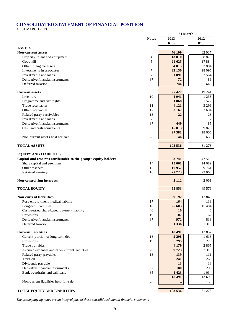# **CONSOLIDATED STATEMENT OF FINANCIAL POSITION**

AT 31 MARCH 2013

|                                                                 |              |                | 31 March |  |
|-----------------------------------------------------------------|--------------|----------------|----------|--|
|                                                                 | <b>Notes</b> | 2013           | 2012     |  |
|                                                                 |              | R'm            | R'm      |  |
| <b>ASSETS</b>                                                   |              |                |          |  |
| <b>Non-current assets</b>                                       |              | 76 109         | 62 037   |  |
| Property, plant and equipment                                   | 4            | 13810          | 8879     |  |
| Goodwill                                                        | 5            | 21 625         | 17884    |  |
| Other intangible assets                                         | 6            | 4815           | 3884     |  |
| Investments in associates                                       | 7            | 33 150         | 28 0 95  |  |
| Investments and loans                                           | 7            | 1891           | 2 5 6 4  |  |
| Derivative financial instruments                                | 37           | 72             | 86       |  |
| Deferred taxation                                               | 9            | 746            | 645      |  |
| <b>Current assets</b>                                           |              | 27 4 27        | 19 24 1  |  |
| Inventory                                                       | 10           | 1941           | 1 2 3 8  |  |
| Programme and film rights                                       | 8            | 1868           | 1 5 2 2  |  |
| Trade receivables                                               | 11           | 4 1 2 1        | 3 2 9 6  |  |
| Other receivables                                               | 12           | 3 1 6 7        | 2 604    |  |
| Related party receivables                                       | 13           | 22             | 28       |  |
| Investments and loans                                           | 7            |                | 7        |  |
| Derivative financial instruments                                | 37           | 449            | 85       |  |
| Cash and cash equivalents                                       | 35           | 15813          | 9825     |  |
|                                                                 |              | 27 381         | 18 605   |  |
| Non-current assets held-for-sale                                | 28           | 46             | 636      |  |
|                                                                 |              |                |          |  |
| <b>TOTAL ASSETS</b>                                             |              | 103 536        | 81 278   |  |
| <b>EQUITY AND LIABILITIES</b>                                   |              |                |          |  |
| Capital and reserves attributable to the group's equity holders |              | 53 741         | 47 515   |  |
| Share capital and premium                                       | 14           | 15 061         | 14 689   |  |
| Other reserves                                                  | 15           | 10 957         | 9761     |  |
|                                                                 |              |                |          |  |
| Retained earnings                                               | 16           | 27 723         | 23 065   |  |
| Non-controlling interests                                       |              | 2 1 1 2        | 2 0 6 1  |  |
| <b>TOTAL EQUITY</b>                                             |              | 55 853         | 49 576   |  |
| Non-current liabilities                                         |              |                | 17845    |  |
|                                                                 | 17           | 29 19 2<br>164 | 139      |  |
| Post-employment medical liability<br>Long-term liabilities      | 18           | 26 603         | 15 4 8 4 |  |
|                                                                 |              |                |          |  |
| Cash-settled share-based payment liability<br>Provisions        | 40<br>19     | 10             | 6        |  |
| Derivative financial instruments                                |              | 107<br>972     | 62       |  |
|                                                                 | 37<br>9      |                | 839      |  |
| Deferred taxation                                               |              | 1 3 3 6        | 1 3 1 5  |  |
| <b>Current liabilities</b>                                      |              | 18 491         | 13857    |  |
| Current portion of long-term debt                               | 18           | 2 2 9 8        | 1613     |  |
| Provisions                                                      | 19           | 295            | 279      |  |
| Trade pay ables                                                 |              | 4 1 7 9        | 2865     |  |
| Accrued expenses and other current liabilities                  | 20           | 9723           | 7313     |  |
| Related party payables                                          | 13           | 139            | 111      |  |
| Taxation                                                        |              | 241            | 265      |  |
| Dividends payable                                               |              | 13             | 13       |  |
| Derivative financial instruments                                | 37           | 180            | 206      |  |
| Bank overdrafts and call loans                                  | 35           | 1 4 2 3        | 1 0 3 4  |  |
|                                                                 |              | 18 491         | 13 699   |  |
| Non-current liabilities held-for-sale                           | 28           |                | 158      |  |
|                                                                 |              | 103 536        | 81 278   |  |
| TOTAL EQUITY AND LIABILITIES                                    |              |                |          |  |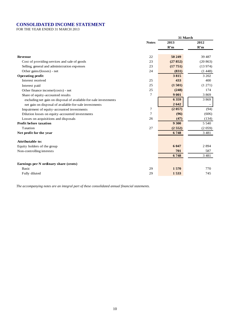# **CONSOLIDATED INCOME STATEMENT**

FOR THE YEAR ENDED 31 MARCH 2013

|                                                                  |                | 31 March |         |
|------------------------------------------------------------------|----------------|----------|---------|
|                                                                  | <b>Notes</b>   | 2013     | 2012    |
|                                                                  |                | R'm      | R'm     |
| <b>Revenue</b>                                                   | 22             | 50 249   | 39 4 87 |
| Cost of providing services and sale of goods                     | 23             | (27852)  | (20863) |
| Selling, general and administration expenses                     | 23             | (17751)  | (13974) |
| Other gains/(losses) - net                                       | 24             | (831)    | (1448)  |
| <b>Operating profit</b>                                          |                | 3815     | 3 202   |
| Interest received                                                | 25             | 433      | 400     |
| Interest paid                                                    | 25             | (1501)   | (1 271) |
| Other finance income/(costs) - net                               | 25             | (248)    | 174     |
| Share of equity-accounted results                                | $\tau$         | 9 0 0 1  | 3869    |
| excluding net gain on disposal of available-for-sale investments |                | 6 3 5 9  | 3869    |
| net gain on disposal of available-for-sale investments           |                | 2642     |         |
| Impairment of equity-accounted investments                       | $\overline{7}$ | (2 057)  | (94)    |
| Dilution losses on equity-accounted investments                  | $\tau$         | (96)     | (606)   |
| Losses on acquisitions and disposals                             | 26             | (47)     | (134)   |
| <b>Profit before taxation</b>                                    |                | 9 300    | 5 5 4 0 |
| Taxation                                                         | 27             | (2552)   | (2059)  |
| Net profit for the year                                          |                | 6748     | 3 4 8 1 |
| <b>Attributable to:</b>                                          |                |          |         |
| Equity holders of the group                                      |                | 6 0 4 7  | 2894    |
| Non-controlling interests                                        |                | 701      | 587     |
|                                                                  |                | 6748     | 3 4 8 1 |
|                                                                  |                |          |         |
| Earnings per N ordinary share (cents)                            |                |          |         |
| <b>Basic</b>                                                     | 29             | 1570     | 770     |
| Fully diluted                                                    | 29             | 1533     | 745     |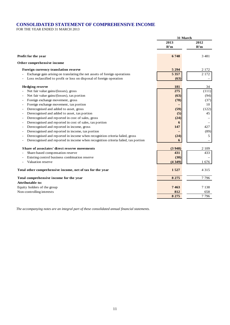# **CONSOLIDATED STATEMENT OF COMPREHENSIVE INCOME**

FOR THE YEAR ENDED 31 MARCH 2013

|                                                                                   | 31 March |         |
|-----------------------------------------------------------------------------------|----------|---------|
|                                                                                   | 2013     | 2012    |
|                                                                                   | R'm      | R'm     |
| Profit for the year                                                               | 6748     | 3481    |
| Other comprehensive income                                                        |          |         |
| Foreign currency translation reserve                                              | 5 2 9 4  | 2 1 7 2 |
| Exchange gain arising on translating the net assets of foreign operations         | 5 3 5 7  | 2 1 7 2 |
| Loss reclassified to profit or loss on disposal of foreign operation              | (63)     |         |
| <b>Hedging reserve</b>                                                            | 181      | 34      |
| Net fair value gains/(losses), gross                                              | 275      | (111)   |
| Net fair value gains/(losses), tax portion                                        | (63)     | (94)    |
| Foreign exchange movement, gross                                                  | (78)     | (37)    |
| Foreign exchange movement, tax portion                                            |          | 10      |
| Derecognised and added to asset, gross                                            | (59)     | (122)   |
| Derecognised and added to asset, tax portion                                      | (5)      | 45      |
| Derecognised and reported in cost of sales, gross                                 | (24)     |         |
| Derecognised and reported in cost of sales, tax portion                           | 6        |         |
| Derecognised and reported in income, gross                                        | 147      | 427     |
| Derecognised and reported in income, tax portion                                  |          | (89)    |
| Derecognised and reported in income when recognition criteria failed, gross       | (24)     | 5       |
| Derecognised and reported in income when recognition criteria failed, tax portion | 6        |         |
| Share of associates' direct reserve movements                                     | (3948)   | 2 1 0 9 |
| Share-based compensation reserve                                                  | 431      | 433     |
| Existing control business combination reserve                                     | (30)     |         |
| Valuation reserve                                                                 | (4349)   | 1676    |
| Total other comprehensive income, net of tax for the year                         | 1527     | 4 3 1 5 |
| Total comprehensive income for the year                                           | 8 2 7 5  | 7796    |
| <b>Attributable to:</b>                                                           |          |         |
| Equity holders of the group                                                       | 7463     | 7 138   |
| Non-controlling interests                                                         | 812      | 658     |
|                                                                                   | 8 2 7 5  | 7796    |
|                                                                                   |          |         |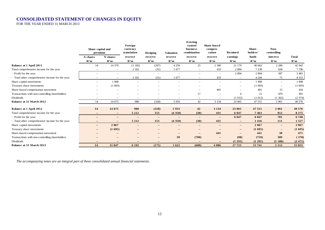### **CONSOLIDATED STATEMENT OF CHANGES IN EQUITY**

FOR THE YEAR ENDED 31 MARCH 2013

|                                                 | Share capital and<br>premium    |                                 | Foreign<br>currency<br>translation<br>Hedging |                          | <b>Valuation</b>         | <b>Existing</b><br>control<br>business<br>combination | Share-based<br>compen-<br>sation | <b>Retained</b>          | Share-<br>holders' | Non-<br>controlling      |         |
|-------------------------------------------------|---------------------------------|---------------------------------|-----------------------------------------------|--------------------------|--------------------------|-------------------------------------------------------|----------------------------------|--------------------------|--------------------|--------------------------|---------|
|                                                 | A shares                        | N shares                        | reserve                                       | reserve                  | reserve                  | reserve                                               | reserve                          | earnings                 | funds              | interest                 | Total   |
|                                                 | R'm                             | R'm                             | R'm                                           | R'm                      | R'm                      | R'm                                                   | R'm                              | R'm                      | R'm                | R'm                      | R'm     |
| <b>Balance at 1 April 2011</b>                  | 14                              | 14 370                          | (1185)                                        | (297)                    | 4 2 5 6                  | 25                                                    | 2 3 0 0                          | 21 179                   | 40 662             | 2 2 8 0                  | 42 942  |
| Total comprehensive income for the year         | $\hspace{0.1mm}-\hspace{0.1mm}$ | $\hspace{0.1mm}-\hspace{0.1mm}$ | 2 1 6 5                                       | (31)                     | 1677                     | $\overline{\phantom{m}}$                              | 433                              | 2894                     | 7 1 3 8            | 658                      | 7796    |
| - Profit for the year                           | $\qquad \qquad$                 | $\overline{\phantom{m}}$        | $\overline{\phantom{a}}$                      | $\overline{\phantom{m}}$ | $\overline{\phantom{m}}$ | $\overline{\phantom{m}}$                              | $\overline{\phantom{m}}$         | 2 8 9 4                  | 2894               | 587                      | 3 4 8 1 |
| - Total other comprehensive income for the year |                                 | $\overline{\phantom{m}}$        | 2 1 6 5                                       | (31)                     | 1 677                    | $\overline{\phantom{m}}$                              | 433                              | $\overline{\phantom{m}}$ | 4 2 4 4            | 71                       | 4 3 1 5 |
| Share capital movements                         |                                 | 1908                            | $\overline{\phantom{m}}$                      | $\overline{\phantom{a}}$ | $\overline{\phantom{a}}$ | $\overline{\phantom{m}}$                              | $\overline{\phantom{a}}$         | $\overline{\phantom{m}}$ | 1908               | $\overline{\phantom{m}}$ | 1908    |
| Treasury share movements                        | $\overline{\phantom{m}}$        | (1603)                          | $\overline{\phantom{0}}$                      |                          | $\overline{\phantom{0}}$ | $\overline{\phantom{0}}$                              |                                  | $\overline{\phantom{a}}$ | (1603)             |                          | (1603)  |
| Share-based compensation movement               |                                 |                                 |                                               |                          |                          |                                                       | 401                              |                          | 401                | 15                       | 416     |
| Transactions with non-controlling shareholders  |                                 |                                 |                                               |                          |                          | 17                                                    | $\overline{\phantom{a}}$         | $\Delta$                 | 21                 | 470                      | 491     |
| <b>Dividends</b>                                |                                 |                                 |                                               |                          | $\overline{\phantom{0}}$ | $\overline{\phantom{m}}$                              | $\overline{\phantom{a}}$         | (1012)                   | (1012)             | (1362)                   | (2374)  |
| Balance at 31 March 2012                        | 14                              | 14 675                          | 980                                           | (328)                    | 5933                     | 42                                                    | 3 1 3 4                          | 23 065                   | 47 515             | 2 0 6 1                  | 49 576  |
| <b>Balance at 1 April 2012</b>                  | 14                              | 14 675                          | 980                                           | (328)                    | 5933                     | 42                                                    | 3 1 3 4                          | 23 065                   | 47 515             | 2 0 6 1                  | 49 576  |
| Total comprehensive income for the year         | $\qquad \qquad -$               | $-$                             | 5 2 1 2                                       | 153                      | (4350)                   | (30)                                                  | 431                              | 6 0 4 7                  | 7463               | 812                      | 8 2 7 5 |
| - Profit for the year                           | $\qquad \qquad -$               | $\qquad \qquad -$               | $\overline{\phantom{m}}$                      | $\overline{\phantom{m}}$ | $\overline{\phantom{0}}$ | $\qquad \qquad -$                                     | $\qquad \qquad -$                | 6 0 4 7                  | 6 0 4 7            | 701                      | 6748    |
| Total other comprehensive income for the year   | $-$                             |                                 | 5 2 1 2                                       | 153                      | (4350)                   | (30)                                                  | 431                              | $\qquad \qquad -$        | 1416               | 111                      | 1527    |
| Share capital movements                         | $\overline{\phantom{0}}$        | 2 0 6 7                         | $\overline{\phantom{m}}$                      | $\overline{\phantom{m}}$ | $\overline{\phantom{0}}$ | $\overline{\phantom{m}}$                              | $\overline{\phantom{a}}$         | $\overline{\phantom{m}}$ | 2 0 6 7            | $\overline{\phantom{a}}$ | 2 0 6 7 |
| Treasury share movements                        | $\qquad \qquad -$               | (1695)                          |                                               |                          | $\overline{\phantom{a}}$ |                                                       |                                  | $\qquad \qquad -$        | (1695)             | $\overline{\phantom{0}}$ | (1695)  |
| Share-based compensation movement               |                                 | $\overline{\phantom{0}}$        |                                               | $\overline{\phantom{a}}$ | -                        | $\overline{\phantom{m}}$                              | 441                              | $\overline{\phantom{a}}$ | 441                | 30                       | 471     |
| Transactions with non-controlling shareholders  |                                 | $\overline{\phantom{0}}$        | $\qquad \qquad -$                             | $\overline{\phantom{0}}$ | 39                       | (700)                                                 | $\overline{\phantom{0}}$         | (98)                     | (759)              | 389                      | (370)   |
| <b>Dividends</b>                                | $\qquad \qquad -$               | $\qquad \qquad -$               |                                               | $\overline{\phantom{m}}$ |                          | $\overline{\phantom{m}}$                              | $\overline{\phantom{0}}$         | (1 291)                  | (1 291)            | (1180)                   | (2471)  |
| Balance at 31 March 2013                        | 14                              | 15 047                          | 6 1 9 2                                       | (175)                    | 1622                     | (688)                                                 | 4 0 0 6                          | 27 723                   | 53 741             | 2 1 1 2                  | 55 853  |
|                                                 |                                 |                                 |                                               |                          |                          |                                                       |                                  |                          |                    |                          |         |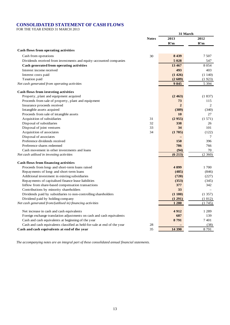### **CONSOLIDATED STATEMENT OF CASH FLOWS**

FOR THE YEAR ENDED 31 MARCH 2013

|                                                                          |              | 31 March       |         |
|--------------------------------------------------------------------------|--------------|----------------|---------|
|                                                                          | <b>Notes</b> | 2013           | 2012    |
|                                                                          |              | R'm            | R'm     |
| Cash flows from operating activities                                     |              |                |         |
| Cash from operations                                                     | 30           | 8 4 3 9        | 7 5 0 7 |
| Dividends received from investments and equity-accounted companies       |              | 5 0 28         | 547     |
| Cash generated from operating activities                                 |              | 13 467         | 8 0 5 4 |
| Interest income received                                                 |              | 493            | 403     |
| Interest costs paid                                                      |              | (1426)         | (1140)  |
| Taxation paid                                                            |              | (2689)         | (1923)  |
| Net cash generated from operating activities                             |              | 9845           | 5 3 9 4 |
| Cash flows from investing activities                                     |              |                |         |
| Property, plant and equipment acquired                                   |              | (2463)         | (1837)  |
| Proceeds from sale of property, plant and equipment                      |              | 73             | 115     |
| Insurance proceeds received                                              |              | $\overline{2}$ | 2       |
| Intangible assets acquired                                               |              | (389)          | (340)   |
| Proceeds from sale of intangible assets                                  |              | 10             | 27      |
| Acquisition of subsidiaries                                              | 31           | (2955)         | (1571)  |
| Disposal of subsidiaries                                                 | 32           | 338            | 26      |
| Disposal of joint ventures                                               | 33           | 34             | 101     |
| Acquisition of associates                                                | 34           | (1705)         | (122)   |
| Disposal of associates                                                   |              |                | 7       |
| Preference dividends received                                            |              | 150            | 396     |
| Preference shares redeemed                                               |              | 786            | 766     |
| Cash movement in other investments and loans                             |              | (94)           | 70      |
| Net cash utilised in investing activities                                |              | (6213)         | (2360)  |
| <b>Cash flows from financing activities</b>                              |              |                |         |
| Proceeds from long- and short-term loans raised                          |              | 4899           | 1700    |
| Repayments of long- and short-term loans                                 |              | (485)          | (846)   |
| Additional investment in existing subsidiaries                           |              | (720)          | (227)   |
| Repayments of capitalised finance lease liabilities                      |              | (353)          | (345)   |
| Inflow from share-based compensation transactions                        |              | 377            | 342     |
| Contributions by minority shareholders                                   |              | 33             |         |
| Dividends paid by subsidiaries to non-controlling shareholders           |              | (1180)         | (1357)  |
| Dividend paid by holding company                                         |              | (1 291)        | (1012)  |
| Net cash generated from/(utilised in) financing activities               |              | 1 2 8 0        | (1745)  |
| Net increase in cash and cash equivalents                                |              | 4912           | 1 2 8 9 |
| Foreign exchange translation adjustments on cash and cash equivalents    |              | 687            | 139     |
| Cash and cash equivalents at beginning of the year                       |              | 8791           | 7401    |
| Cash and cash equivalents classified as held-for-sale at end of the year | 28           |                | (38)    |
| Cash and cash equivalents at end of the year                             | 35           | 14 390         | 8791    |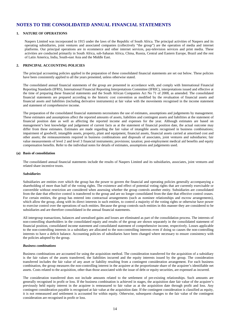### **1. NATURE OF OPERATIONS**

Naspers Limited was incorporated in 1915 under the laws of the Republic of South Africa. The principal activities of Naspers and its operating subsidiaries, joint ventures and associated companies (collectively "the group") are the operation of media and internet platforms. Our principal operations are in ecommerce and other internet services, pay-television services and print media. These activities are conducted primarily in South Africa, sub-Saharan Africa, China, Russia, Central and Eastern Europe, Brazil and the rest of Latin America, India, South-east Asia and the Middle East.

### **2. PRINCIPAL ACCOUNTING POLICIES**

The principal accounting policies applied in the preparation of these consolidated financial statements are set out below. These policies have been consistently applied to all the years presented, unless otherwise stated.

The consolidated annual financial statements of the group are presented in accordance with, and comply with International Financial Reporting Standards (IFRS), International Financial Reporting Interpretations Committee (IFRIC), interpretations issued and effective at the time of preparing these financial statements and the South African Companies Act No 71 of 2008, as amended. The consolidated financial statements are prepared according to the historic cost convention as modified by the revaluation of financial assets and financial assets and liabilities (including derivative instruments) at fair value with the movements recognised in the income statement and statement of comprehensive income.

The preparation of the consolidated financial statements necessitates the use of estimates, assumptions and judgements by management. These estimates and assumptions affect the reported amounts of assets, liabilities and contingent assets and liabilities at the statement of financial position date as well as affecting the reported income and expenses for the year. Although estimates are based on management's best knowledge and judgement of current facts as at the statement of financial position date, the actual outcome may differ from these estimates. Estimates are made regarding the fair value of intangible assets recognised in business combinations; impairment of goodwill, intangible assets, property, plant and equipment, financial assets, financial assets carried at amortised cost and other assets; the remeasurements required in business combinations and disposals of associates, joint ventures and subsidiaries; fair value measurements of level 2 and level 3 financial instruments; provisions; taxation; post-employment medical aid benefits and equity compensation benefits. Refer to the individual notes for details of estimates, assumptions and judgements used.

#### **(a) Basis of consolidation**

The consolidated annual financial statements include the results of Naspers Limited and its subsidiaries, associates, joint ventures and related share incentive trusts.

#### *Subsidiaries*

Subsidiaries are entities over which the group has the power to govern the financial and operating policies generally accompanying a shareholding of more than half of the voting rights. The existence and effect of potential voting rights that are currently exercisable or convertible without restriction are considered when assessing whether the group controls another entity. Subsidiaries are consolidated from the date that effective control is transferred to the group and are no longer consolidated from the date that effective control ceases. For certain entities, the group has entered into contractual arrangements (such as nominee relationships and escrow arrangements), which allow the group, along with its direct interests in such entities, to control a majority of the voting rights or otherwise have power to exercise control over the operations of such entities. Because the group controls such entities in this manner they are considered to be subsidiaries and are therefore consolidated in the annual financial statements.

All intergroup transactions, balances and unrealised gains and losses are eliminated as part of the consolidation process. The interests of non-controlling shareholders in the consolidated equity and results of the group are shown separately in the consolidated statement of financial position, consolidated income statement and consolidated statement of comprehensive income, respectively. Losses applicable to the non-controlling interests in a subsidiary are allocated to the non-controlling interests even if doing so causes the non-controlling interests to have a deficit balance. Accounting policies of subsidiaries have been changed where necessary to ensure consistency with the policies adopted by the group.

#### *Business combinations*

Business combinations are accounted for using the acquisition method. The consideration transferred for the acquisition of a subsidiary is the fair values of the assets transferred, the liabilities incurred and the equity interests issued by the group. The consideration transferred includes the fair value of any asset or liability resulting from a contingent consideration arrangement. For each business combination, the group measures the non-controlling interest in the acquiree at the proportionate share of the acquiree's identifiable net assets. Costs related to the acquisition, other than those associated with the issue of debt or equity securities, are expensed as incurred.

The consideration transferred does not include amounts related to the settlement of pre-existing relationships. Such amounts are generally recognised in profit or loss. If the business combination is achieved in stages, the acquisition date fair value of the acquirer's previously held equity interest in the acquiree is remeasured to fair value as at the acquisition date through profit and loss. Any contingent consideration payable is recognised at fair value at the acquisition date. If the contingent consideration is classified as equity, it is not remeasured and settlement is accounted for within equity. Otherwise, subsequent changes to the fair value of the contingent consideration are recognised in profit or loss.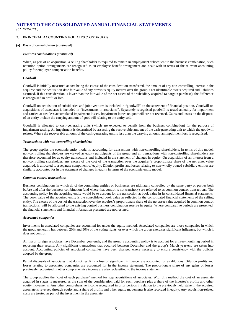### **2. PRINCIPAL ACCOUNTING POLICIES** (*CONTINUED*)

#### **(a) Basis of consolidation** *(continued)*

#### *Business combinations (continued)*

When, as part of an acquisition, a selling shareholder is required to remain in employment subsequent to the business combination, such retention option arrangements are recognised as an employee benefit arrangement and dealt with in terms of the relevant accounting policy for employee compensation benefits.

#### *Goodwill*

Goodwill is initially measured at cost being the excess of the consideration transferred, the amount of any non-controlling interest in the acquiree and the acquisition-date fair value of any previous equity interest over the group's net identifiable assets acquired and liabilities assumed. If this consideration is lower than the fair value of the net assets of the subsidiary acquired (a bargain purchase), the difference is recognised in profit or loss.

Goodwill on acquisition of subsidiaries and joint ventures is included in "goodwill" on the statement of financial position. Goodwill on acquisitions of associates is included in "investments in associates". Separately recognised goodwill is tested annually for impairment and carried at cost less accumulated impairment losses. Impairment losses on goodwill are not reversed. Gains and losses on the disposal of an entity include the carrying amount of goodwill relating to the entity sold.

Goodwill is allocated to cash-generating units (which are expected to benefit from the business combination) for the purpose of impairment testing. An impairment is determined by assessing the recoverable amount of the cash-generating unit to which the goodwill relates. Where the recoverable amount of the cash-generating unit is less than the carrying amount, an impairment loss is recognised.

### *Transactions with non-controlling shareholders*

The group applies the economic entity model in accounting for transactions with non-controlling shareholders. In terms of this model, non-controlling shareholders are viewed as equity participants of the group and all transactions with non-controlling shareholders are therefore accounted for as equity transactions and included in the statement of changes in equity. On acquisition of an interest from a non-controlling shareholder, any excess of the cost of the transaction over the acquirer's proportionate share of the net asset value acquired, is allocated to a separate component of equity. Dilution profits and losses relating to non-wholly owned subsidiary entities are similarly accounted for in the statement of changes in equity in terms of the economic entity model.

#### *Common control transactions*

Business combinations in which all of the combining entities or businesses are ultimately controlled by the same party or parties both before and after the business combination (and where that control is not transitory) are referred to as common control transactions. The accounting policy for the acquiring entity would be to account for the transaction at book value in its consolidated financial statements. The book value of the acquired entity is the consolidated book value as reflected in the consolidated financial statements of the selling entity. The excess of the cost of the transaction over the acquirer's proportionate share of the net asset value acquired in common control transactions, will be allocated to the existing control business combination reserve in equity. Where comparative periods are presented, the financial statements and financial information presented are not restated.

### *Associated companies*

Investments in associated companies are accounted for under the equity method. Associated companies are those companies in which the group generally has between 20% and 50% of the voting rights, or over which the group exercises significant influence, but which it does not control.

All major foreign associates have December year-ends, and the group's accounting policy is to account for a three-month lag period in reporting their results. Any significant transactions that occurred between December and the group's March year-end are taken into account. Accounting policies of associated companies have been changed where necessary to ensure consistency with the policies adopted by the group.

Partial disposals of associates that do not result in a loss of significant influence, are accounted for as dilutions. Dilution profits and losses relating to associated companies are accounted for in the income statement. The proportionate share of any gains or losses previously recognised in other comprehensive income are also reclassified to the income statement.

The group applies the "cost of each purchase" method for step acquisitions of associates. With this method the cost of an associate acquired in stages is measured as the sum of the consideration paid for each purchase plus a share of the investee's profits and other equity movements. Any other comprehensive income recognised in prior periods in relation to the previously held stake in the acquired associate is reversed through equity and a share of profits and other equity movements is also recorded in equity. Any acquisition-related costs are treated as part of the investment in the associate.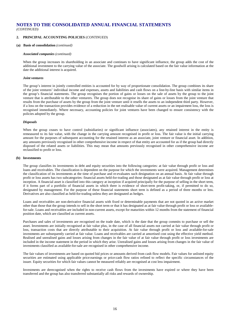### **2. PRINCIPAL ACCOUNTING POLICIES** (*CONTINUED*)

#### **(a) Basis of consolidation** *(continued)*

#### *Associated companies (continued)*

When the group increases its shareholding in an associate and continues to have significant influence, the group adds the cost of the additional investment to the carrying value of the associate. The goodwill arising is calculated based on the fair value information at the date the additional interest is acquired.

#### *Joint ventures*

The group's interest in jointly controlled entities is accounted for by way of proportionate consolidation. The group combines its share of the joint ventures' individual income and expenses, assets and liabilities and cash flows on a line-by-line basis with similar items in the group's financial statements. The group recognises the portion of gains or losses on the sale of assets by the group to the joint venture that is attributable to the other venturers. The group does not recognise its share of gains or losses from the joint venture that results from the purchase of assets by the group from the joint venture until it resells the assets to an independent third party. However, if a loss on the transaction provides evidence of a reduction in the net realisable value of current assets or an impairment loss, the loss is recognised immediately. Where necessary, accounting policies for joint ventures have been changed to ensure consistency with the policies adopted by the group.

#### *Disposals*

When the group ceases to have control (subsidiaries) or significant influence (associates), any retained interest in the entity is remeasured to its fair value, with the change in the carrying amount recognised in profit or loss. The fair value is the initial carrying amount for the purposes of subsequent accounting for the retained interest as an associate, joint venture or financial asset. In addition, any amounts previously recognised in other comprehensive income in respect of that entity are accounted for as if the group had directly disposed of the related assets or liabilities. This may mean that amounts previously recognised in other comprehensive income are reclassified to profit or loss.

#### **(b) Investments**

The group classifies its investments in debt and equity securities into the following categories: at fair value through profit or loss and loans and receivables. The classification is dependent on the purpose for which the investments were acquired. Management determines the classification of its investments at the time of purchase and re-evaluates such designation on an annual basis. At fair value through profit or loss assets has two subcategories: financial assets held-for-trading and those designated as at fair value through profit or loss at inception. A financial asset is classified into this category at inception if acquired principally for the purpose of selling in the short term, if it forms part of a portfolio of financial assets in which there is evidence of short-term profit-taking, or, if permitted to do so, designated by management. For the purpose of these financial statements short term is defined as a period of three months or less. Derivatives are also classified as held-for-trading unless they are designated as hedges.

Loans and receivables are non-derivative financial assets with fixed or determinable payments that are not quoted in an active market other than those that the group intends to sell in the short term or that it has designated as at fair value through profit or loss or availablefor-sale. Loans and receivables are included in non-current assets, except for maturities within 12 months from the statement of financial position date, which are classified as current assets.

Purchases and sales of investments are recognised on the trade date, which is the date that the group commits to purchase or sell the asset. Investments are initially recognised at fair value plus, in the case of all financial assets not carried at fair value through profit or loss, transaction costs that are directly attributable to their acquisition. At fair value through profit or loss and available-for-sale investments are subsequently carried at fair value. Loans and receivables are carried at amortised cost using the effective yield method. Realised and unrealised gains and losses arising from changes in the fair value of at fair value through profit or loss investments are included in the income statement in the period in which they arise. Unrealised gains and losses arising from changes in the fair value of investments classified as available-for-sale are recognised in other comprehensive income.

The fair values of investments are based on quoted bid prices or amounts derived from cash flow models. Fair values for unlisted equity securities are estimated using applicable price:earnings or price:cash flow ratios refined to reflect the specific circumstances of the issuer. Equity securities for which fair values cannot be measured reliably are recognised at cost less impairment.

Investments are derecognised when the rights to receive cash flows from the investments have expired or where they have been transferred and the group has also transferred substantially all risks and rewards of ownership.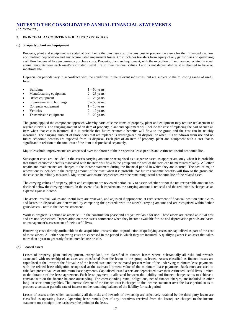# **2. PRINCIPAL ACCOUNTING POLICIES** (*CONTINUED*)

### **(c) Property, plant and equipment**

Property, plant and equipment are stated at cost, being the purchase cost plus any cost to prepare the assets for their intended use, less accumulated depreciation and any accumulated impairment losses. Cost includes transfers from equity of any gains/losses on qualifying cash flow hedges of foreign currency purchase costs. Property, plant and equipment, with the exception of land, are depreciated in equal annual amounts over each asset's estimated useful life to their residual values. Land is not depreciated as it is deemed to have an indefinite life.

Depreciation periods vary in accordance with the conditions in the relevant industries, but are subject to the following range of useful lives:

|           | <b>Buildings</b>          | $1 - 50$ years |
|-----------|---------------------------|----------------|
| $\bullet$ | Manufacturing equipment   | $2 - 25$ years |
| $\bullet$ | Office equipment          | $2 - 25$ years |
|           | Improvements to buildings | $5 - 50$ years |
| $\bullet$ | Computer equipment        | $1 - 10$ years |
|           | Vehicles                  | $2 - 10$ years |
|           | Transmission equipment    | $5 - 20$ years |

The group applied the component approach whereby parts of some items of property, plant and equipment may require replacement at regular intervals. The carrying amount of an item of property, plant and equipment will include the cost of replacing the part of such an item when that cost is incurred, if it is probable that future economic benefits will flow to the group and the cost can be reliably measured. The carrying amount of those parts that are replaced is derecognised on disposal or when it is withdrawn from use and no future economic benefits are expected from its disposal. Each part of an item of property, plant and equipment with a cost that is significant in relation to the total cost of the item is depreciated separately.

Major leasehold improvements are amortised over the shorter of their respective lease periods and estimated useful economic life.

Subsequent costs are included in the asset's carrying amount or recognised as a separate asset, as appropriate, only when it is probable that future economic benefits associated with the item will flow to the group and the cost of the item can be measured reliably. All other repairs and maintenance are charged to the income statement during the financial period in which they are incurred. The cost of major renovations is included in the carrying amount of the asset when it is probable that future economic benefits will flow to the group and the cost can be reliably measured. Major renovations are depreciated over the remaining useful economic life of the related asset.

The carrying values of property, plant and equipment are reviewed periodically to assess whether or not the net recoverable amount has declined below the carrying amount. In the event of such impairment, the carrying amount is reduced and the reduction is charged as an expense against income.

The assets' residual values and useful lives are reviewed, and adjusted if appropriate, at each statement of financial position date. Gains and losses on disposals are determined by comparing the proceeds with the asset's carrying amount and are recognised within "other gains/losses – net" in the income statement.

Work in progress is defined as assets still in the construction phase and not yet available for use. These assets are carried at initial cost and are not depreciated. Depreciation on these assets commence when they become available for use and depreciation periods are based on management's assessment of their useful lives.

Borrowing costs directly attributable to the acquisition, construction or production of qualifying assets are capitalised as part of the cost of those assets. All other borrowing costs are expensed in the period in which they are incurred. A qualifying asset is an asset that takes more than a year to get ready for its intended use or sale.

### **(d) Leased assets**

Leases of property, plant and equipment, except land, are classified as finance leases where, substantially all risks and rewards associated with ownership of an asset are transferred from the lessor to the group as lessee. Assets classified as finance leases are capitalised at the lower of the fair value of the leased asset and the estimated present value of the underlying minimum lease payments, with the related lease obligation recognised at the estimated present value of the minimum lease payments. Bank rates are used to calculate present values of minimum lease payments. Capitalised leased assets are depreciated over their estimated useful lives, limited to the duration of the lease agreement. Each lease payment is allocated between the liability and finance charges so as to achieve a constant rate on the finance balance outstanding. The corresponding rental obligations, net of finance charges, are included in other long- or short-term payables. The interest element of the finance cost is charged to the income statement over the lease period so as to produce a constant periodic rate of interest on the remaining balance of the liability for each period.

Leases of assets under which substantially all the risks and rewards of ownership are effectively retained by the third-party lessor are classified as operating leases. Operating lease rentals (net of any incentives received from the lessor) are charged to the income statement on a straight-line basis over the period of the lease.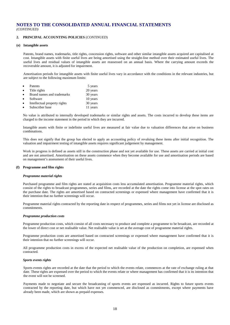### **2. PRINCIPAL ACCOUNTING POLICIES** (*CONTINUED*)

### **(e) Intangible assets**

Patents, brand names, trademarks, title rights, concession rights, software and other similar intangible assets acquired are capitalised at cost. Intangible assets with finite useful lives are being amortised using the straight-line method over their estimated useful lives. The useful lives and residual values of intangible assets are reassessed on an annual basis. Where the carrying amount exceeds the recoverable amount, it is adjusted for impairment.

Amortisation periods for intangible assets with finite useful lives vary in accordance with the conditions in the relevant industries, but are subject to the following maximum limits:

| $\bullet$ | Patents                      | 5 years  |
|-----------|------------------------------|----------|
| $\bullet$ | Title rights                 | 20 years |
| $\bullet$ | Brand names and trademarks   | 30 years |
|           | Software                     | 10 years |
| $\bullet$ | Intellectual property rights | 30 years |
|           | Subscriber base              | 11 years |

No value is attributed to internally developed trademarks or similar rights and assets. The costs incurred to develop these items are charged to the income statement in the period in which they are incurred.

Intangible assets with finite or indefinite useful lives are measured at fair value due to valuation differences that arise on business combinations.

This does not signify that the group has elected to apply an accounting policy of revaluing these items after initial recognition. The valuation and impairment testing of intangible assets requires significant judgement by management.

Work in progress is defined as assets still in the construction phase and not yet available for use. These assets are carried at initial cost and are not amortised. Amortisation on these assets commence when they become available for use and amortisation periods are based on management's assessment of their useful lives.

### **(f) Programme and film rights**

#### *Programme material rights*

Purchased programme and film rights are stated at acquisition costs less accumulated amortisation. Programme material rights, which consist of the rights to broadcast programmes, series and films, are recorded at the date the rights come into license at the spot rates on the purchase date. The rights are amortised based on contracted screenings or expensed where management have confirmed that it is their intention that no further screenings will occur.

Programme material rights contracted by the reporting date in respect of programmes, series and films not yet in license are disclosed as commitments.

#### *Programme production costs*

Programme production costs, which consist of all costs necessary to produce and complete a programme to be broadcast, are recorded at the lower of direct cost or net realisable value. Net realisable value is set at the average cost of programme material rights.

Programme production costs are amortised based on contracted screenings or expensed where management have confirmed that it is their intention that no further screenings will occur.

All programme production costs in excess of the expected net realisable value of the production on completion, are expensed when contracted.

### *Sports events rights*

Sports events rights are recorded at the date that the period to which the events relate, commences at the rate of exchange ruling at that date. These rights are expensed over the period to which the events relate or where management has confirmed that it is its intention that the event will not be screened.

Payments made to negotiate and secure the broadcasting of sports events are expensed as incurred. Rights to future sports events contracted by the reporting date, but which have not yet commenced, are disclosed as commitments, except where payments have already been made, which are shown as prepaid expenses.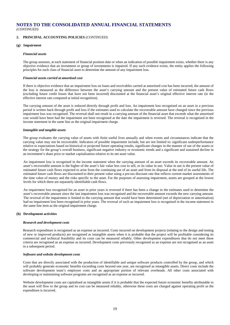### **2. PRINCIPAL ACCOUNTING POLICIES** (*CONTINUED*)

### **(g) Impairment**

### *Financial assets*

The group assesses, at each statement of financial position date or when an indication of possible impairment exists, whether there is any objective evidence that an investment or group of investments is impaired. If any such evidence exists, the entity applies the following principles for each class of financial asset to determine the amount of any impairment loss.

### *Financial assets carried at amortised cost*

If there is objective evidence that an impairment loss on loans and receivables carried at amortised cost has been incurred, the amount of the loss is measured as the difference between the asset's carrying amount and the present value of estimated future cash flows (excluding future credit losses that have not been incurred) discounted at the financial asset's original effective interest rate (ie the effective interest rate computed at initial recognition).

The carrying amount of the asset is reduced directly through profit and loss. An impairment loss recognised on an asset in a previous period is written back through profit and loss if the estimates used to calculate the recoverable amount have changed since the previous impairment loss was recognised. The reversal shall not result in a carrying amount of the financial asset that exceeds what the amortised cost would have been had the impairment not been recognised at the date the impairment is reversed. The reversal is recognised in the income statement in the same line as the original impairment charge.

### *Intangible and tangible assets*

The group evaluates the carrying value of assets with finite useful lives annually and when events and circumstances indicate that the carrying value may not be recoverable. Indicators of possible impairment include, but are not limited to: significant underperformance relative to expectations based on historical or projected future operating results, significant changes in the manner of use of the assets or the strategy for the group's overall business, significant negative industry or economic trends and a significant and sustained decline in an investment's share price or market capitalisation relative to its net asset value.

An impairment loss is recognised in the income statement when the carrying amount of an asset exceeds its recoverable amount. An asset's recoverable amount is the higher of the asset's fair value less cost to sell, or its value in use. Value in use is the present value of estimated future cash flows expected to arise from the continuing use of an asset and from its disposal at the end of its useful life. The estimated future cash flows are discounted to their present value using a pre-tax discount rate that reflects current market assessments of the time value of money and the risks specific to the asset. For the purposes of assessing impairment, assets are grouped at the lowest levels for which there are separately identifiable cash flows.

An impairment loss recognised for an asset in prior years is reversed if there has been a change in the estimates used to determine the asset's recoverable amount since the last impairment loss was recognised and the recoverable amount exceeds the new carrying amount. The reversal of the impairment is limited to the carrying amount that would have been determined (net of depreciation or amortisation) had no impairment loss been recognised in prior years. The reversal of such an impairment loss is recognised in the income statement in the same line item as the original impairment charge.

#### **(h) Development activities**

### *Research and development costs*

Research expenditure is recognised as an expense as incurred. Costs incurred on development projects (relating to the design and testing of new or improved products) are recognised as intangible assets when it is probable that the project will be profitable considering its commercial and technical feasibility and its costs can be measured reliably. Other development expenditures that do not meet these criteria are recognised as an expense as incurred. Development costs previously recognised as an expense are not recognised as an asset in a subsequent period.

#### *Software and website development costs*

Costs that are directly associated with the production of identifiable and unique software products controlled by the group, and which will probably generate economic benefits exceeding costs beyond one year, are recognised as intangible assets. Direct costs include the software development team's employee costs and an appropriate portion of relevant overheads. All other costs associated with developing or maintaining software programs are recognised as an expense as incurred.

Website development costs are capitalised as intangible assets if it is probable that the expected future economic benefits attributable to the asset will flow to the group and its cost can be measured reliably, otherwise these costs are charged against operating profit as the expenditure is incurred.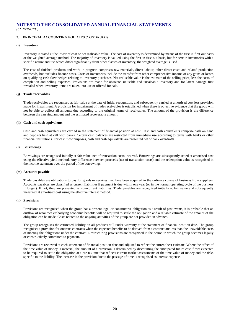### **2. PRINCIPAL ACCOUNTING POLICIES** (*CONTINUED*)

### **(i) Inventory**

Inventory is stated at the lower of cost or net realisable value. The cost of inventory is determined by means of the first-in first-out basis or the weighted average method. The majority of inventory is valued using the first-in first-out basis, but for certain inventories with a specific nature and use which differ significantly from other classes of inventory, the weighted average is used.

The cost of finished products and work in progress comprises raw materials, direct labour, other direct costs and related production overheads, but excludes finance costs. Costs of inventories include the transfer from other comprehensive income of any gains or losses on qualifying cash flow hedges relating to inventory purchases. Net realisable value is the estimate of the selling price, less the costs of completion and selling expenses. Provisions are made for obsolete, unusable and unsaleable inventory and for latent damage first revealed when inventory items are taken into use or offered for sale.

#### **(j) Trade receivables**

Trade receivables are recognised at fair value at the date of initial recognition, and subsequently carried at amortised cost less provision made for impairment. A provision for impairment of trade receivables is established when there is objective evidence that the group will not be able to collect all amounts due according to the original terms of receivables. The amount of the provision is the difference between the carrying amount and the estimated recoverable amount.

#### **(k) Cash and cash equivalents**

Cash and cash equivalents are carried in the statement of financial position at cost. Cash and cash equivalents comprise cash on hand and deposits held at call with banks. Certain cash balances are restricted from immediate use according to terms with banks or other financial institutions. For cash flow purposes, cash and cash equivalents are presented net of bank overdrafts.

### **(l) Borrowings**

Borrowings are recognised initially at fair value, net of transaction costs incurred. Borrowings are subsequently stated at amortised cost using the effective yield method. Any difference between proceeds (net of transaction costs) and the redemption value is recognised in the income statement over the period of the borrowings.

#### **(m) Accounts payable**

Trade payables are obligations to pay for goods or services that have been acquired in the ordinary course of business from suppliers. Accounts payables are classified as current liabilities if payment is due within one year (or in the normal operating cycle of the business if longer). If not, they are presented as non-current liabilities. Trade payables are recognised initially at fair value and subsequently measured at amortised cost using the effective interest method.

### **(n) Provisions**

Provisions are recognised when the group has a present legal or constructive obligation as a result of past events, it is probable that an outflow of resources embodying economic benefits will be required to settle the obligation and a reliable estimate of the amount of the obligation can be made. Costs related to the ongoing activities of the group are not provided in advance.

The group recognises the estimated liability on all products still under warranty at the statement of financial position date. The group recognises a provision for onerous contracts when the expected benefits to be derived from a contract are less than the unavoidable costs of meeting the obligations under the contract. Restructuring provisions are recognised in the period in which the group becomes legally or constructively committed to payment.

Provisions are reviewed at each statement of financial position date and adjusted to reflect the current best estimate. Where the effect of the time value of money is material, the amount of a provision is determined by discounting the anticipated future cash flows expected to be required to settle the obligation at a pre-tax rate that reflects current market assessments of the time value of money and the risks specific to the liability. The increase in the provision due to the passage of time is recognised as interest expense.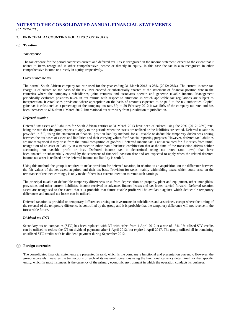### **2. PRINCIPAL ACCOUNTING POLICIES** (*CONTINUED*)

### **(o) Taxation**

### *Tax expense*

The tax expense for the period comprises current and deferred tax. Tax is recognised in the income statement, except to the extent that it relates to items recognised in other comprehensive income or directly in equity. In this case the tax is also recognised in other comprehensive income or directly in equity, respectively.

### *Current income tax*

The normal South African company tax rate used for the year ending 31 March 2013 is 28% (2012: 28%). The current income tax charge is calculated on the basis of the tax laws enacted or substantially enacted at the statement of financial position date in the countries where the company's subsidiaries, joint ventures and associates operate and generate taxable income. Management periodically evaluates positions taken in tax returns with respect to situations in which applicable tax regulations are subject to interpretation. It establishes provisions where appropriate on the basis of amounts expected to be paid to the tax authorities. Capital gains tax is calculated as a percentage of the company tax rate. Up to 29 February 2012 it was 50% of the company tax rate, and has been increased to 66% from 1 March 2012. International tax rates vary from jurisdiction to jurisdiction.

### *Deferred taxation*

Deferred tax assets and liabilities for South African entities at 31 March 2013 have been calculated using the 28% (2012: 28%) rate, being the rate that the group expects to apply to the periods when the assets are realised or the liabilities are settled. Deferred taxation is provided in full, using the statement of financial position liability method, for all taxable or deductible temporary differences arising between the tax bases of assets and liabilities and their carrying values for financial reporting purposes. However, deferred tax liabilities are not recognised if they arise from the initial recognition of goodwill; deferred income tax is not accounted for if it arises from initial recognition of an asset or liability in a transaction other than a business combination that at the time of the transaction affects neither accounting nor taxable profit or loss. Deferred income tax is determined using tax rates (and laws) that have been enacted or substantially enacted by the statement of financial position date and are expected to apply when the related deferred income tax asset is realised or the deferred income tax liability is settled.

Using this method, the group is required to make provision for deferred taxation, in relation to an acquisition, on the difference between the fair values of the net assets acquired and their tax base. Provision for taxes, mainly withholding taxes, which could arise on the remittance of retained earnings, is only made if there is a current intention to remit such earnings.

The principal taxable or deductible temporary differences arise from depreciation on property, plant and equipment, other intangibles, provisions and other current liabilities, income received in advance, finance leases and tax losses carried forward. Deferred taxation assets are recognised to the extent that it is probable that future taxable profit will be available against which deductible temporary differences and unused tax losses can be utilised.

Deferred taxation is provided on temporary differences arising on investments in subsidiaries and associates, except where the timing of the reversal of the temporary difference is controlled by the group and it is probable that the temporary difference will not reverse in the foreseeable future.

### *Dividend tax (DT)*

Secondary tax on companies (STC) has been replaced with DT with effect from 1 April 2012 at a rate of 15%. Unutilised STC credits can be utilised to reduce the DT on dividend payments after 1 April 2012, but expire 1 April 2017. The group utilised all its remaining unutilised STC credits with its dividend payment during September 2012.

#### **(p) Foreign currencies**

The consolidated financial statements are presented in rand, which is the company's functional and presentation currency. However, the group separately measures the transactions of each of its material operations using the functional currency determined for that specific entity, which in most instances, is the currency of the primary economic environment in which the operation conducts its business.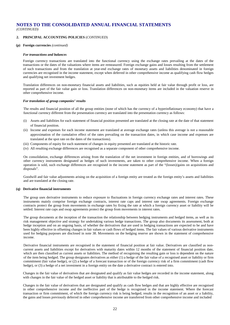### **2. PRINCIPAL ACCOUNTING POLICIES** (*CONTINUED*)

### **(p) Foreign currencies** *(continued)*

### *For transactions and balances*

Foreign currency transactions are translated into the functional currency using the exchange rates prevailing at the dates of the transactions or the dates of the valuations where items are remeasured. Foreign exchange gains and losses resulting from the settlement of such transactions and from the translation at year-end exchange rates of monetary assets and liabilities denominated in foreign currencies are recognised in the income statement, except when deferred in other comprehensive income as qualifying cash flow hedges and qualifying net investment hedges.

Translation differences on non-monetary financial assets and liabilities, such as equities held at fair value through profit or loss, are reported as part of the fair value gain or loss. Translation differences on non-monetary items are included in the valuation reserve in other comprehensive income.

#### *For translation of group companies' results*

The results and financial position of all the group entities (none of which has the currency of a hyperinflationary economy) that have a functional currency different from the presentation currency are translated into the presentation currency as follows:

- (i) Assets and liabilities for each statement of financial position presented are translated at the closing rate at the date of that statement of financial position.
- (ii) Income and expenses for each income statement are translated at average exchange rates (unless this average is not a reasonable approximation of the cumulative effect of the rates prevailing on the transaction dates, in which case income and expenses are translated at the spot rate on the dates of the transactions).
- (iii) Components of equity for each statement of changes in equity presented are translated at the historic rate.
- (iv) All resulting exchange differences are recognised as a separate component of other comprehensive income.

On consolidation, exchange differences arising from the translation of the net investment in foreign entities, and of borrowings and other currency instruments designated as hedges of such investments, are taken to other comprehensive income. When a foreign operation is sold, such exchange differences are recognised in the income statement as part of the "(losses)/gains on acquisitions and disposals".

Goodwill and fair value adjustments arising on the acquisition of a foreign entity are treated as the foreign entity's assets and liabilities and are translated at the closing rate.

### **(q) Derivative financial instruments**

The group uses derivative instruments to reduce exposure to fluctuations in foreign currency exchange rates and interest rates. These instruments mainly comprise foreign exchange contracts, interest rate caps and interest rate swap agreements. Foreign exchange contracts protect the group from movements in exchange rates by fixing the rate at which a foreign currency asset or liability will be settled. Interest rate caps and swap agreements protect the group from movements in interest rates.

The group documents at the inception of the transaction the relationship between hedging instruments and hedged items, as well as its risk management objective and strategy for undertaking various hedge transactions. The group also documents its assessment, both at hedge inception and on an ongoing basis, of whether the derivatives that are used in hedging transactions are expected to be and have been highly effective in offsetting changes in fair values or cash flows of hedged items. The fair values of various derivative instruments used for hedging purposes are disclosed in note 38. Movements on the hedging reserve are shown in the statement of comprehensive income.

Derivative financial instruments are recognised in the statement of financial position at fair value. Derivatives are classified as noncurrent assets and liabilities except for derivatives with maturity dates within 12 months of the statement of financial position date, which are then classified as current assets or liabilities. The method of recognising the resulting gain or loss is dependent on the nature of the item being hedged. The group designates derivatives as either (1) a hedge of the fair value of a recognised asset or liability or firm commitment (fair value hedge), or (2) a hedge of a forecast transaction or of the foreign currency risk of a firm commitment (cash flow hedge), or (3) a hedge of a net investment in a foreign entity on the date a derivative contract is entered into.

Changes in the fair value of derivatives that are designated and qualify as fair value hedges are recorded in the income statement, along with changes in the fair value of the hedged asset or liability that is attributable to the hedged risk.

Changes in the fair value of derivatives that are designated and qualify as cash flow hedges and that are highly effective are recognised in other comprehensive income and the ineffective part of the hedge is recognised in the income statement. Where the forecast transaction or firm commitment, of which the foreign currency risk is being hedged, results in the recognition of an asset or a liability, the gains and losses previously deferred in other comprehensive income are transferred from other comprehensive income and included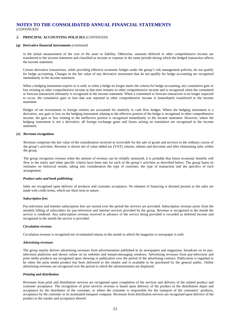### **2. PRINCIPAL ACCOUNTING POLICIES** (*CONTINUED*)

### **(q) Derivative financial instruments** *(continued)*

in the initial measurement of the cost of the asset or liability. Otherwise, amounts deferred in other comprehensive income are transferred to the income statement and classified as income or expense in the same periods during which the hedged transaction affects the income statement.

Certain derivative transactions, while providing effective economic hedges under the group's risk management policies, do not qualify for hedge accounting. Changes in the fair value of any derivative instrument that do not qualify for hedge accounting are recognised immediately in the income statement.

When a hedging instrument expires or is sold, or when a hedge no longer meets the criteria for hedge accounting, any cumulative gain or loss existing in other comprehensive income at that time remains in other comprehensive income and is recognised when the committed or forecast transaction ultimately is recognised in the income statement. When a committed or forecast transaction is no longer expected to occur, the cumulative gain or loss that was reported in other comprehensive income is immediately transferred to the income statement.

Hedges of net investments in foreign entities are accounted for similarly to cash flow hedges. Where the hedging instrument is a derivative, any gain or loss on the hedging instrument relating to the effective portion of the hedge is recognised in other comprehensive income; the gain or loss relating to the ineffective portion is recognised immediately in the income statement. However, where the hedging instrument is not a derivative, all foreign exchange gains and losses arising on translation are recognised in the income statement.

### **(r) Revenue recognition**

Revenue comprises the fair value of the consideration received or receivable for the sale of goods and services in the ordinary course of the group's activities. Revenue is shown net of value added tax (VAT), returns, rebates and discounts and after eliminating sales within the group.

The group recognises revenue when the amount of revenue can be reliably measured, it is probable that future economic benefits will flow to the entity and when specific criteria have been met for each of the group's activities as described below. The group bases its estimates on historical results, taking into consideration the type of customer, the type of transaction and the specifics of each arrangement.

### *Product sales and book publishing*

Sales are recognised upon delivery of products and customer acceptance. No element of financing is deemed present as the sales are made with credit terms, which are short term in nature.

#### *Subscription fees*

Pay-television and internet subscription fees are earned over the period the services are provided. Subscription revenue arises from the monthly billing of subscribers for pay-television and internet services provided by the group. Revenue is recognised in the month the service is rendered. Any subscription revenue received in advance of the service being provided is recorded as deferred income and recognised in the month the service is provided.

### *Circulation revenue*

Circulation revenue is recognised net of estimated returns in the month in which the magazine or newspaper is sold.

### *Advertising revenues*

The group mainly derives advertising revenues from advertisements published in its newspapers and magazines, broadcast on its paytelevision platforms and shown online on its websites and instant-messaging windows. Advertising revenues from pay-television and print media products are recognised upon showing or publication over the period of the advertising contract. Publication is regarded to be when the print media product has been delivered to the retailer and is available to be purchased by the general public. Online advertising revenues are recognised over the period in which the advertisements are displayed.

#### *Printing and distribution*

Revenues from print and distribution services are recognised upon completion of the services and delivery of the related product and customer acceptance. The recognition of print services revenue is based upon delivery of the product to the distribution depot and acceptance by the distributor of the customer, or where the customer is responsible for the transport of the customers' products, acceptance by the customer or its nominated transport company. Revenues from distribution services are recognised upon delivery of the product to the retailer and acceptance thereof.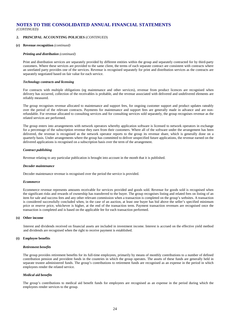### **2. PRINCIPAL ACCOUNTING POLICIES** (*CONTINUED*)

#### **(r) Revenue recognition** *(continued)*

#### *Printing and distribution (continued)*

Print and distribution services are separately provided by different entities within the group and separately contracted for by third-party customers. Where these services are provided to the same client, the terms of each separate contract are consistent with contracts where an unrelated party provides one of the services. Revenue is recognised separately for print and distribution services as the contracts are separately negotiated based on fair value for each service.

#### *Technology contracts and licensing*

For contracts with multiple obligations (eg maintenance and other services), revenue from product licences are recognised when delivery has occurred, collection of the receivables is probable, and the revenue associated with delivered and undelivered elements are reliably measured.

The group recognises revenue allocated to maintenance and support fees, for ongoing customer support and product updates rateably over the period of the relevant contracts. Payments for maintenance and support fees are generally made in advance and are nonrefundable. For revenue allocated to consulting services and for consulting services sold separately, the group recognises revenue as the related services are performed.

The group enters into arrangements with network operators whereby application software is licensed to network operators in exchange for a percentage of the subscription revenue they earn from their customers. Where all of the software under the arrangement has been delivered, the revenue is recognised as the network operator reports to the group its revenue share, which is generally done on a quarterly basis. Under arrangements where the group has committed to deliver unspecified future applications, the revenue earned on the delivered applications is recognised on a subscription basis over the term of the arrangement.

#### *Contract publishing*

Revenue relating to any particular publication is brought into account in the month that it is published.

#### *Decoder maintenance*

Decoder maintenance revenue is recognised over the period the service is provided.

#### *Ecommerce*

Ecommerce revenue represents amounts receivable for services provided and goods sold. Revenue for goods sold is recognised when the significant risks and rewards of ownership has transferred to the buyer. The group recognises listing and related fees on listing of an item for sale and success fees and any other relevant commission when a transaction is completed on the group's websites. A transaction is considered successfully concluded when, in the case of an auction, at least one buyer has bid above the seller's specified minimum price or reserve price, whichever is higher, at the end of the transaction term. Payment transaction revenues are recognised once the transaction is completed and is based on the applicable fee for each transaction performed.

### **(s) Other income**

Interest and dividends received on financial assets are included in investment income. Interest is accrued on the effective yield method and dividends are recognised when the right to receive payment is established.

### **(t) Employee benefits**

#### *Retirement benefits*

The group provides retirement benefits for its full-time employees, primarily by means of monthly contributions to a number of defined contribution pension and provident funds in the countries in which the group operates. The assets of these funds are generally held in separate trustee administered funds. The group's contributions to retirement funds are recognised as an expense in the period in which employees render the related service.

#### *Medical aid benefits*

The group's contributions to medical aid benefit funds for employees are recognised as an expense in the period during which the employees render services to the group.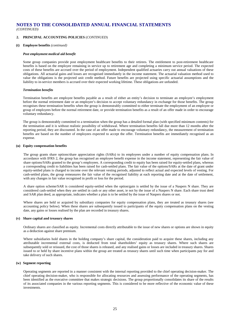### **2. PRINCIPAL ACCOUNTING POLICIES** (*CONTINUED*)

### **(t) Employee benefits** *(continued)*

### *Post employment medical aid benefit*

Some group companies provide post employment healthcare benefits to their retirees. The entitlement to post-retirement healthcare benefits is based on the employee remaining in service up to retirement age and completing a minimum service period. The expected costs of these benefits are accrued over the period of employment. Independent qualified actuaries carry out annual valuations of these obligations. All actuarial gains and losses are recognised immediately in the income statement. The actuarial valuation method used to value the obligations is the projected unit credit method. Future benefits are projected using specific actuarial assumptions and the liability to in-service members is accrued over their expected working lifetime. These obligations are unfunded.

#### *Termination benefits*

Termination benefits are employee benefits payable as a result of either an entity's decision to terminate an employee's employment before the normal retirement date or an employee's decision to accept voluntary redundancy in exchange for those benefits. The group recognises these termination benefits when the group is demonstrably committed to either terminate the employment of an employee or group of employees before the normal retirement date, or provide termination benefits as a result of an offer made in order to encourage voluntary redundancy.

The group is demonstrably committed to a termination when the group has a detailed formal plan (with specified minimum contents) for the termination and it is without realistic possibility of withdrawal. Where termination benefits fall due more than 12 months after the reporting period, they are discounted. In the case of an offer made to encourage voluntary redundancy, the measurement of termination benefits are based on the number of employees expected to accept the offer. Termination benefits are immediately recognised as an expense.

### **(u) Equity compensation benefits**

The group grants share options/share appreciation rights (SARs) to its employees under a number of equity compensation plans. In accordance with IFRS 2, the group has recognised an employee benefit expense in the income statement, representing the fair value of share options/SARs granted to the group's employees. A corresponding credit to equity has been raised for equity-settled plans, whereas a corresponding credit to liabilities has been raised for cash-settled plans. The fair value of the options/SARs at the date of grant under equity-settled plans is charged to income over the relevant vesting periods, adjusted to reflect actual and expected levels of vesting. For cash-settled plans, the group remeasures the fair value of the recognised liability at each reporting date and at the date of settlement, with any changes in fair value recognised in profit or loss for the period.

A share option scheme/SAR is considered equity-settled when the option/gain is settled by the issue of a Naspers N share. They are considered cash-settled when they are settled in cash or any other asset, ie not by the issue of a Naspers N share. Each share trust deed and SAR plan deed, as appropriate, indicates whether a plan is to be settled by the issue of Naspers shares or not.

Where shares are held or acquired by subsidiary companies for equity compensation plans, they are treated as treasury shares (see accounting policy below). When these shares are subsequently issued to participants of the equity compensation plans on the vesting date, any gains or losses realised by the plan are recorded in treasury shares.

#### **(v) Share capital and treasury shares**

Ordinary shares are classified as equity. Incremental costs directly attributable to the issue of new shares or options are shown in equity as a deduction against share premium.

Where subsidiaries hold shares in the holding company's share capital, the consideration paid to acquire these shares, including any attributable incremental external costs, is deducted from total shareholders' equity as treasury shares. Where such shares are subsequently sold or reissued, the cost of those shares is released, and any realised gains or losses are included in treasury shares. Shares issued to or held by share incentive plans within the group are treated as treasury shares until such time when participants pay for and take delivery of such shares.

#### **(w) Segment reporting**

Operating segments are reported in a manner consistent with the internal reporting provided to the chief operating decision-maker. The chief operating decision-maker, who is responsible for allocating resources and assessing performance of the operating segments, has been identified as the executive committee that makes strategic decisions. The group proportionally consolidates its share of the results of its associated companies in the various reporting segments. This is considered to be more reflective of the economic value of these investments.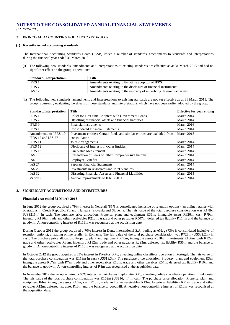### **2. PRINCIPAL ACCOUNTING POLICIES** (*CONTINUED*)

### **(x) Recently issued accounting standards**

The International Accounting Standards Board (IASB) issued a number of standards, amendments to standards and interpretations during the financial year ended 31 March 2013.

(i) The following new standards, amendments and interpretations to existing standards are effective as at 31 March 2013 and had no significant effect on the group's operations:

| Standard/Interpretation | <b>Title</b>                                                          |
|-------------------------|-----------------------------------------------------------------------|
| IFRS 1                  | Amendments relating to first-time adoption of IFRS                    |
| IFRS 7                  | Amendments relating to the disclosure of financial instruments        |
| <b>IAS 12</b>           | Amendments relating to the recovery of underlying deferred tax assets |

(ii) The following new standards, amendments and interpretations to existing standards are not yet effective as at 31 March 2013. The group is currently evaluating the effects of these standards and interpretations which have not been earlier adopted by the group:

| <b>Standard/Interpretation</b>               | <b>Title</b>                                                                               | <b>Effective for year ending</b> |
|----------------------------------------------|--------------------------------------------------------------------------------------------|----------------------------------|
| IFRS 1                                       | Relief for First-time Adopters with Government Loans                                       | March 2014                       |
| <b>IFRS</b> 7                                | Offsetting of financial assets and financial liabilities                                   | March 2014                       |
| IFRS 9                                       | <b>Financial Instruments</b>                                                               | March 2016                       |
| IFRS 10                                      | <b>Consolidated Financial Statements</b>                                                   | March 2014                       |
| Amendments to IFRS 10,<br>IFRS 12 and IAS 27 | Investment entities: Certain funds and similar entities are excluded from<br>consolidation | March 2015                       |
| IFRS 11                                      | Joint Arrangements                                                                         | March 2014                       |
| IFRS 12                                      | Disclosure of Interests in Other Entities                                                  | March 2014                       |
| IFRS 13                                      | Fair Value Measurement                                                                     | March 2014                       |
| IAS 1                                        | Presentation of Items of Other Comprehensive Income                                        | March 2014                       |
| <b>IAS 19</b>                                | <b>Employee Benefits</b>                                                                   | March 2014                       |
| <b>IAS 27</b>                                | <b>Separate Financial Statements</b>                                                       | March 2014                       |
| <b>IAS 28</b>                                | Investments in Associates and Joint Ventures                                               | March 2014                       |
| <b>IAS 32</b>                                | <b>Offsetting Financial Assets and Financial Liabilities</b>                               | March 2015                       |
| Various                                      | Annual improvements to IFRSs 2011                                                          | March 2014                       |

### **3. SIGNIFICANT ACQUISITIONS AND DIVESTITURES**

#### **Financial year ended 31 March 2013**

In June 2012 the group acquired a 79% interest in Netretail (85% is consolidated inclusive of retention options), an online retailer with operations in Czech Republic, Poland, Hungary, Slovakia and Slovenia. The fair value of the total purchase consideration was R1,8bn (US\$215m) in cash. The purchase price allocation: Property, plant and equipment R36m; intangible assets R626m; cash R79m; inventory R116m; trade and other receivables R213m; trade and other payables R507m; deferred tax liability R114m and the balance to goodwill. A non-controlling interest of R116m was recognised at the acquisition date.

During October 2012 the group acquired a 70% interest in Dante International S.A. trading as eMag (73% is consolidated inclusive of retention options), a leading online retailer in Romania. The fair value of the total purchase consideration was R728m (US\$82,2m) in cash. The purchase price allocation: Property, plant and equipment R40m; intangible assets R358m; investments R106m, cash R12m; trade and other receivables R81m; inventory R182m; trade and other payables R293m; deferred tax liability R55m and the balance to goodwill. A non-controlling interest of R116m was recognised at the acquisition date.

In October 2012 the group acquired a 65% interest in FixeAds B.V., a leading online classifieds operation in Portugal. The fair value of the total purchase consideration was R159m in cash (US\$18,3m). The purchase price allocation: Property, plant and equipment R3m; intangible assets R67m; cash R7m; trade and other receivables R18m; trade and other payables R57m; deferred tax liability R16m and the balance to goodwill. A non-controlling interest of R8m was recognised at the acquisition date.

In November 2012 the group acquired a 65% interest in Tokobagus Exploitatie B.V., a leading online classifieds operation in Indonesia. The fair value of the total purchase consideration was R162m (US\$16,4m) in cash. The purchase price allocation: Property, plant and equipment R4m; intangible assets R15m; cash R10m; trade and other receivables R13m; long-term liabilities R71m; trade and other payables R12m; deferred tax asset R13m and the balance to goodwill. A negative non-controlling interest of R10m was recognised at the acquisition date.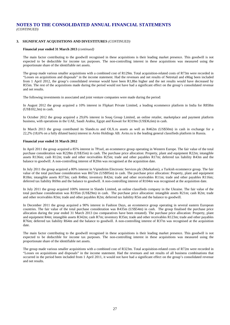### **3. SIGNIFICANT ACQUISITIONS AND DIVESTITURES** *(CONTINUED)*

#### **Financial year ended 31 March 2013** *(continued)*

The main factor contributing to the goodwill recognised in these acquisitions is their leading market presence. This goodwill is not expected to be deductible for income tax purposes. The non-controlling interest in these acquisitions was measured using the proportionate share of the identifiable net assets.

The group made various smaller acquisitions with a combined cost of R129m. Total acquisition-related costs of R73m were recorded in "Losses on acquisitions and disposals" in the income statement. Had the revenues and net results of Netretail and eMag been included from 1 April 2012, the group's consolidated revenue would have been R1,8bn higher and the net results would have decreased by R55m. The rest of the acquisitions made during the period would not have had a significant effect on the group's consolidated revenue and net results.

The following investments in associated and joint venture companies were made during the period:

In August 2012 the group acquired a 10% interest in Flipkart Private Limited, a leading ecommerce platform in India for R858m (US\$102,3m) in cash.

In October 2012 the group acquired a 29,6% interest in Souq Group Limited, an online retailer, marketplace and payment platform business, with operations in the UAE, Saudi Arabia, Egypt and Kuwait for R319m (US\$36,6m) in cash.

In March 2013 the group contributed its Slando.ru and OLX.ru assets as well as R462m (US\$50m) in cash in exchange for a 22,2% (18,6% on a fully diluted basis) interest in Avito Holdings AB. Avito.ru is the leading general classifieds platform in Russia.

### **Financial year ended 31 March 2012**

In April 2011 the group acquired a 85% interest in 7Pixel, an ecommerce group operating in Western Europe. The fair value of the total purchase consideration was R228m (US\$35m) in cash. The purchase price allocation: Property, plant and equipment R22m; intangible assets R136m; cash R12m; trade and other receivables R25m; trade and other payables R17m; deferred tax liability R43m and the balance to goodwill. A non-controlling interest of R20m was recognised at the acquisition date.

In July 2011 the group acquired a 80% interest in Vipindirim Electronic Services plc (Markafoni), a Turkish ecommerce group. The fair value of the total purchase consideration was R672m (US\$95m) in cash. The purchase price allocation: Property, plant and equipment R18m; intangible assets R373m; cash R48m; inventory R42m; trade and other receivables R11m; trade and other payables R116m; deferred tax liability R69m and the balance to goodwill. A non-controlling interest of R104m was recognised at the acquisition date.

In July 2011 the group acquired 100% interest in Slando Limited, an online classifieds company in the Ukraine. The fair value of the total purchase consideration was R195m (US\$29m) in cash. The purchase price allocation: intangible assets R21m; cash R2m; trade and other receivables R3m; trade and other payables R2m; deferred tax liability R5m and the balance to goodwill.

In December 2011 the group acquired a 90% interest in Fashion Days, an ecommerce group operating in several eastern European countries. The fair value of the total purchase consideration was R435m (US\$54m) in cash. The group finalised the purchase price allocation during the year ended 31 March 2013 (no comparatives have been restated). The purchase price allocation: Property, plant and equipment R4m; intangible assets R342m; cash R7m; inventory R35m; trade and other receivables R123m; trade and other payables R76m; deferred tax liability R64m and the balance to goodwill. A non-controlling interest of R37m was recognised at the acquisition date.

The main factor contributing to the goodwill recognised in these acquisitions is their leading market presence. This goodwill is not expected to be deductible for income tax purposes. The non-controlling interest in these acquisitions was measured using the proportionate share of the identifiable net assets.

The group made various smaller acquisitions with a combined cost of R323m. Total acquisition-related costs of R72m were recorded in "Losses on acquisitions and disposals" in the income statement. Had the revenues and net results of all business combinations that occurred in the period been included from 1 April 2011, it would not have had a significant effect on the group's consolidated revenue and net results.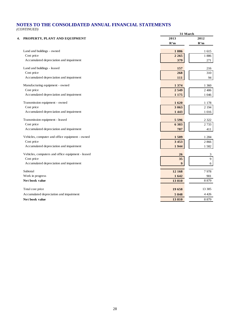|                                                   | 31 March         |          |
|---------------------------------------------------|------------------|----------|
| 4. PROPERTY, PLANT AND EQUIPMENT                  | 2013             | 2012     |
|                                                   | R'm              | R'm      |
| Land and buildings - owned                        | 1886             | 1 615    |
| Cost price                                        | 2 2 6 5          | 1886     |
| Accumulated depreciation and impairment           | 379              | 271      |
| Land and buildings - leased                       | 157              | 216      |
| Cost price                                        | 268              | 310      |
| Accumulated depreciation and impairment           | 111              | 94       |
| Manufacturing equipment - owned                   | 1 3 7 4          | 1 3 6 0  |
| Cost price                                        | 2 5 4 9          | 2 4 0 6  |
| Accumulated depreciation and impairment           | 1 1 7 5          | 1 0 4 6  |
| Transmission equipment - owned                    | 1620             | 1 1 7 8  |
| Cost price                                        | 3 0 6 3          | 2 1 9 4  |
| Accumulated depreciation and impairment           | 1 4 4 3          | $1\,016$ |
| Transmission equipment - leased                   | 5 5 9 6          | 2 3 2 2  |
| Cost price                                        | 6 3 8 3          | 2 7 3 3  |
| Accumulated depreciation and impairment           | 787              | 411      |
| Vehicles, computer and office equipment - owned   | 1509             | 1 2 8 4  |
| Cost price                                        | 3453             | 2866     |
| Accumulated depreciation and impairment           | 1944             | 1582     |
| Vehicles, computers and office equipment - leased | 26               | 3        |
| Cost price                                        | 35               | 9        |
| Accumulated depreciation and impairment           | $\boldsymbol{9}$ | 6        |
| Subtotal                                          | 12 168           | 7978     |
| Work in progress                                  | 1 642            | 901      |
| Net book value                                    | 13810            | 8879     |
| Total cost price                                  | 19 658           | 13 30 5  |
| Accumulated depreciation and impairment           | 5848             | 4 4 2 6  |
| Net book value                                    | 13810            | 8 8 7 9  |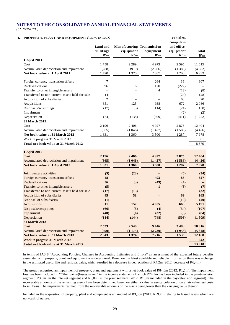### **4. PROPERTY, PLANT AND EQUIPMENT** *(CONTINUED)* **Vehicles,**

| <b>I NOT EXT I, I LAINT AIND EQUILMENT</b> (CONTINUED) | Land and<br>buildings<br>R'm | <b>Manufacturing Transmission</b><br>equipment<br>R'm | equipment<br>R'm         | venicies,<br>computers<br>and office<br>equipment<br>R'm | <b>Total</b><br>R'm |
|--------------------------------------------------------|------------------------------|-------------------------------------------------------|--------------------------|----------------------------------------------------------|---------------------|
| 1 April 2011                                           |                              |                                                       |                          |                                                          |                     |
| Cost                                                   | 1758                         | 2 2 8 9                                               | 4973                     | 2 5 9 5                                                  | 11 615              |
| Accumulated depreciation and impairment                | (288)                        | (919)                                                 | (2086)                   | (1389)                                                   | (4682)              |
| Net book value at 1 April 2011                         | 1 470                        | 1 370                                                 | 2887                     | 1 2 0 6                                                  | 6933                |
| Foreign currency translation effects                   | 7                            |                                                       | 264                      | 36                                                       | 307                 |
| Reclassifications                                      | 96                           | 6                                                     | 120                      | (222)                                                    |                     |
| Transfer to other intangible assets                    | $\overline{\phantom{0}}$     |                                                       | 4                        | (12)                                                     | (8)                 |
| Transferred to non-current assets held-for-sale        | (4)                          |                                                       |                          | (24)                                                     | (28)                |
| Acquisition of subsidiaries                            | $\mathfrak{2}$               |                                                       |                          | 68                                                       | 70                  |
| Acquisitions                                           | 351                          | 125                                                   | 938                      | 672                                                      | 2086                |
| Disposals/scrappings                                   | (17)                         | (3)                                                   | (114)                    | (24)                                                     | (158)               |
| Impairment                                             |                              |                                                       | $\overline{\phantom{0}}$ | (2)                                                      | (2)                 |
| Depreciation<br>31 March 2012                          | (74)                         | (138)                                                 | (599)                    | (411)                                                    | (1 222)             |
| Cost                                                   | 2 1 9 6                      | 2 4 0 6                                               | 4927                     | 2875                                                     | 12 4 04             |
| Accumulated depreciation and impairment                | (365)                        | (1046)                                                | (1427)                   | (1588)                                                   | (4426)              |
| Net book value at 31 March 2012                        | 1831                         | 1 3 6 0                                               | 3 500                    | 1 2 8 7                                                  | 7978                |
| Work in progress 31 March 2012                         |                              |                                                       |                          |                                                          | 901                 |
| Total net book value at 31 March 2012                  |                              |                                                       |                          |                                                          | 8 8 7 9             |
| 1 April 2012                                           |                              |                                                       |                          |                                                          |                     |
| Cost                                                   | 2 1 9 6                      | 2406                                                  | 4927                     | 2875                                                     | 12 4 04             |
| Accumulated depreciation and impairment                | (365)                        | (1046)                                                | (1427)                   | (1588)                                                   | (4426)              |
| Net book value at 1 April 2012                         | 1831                         | 1 3 6 0                                               | 3500                     | 1 2 8 7                                                  | 7978                |
| Joint venture activities                               | (5)                          | (23)                                                  |                          | (6)                                                      | (34)                |
| Foreign currency translation effects                   | 48                           |                                                       | 493                      | 86                                                       | 627                 |
| Reclassifications                                      | 56                           | (3)                                                   | (49)                     | (4)                                                      |                     |
| Transfer to other intangible assets                    | (5)                          |                                                       | $\mathbf{1}$             | (3)                                                      | (7)                 |
| Transferred to non-current assets held-for-sale        | (17)                         | (15)                                                  |                          | $\qquad \qquad -$                                        | (32)                |
| Acquisition of subsidiaries                            | 45                           | 51                                                    | —                        | 69                                                       | 165                 |
| Disposal of subsidiaries                               | (1)                          |                                                       |                          | (19)                                                     | (20)                |
| Acquisitions                                           | 311                          | 157                                                   | 4 0 5 5                  | 668                                                      | 5 1 9 1             |
| Disposals/scrappings                                   | (66)                         | (3)                                                   | (4)                      | (34)                                                     | (107)               |
| Impairment                                             | (40)                         | (6)                                                   | (32)                     | (6)                                                      | (84)                |
| Depreciation                                           | (114)                        | (144)                                                 | (748)                    | (503)                                                    | (1509)              |
| 31 March 2013                                          |                              |                                                       |                          |                                                          |                     |
| Cost                                                   | 2533                         | 2549                                                  | 9446                     | 3 4 8 8                                                  | 18 016              |
| Accumulated depreciation and impairment                | (490)                        | (1175)                                                | (2 230)                  | (1953)                                                   | (5848)              |
| Net book value at 31 March 2013                        | 2043                         | 1 3 7 4                                               | 7 2 1 6                  | 1535                                                     | 12 168              |
| Work in progress 31 March 2013                         |                              |                                                       |                          |                                                          | 1642                |
| Total net book value at 31 March 2013                  |                              |                                                       |                          |                                                          | 13810               |

In terms of IAS 8 "Accounting Policies, Changes in Accounting Estimates and Errors" an assessment of the expected future benefits associated with property, plant and equipment was determined. Based on the latest available and reliable information there was a change in the estimated useful life and residual value, which resulted in a decrease in depreciation of R4,2m (2012: decrease of R6,4m).

The group recognised an impairment of property, plant and equipment with a net book value of R84,0m (2012: R1,5m). The impairment loss has been included in "Other gains/(losses) – net" in the income statement of which R74,5m has been included in the pay-television segment, R3,5m in the internet segment and R6,0m in the print segment (2012: R1,5m included in the pay-television segment). The recoverable amounts of the remaining assets have been determined based on either a value in use calculation or on a fair value less costs to sell basis. The impairments resulted from the recoverable amounts of the assets being lower than the carrying value thereof.

Included in the acquisition of property, plant and equipment is an amount of R3,3bn (2012: R593m) relating to leased assets which are non-cash of nature.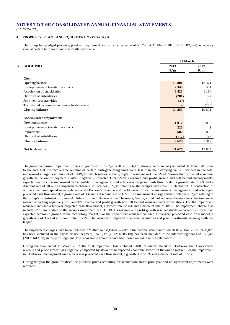### **4. PROPERTY, PLANT AND EQUIPMENT** *(CONTINUED)*

The group has pledged property, plant and equipment with a carrying value of R5,7bn at 31 March 2013 (2012: R2,6bn) as security against certain term loans and overdrafts with banks.

|    |                                                 | 31 March    |             |  |
|----|-------------------------------------------------|-------------|-------------|--|
| 5. | <b>GOODWILL</b>                                 | 2013<br>R'm | 2012<br>R'm |  |
|    | Cost                                            |             |             |  |
|    | Opening balance                                 | 19 801      | 18 371      |  |
|    | Foreign currency translation effects            | 2 3 4 9     | 584         |  |
|    | Acquisition of subsidiaries                     | 2423        | 1 1 8 4     |  |
|    | Disposal of subsidiaries                        | (281)       | (22)        |  |
|    | Joint ventures activities                       | (39)        | (90)        |  |
|    | Transferred to non-current assets held-for-sale |             | (226)       |  |
|    | <b>Closing balance</b>                          | 24 25 3     | 19 801      |  |
|    | <b>Accumulated impairment</b>                   |             |             |  |
|    | Opening balance                                 | 1917        | 1 0 9 3     |  |
|    | Foreign currency translation effects            | 226         |             |  |
|    | Impairment                                      | 602         | 836         |  |
|    | Disposal of subsidiaries                        | (117)       | (13)        |  |
|    | <b>Closing balance</b>                          | 2628        | 1917        |  |
|    |                                                 |             |             |  |
|    | Net book value                                  | 21 625      | 17884       |  |

The group recognised impairment losses on goodwill of R602,4m (2012: R836,1m) during the financial year ended 31 March 2013 due to the fact that the recoverable amount of certain cash-generating units were less than their carrying value. Included in the total impairment charge is an amount of R149,0m which relates to the group's investment in DineroMail. Slower than expected economic growth in the online payment market, negatively impacted DineroMail's revenue and profit growth and fell behind management's expectations. For the impairment in DineroMail, management used a ten-year projected cash flow model, a growth rate of 4% and a discount rate of 18%. The impairment charge also includes R89,3m relating to the group's investment in Bankier.pl. A contraction of online advertising spend negatively impacted Bankier's revenue and profit growth. For the impairment management used a ten-year projected cash flow model, a growth rate of 3% and a discount rate of 16%. The impairment charge further includes R82,4m relating to the group's investment in Sanook! Online Limited. Sanook's B2C business, Sabuy, could not achieve the necessary traction in its market impacting negatively on Sanook's revenue and profit growth and fell behind management's expectations. For the impairment management used a ten-year projected cash flow model, a growth rate of 4% and a discount rate of 18%. The impairment charge also includes R70,1m relating to the group's investment in BD+. BD+'s revenue and profit growth was negatively impacted by slower than expected economic growth in the technology market. For the impairment management used a five-year projected cash flow model, a growth rate of 3% and a discount rate of 27%. The group also impaired other smaller internet and print investments where growth has lagged.

The impairment charges have been included in "Other gains/(losses) – net" in the income statement of which R140,0m (2012: R408,0m) has been included in the pay-television segment, R435,9m (2012; R385,1m) has been included in the internet segment and R26,4m (2012: R42,9m) in the print segment. The recoverable amounts have been based on value in use calculations.

During the year ended 31 March 2012, the total impairment loss included R408,0m which related to Cloakware Inc. Cloakware's revenue and profit growth was negatively impacted by slower than expected economic growth in the online market. For the impairment in Cloakware, management used a five-year projected cash flow model, a growth rate of 5% and a discount rate of 16.5%.

During the year the group finalised the purchase price accounting for acquisitions in the prior year and no significant adjustments were required.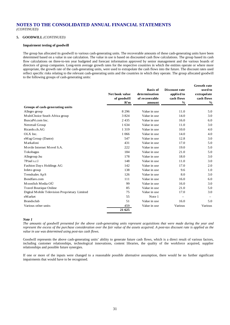## **5. GOODWILL** *(CONTINUED)*

### **Impairment testing of goodwill**

The group has allocated its goodwill to various cash-generating units. The recoverable amounts of these cash-generating units have been determined based on a value in use calculation. The value in use is based on discounted cash flow calculations. The group based its cash flow calculations on three-to-ten year budgeted and forecast information approved by senior management and the various boards of directors of group companies. Long-term average growth rates for the respective countries in which the entities operate or where more appropriate, the growth rate of the cash-generating units, were used to extrapolate the cash flows into the future. The discount rates used reflect specific risks relating to the relevant cash-generating units and the countries in which they operate. The group allocated goodwill to the following groups of cash-generating units:

**Growth rate** 

|                                               | Net book value<br>of goodwill<br>R'm | <b>Basis of</b><br>determination<br>of recoverable<br>amount | Discount rate<br>applied to<br>cash flows<br>$\frac{0}{0}$ | Tate<br>used to<br>extrapolate<br>cash flows<br>$\frac{0}{0}$ |
|-----------------------------------------------|--------------------------------------|--------------------------------------------------------------|------------------------------------------------------------|---------------------------------------------------------------|
| Groups of cash-generating units               |                                      |                                                              |                                                            |                                                               |
| Allegro group                                 | 8 2 9 6                              | Value in use                                                 | 11.0                                                       | 5.0                                                           |
| MultiChoice South Africa group                | 3824                                 | Value in use                                                 | 14.0                                                       | 3.0                                                           |
| BuscaPé.com Inc.                              | 2435                                 | Value in use                                                 | 16.0                                                       | 6.0                                                           |
| Netretail Group                               | 1 634                                | Value in use                                                 | 11.0                                                       | 3.0                                                           |
| Ricardo.ch.AG                                 | 1 3 1 9                              | Value in use                                                 | 10.0                                                       | 4.0                                                           |
| OLX Inc.                                      | 1 0 6 6                              | Value in use                                                 | 14.0                                                       | 4.0                                                           |
| eMag Group (Dante)                            | 547                                  | Value in use                                                 | 12.8                                                       | 3.0                                                           |
| Markafoni                                     | 431                                  | Value in use                                                 | 17.0                                                       | 5.0                                                           |
| Movile Internet Movel S.A.                    | 222                                  | Value in use                                                 | 19.0                                                       | 5.0                                                           |
| Tokobagus                                     | 184                                  | Value in use                                                 | 21.0                                                       | 5.0                                                           |
| Allegroup.hu                                  | 178                                  | Value in use                                                 | 18.0                                                       | 3.0                                                           |
| 7Pixel s.r.l                                  | 148                                  | Value in use                                                 | 11.0                                                       | 3.0                                                           |
| Fashion Days Holdings AG                      | 142                                  | Value in use                                                 | 17.0                                                       | 2.0                                                           |
| Irdeto group                                  | 138                                  | Value in use                                                 | 9.6                                                        | 1.0                                                           |
| Trendsales ApS                                | 126                                  | Value in use                                                 | 8.0                                                        | 3.0                                                           |
| Bondfaro.com                                  | 111                                  | Value in use                                                 | 16.0                                                       | 6.0                                                           |
| Moonfish Media OÜ                             | 99                                   | Value in use                                                 | 16.0                                                       | 3.0                                                           |
| <b>Travel Boutique Online</b>                 | 85                                   | Value in use                                                 | 21.0                                                       | 5.0                                                           |
| Digital Mobile Television Proprietary Limited | 75                                   | Value in use                                                 | 17.0                                                       | 3.0                                                           |
| eM arket                                      | 55                                   | Note 1                                                       |                                                            |                                                               |
| <b>Brandsclub</b>                             | 51                                   | Value in use                                                 | 16.0                                                       | 5.0                                                           |
| Various other units                           | 459                                  | Value in use                                                 | Various                                                    | Various                                                       |
|                                               | 21 625                               |                                                              |                                                            |                                                               |

### *Note 1*

*The amounts of goodwill presented for the above cash-generating units represent acquisitions that were made during the year and represent the excess of the purchase consideration over the fair value of the assets acquired. A post-tax discount rate is applied as the value in use was determined using post-tax cash flows.*

Goodwill represents the above cash-generating units' ability to generate future cash flows, which is a direct result of various factors, including customer relationships, technological innovations, content libraries, the quality of the workforce acquired, supplier relationships and possible future synergies.

If one or more of the inputs were changed to a reasonable possible alternative assumption, there would be no further significant impairments that would have to be recognised.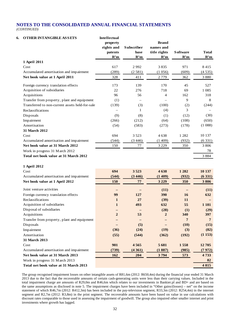| 6. | <b>OTHER INTANGIBLE ASSETS</b>                  | <b>Intellectual</b><br>property<br>rights and<br>patents | Subscriber<br>base       | <b>Brand</b><br>names and<br>title rights | <b>S</b> oftware | <b>Total</b>   |
|----|-------------------------------------------------|----------------------------------------------------------|--------------------------|-------------------------------------------|------------------|----------------|
|    |                                                 | R'm                                                      | R'm                      | R'm                                       | R'm              | R'm            |
|    | 1 April 2011                                    |                                                          |                          |                                           |                  |                |
|    | Cost                                            | 617                                                      | 2992                     | 3835                                      | 971              | 8415           |
|    | Accumulated amortisation and impairment         | (289)                                                    | (2581)                   | (1056)                                    | (609)            | (4535)         |
|    | Net book value at 1 April 2011                  | 328                                                      | 411                      | 2 7 7 9                                   | 362              | 3 8 8 0        |
|    | Foreign currency translation effects            | 173                                                      | 139                      | 170                                       | 45               | 527            |
|    | Acquisition of subsidiaries                     | 22                                                       | 276                      | 718                                       | 69               | 1 0 8 5        |
|    | Acquisitions                                    | 96                                                       | 56                       | 4                                         | 162              | 318            |
|    | Transfer from property, plant and equipment     | (1)                                                      | $\overline{\phantom{0}}$ |                                           | 9                | 8              |
|    | Transferred to non-current assets held-for-sale | (139)                                                    | (3)                      | (100)                                     | (2)              | (244)          |
|    | Reclassifications                               |                                                          | $\mathbf{1}$             | (4)                                       | 3                |                |
|    | Disposals                                       | (9)                                                      | (8)                      | (1)                                       | (12)             | (30)           |
|    | Impairment                                      | (266)                                                    | (212)                    | (64)                                      | (108)            | (650)          |
|    | Amortisation                                    | (54)                                                     | (583)                    | (273)                                     | (178)            | (1088)         |
|    | 31 March 2012                                   |                                                          |                          |                                           |                  |                |
|    | Cost                                            | 694                                                      | 3 5 2 3                  | 4638                                      | 1 2 8 2          | 10 137         |
|    | Accumulated amortisation and impairment         | (544)                                                    | (3446)                   | (1409)                                    | (932)            | (6331)         |
|    | Net book value at 31 March 2012                 | 150                                                      | 77                       | 3 2 2 9                                   | 350              | 3 8 0 6        |
|    | Work in progress 31 March 2012                  |                                                          |                          |                                           |                  | 78             |
|    | Total net book value at 31 March 2012           |                                                          |                          |                                           |                  | 3 8 8 4        |
|    | 1 April 2012                                    |                                                          |                          |                                           |                  |                |
|    | Cost                                            | 694                                                      | 3523                     | 4638                                      | 1 2 8 2          | 10 137         |
|    | Accumulated amortisation and impairment         | (544)                                                    | (3446)                   | (1409)                                    | (932)            | (6331)         |
|    | Net book value at 1 April 2012                  | 150                                                      | 77                       | 3 2 2 9                                   | 350              | 3806           |
|    | Joint venture activities                        |                                                          |                          | (11)                                      |                  | (11)           |
|    | Foreign currency translation effects            | 99                                                       | 127                      | 390                                       | 16               | 632            |
|    | Reclassifications                               | $\mathbf{1}$                                             | 27                       | (39)                                      | 11               |                |
|    | Acquisition of subsidiaries                     | $\mathbf{1}$                                             | 493                      | 632                                       | 55               | 1 1 8 1        |
|    | Disposal of subsidiaries                        |                                                          |                          | (28)                                      | (1)              | (29)           |
|    | Acquisitions                                    | $\overline{2}$                                           | 53                       | $\overline{2}$                            | 340              | 397            |
|    | Transfer from property, plant and equipment     |                                                          |                          |                                           | 7                | $\overline{7}$ |
|    | Disposals                                       |                                                          | (5)                      |                                           | (10)             | (15)           |
|    | Impairment                                      | (36)                                                     | (24)                     | (19)                                      | (3)              | (82)           |
|    | Amortisation                                    | (55)                                                     | (544)                    | (362)                                     | (192)            | (1153)         |
|    | 31 March 2013                                   |                                                          |                          |                                           |                  |                |
|    | Cost                                            | 901                                                      | 4565                     | 5 681                                     | 1558             | 12705          |
|    | Accumulated amortisation and impairment         | (739)                                                    | (4361)                   | (1887)                                    | (985)            | (7972)         |
|    | Net book value at 31 March 2013                 | 162                                                      | 204                      | 3794                                      | 573              | 4733           |
|    | Work in progress 31 March 2013                  |                                                          |                          |                                           |                  | 82             |
|    | Total net book value at 31 March 2013           |                                                          |                          |                                           |                  | 4 8 1 5        |
|    |                                                 |                                                          |                          |                                           |                  |                |

The group recognised impairment losses on other intangible assets of R81,6m (2012: R650,4m) during the financial year ended 31 March 2013 due to the fact that the recoverable amounts of certain cash-generating units were less than their carrying values. Included in the total impairment charge are amounts of R29,0m and R46,6m which relates to our investments in Bankier.pl and BD+ and are based on the same assumptions as disclosed in note 5. The impairment charges have been included in "Other gains/(losses) – net" on the income statement of which R46,7m (2012: R412,3m) has been included in the pay-television segment, R33,3m (2012: R254,4m) in the internet segment and R2,7m (2012: R3,8m) in the print segment. The recoverable amounts have been based on value in use calculations with discount rates comparable to those used in assessing the impairment of goodwill. The group also impaired other smaller internet and print investments where growth has lagged.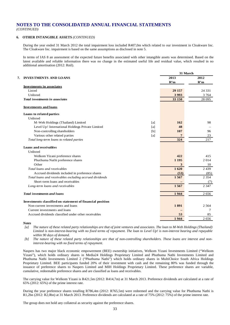### **6. OTHER INTANGIBLE ASSETS** *(CONTINUED)*

During the year ended 31 March 2012 the total impairment loss included R407,0m which related to our investment in Cloakware Inc. The Cloakware Inc. impairment is based on the same assumptions as disclosed in note 5.

In terms of IAS 8 an assessment of the expected future benefits associated with other intangible assets was determined. Based on the latest available and reliable information there was no change in the estimated useful life and residual value, which resulted in no additional amortisation (2012: Rnil).

**31 March**

|                                                           |     | 31 March |         |  |  |
|-----------------------------------------------------------|-----|----------|---------|--|--|
| <b>INVESTMENTS AND LOANS</b><br>7.                        |     | 2013     | 2012    |  |  |
|                                                           |     | R'm      | R'm     |  |  |
| <b>Investments in associates</b>                          |     |          |         |  |  |
| Listed                                                    |     | 29 15 7  | 24 3 31 |  |  |
| Unlisted                                                  |     | 3993     | 3 7 6 4 |  |  |
| Total investments in associates                           |     | 33 150   | 28 0 95 |  |  |
| <b>Investments and loans</b>                              |     |          |         |  |  |
| Loans to related parties                                  |     |          |         |  |  |
| Unlisted                                                  |     |          |         |  |  |
| M-Web Holdings (Thailand) Limited                         | [a] | 162      | 98      |  |  |
| Level Up! International Holdings Private Limited          | [a] | 48       |         |  |  |
| Non-controlling shareholders                              | [b] | 107      | 96      |  |  |
| Various other related parties                             | [a] | 7        | 23      |  |  |
| Total long-term loans to related parties                  |     | 324      | 217     |  |  |
| Loans and receivables                                     |     |          |         |  |  |
| Unlisted                                                  |     |          |         |  |  |
| Welkom Yizani preference shares                           |     | 422      | 415     |  |  |
| Phuthuma Nathi preference shares                          |     | 1 1 9 5  | 2014    |  |  |
| Other                                                     |     | 3        | 10      |  |  |
| Total loans and receivables                               |     | 1620     | 2439    |  |  |
| Accrued dividends included in preference shares           |     | (53)     | (85)    |  |  |
| Total loans and receivables excluding accrued dividends   |     | 1567     | 2 3 5 4 |  |  |
| Short-term loans and receivables                          |     |          | (7)     |  |  |
| Long-term loans and receivables                           |     | 1567     | 2 3 4 7 |  |  |
| <b>Total investments and loans</b>                        |     | 1944     | 2656    |  |  |
| Investments classified on statement of financial position |     |          |         |  |  |
| Non-current investments and loans                         |     | 1891     | 2 5 6 4 |  |  |
| Current investments and loans                             |     |          | 7       |  |  |
| Accrued dividends classified under other receivables      |     | 53       | 85      |  |  |
|                                                           |     | 1944     | 2656    |  |  |

### *Notes*

*[a] The nature of these related party relationships are that of joint ventures and associates. The loan to M-Web Holdings (Thailand) Limited is non-interest-bearing with no fixed terms of repayment. The loan to Level Up! is non-interest bearing and repayable within 90 days of demand.*

*[b] The nature of these related party relationships are that of non-controlling shareholders. These loans are interest and noninterest-bearing with no fixed terms of repayment.*

Naspers has two major black economic empowerment (BEE) ownership initiatives, Welkom Yizani Investments Limited ("Welkom Yizani"), which holds ordinary shares in Media24 Holdings Proprietary Limited and Phuthuma Nathi Investments Limited and Phuthuma Nathi Investments Limited 2 ("Phuthuma Nathi") which holds ordinary shares in MultiChoice South Africa Holdings Proprietary Limited. BEE participants funded 20% of their investment with cash and the remaining 80% was funded through the issuance of preference shares to Naspers Limited and MIH Holdings Proprietary Limited. These preference shares are variable, cumulative, redeemable preference shares and are classified as loans and receivables.

The carrying value for Welkom Yizani is R421,5m (2012: R414,7m) at 31 March 2013. Preference dividends are calculated at a rate of 65% (2012: 65%) of the prime interest rate.

During the year preference shares totalling R786,4m (2012: R765,5m) were redeemed and the carrying value for Phuthuma Nathi is R1,2bn (2012: R2,0bn) at 31 March 2013. Preference dividends are calculated at a rate of 75% (2012: 75%) of the prime interest rate.

The group does not hold any collateral as security against the preference shares.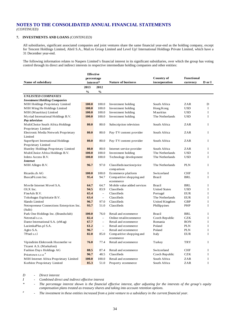### **7. INVESTMENTS AND LOANS** *(CONTINUED)*

All subsidiaries, significant associated companies and joint ventures share the same financial year-end as the holding company, except for Tencent Holdings Limited, Abril S.A., Mail.ru Group Limited and Level Up! International Holdings Private Limited, which have a 31 December year-end.

The following information relates to Naspers Limited's financial interest in its significant subsidiaries, over which the group has voting control through its direct and indirect interests in respective intermediate holding companies and other entities:

|                                           | <b>Effective</b>        |                          |                             | <b>Country of</b>    | <b>Functional</b> |             |
|-------------------------------------------|-------------------------|--------------------------|-----------------------------|----------------------|-------------------|-------------|
| Name of subsidiary                        | percentage<br>interest* |                          | <b>Nature of business</b>   | incorporation        | currency          | D or I      |
|                                           | 2013                    | 2012                     |                             |                      |                   |             |
|                                           | $\frac{0}{0}$           | $\frac{1}{2}$            |                             |                      |                   |             |
| <b>UNLISTED COMPANIES</b>                 |                         |                          |                             |                      |                   |             |
| <b>Investment Holding Companies</b>       |                         |                          |                             |                      |                   |             |
| MIH Holdings Proprietary Limited          | 100.0                   | 100.0                    | Investment holding          | South Africa         | ZAR               | D           |
| MIH Ming He Holdings Limited              | 100.0                   | 100.0                    | Investment holding          | Hong Kong            | <b>USD</b>        | $\mathbf I$ |
| MIH (Mauritius) Limited                   | 100.0                   | 100.0                    | Investment holding          | <b>Mauritius</b>     | <b>USD</b>        | $\mathbf I$ |
| Myriad International Holdings B.V.        | 100.0                   | 100.0                    | Investment holding          | The Netherlands      | <b>USD</b>        | I           |
| Pay television                            |                         |                          |                             |                      |                   |             |
| MultiChoice South Africa Holdings         | 80.0                    | 80.0                     | Subscription television     | South Africa         | ZAR               | $\mathbf I$ |
| Proprietary Limited                       |                         |                          |                             |                      |                   |             |
| Electronic Media Network Proprietary      | 80.0                    | 80.0                     | Pay-TV content provider     | South Africa         | ZAR               | I           |
| Limited                                   |                         |                          |                             |                      |                   |             |
| SuperSport International Holdings         | 80.0                    | 80.0                     | Pay-TV content provider     | South Africa         | ZAR               | I           |
| Proprietary Limited                       |                         |                          |                             |                      |                   |             |
| Huntley Holdings Proprietary Limited      | 80.0                    | 80.0                     | Internet service provider   | South Africa         | ZAR               | $\mathbf I$ |
| MultiChoice Africa Holdings B.V.          | 100.0                   | 100.0                    | Investment holding          | The Netherlands      | <b>USD</b>        | I           |
| Irdeto Access B.V.                        | 100.0                   | 100.0                    | Technology development      | The Netherlands      | <b>USD</b>        | $\mathbf I$ |
| <i>Internet</i>                           |                         |                          |                             |                      |                   |             |
| MIH Allegro B.V.                          | 96.7                    | 97.0                     | Classifieds/auction/price   | The Netherlands      | <b>PLN</b>        | I           |
|                                           |                         |                          | comparison                  |                      |                   |             |
| Ricardo.ch AG                             | 100.0                   | 100.0                    | Ecommerce platform          | Switzerland          | <b>CHF</b>        | I           |
| BuscaPé.com Inc.                          | 95.4                    | 94.7                     | Comparitive shopping and    | <b>Brazil</b>        | BRL               | I           |
|                                           |                         |                          | ecommerce                   |                      |                   |             |
| Movile Internet Movel S.A.                | 64.7                    | 64.7                     | Mobile value added services | <b>Brazil</b>        | BRL               | I           |
| OLX Inc.                                  | 94.5                    | 83.9                     | Classifieds                 | <b>United States</b> | <b>USD</b>        | I           |
| FixeAds B.V.                              | 65.4                    | $\overline{\phantom{m}}$ | Classifieds                 | Portugal             | <b>EUR</b>        | I           |
| Tokobagus Exploitatie B.V.                | 63.4                    | $\equiv$                 | Classifieds                 | The Netherlands      | EUR               | I           |
| Slando Limited                            | 96.7                    | 97.0                     | Classifieds                 | United Kingdom       | GBP               | I           |
| Netrepreneur Connections Enterprices Inc. | 93.7                    | 51.0                     | Classifieds                 | Phillippines         | PHP               | I           |
| (Sulit)                                   |                         |                          |                             |                      |                   |             |
| Park One Holdings Inc. (Brandsclub)       | 100.0                   | 76.0                     | Retail and ecommerce        | <b>Brazil</b>        | BRL               | I           |
| Netretail s.r.o.                          | 82.4                    | $\equiv$                 | Online retail/ecommerce     | Czech Republic       | <b>CZK</b>        | I           |
| Dante International S.A. (eMag)           | 67.7                    | $\equiv$                 | Retail and ecommerce        | Romania              | <b>RON</b>        | I           |
| LazienkaPlus.pl S.A.                      | 61.2                    | $\equiv$                 | Retail and ecommerce        | Poland               | <b>PLN</b>        | I           |
| Agito S.A.                                | 96.7                    | $\equiv$                 | Retail and ecommerce        | Poland               | <b>PLN</b>        | I           |
| 7Pixel s.r.1                              | 82.0                    | 85.0                     | Comparitive shopping and    | Italy                | <b>EUR</b>        | I           |
|                                           |                         |                          | ecommerce                   |                      |                   |             |
| Vipindirim Elektronik Hozmetler ve        | 76.0                    | 77.4                     | Retail and ecommerce        | Turkey               | TRY               | I           |
| Ticaret A.S. (Markafoni)                  |                         |                          |                             |                      |                   |             |
| Fashion Days Holdings AG                  | 88.5                    | 87.4                     | Retail and ecommerce        | Switzerland          | <b>CHF</b>        | I           |
| Pricetown s.r.o <sup>#</sup>              | 96.7                    | 48.5                     | Classifieds                 | Czech Republic       | <b>CZK</b>        | $\bf I$     |
| MIH Internet Africa Proprietary Limited   | 100.0                   | 100.0                    | Retail and ecommerce        | South Africa         | ZAR               | I           |
| Korbitec Proprietary Limited              | 85.3                    | 51.0                     | Property ecommerce          | South Africa         | ZAR               | I           |

*D - Direct interest*

*I - Combined direct and indirect effective interest*

*\* - The percentage interest shown is the financial effective interest, after adjusting for the interests of the group's equity compensation plans treated as treasury shares and taking into account retention options.*

*# - The investment in these entities increased from a joint venture to a subsidiary in the current financial year.*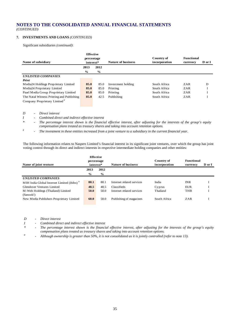### **7. INVESTMENTS AND LOANS** *(CONTINUED)*

Significant subsidiaries *(continued)*:

|                                           | <b>Effective</b> |               |                           |               |                   |        |
|-------------------------------------------|------------------|---------------|---------------------------|---------------|-------------------|--------|
|                                           | percentage       |               |                           | Country of    | <b>Functional</b> |        |
| Name of subsidiary                        | interest*        |               | <b>Nature of business</b> | incorporation | currency          | D or I |
|                                           | 2013             | 2012          |                           |               |                   |        |
|                                           | $\frac{6}{9}$    | $\frac{0}{0}$ |                           |               |                   |        |
| <b>UNLISTED COMPANIES</b>                 |                  |               |                           |               |                   |        |
| Print                                     |                  |               |                           |               |                   |        |
| Media24 Holdings Proprietary Limited      | 85.0             | 85.0          | Investment holding        | South Africa  | ZAR               | D      |
| Media24 Proprietary Limited               | 85.0             | 85.0          | Printing                  | South Africa  | ZAR               |        |
| Paarl Media Group Proprietary Limited     | 85.0             | 85.0          | Printing                  | South Africa  | ZAR               |        |
| The Natal Witness Printing and Publishing | 85.0             | 42.5          | Publishing                | South Africa  | ZAR               |        |
| Company Proprietary Limited <sup>#</sup>  |                  |               |                           |               |                   |        |

*D - Direct interest*

*I - Combined direct and indirect effective interest*<br> **\*** *- The perceptage interest shown is the financial* 

*\* - The percentage interest shown is the financial effective interest, after adjusting for the interests of the group's equity compensation plans treated as treasury shares and taking into account retention options.*

*# - The investment in these entities increased from a joint venture to a subsidiary in the current financial year.*

The following information relates to Naspers Limited's financial interest in its significant joint ventures, over which the group has joint voting control through its direct and indirect interests in respective intermediate holding companies and other entities:

| percentage    |               |                               | Country of                | <b>Functional</b> |          |
|---------------|---------------|-------------------------------|---------------------------|-------------------|----------|
|               |               |                               |                           |                   | D or I   |
| 2013          | 2012          |                               |                           |                   |          |
| $\frac{0}{0}$ | $\frac{6}{9}$ |                               |                           |                   |          |
|               |               |                               |                           |                   |          |
| 80.1          | 80.1          | Internet related services     | India                     | <b>INR</b>        |          |
| 48.5          | 48.5          | Classifieds                   | Cyprus                    | EUR               |          |
| 50.0          | 50.0          | Internet related services     | Thailand                  | <b>THB</b>        |          |
|               |               |                               |                           |                   |          |
| 60.0          | 58.0          | Publishing of magazines       | South Africa              | ZAR               |          |
|               |               | <b>Effective</b><br>interest* | <b>Nature of business</b> | incorporation     | currency |

*D - Direct interest*

*I - Combined direct and indirect effective interest*

*\* - The percentage interest shown is the financial effective interest, after adjusting for the interests of the group's equity compensation plans treated as treasury shares and taking into account retention options.*

*# - Although ownership is greater than 50%, it is not consolidated as it is jointly controlled (refer to note 13).*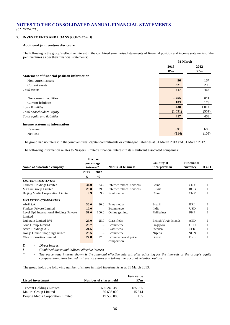#### **7. INVESTMENTS AND LOANS** *(CONTINUED)*

#### **Additional joint venture disclosure**

The following is the group's effective interest in the combined summarised statements of financial position and income statements of the joint ventures as per their financial statements:

|                                             |         | 31 March |
|---------------------------------------------|---------|----------|
|                                             | 2013    | 2012     |
|                                             | R'm     | R'm      |
| Statement of financial position information |         |          |
| Non-current assets                          | 96      | 167      |
| Current assets                              | 321     | 296      |
| Total assets                                | 417     | 463      |
| Non-current liabilities                     | 1 2 5 5 | 841      |
| Current liabilities                         | 183     | 173      |
| Total liabilities                           | 1 4 3 8 | 1 0 1 4  |
| Total shareholders' equity                  | (1 021) | (551)    |
| Total equity and liabilities                | 417     | 463      |
| Income statement information                |         |          |
| Revenue                                     | 591     | 688      |
| Net loss                                    | (214)   | (109)    |

The group had no interest in the joint ventures' capital commitments or contingent liabilities at 31 March 2013 and 31 March 2012.

The following information relates to Naspers Limited's financial interest in its significant associated companies:

| Name of associated company               | <b>Effective</b><br>percentage<br>interest* |                          | <b>Nature of business</b>         | <b>Country of</b><br>incorporation | <b>Functional</b><br>currency | D or I |
|------------------------------------------|---------------------------------------------|--------------------------|-----------------------------------|------------------------------------|-------------------------------|--------|
|                                          | 2013                                        | 2012                     |                                   |                                    |                               |        |
|                                          | $\frac{0}{0}$                               | $\frac{0}{0}$            |                                   |                                    |                               |        |
| <b>LISTED COMPANIES</b>                  |                                             |                          |                                   |                                    |                               |        |
| <b>Tencent Holdings Limited</b>          | 34.0                                        | 34.2                     | Internet related services         | China                              | <b>CNY</b>                    | 1      |
| Mail.ru Group Limited                    | <b>29.0</b>                                 | 29.0                     | Internet related services         | Russia                             | <b>RUB</b>                    | I      |
| Beijing Media Corporation Limited        | 9.9                                         | 9.9                      | Print media                       | China                              | <b>CNY</b>                    |        |
| <b>UNLISTED COMPANIES</b>                |                                             |                          |                                   |                                    |                               |        |
| Abril S.A.                               | 30.0                                        | 30.0                     | Print media                       | <b>Brazil</b>                      | BRL                           | 1      |
| Flipkart Private Limited                 | <b>10.0</b>                                 |                          | Ecommerce                         | India                              | <b>USD</b>                    |        |
| Level Up! International Holdings Private | 51.0                                        | 100.0                    | Online gaming                     | <b>Phillipines</b>                 | <b>PHP</b>                    | I      |
| Limited                                  |                                             |                          |                                   |                                    |                               |        |
| Dubizzle Limited BVI                     | 25.0                                        | 25.0                     | Classifieds                       | British Virgin Islands             | AED                           | I      |
| Soug Group Limited                       | 29.7                                        |                          | Ecommerce                         | Singapore                          | <b>USD</b>                    | I      |
| Avito Holdings AB                        | 21.5                                        | $\overline{\phantom{0}}$ | Classifieds                       | Sweden                             | <b>SEK</b>                    | 1      |
| Konga Online Shopping Limited            | 25.5                                        |                          | Ecommerce                         | Nigeria                            | <b>NGN</b>                    | 1      |
| Vtex Informatica Limited                 | 27.8                                        | 27.8                     | Ecommerce and price<br>comparison | <b>Brazil</b>                      | BRL                           | I      |

*D - Direct interest*

*I - Combined direct and indirect effective interest*

*\* - The percentage interest shown is the financial effective interest, after adjusting for the interests of the group's equity compensation plans treated as treasury shares and taking into account retention options.*

The group holds the following number of shares in listed investments as at 31 March 2013:

| <b>Listed investment</b>                                   | Number of shares held    | <b>Fair value</b><br>R'm |
|------------------------------------------------------------|--------------------------|--------------------------|
| <b>Tencent Holdings Limited</b>                            | 630 240 380              | 185 055                  |
| Mail.ru Group Limited<br>Beijing Media Corporation Limited | 60 636 000<br>19 533 000 | 15.514<br>155            |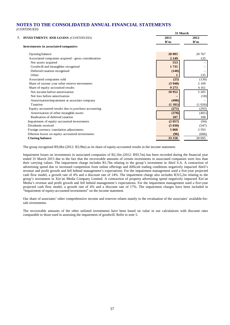|    |                                                     | 31 March |         |
|----|-----------------------------------------------------|----------|---------|
| 7. | <b>INVESTMENTS AND LOANS (CONTINUED)</b>            | 2013     | 2012    |
|    |                                                     | R'm      | R'm     |
|    | Investments in associated companies                 |          |         |
|    | Opening balance                                     | 28 095   | 20 767  |
|    | Associated companies acquired - gross consideration | 2 1 4 9  | 135     |
|    | Net assets acquired                                 | 553      |         |
|    | Goodwill and intangibles recognised                 | 1735     |         |
|    | Deferred taxation recognised                        | (140)    |         |
|    | Other                                               |          | 135     |
|    | Associated companies sold                           | (25)     | (130)   |
|    | Share of current year other reserve movements       | (3948)   | 2 1 0 9 |
|    | Share of equity-accounted results                   | 9 2 7 3  | 4 1 6 1 |
|    | Net income before amortisation                      | 10 952   | 5 2 0 5 |
|    | Net loss before amortisation                        |          | (18)    |
|    | Amortisation/impairment at associate company        | (498)    |         |
|    | Taxation                                            | (1181)   | (1026)  |
|    | Equity-accounted results due to purchase accounting | (271)    | (293)   |
|    | Amortisation of other intangible assets             | (378)    | (401)   |
|    | Realisation of deferred taxation                    | 107      | 108     |
|    | Impairment of equity-accounted investments          | (2 057)  | (94)    |
|    | Dividends received                                  | (5030)   | (547)   |
|    | Foreign currency translation adjustments            | 5 0 6 0  | 2 5 9 3 |
|    | Dilution losses on equity-accounted investments     | (96)     | (606)   |
|    | <b>Closing balance</b>                              | 33 150   | 28 0 95 |

The group recognised R9,0bn (2012: R3,9bn) as its share of equity-accounted results in the income statement.

Impairment losses on investments in associated companies of R2,1bn (2012: R93,7m) has been recorded during the financial year ended 31 March 2013 due to the fact that the recoverable amounts of certain investments in associated companies were less than their carrying values. The impairment charge includes R1,7bn relating to the group's investment in Abril S.A. A contraction of advertising spend due to increased competition from online offerings and difficult trading conditions negatively impacted Abril's revenue and profit growth and fell behind management's expectations. For the impairment management used a five-year projected cash flow model, a growth rate of 4% and a discount rate of 14%. The impairment charge also includes R315,2m relating to the group's investment in Xin'an Media Company Limited. A contraction of property advertising spend negatively impacted Xin'an Media's revenue and profit growth and fell behind management's expectations. For the impairment management used a five-year projected cash flow model, a growth rate of 4% and a discount rate of 17%. The impairment charges have been included in "Impairment of equity-accounted investments" on the income statement.

Our share of associates' other comprehensive income and reserves relates mainly to the revaluation of the associates' available-forsale investments.

The recoverable amounts of the other unlisted investments have been based on value in use calculations with discount rates comparable to those used in assessing the impairment of goodwill. Refer to note 5.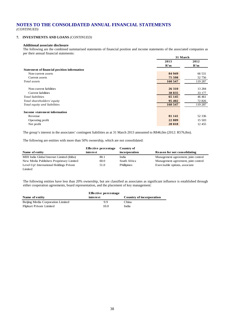*(CONTINUED)*

#### **7. INVESTMENTS AND LOANS** *(CONTINUED)*

#### **Additional associate disclosure**

The following are the combined summarised statements of financial position and income statements of the associated companies as per their annual financial statements: **31 March**

|                                             |         | 31 March |
|---------------------------------------------|---------|----------|
|                                             | 2013    | 2012     |
|                                             | R'm     | R'm      |
| Statement of financial position information |         |          |
| Non-current assets                          | 84 949  | 66 531   |
| Current assets                              | 75 598  | 52 756   |
| Total assets                                | 160 547 | 119 287  |
|                                             |         |          |
| Non-current liabilities                     | 26 310  | 13 2 84  |
| Current liabilities                         | 38 835  | 33 177   |
| Total liabilities                           | 65 145  | 46461    |
| Total shareholders' equity                  | 95 402  | 72 826   |
| Total equity and liabilities                | 160 547 | 119 287  |
|                                             |         |          |
| Income statement information                |         |          |
| Revenue                                     | 81 141  | 52 336   |
| Operating profit                            | 22 809  | 15 503   |
| Net profit                                  | 28 8 18 | 12 455   |

The group's interest in the associates' contingent liabilities as at 31 March 2013 amounted to R846,0m (2012: R576,8m).

The following are entities with more than 50% ownership, which are not consolidated:

|                                           | Effective percentage | Country of    |                                     |
|-------------------------------------------|----------------------|---------------|-------------------------------------|
| Name of entity                            | interest             | incorporation | <b>Reason for not consolidating</b> |
| MIH India Global Internet Limited (ibibo) | 80.1                 | India         | Management agreement, joint control |
| New Media Publishers Proprietary Limited  | 60.0                 | South Africa  | Management agreement, joint control |
| Level Up! International Holdings Private  | 51.0                 | Phillipines   | Exercisable options, associate      |
| Limited                                   |                      |               |                                     |

The following entities have less than 20% ownership, but are classified as associates as significant influence is established through either cooperation agreements, board representation, and the placement of key management:

|                                   | <b>Effective percentage</b> |                          |
|-----------------------------------|-----------------------------|--------------------------|
| Name of entity                    | interest                    | Country of incorporation |
| Beijing Media Corporation Limited | 99                          | China                    |
| Flipkart Private Limited          | 10.0                        | India                    |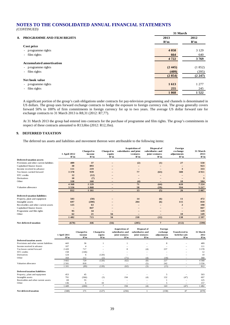|      |                                              | 31 March |         |
|------|----------------------------------------------|----------|---------|
| 8. . | PROGRAMME AND FILM RIGHTS                    | 2013     | 2012    |
|      |                                              | R'm      | R'm     |
|      | Cost price                                   |          |         |
|      | programme rights<br>$\overline{\phantom{a}}$ | 4 0 5 8  | 3 1 2 9 |
|      | film rights<br>$\overline{\phantom{a}}$      | 664      | 640     |
|      |                                              | 4722     | 3769    |
|      | <b>Accumulated amortisation</b>              |          |         |
|      | - programme rights                           | (2, 445) | (1852)  |
|      | film rights<br>$\overline{\phantom{a}}$      | (409)    | (395)   |
|      |                                              | (2854)   | (2 247) |
|      | Net book value                               |          |         |
|      | - programme rights                           | 1613     | 1 277   |
|      | film rights<br>$\overline{\phantom{a}}$      | 255      | 245     |
|      |                                              | 1868     | 1522    |

A significant portion of the group's cash obligations under contracts for pay-television programming and channels is denominated in US dollars. The group uses forward exchange contracts to hedge the exposure to foreign currency risk. The group generally covers forward 50% to 100% of firm commitments in foreign currency for up to two years. The average US dollar forward rate for exchange contracts to 31 March 2013 is R8,31 (2012: R7,77).

At 31 March 2013 the group had entered into contracts for the purchase of programme and film rights. The group's commitments in respect of these contracts amounted to R13,6bn (2012: R12,1bn).

#### **9. DEFERRED TAXATION**

The deferred tax assets and liabilities and movement thereon were attributable to the following items:

|                                          | 1 April 2012<br>R'm | <b>Charged</b> to<br>income<br>R'm | <b>Charged to</b><br>equity<br>R'm | <b>Acquisition of</b><br>subsidiaries and joint<br>ventures<br>R'm | Disposal of<br>subsidiaries and<br>joint ventures<br>R'm | Foreign<br>exchange<br>adjustments<br>R'm | 31 March<br>2013<br>R'm |
|------------------------------------------|---------------------|------------------------------------|------------------------------------|--------------------------------------------------------------------|----------------------------------------------------------|-------------------------------------------|-------------------------|
| Deferred taxation assets                 |                     |                                    |                                    |                                                                    |                                                          |                                           |                         |
| Provisions and other current liabilities | 489                 | 37                                 |                                    | (2)                                                                | (1)                                                      | 27                                        | 550                     |
| Capitalised finance leases               | 30                  | 893                                |                                    | $\overline{\phantom{0}}$                                           |                                                          |                                           | 923                     |
| Income received in advance               | 111                 | 219                                |                                    |                                                                    |                                                          | 3                                         | 333                     |
| Tax losses carried forward               | 3 3 7 8             | 939                                |                                    | 77                                                                 | (63)                                                     | 580                                       | 4911                    |
| STC credits                              | 12                  | (12)                               |                                    | $\qquad \qquad -$                                                  |                                                          |                                           |                         |
| Derivatives                              | 10                  | (7)                                |                                    |                                                                    |                                                          |                                           | 3                       |
| Other                                    | 338                 | 160                                |                                    | (4)                                                                |                                                          | 10                                        | 504                     |
|                                          | 4 3 6 8             | 2 2 2 9                            | $\overline{\phantom{0}}$           | 71                                                                 | (64)                                                     | 620                                       | 7 2 2 4                 |
| Valuation allowance                      | 3556                | 1 0 6 8                            |                                    | 58                                                                 | (59)                                                     | 594                                       | 5 2 1 7                 |
|                                          | 812                 | 1 1 6 1                            |                                    | 13                                                                 | (5)                                                      | 26                                        | 2007                    |
| <b>Deferred taxation liabilities</b>     |                     |                                    |                                    |                                                                    |                                                          |                                           |                         |
| Property, plant and equipment            | 503                 | (50)                               |                                    | 14                                                                 | (6)                                                      | 11                                        | 472                     |
| Intangible assets                        | 697                 | (200)                              |                                    | 204                                                                | (6)                                                      | 115                                       | 810                     |
| Receivables and other current assets     | 125                 | 63                                 |                                    |                                                                    |                                                          | $\overline{2}$                            | 190                     |
| Capitalised finance leases               |                     | 847                                |                                    |                                                                    |                                                          | -                                         | 847                     |
| Programme and film rights                | 95                  | 34                                 |                                    |                                                                    |                                                          |                                           | 129                     |
| Other                                    | 62                  | 21                                 | 56                                 | $\overline{\phantom{m}}$                                           | $\qquad \qquad -$                                        | 10                                        | 149                     |
|                                          | 1482                | 715                                | 56                                 | 218                                                                | (12)                                                     | 138                                       | 2597                    |
| Net deferred taxation                    | (670)               | 446                                | (56)                               | (205)                                                              | $7\phantom{.0}$                                          | (112)                                     | (590)                   |

|                                          | 1 April 2011<br>R'm | <b>Charged</b> to<br>income<br>R'm | <b>Charged</b> to<br>equity<br>R'm | <b>Acquisition of</b><br>subsidiaries and<br>joint ventures<br>R'm | Disposal of<br>subsidiaries and<br>joint ventures<br>R'm | Foreign<br>exchange<br>adjustments<br>R'm | <b>Transferred to</b><br>held-for-sale<br>R'm | 31 March<br>2012<br>R'm |
|------------------------------------------|---------------------|------------------------------------|------------------------------------|--------------------------------------------------------------------|----------------------------------------------------------|-------------------------------------------|-----------------------------------------------|-------------------------|
| <b>Deferred taxation assets</b>          |                     |                                    |                                    |                                                                    |                                                          |                                           |                                               |                         |
| Provisions and other current liabilities | 443                 | 36                                 |                                    |                                                                    |                                                          | 8                                         |                                               | 489                     |
| Income received in advance               | 107                 | $\overline{4}$                     |                                    |                                                                    |                                                          |                                           |                                               | 111                     |
| Tax losses carried forward               | 2420                | 717                                |                                    | 8                                                                  | (4)                                                      | 237                                       | -                                             | 3 3 7 8                 |
| STC credits                              | 158                 | (146)                              |                                    |                                                                    |                                                          |                                           |                                               | 12                      |
| Derivatives                              | 124                 | 6                                  | (120)                              |                                                                    |                                                          |                                           |                                               | 10                      |
| Other                                    | 350                 | 112                                | (1)                                | (71)                                                               | (4)                                                      | (18)                                      | -                                             | 368                     |
|                                          | 3 602               | 729                                | (120)                              | (62)                                                               | (8)                                                      | 227                                       | ۳                                             | 4 3 6 8                 |
| Valuation allowance                      | 2 5 0 1             | 818                                |                                    |                                                                    | (5)                                                      | 242                                       |                                               | 3 5 5 6                 |
|                                          | 1 1 0 1             | (89)                               | (120)                              | (62)                                                               | (3)                                                      | (15)                                      | -                                             | 812                     |
| <b>Deferred taxation liabilities</b>     |                     |                                    |                                    |                                                                    |                                                          |                                           |                                               |                         |
| Property, plant and equipment            | 453                 | 45                                 |                                    |                                                                    |                                                          |                                           |                                               | 503                     |
| Intangible assets                        | 791                 | (366)                              | (3)                                | 194                                                                | (4)                                                      | 132                                       | (47)                                          | 697                     |
| Receivables and other current assets     | 69                  | 55                                 |                                    |                                                                    |                                                          |                                           |                                               | 125                     |
| Other                                    | 136                 | 6                                  | 10                                 | $\overline{\phantom{a}}$                                           | -                                                        |                                           | -                                             | 157                     |
|                                          | 449                 | (260)                              | $\overline{ }$                     | 194                                                                | (4)                                                      | 143                                       | (47)                                          | 482                     |
| Net deferred taxation                    | (348)               | 171                                | (127)                              | (256)                                                              |                                                          | (158)                                     | 47                                            | (670)                   |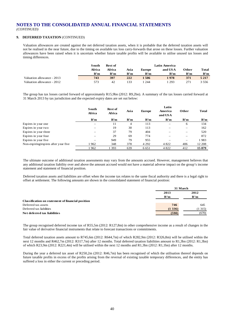*(CONTINUED)*

#### **9. DEFERRED TAXATION** (CONTINUED)

Valuation allowances are created against the net deferred taxation assets, when it is probable that the deferred taxation assets will not be realised in the near future, due to the timing on available tax loss carry-forwards that arose on these losses. Further valuation allowances have been raised when it is uncertain whether future taxable profits will be available to utilise unused tax losses and timing differences.

|                            | South  | Rest of |      |               | Latin America |       |         |
|----------------------------|--------|---------|------|---------------|---------------|-------|---------|
|                            | Africa | Africa  | Asia | <b>Europe</b> | and USA       | Other | Total   |
|                            | R'm    | R'm     | R'm  | R'm           | R'm           | R'm   | R'm     |
| Valuation allowance - 2013 | 743    | 397     | 222  | -506          | 1978          | 371   | 5 2 1 7 |
| Valuation allowance - 2012 | 573    | 42      | 133  | 244           | 293           | 271   | 3 5 5 6 |

The group has tax losses carried forward of approximately R15,9bn (2012: R9,2bn). A summary of the tax losses carried forward at 31 March 2013 by tax jurisdiction and the expected expiry dates are set out below:

|                                      | South<br>Africa | <b>Rest of</b><br><b>Africa</b> | Asia | <b>Europe</b> | Latin<br>America<br>and USA | Other | <b>Total</b> |
|--------------------------------------|-----------------|---------------------------------|------|---------------|-----------------------------|-------|--------------|
|                                      | R'm             | R'm                             | R'm  | R'm           | R'm                         | R'm   | R'm          |
| Expires in year one                  |                 | 11                              | 4    | 113           |                             | 6     | 134          |
| Expires in year two                  |                 | 19                              | 30   | 113           |                             |       | 162          |
| Expires in year three                |                 | 37                              | 79   | 404           |                             |       | 520          |
| Expires in year four                 |                 | 29                              | 69   | 774           |                             | -     | 872          |
| Expires in year five                 | -               | 949                             | 79   | 955           | -                           | -     | 1983         |
| Non-expiring/expires after year five | 1962            | 348                             | 378  | 4 2 9 2       | 4 8 2 2                     | 406   | 12 208       |
|                                      | 962             | 393                             | 639  | 6 6 5 1       | 4 8 2 2                     | 412   | 15879        |

The ultimate outcome of additional taxation assessments may vary from the amounts accrued. However, management believes that any additional taxation liability over and above the amount accrued would not have a material adverse impact on the group's income statement and statement of financial position.

Deferred taxation assets and liabilities are offset when the income tax relates to the same fiscal authority and there is a legal right to offset at settlement. The following amounts are shown in the consolidated statement of financial position:

|                                                          | 31 March |        |  |
|----------------------------------------------------------|----------|--------|--|
|                                                          | 2013     | 2012   |  |
|                                                          | R'm      | R'm    |  |
| <b>Classification on statement of financial position</b> |          |        |  |
| Deferred tax assets                                      | 746      | 645    |  |
| Deferred tax liabilities                                 | (1336)   | (1315) |  |
| Net deferred tax liabilities                             | (590)    | (670)  |  |

The group recognised deferred income tax of R55,5m (2012: R127,8m) in other comprehensive income as a result of changes in the fair value of derivative financial instruments that relate to forecast transactions or commitments.

Total deferred taxation assets amount to R745,6m (2012: R644,7m) of which R282,9m (2012: R326,8m) will be utilised within the next 12 months and R462,7m (2012: R317,7m) after 12 months. Total deferred taxation liabilities amount to R1,3bn (2012: R1,3bn) of which R23,9m (2012: R221,4m) will be utilised within the next 12 months and R1,3bn (2012: R1,1bn) after 12 months.

During the year a deferred tax asset of R250,2m (2012: R46,7m) has been recognised of which the utilisation thereof depends on future taxable profits in excess of the profits arising from the reversal of existing taxable temporary differences, and the entity has suffered a loss in either the current or preceding period.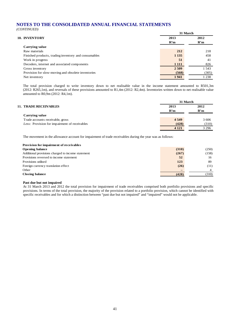*(CONTINUED)*

|                                                      |         | 31 March |
|------------------------------------------------------|---------|----------|
| 10. INVENTORY                                        | 2013    | 2012     |
|                                                      | R'm     | R'm      |
| Carrying value                                       |         |          |
| Raw materials                                        | 212     | 218      |
| Finished products, trading inventory and consumables | 1 1 3 5 | 458      |
| Work in progress                                     | 51      | 41       |
| Decoders, internet and associated components         | 1 1 1 1 | 826      |
| Gross inventory                                      | 2509    | 1 543    |
| Provision for slow-moving and obsolete inventories   | (568)   | (305)    |
| Net inventory                                        | 1941    | 1 238    |

The total provision charged to write inventory down to net realisable value in the income statement amounted to R501,3m (2012: R265,1m), and reversals of these provisions amounted to R1,4m (2012: R2,4m). Inventories written down to net realisable value amounted to R0,9m (2012: R4,1m).

|                                               |             | 31 March    |  |  |  |
|-----------------------------------------------|-------------|-------------|--|--|--|
| <b>11. TRADE RECEIVABLES</b>                  | 2013<br>R'm | 2012<br>R'm |  |  |  |
| Carrying value                                |             |             |  |  |  |
| Trade accounts receivable, gross              | 4 5 4 9     | 3 606       |  |  |  |
| Less: Provision for impairment of receivables | (428)       | (310)       |  |  |  |
|                                               | 4 1 2 1     | 3 2 9 6     |  |  |  |

The movement in the allowance account for impairment of trade receivables during the year was as follows:

#### **Provision for impairment of receivables**

| <b>Opening balance</b>                            | (310) | (250) |
|---------------------------------------------------|-------|-------|
| Additional provisions charged to income statement | (267) | (158) |
| Provisions reversed to income statement           | 52    | 16    |
| Provisions utilised                               | 123   | 89    |
| Foreign currency translation effect               | (26)  | (11)  |
| Other                                             |       |       |
| <b>Closing balance</b>                            | (428) | (310) |

#### **Past due but not impaired**

At 31 March 2013 and 2012 the total provision for impairment of trade receivables comprised both portfolio provisions and specific provisions. In terms of the total provision, the majority of the provision related to a portfolio provision, which cannot be identified with specific receivables and for which a distinction between "past due but not impaired" and "impaired" would not be applicable.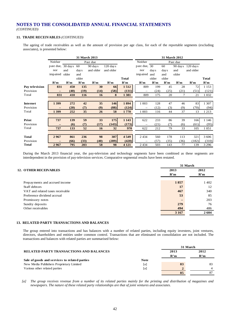*(CONTINUED)*

#### **11. TRADE RECEIVABLES** *(CONTINUED)*

The ageing of trade receivables as well as the amount of provision per age class, for each of the reportable segments (excluding associates), is presented below:

|                 |                   |       | 31 March 2013 |           |                    |              |                          |       | 31 March 2012 |          |            |         |
|-----------------|-------------------|-------|---------------|-----------|--------------------|--------------|--------------------------|-------|---------------|----------|------------|---------|
|                 | Neither           |       |               | Past due  |                    |              | Neither                  |       |               | Past due |            |         |
|                 | past due, 30 days |       | 60            | 90 days   | $120 \text{ days}$ |              | past due, 30             |       | 60            | 90 days  | $120$ days |         |
|                 | nor               | and   | day s         | and older | and older          |              | nor                      | day s | day s         | and      | and older  |         |
|                 | impaired          | older | and           |           |                    |              | impaired                 | and   | and           | older    |            |         |
|                 |                   |       | older         |           |                    | <b>Total</b> |                          | older | older         |          |            | Total   |
|                 | R'm               | R'm   | R'm           | R'm       | R'm                | R'm          | R'm                      | R'm   | R'm           | R'm      | R'm        | R'm     |
| Pay television  | 831               | 450   | 135           | 30        | 66                 | 1512         | 809                      | 199   | 45            | 28       | 72         | 1 1 5 3 |
| Provision       |                   | (40)  | (19)          | (14)      | (58)               | (131)        |                          | (24)  | (25)          | (21)     | (51)       | (121)   |
| Total           | 831               | 410   | 116           | 16        | 8                  | 1381         | 809                      | 175   | 20            | 7        | 21         | 1 0 3 2 |
|                 |                   |       |               |           |                    |              |                          |       |               |          |            |         |
| <b>Internet</b> | 1399              | 272   | 42            | 35        | 146                | 1894         | 1 0 0 3                  | 128   | 47            | 46       | 83         | 1 307   |
| Provision       |                   | (20)  | (7)           | (9)       | (88)               | (124)        | $\overline{\phantom{0}}$ | (12)  | (3)           | (9)      | (70)       | (94)    |
| Total           | 1 3 9 9           | 252   | 35            | 26        | 58                 | 1770         | 1 0 0 3                  | 116   | 44            | 37       | 13         | 1 2 1 3 |
|                 |                   |       |               |           |                    |              |                          |       |               |          |            |         |
| Print           | 737               | 139   | 59            | 33        | 175                | 1 1 4 3      | 622                      | 233   | 86            | 39       | 166        | 1 1 4 6 |
| Provision       | —                 | (6)   | (7)           | (17)      | (143)              | (173)        | $\overline{\phantom{0}}$ | (21)  | (7)           | (6)      | (61)       | (95)    |
| Total           | 737               | 133   | 52            | <b>16</b> | 32                 | 970          | 622                      | 212   | 79            | 33       | 105        | 1 0 5 1 |
|                 |                   |       |               |           |                    |              |                          |       |               |          |            |         |
| <b>Total</b>    | 2967              | 861   | 236           | 98        | 387                | 4 5 4 9      | 2 4 3 4                  | 560   | 178           | 113      | 321        | 3 606   |
| Provision       |                   | (66)  | (33)          | (40)      | (289)              | (428)        |                          | (57)  | (35)          | (36)     | (182)      | (310)   |
| <b>Total</b>    | 2967              | 795   | 203           | 58        | 98                 | 4 1 2 1      | 2 4 3 4                  | 503   | 143           | 77       | 139        | 3 2 9 6 |

During the March 2013 financial year, the pay-television and technology segments have been combined as these segments are interdependent in the provision of pay-television services. Comparative segmental results have been restated.

|                                  |         | 31 March |
|----------------------------------|---------|----------|
| <b>12. OTHER RECEIVABLES</b>     | 2013    | 2012     |
|                                  | R'm     | R'm      |
|                                  |         |          |
| Prepayments and accrued income   | 1857    | 1 4 0 2  |
| Staff debtors                    | 17      | 12       |
| VAT and related taxes receivable | 467     | 340      |
| Preference dividend accrual      | 53      | 85       |
| Promissory notes                 |         | 203      |
| Sundry deposits                  | 279     | 76       |
| Other receivables                | 494     | 486      |
|                                  | 3 1 6 7 | 2604     |
|                                  |         |          |

#### **13. RELATED PARTY TRANSACTIONS AND BALANCES**

The group entered into transactions and has balances with a number of related parties, including equity investees, joint ventures, directors, shareholders and entities under common control. Transactions that are eliminated on consolidation are not included. The transactions and balances with related parties are summarised below:

|                                                |             | 31 March |      |  |  |
|------------------------------------------------|-------------|----------|------|--|--|
| <b>RELATED PARTY TRANSACTIONS AND BALANCES</b> |             | 2013     | 2012 |  |  |
|                                                |             | R'm      | R'm  |  |  |
| Sale of goods and services to related parties  | <b>Note</b> |          |      |  |  |
| New Media Publishers Proprietary Limited       | [a]         | 83       | 83   |  |  |
| Various other related parties                  | [a]         |          |      |  |  |
|                                                |             | 85       |      |  |  |

*[a] The group receives revenue from a number of its related parties mainly for the printing and distribution of magazines and newspapers. The nature of these related party relationships are that of joint ventures and associates.*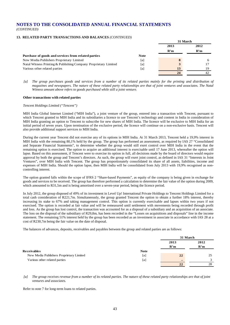#### **13. RELATED PARTY TRANSACTIONS AND BALANCES** *(CONTINUED)*

|                                                                 |             | 31 March |              |  |
|-----------------------------------------------------------------|-------------|----------|--------------|--|
|                                                                 |             | 2013     | 2012         |  |
|                                                                 |             | R'm      | R'm          |  |
| Purchase of goods and services from related parties             | <b>Note</b> |          |              |  |
| New Media Publishers Proprietary Limited                        | [a]         | 8        | <sub>6</sub> |  |
| Natal Witness Printing & Publishing Company Proprietary Limited | [a]         | 3        |              |  |
| Various other related parties                                   | [a]         | 13       | 19           |  |
|                                                                 |             | 24       |              |  |

[a] The group purchases goods and services from a number of its related parties mainly for the printing and distribution of *magazines and newspapers. The nature of these related party relationships are that of joint ventures and associates. The Natal Witness amount above refers to goods purchased while still a joint venture.*

#### **Other transactions with related parties**

#### *Tencent Holdings Limited ("Tencent")*

MIH India Global Internet Limited ("MIH India"), a joint venture of the group, entered into a transaction with Tencent, pursuant to which Tencent granted to MIH India and its subsidiaries a licence to use Tencent's technology and content in India in consideration of MIH India granting an option to Tencent to subscribe for new shares of MIH India. The licence will be exclusive to MIH India for an initial period of seven years. Upon termination of the exclusive period, the licence will continue on a non-exclusive basis. Tencent will also provide additional support services to MIH India.

During the current year Tencent did not exercise any of its options in MIH India. At 31 March 2013, Tencent held a 19,9% interest in MIH India with the remaining 80,1% held by the group. The group has performed an assessment, as required by IAS 27 "Consolidated and Separate Financial Statements", to determine whether the group would still exert control over MIH India in the event that the remaining option is exercised. The option to acquire an additional interest is exercisable until 17 June 2013, whereafter the option will lapse. Based on this assessment, if Tencent were to exercise its option in full, all decisions made by the board of directors would require approval by both the group and Tencent's directors. As such, the group will exert joint control, as defined in IAS 31 "Interests in Joint Ventures", over MIH India with Tencent. The group has proportionately consolidated its share of all assets, liabilities, income and expenses of MIH India. Should the option lapse, then MIH India will be consolidated from July 2013 with 19,9% recognised as noncontrolling interest.

The option granted falls within the scope of IFRS 2 "Share-based Payments", as equity of the company is being given in exchange for goods and services to be received. The group has therefore performed a calculation to determine the fair value of the option during 2009, which amounted to R31,5m and is being amortised over a seven-year period, being the licence period.

In July 2012, the group disposed of 49% of its investment in Level Up! International Private Holdings to Tencent Holdings Limited for a total cash consideration of R221,7m. Simultaneously, the group granted Tencent the option to obtain a further 18% interest, thereby increasing its stake to 67% and taking management control. This option is currently exercisable and lapses within two years if not exercised. The option is recorded at fair value and will be remeasured until settlement with movements being recorded through profit and loss. As the group has lost control, the transaction was accounted for as a disposal of a subsidiary and an acquisition of an associate. The loss on the disposal of the subsidiary of R29,8m, has been recorded in the "Losses on acquisitions and disposals" line in the income statement. The remaining 51% interest held by the group has been recorded as an investment in associate in accordance with IAS 28 at a cost of R230,7m being the fair value on the date of disposal.

The balances of advances, deposits, receivables and payables between the group and related parties are as follows:

|                                          |             | 31 March |      |  |
|------------------------------------------|-------------|----------|------|--|
|                                          |             | 2013     | 2012 |  |
|                                          |             | R'm      | R'm  |  |
| <b>Receivables</b>                       | <b>Note</b> |          |      |  |
| New Media Publishers Proprietary Limited | [a]         | 22       | 25   |  |
| Various other related parties            | [a]         | -        | 3    |  |
|                                          |             | 22       | 28   |  |

*[a] The group receives revenue from a number of its related parties. The nature of these related party relationships are that of joint ventures and associates.*

Refer to note 7 for long-term loans to related parties.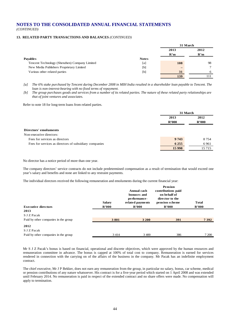#### **13. RELATED PARTY TRANSACTIONS AND BALANCES** *(CONTINUED)*

|                                               |              | 31 March |               |  |
|-----------------------------------------------|--------------|----------|---------------|--|
|                                               |              | 2013     | 2012          |  |
|                                               |              | R'm      | R'm           |  |
| <b>Payables</b>                               | <b>Notes</b> |          |               |  |
| Tencent Technology (Shenzhen) Company Limited | [a]          | 108      | 98            |  |
| New Media Publishers Proprietary Limited      | [b]          | $\sim$   | $\mathcal{I}$ |  |
| Various other related parties                 | [b]          | 31       | 6             |  |
|                                               |              | 139      |               |  |

*[a] The 6% stake purchased by Tencent during December 2008 in MIH India resulted in a shareholder loan payable to Tencent. The loan is non-interest-bearing with no fixed terms of repayment.*

*[b] The group purchases goods and services from a number of its related parties. The nature of these related party relationships are that of joint ventures and associates.*

Refer to note 18 for long-term loans from related parties.

|                                                        | 31 March                         |               |
|--------------------------------------------------------|----------------------------------|---------------|
|                                                        | 2013<br>$\mathbf{R}^{\prime}000$ | 2012<br>R'000 |
| <b>Directors' emoluments</b>                           |                                  |               |
| Non-executive directors:                               |                                  |               |
| Fees for services as directors                         | 9 7 4 3                          | 8 7 5 4       |
| Fees for services as directors of subsidiary companies | 6 2 5 5                          | 6961          |
|                                                        | 15 9 98                          | 15 7 15       |
|                                                        |                                  |               |

No director has a notice period of more than one year.

The company directors' service contracts do not include predetermined compensation as a result of termination that would exceed one year's salary and benefits and none are linked to any restraint payments.

The individual directors received the following remuneration and emoluments during the current financial year:

| <b>Executive directors</b><br>2013   | <b>Salary</b><br>$\mathbf{R}^{\prime}000$ | Annual cash<br>bonuses and<br>performance-<br>related payments<br>R'000 | <b>Pension</b><br>contributions paid<br>on behalf of<br>director to the<br>pension scheme<br>R'000 | <b>Total</b><br>R'000 |
|--------------------------------------|-------------------------------------------|-------------------------------------------------------------------------|----------------------------------------------------------------------------------------------------|-----------------------|
| S J Z Pacak                          |                                           |                                                                         |                                                                                                    |                       |
| Paid by other companies in the group | 3801                                      | 3 200                                                                   | 391                                                                                                | 7392                  |
| 2012                                 |                                           |                                                                         |                                                                                                    |                       |
| S J Z Pacak                          |                                           |                                                                         |                                                                                                    |                       |
| Paid by other companies in the group | 3 4 1 4                                   | 3 400                                                                   | 386                                                                                                | 7 200                 |

Mr S J Z Pacak's bonus is based on financial, operational and discrete objectives, which were approved by the human resources and remuneration committee in advance. The bonus is capped at 100% of total cost to company. Remuneration is earned for services rendered in connection with the carrying on of the affairs of the business in the company. Mr Pacak has an indefinite employment contract.

The chief executive, Mr J P Bekker, does not earn any remuneration from the group, in particular no salary, bonus, car scheme, medical or pension contributions of any nature whatsoever. His contract is for a five-year period which started on 1 April 2008 and was extended until February 2014. No remuneration is paid in respect of the extended contract and no share offers were made. No compensation will apply to termination.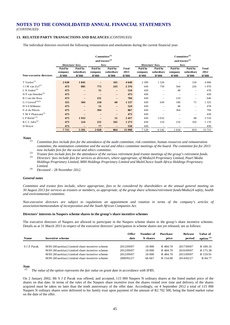*(CONTINUED)*

#### **13. RELATED PARTY TRANSACTIONS AND BALANCES** *(CONTINUED)*

The individual directors received the following remuneration and emoluments during the current financial year:

|                                             | $Commitee^{(1)}$<br>and trustee $^{(2)}$<br>fees<br>Directors' fees |                                |                             |                                |                               | <b>Directors' fees</b>                         |                                | $Commitee^{(1)}$<br>and trustee $^{(2)}$<br>fees |                                |                               |
|---------------------------------------------|---------------------------------------------------------------------|--------------------------------|-----------------------------|--------------------------------|-------------------------------|------------------------------------------------|--------------------------------|--------------------------------------------------|--------------------------------|-------------------------------|
| <b>Non-executive directors</b>              | Paid by<br>company<br>R'000                                         | Paid by<br>subsidiary<br>R'000 | Paid by<br>company<br>R'000 | Paid by<br>subsidiary<br>R'000 | <b>Total</b><br>2013<br>R'000 | Paid by<br>company<br>$\mathbf{R}^{\prime}000$ | Paid by<br>subsidiary<br>R'000 | Paid by<br>company<br>R'000                      | Paid by<br>subsidiary<br>R'000 | <b>Total</b><br>2012<br>R'000 |
| T $Vosloo^{(3)}$                            | 2630                                                                | 1845                           |                             | 165                            | 4 6 4 0                       | 2 3 9 0                                        | 1 5 2 0                        |                                                  | 150                            | 4 0 6 0                       |
| $J J M$ van $Zyl^{(3)}$                     | 473                                                                 | 885                            | 775                         | 243                            | 2 3 7 6                       | 430                                            | 750                            | 564                                              | 226                            | 1970                          |
| L N Jonker $^{(3)}$                         | 473                                                                 | $\qquad \qquad -$              | 51                          | $\overline{\phantom{0}}$       | 524                           | 430                                            | $\overline{\phantom{0}}$       | 48                                               | $\overline{\phantom{0}}$       | 478                           |
| N P van Heerden <sup><math>(3)</math></sup> | 473                                                                 | $\qquad \qquad -$              |                             | $\overline{\phantom{0}}$       | 473                           | 430                                            | -                              |                                                  | -                              | 430                           |
| B J van der Ross                            | 473                                                                 | $-$                            | 231                         | -                              | 704                           | 430                                            | $\overline{\phantom{0}}$       | 210                                              | -                              | 640                           |
| G J Gerwel <sup>(3)(4)</sup>                | 355                                                                 | 504                            | 218                         | 60                             | 1 1 3 7                       | 430                                            | 630                            | 190                                              | 75                             | 1 3 2 5                       |
| H S S Willemse                              | 473                                                                 | $\qquad \qquad -$              | 51                          | -                              | 524                           | 430                                            | -                              | 48                                               | -                              | 478                           |
| F-A du Plessis                              | 473                                                                 | $\qquad \qquad -$              | 394                         | $\qquad \qquad -$              | 867                           | 430                                            | $\overline{\phantom{0}}$       | 364                                              | -                              | 794                           |
| T M F Phaswana <sup>(3)</sup>               | 473                                                                 | $\overline{\phantom{a}}$       | $\overline{\phantom{a}}$    | $\overline{\phantom{0}}$       | 473                           | 430                                            | $\overline{\phantom{0}}$       | $\overline{\phantom{a}}$                         | -                              | 430                           |
| L P Retief $(3)$                            | 473                                                                 | 1933                           |                             | 51                             | 2 4 5 7                       | 430                                            | 3 0 3 2                        |                                                  | 48                             | 3 5 1 0                       |
| R C C Jafta <sup>(3)</sup>                  | 473                                                                 | 224                            | 231                         | 345                            | 1 2 7 3                       | 430                                            | 210                            | 210                                              | 320                            | 1 1 7 0                       |
| D Meyer                                     | 473                                                                 |                                | 77                          |                                | 550                           | 430                                            |                                |                                                  |                                | 430                           |
|                                             | 7715                                                                | 5 3 9 1                        | 2028                        | 864                            | 15 9 98                       | 7 1 2 0                                        | 6 1 4 2                        | 1 634                                            | 819                            | 15 7 15                       |

*Notes*

- *(1) Committee fees include fees for the attendance of the audit committee, risk committee, human resources and remuneration committee, the nomination committee and the social and ethics committee meetings of the board. The committee fee for 2013 now includes fees for the social and ethics committee.*
- *(2) Trustee fees include fees for the attendance of the various retirement fund trustee meetings of the group's retirement funds. (3) Directors' fees include fees for services as directors, where appropriate, of Media24 Proprietary Limited, Paarl Media Holdings Proprietary Limited, MIH Holdings Proprietary Limited and MultiChoice South Africa Holdings Proprietary Limited.*
- *(4) Deceased – 28 November 2012.*

#### *General notes*

*Committee and trustee fees include, where appropriate, fees to be considered by shareholders at the annual general meeting on 30 August 2013 for services as trustees or members, as appropriate, of the group share schemes/retirement funds/Media24 safety, health and environmental committee.*

*Non-executive directors are subject to regulations on appointment and rotation in terms of the company's articles of association/memorandum of incorporation and the South African Companies Act.*

#### **Directors' interests in Naspers scheme shares in the group's share incentive schemes**

The executive directors of Naspers are allowed to participate in the Naspers scheme shares in the group's share incentive schemes. Details as at 31 March 2013 in respect of the executive directors' participation in scheme shares not yet released, are as follows:

| <b>Name</b>  | Incentive scheme                               | Offer<br>date | Number of<br>N shares | Purchase<br>price | Release<br>period | Value of<br>option $(1)$ |
|--------------|------------------------------------------------|---------------|-----------------------|-------------------|-------------------|--------------------------|
| S.J.Z. Pacak | MIH (Mauritius) Limited share incentive scheme | 2012/09/07    | 18 000                | R 484.70          | 2017/09/07        | R 189.16                 |
|              | MIH (Mauritius) Limited share incentive scheme | 2012/09/07    | 18 000                | R 484.70          | 2016/09/07        | R 175.38                 |
|              | MIH (Mauritius) Limited share incentive scheme | 2012/09/07    | 18 000                | R 484.70          | 2015/09/07        | R 159.91                 |
|              | MIH (Mauritius) Limited share incentive scheme | 2009/02/27    | 66 667                | R 154.00          | 2014/02/27        | R 84.77                  |

*Note*

*(1) The value of the option represents the fair value on grant date in accordance with IFRS.*

On 2 January 2002, Mr S J Z Pacak was offered, and accepted, 115 000 Naspers N ordinary shares at the listed market price of the shares on that date. In terms of the rules of the Naspers share incentive trust the shares vested over time and delivery of the shares acquired must be taken no later than the tenth anniversary of the offer date. Accordingly, on 4 September 2012 a total of 115 000 Naspers N ordinary shares were delivered to his family trust upon payment of the amount of R2 702 500, being the listed market value on the date of the offer.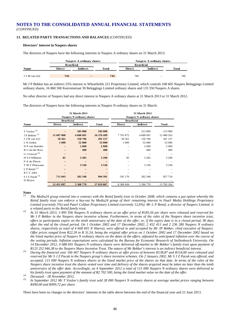#### **13. RELATED PARTY TRANSACTIONS AND BALANCES** *(CONTINUED)*

#### **Directors' interest in Naspers shares**

The directors of Naspers have the following interests in Naspers A ordinary shares on 31 March 2013:

|               |                   | Naspers A ordinary shares |       |                   | Naspers A ordinary shares |       |
|---------------|-------------------|---------------------------|-------|-------------------|---------------------------|-------|
|               | <b>Beneficial</b> |                           |       | <b>Beneficial</b> |                           |       |
| <b>Name</b>   | <b>Direct</b>     | <b>Indirect</b>           | Total | <b>Direct</b>     | <b>Indirect</b>           | Total |
| J J M van Zyl | 745               | $\overline{\phantom{0}}$  | 745   | 745               | $-$                       | 745   |

Mr J P Bekker has an indirect 25% interest in Wheatfields 221 Proprietary Limited, which controls 168 605 Naspers Beleggings Limited ordinary shares, 16 860 500 Keeromstraat 30 Beleggings Limited ordinary shares and 133 350 Naspers A shares.

No other director of Naspers had any direct interest in Naspers A ordinary shares at 31 March 2013 or 31 March 2012.

The directors of Naspers have the following interests in Naspers N ordinary shares on 31 March:

|                            | <b>31 March 2013</b><br><b>Naspers N ordinary shares</b> |                 |            | <b>Naspers N ordinary shares</b> |                 |            |
|----------------------------|----------------------------------------------------------|-----------------|------------|----------------------------------|-----------------|------------|
|                            | <b>Beneficial</b>                                        |                 |            | <b>Beneficial</b>                |                 |            |
| Name                       | <b>Direct</b>                                            | <b>Indirect</b> | Total      | <b>Direct</b>                    | <b>Indirect</b> | Total      |
|                            |                                                          |                 |            |                                  |                 |            |
| T Vosloo $^{(5)}$          |                                                          | 185 000         | 185 000    |                                  | 213 000         | 213 000    |
| J P Bekker $^{(2)}$        | 11 687 808                                               | 4 688 691       | 16 376 499 | 7791872                          | 4 688 691       | 12 480 563 |
| J J M van Zyl              | 50 361                                                   | 150 796         | 201 157    | 50 361                           | 150796          | 201 157    |
| L N Jonker                 | 1 000                                                    | 52 000          | 53 000     | 1 000                            | 52 000          | 53 000     |
| N P van Heerden            |                                                          | 2600            | 2600       |                                  | 2 600           | 2600       |
| B J van der Ross           |                                                          | 400             | 400        |                                  | 400             | 400        |
| G J Gerwel <sup>(4)</sup>  |                                                          |                 |            |                                  |                 |            |
| H S S Willemse             | 85                                                       | 3 2 0 5         | 3 2 9 0    | 85                               | 3 2 0 5         | 3 2 9 0    |
| F-A du Plessis             |                                                          |                 |            |                                  |                 |            |
| T M F Phaswana             |                                                          | 3530            | 3 5 3 0    |                                  | 3 5 3 0         | 3 5 3 0    |
| L P Retief $(1)$           |                                                          |                 |            |                                  |                 |            |
| R C C Jafta                |                                                          |                 |            |                                  |                 |            |
| S J Z Pacak <sup>(3)</sup> | 711 843                                                  | 282 548         | 994 391    | 545 176                          | 282 548         | 827 724    |
| D Meyer                    |                                                          |                 |            |                                  |                 |            |
|                            | 12 451 097                                               | 5 368 770       | 17819867   | 8 3 8 4 4 9 4                    | 5 396 770       | 13 785 264 |

*(5) In September 2012 Mr T Vosloo's family trust sold 28 000 Naspers N ordinary shares at average market prices ranging between R490,00 and R499,72 per share.*

There have been no changes to the directors' interests in the table above between the end of the financial year and 21 June 2013.

*Notes (1) The Media24 group entered into a contract with the Retief family trust in October 2008, which contains a put option whereby the Retief family trust can enforce a buy-out by Media24 group of their remaining interest in Paarl Media Holdings Proprietary Limited (currently 5%) and Paarl Coldset Proprietary Limited (currently 12,6%). Mr L P Retief, a director of Naspers Limited, is a related party to the Retief family trust.*

*<sup>(2)</sup> At 31 March 2013, 3 895 936 Naspers N ordinary shares at an offer price of R185,56 per share were released and reserved for Mr J P Bekker in the Naspers share incentive scheme. Furthermore, in terms of the rules of the Naspers share incentive trust, offers to participants expire on the tenth anniversary of the date of the offer, or, if the expiry date is in a closed period, 90 days after the end of the closed period. On 1 October 2002 and 17 December 2002, 2 452 411 and 2 236 280 Naspers N ordinary shares, respectively (a total of 4 668 691 N Shares), were offered to and accepted by Mr JP Bekker, chief executive of Naspers. Offer prices ranged from R22,39 to R 31,54, being the original offer prices on 1 October 2002 and 17 December 2002 based on the listed market price of Naspers N ordinary shares on the dates of the offers, adjusted by anticipated inflation over the course of the vesting periods. Inflation expectations were calculated by the Bureau for Economic Research of Stellenbosch University. On 14 December 2012, 4 688 691 Naspers N ordinary shares were delivered off-market to Mr Bekker's family trust upon payment of R125 252 946,38 to the Naspers Share Incentive Trust. The nature of Mr Bekker's interest is an indirect beneficial interest.* 

*<sup>(3)</sup> During the financial year 166 667 Naspers N ordinary shares at offer prices of between R138,87 and R154,00 were released and reserved for Mr S J Z Pacak in the Naspers group's share incentive schemes. On 2 January 2002, Mr S J Z Pacak was offered, and accepted, 115 000 Naspers N ordinary shares at the listed market price of the shares on that date. In terms of the rules of the Naspers share incentive trust the shares vested over time and delivery of the shares acquired must be taken no later than the tenth anniversary of the offer date. Accordingly, on 4 September 2012 a total of 115 000 Naspers N ordinary shares were delivered to his family trust upon payment of the amount of R2 702 500, being the listed market value on the date of the offer.*

*<sup>(4)</sup> Deceased – 28 November 2012.*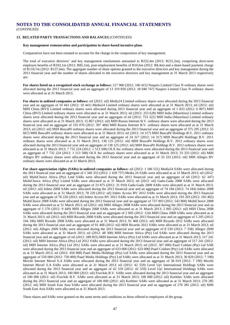#### **13. RELATED PARTY TRANSACTIONS AND BALANCES** *(CONTINUED)*

#### **Key management remuneration and participation in share-based incentive plans**

Comparatives have not been restated to account for the change in the composition of key management.

The total of executive directors' and key management emoluments amounted to R232,4m (2012: R231,2m), comprising short-term employee benefits of R103,1m (2012: R85,1m), post-employment benefits of R10,6m (2012: R8,4m) and a share-based payment charge of R118,7m (2012: R137,6m). The aggregate number of share options granted to the executive directors and key management during the 2013 financial year and the number of shares allocated to the executive directors and key management at 31 March 2013 respectively are:

**For shares listed on a recognised stock exchange as follows:** 217 960 (2012: 166 415) Naspers Limited Class N ordinary shares were allocated during the 2013 financial year and an aggregate of 13 319 850 (2012: 18 040 747) Naspers Limited Class N ordinary shares were allocated as at 31 March 2013.

**For shares in unlisted companies as follows:** nil (2012: nil) Media24 Limited ordinary shares were allocated during the 2013 financial year and an aggregate of 10 441 (2012: 10 441) Media24 Limited ordinary shares were allocated as at 31 March 2013; nil (2012: nil) MIH China (BVI) Limited ordinary shares were allocated during 2013 financial year and an aggregate of 1 833 (2012: 6 807) MIH China (BVI) Limited ordinary shares were allocated as at 31 March 2013; nil (2012: 253 628) MIH India (Mauritius) Limited ordinary shares were allocated during the 2013 financial year and an aggregate of nil (2012: 753 322) MIH India (Mauritius) Limited ordinary shares were allocated as at 31 March 2013; 15 867 (2012: nil) MIH Russia Internet B.V. ordinary shares were allocated during the 2013 financial year and an aggregate of 335 070 (2012: 397 484) MIH Russia Internet B.V. ordinary shares were allocated as at 31 March 2013; nil (2012: nil) MIH BuscaPé ordinary shares were allocated during the 2013 financial year and an aggregate of 375 295 (2012: 55 667) MIH BuscaPé ordinary shares were allocated as at 31 March 2013; nil (2012: 14 317) MIH BuscaPé Holdings B.V. 2011 ordinary shares were allocated during the 2013 financial year and an aggregate of 24 317 (2012: 14 317) MIH BuscaPé Holdings B.V. 2011 ordinary shares were allocated as at 31 March 2013; 138 125 (2012: nil) MIH BuscaPé Holdings B.V. 2012 ordinary shares were allocated during the 2013 financial year and an aggregate of 138 125 (2012: nil) MIH BuscaPé Holdings B.V. 2012 ordinary shares were allocated as at 31 March 2013; 7 732 224 (2012: 1 513 508) OLX Inc ordinary shares were allocated during the 2013 financial year and an aggregate of 7 732 224 (2012: 1 513 508) OLX Inc ordinary shares were allocated as at 31 March 2013; 33 333 (2012: nil) MIH Allegro BV ordinary shares were allocated during the 2013 financial year and an aggregate of 33 333 (2012: nil) MIH Allegro BV ordinary shares were allocated as at 31 March 2013;

**For share appreciation rights (SARs) in unlisted companies as follows:** nil (2012: 1 186 551) Media24 SARs were allocated during the 2013 financial year and an aggregate of 1 340 333 (2012: 1 439 737) Media 24 SARs were allocated as at 31 March 2013; nil (2012: nil) MultiChoice Africa (Pty) Lmd SARs were allocated during the 2013 financial year and an aggregate of nil (2012: 62 347) MultiChoice Africa (Pty) Limitd SARs were allocated as at 31 March 2013; nil (2012: nil) Gadu-Gadu 2008 SARs were allocated during the 2013 financial year and an aggregate of 23 875 (2012: 31 910) Gadu-Gadu 2008 SARs were allocated as at 31 March 2013; nil (2012: nil) Irdeto 2008 SARs were allocated during the 2013 financial year and an aggregate of 74 184 (2012: 74 184) Irdeto 2008 SARs were allocated as at 31 March 2013; 78 220 (2012: nil) Irdeto Access BV 2012 SARs were allocated during the 2013 financial year and an aggregate of 78 220 (2012: nil) Irdeto Access BV 2012 SARs were allocated as at 31 March 2013; 193 203 (2012: 192 402) MultiChoice 2008 SARs were allocated during the 2013 financial year and an aggregate of 737 003 (2012: 543 800) MultiChoice 2008 SARs were allocated as at 31 March 2013; nil (2012: nil) MIH Allegro 2008 SARs were allocated during the 2013 financial year and an aggregate of 5 570 (2012: 9 449) MIH Allegro 2008 SARs were allocated as at 31 March 2013; 2 005 (2012: nil) MIH China 2008 SARs were allocated during the 2013 financial year and an aggregate of 2 005 (2012: 124) MIH China 2008 SARs were allocated as at 31 March 2013; nil (2012: nil) MIH Ricardo 2008 SARs were allocated during the 2013 financial year and an aggregate of 5 205 (2012: 104 106) MIH Ricardo 2008 SARs were allocated as at 31 March 2013; 91 468 (2012: nil) MIH Ricardo 2012 SARs were allocated during the 2013 financial year and an aggregate of 91 468 (2012: nil) MIH Ricardo 2012 SARs were allocated as at 31 March 2013; nil (2012: nil) Allegro 2009 SARs were allocated during the 2013 financial year and an aggregate of 8 539 (2012: 7 358) Allegro 2009 SARs were allocated as at 31 March 2013; nil (2012: 48 309) MIH Internet Africa (Pty) Ltd SARs were allocated during the 2013 financial year and an aggregate of nil (2012: 289 855) MIH Internet Africa (Pty) Ltd SARs were allocated as at 31 March 2013; 517 241 (2012: nil) MIH Internet Africa (Pty) Ltd 2012 SARs were allocated during the 2013 financial year and an aggregate of 517 241 (2012: nil) MIH Internet Africa (Pty) Ltd 2012 SARs were allocated as at 31 March 2013; nil (2012: 367 000) Paarl Coldset (Pty) Ltd SAR were allocated during the 2013 financial year and an aggregate of 633 000 (2012: 633 000) Paarl Coldset (Pty) Ltd SARs were allocated as at 31 March 2013; nil (2012: 450 000) Paarl Media Holdings (Pty) Ltd SARs were allocated during the 2013 financial year and an aggregate of 550 000 (2012: 750 000) Paarl Media Holdings (Pty) Ltd SARs were allocated as at 31 March 2013; 30 829 (2012: 7 190) Movile Internet Movel S.A SARs were allocated during the 2013 financial year and an aggregate of 38 019 (2012: 7 190) Movile Internet Movel S.A SARs were allocated as at 31 March 2013; nil (2012: 42 559) Level Up! International Holdings SARs were allocated during the 2013 financial year and an aggregate of 42 559 (2012: 42 559) Level Up! International Holdings SARs were allocated as at 31 March 2013; 100 000 (2012: nil) FixeAds B.V. SARs were allocated during the 2013 financial year and an aggregate of 100 000 (2012: nil) FixeAds B.V. SARs were allocated as at 31 March 2013; 100 000 (2012: nil) Korbitec SARs were allocated during the 2013 financial year and an aggregate of 100 000 (2012: nil) Korbitec SARs were allocated as at 31 March 2013; 270 285 (2012: nil) MIH South East Asia SARs were allocated during the 2013 financial year and an aggregate of 270 285 (2012: nil) MIH South East Asia SARs were allocated as at 31 March 2013.

These shares and SARs were granted on the same terms and conditions as those offered to employees of the group.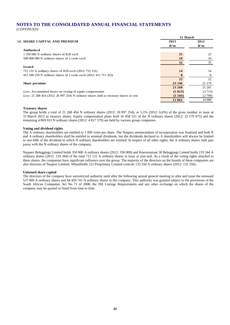*(CONTINUED)*

|                                                                                         |         | 31 March |  |
|-----------------------------------------------------------------------------------------|---------|----------|--|
| <b>14. SHARE CAPITAL AND PREMIUM</b>                                                    | 2013    | 2012     |  |
|                                                                                         | R'm     | R'm      |  |
| Authorised                                                                              |         |          |  |
| 1 250 000 A ordinary shares of R20 each                                                 | 25      | 25       |  |
| 500 000 000 N ordinary shares of 2 cents each                                           | 10      | 10       |  |
|                                                                                         | 35      | 35       |  |
| <b>Issued</b>                                                                           |         |          |  |
| 712 131 A ordinary shares of R20 each (2012: 712 131)                                   | 14      | 14       |  |
| 415 540 259 N ordinary shares of 2 cents each (2012: 411 711 353)                       | 8       | 8        |  |
|                                                                                         | 22      | 22       |  |
| Share premium                                                                           | 23 24 6 | 21 179   |  |
|                                                                                         | 23 268  | 21 201   |  |
| Less: Accumulated losses on vesting of equity compensation                              | (5023)  | (3713)   |  |
| $Less: 21 268 454 (2012: 26 997 254)$ N ordinary shares held as treasury shares at cost | (3184)  | (2799)   |  |
|                                                                                         | 15 061  | 14 689   |  |

#### **Treasury shares**

The group holds a total of 21 268 454 N ordinary shares (2012: 26 997 254), or 5,1% (2012: 6,6%) of the gross number in issue at 31 March 2013 as treasury shares. Equity compensation plans hold 16 458 521 of the N ordinary shares (2012: 22 179 675) and the remaining 4 809 933 N ordinary shares (2012: 4 817 579) are held by various group companies.

#### **Voting and dividend rights**

The A ordinary shareholders are entitled to 1 000 votes per share. The Naspers memorandum of incorporation was finalised and both N and A ordinary shareholders shall be entitled to nominal dividends, but the dividends declared to A shareholders will always be limited to one-fifth of the dividend to which N ordinary shareholders are entitled. In respect of all other rights, the A ordinary shares rank pari passu with the N ordinary shares of the company.

Naspers Beleggings Limited holds 350 000 A ordinary shares (2012: 350 000) and Keeromstraat 30 Beleggings Limted holds 219 344 A ordinary shares (2012: 219 344) of the total 712 131 A ordinary shares in issue at year-end. As a result of the voting rights attached to these shares, the companies have significant influence over the group. The majority of the directors on the boards of these companies are also directors of Naspers Limited. Wheatfields 221 Proprietary Limited controls 133 350 A ordinary shares (2012: 133 350).

#### **Unissued share capital**

The directors of the company have unrestricted authority until after the following annual general meeting to allot and issue the unissued 537 869 A ordinary shares and 84 459 741 N ordinary shares in the company. This authority was granted subject to the provisions of the South African Companies Act No 71 of 2008, the JSE Listings Requirements and any other exchange on which the shares of the company may be quoted or listed from time to time.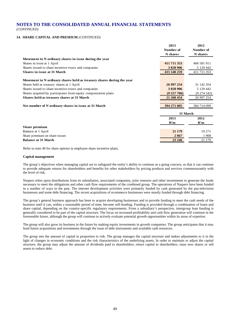#### **14. SHARE CAPITAL AND PREMIUM** *(CONTINUED)*

|                                                                       | 2013        | 2012        |
|-----------------------------------------------------------------------|-------------|-------------|
|                                                                       | Number of   | Number of   |
|                                                                       | N shares    | N shares    |
| Movement in N ordinary shares in issue during the year                |             |             |
| Shares in issue at 1 April                                            | 411 711 353 | 406 581 911 |
| Shares issued to share incentive trusts and companies                 | 3828906     | 5 129 442   |
| <b>Shares in issue at 31 March</b>                                    | 415 540 259 | 411 711 353 |
| Movement in N ordinary shares held as treasury shares during the year |             |             |
| Shares held as treasury shares at 1 April                             | 26 997 254  | 31 142 354  |
| Shares issued to share incentive trusts and companies                 | 3828906     | 5 129 442   |
| Shares acquired by participants from equity compensation plans        | (9557706)   | (9274542)   |
| Shares held as treasury shares at 31 March                            | 21 268 454  | 26 997 254  |
| Net number of N ordinary shares in issue at 31 March                  | 394 271 805 | 384 714 099 |
|                                                                       |             | 31 March    |
|                                                                       | 2013        | 2012        |
|                                                                       | R'm         | R'm         |
| Share premium                                                         |             |             |
| Balance at 1 April                                                    | 21 179      | 19 27 1     |
| Share premium on share issues                                         | 2 0 6 7     | 1908        |
| <b>Balance at 31 March</b>                                            | 23 24 6     | 21 179      |

Refer to note 40 for share options in employee share incentive plans.

#### **Capital management**

The group's objectives when managing capital are to safeguard the entity's ability to continue as a going concern, so that it can continue to provide adequate returns for shareholders and benefits for other stakeholders by pricing products and services commensurately with the level of risk.

Naspers relies upon distributions from its subsidiaries, associated companies, joint ventures and other investments to generate the funds necessary to meet the obligations and other cash flow requirements of the combined group. The operations of Naspers have been funded in a number of ways in the past. The internet development activities were primarily funded by cash generated by the pay-television businesses and some debt financing. The recent acquisitions of ecommerce businesses were mostly funded through debt financing.

The group's general business approach has been to acquire developing businesses and to provide funding to meet the cash needs of the business until it can, within a reasonable period of time, become self-funding. Funding is provided through a combination of loans and share capital, depending on the country-specific regulatory requirements. From a subsidiary's perspective, intergroup loan funding is generally considered to be part of the capital structure. The focus on increased profitability and cash flow generation will continue in the foreseeable future, although the group will continue to actively evaluate potential growth opportunities within its areas of expertise.

The group will also grow its business in the future by making equity investments in growth companies. The group anticipates that it may fund future acquisitions and investments through the issue of debt instruments and available cash resources.

The group sets the amount of capital in proportion to risk. The group manages the capital structure and makes adjustments to it in the light of changes in economic conditions and the risk characteristics of the underlying assets. In order to maintain or adjust the capital structure, the group may adjust the amount of dividends paid to shareholders, return capital to shareholders, issue new shares or sell assets to reduce debt.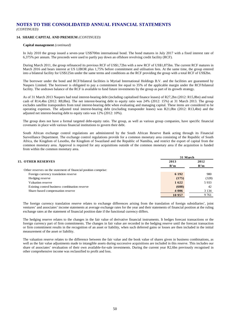#### **14. SHARE CAPITAL AND PREMIUM** *(CONTINUED)*

#### **Capital management** *(continued)*

In July 2010 the group issued a seven-year US\$700m international bond. The bond matures in July 2017 with a fixed interest rate of 6,375% per annum. The proceeds were used to partly pay down an offshore revolving credit facility (RCF).

During March 2011, the group refinanced its previous RCF of US\$1,72bn with a new RCF of US\$1,875bn. The current RCF matures in March 2016 and bears interest at US LIBOR plus 1,75% before commitment and utilisation fees. At the same time, the group entered into a bilateral facility for US\$125m under the same terms and conditions as the RCF providing the group with a total RCF of US\$2bn.

The borrower under the bond and RCF/bilateral facilities is Myriad International Holdings B.V. and the facilities are guaranteed by Naspers Limited. The borrower is obligated to pay a commitment fee equal to 35% of the applicable margin under the RCF/bilateral facility. The undrawn balance of the RCF is available to fund future investments by the group as part of its growth strategy.

As of 31 March 2013 Naspers had total interest-bearing debt (including capitalised finance leases) of R27,2bn (2012: R15,8bn) and total cash of R14,4bn (2012: R8,8bn). The net interest-bearing debt to equity ratio was 24% (2012: 15%) at 31 March 2013. The group excludes satellite transponders from total interest-bearing debt when evaluating and managing capital. These items are considered to be operating expenses. The adjusted total interest-bearing debt (excluding transponder leases) was R21,0bn (2012: R13,4bn) and the adjusted net interest-bearing debt to equity ratio was 12% (2012: 10%).

The group does not have a formal targeted debt-equity ratio. The group, as well as various group companies, have specific financial covenants in place with various financial institutions to govern their debt.

South African exchange control regulations are administered by the South African Reserve Bank acting through its Financial Surveillance Department. The exchange control regulations provide for a common monetary area consisting of the Republic of South Africa, the Kingdom of Lesotho, the Kingdom of Swaziland and the Republic of Namibia, and restrict the export of capital from the common monetary area. Approval is required for any acquisitions outside of the common monetary area if the acquisition is funded from within the common monetary area.

|                                                                 | 31 March |         |
|-----------------------------------------------------------------|----------|---------|
| <b>15. OTHER RESERVES</b>                                       | 2013     | 2012    |
|                                                                 | R'm      | R'm     |
| Other reserves on the statement of financial position comprise: |          |         |
| Foreign currency translation reserve                            | 6 1 9 2  | 980     |
| Hedging reserve                                                 | (175)    | (328)   |
| Valuation reserve                                               | 1622     | 5933    |
| Existing control business combination reserve                   | (688)    | 42      |
| Share-based compensation reserve                                | 4 0 0 6  | 3 1 3 4 |
|                                                                 | 10 957   | 9761    |

The foreign currency translation reserve relates to exchange differences arising from the translation of foreign subsidiaries', joint ventures' and associates' income statements at average exchange rates for the year and their statements of financial position at the ruling exchange rates at the statement of financial position date if the functional currency differs.

The hedging reserve relates to the changes in the fair value of derivative financial instruments. It hedges forecast transactions or the foreign currency part of firm commitments. The changes in fair value are recorded in the hedging reserve until the forecast transaction or firm commitment results in the recognition of an asset or liability, when such deferred gains or losses are then included in the initial measurement of the asset or liability.

The valuation reserve relates to the difference between the fair value and the book value of shares given in business combinations, as well as the fair value adjustments made to intangible assets during successive acquisitions are included in this reserve. This includes our share of associates' revaluation of their own available-for-sale investments. During the current year R2,6bn previously recognised in other comprehensive income was reclassified to profit and loss.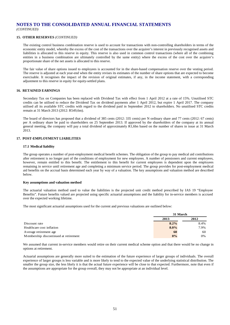*(CONTINUED)*

#### **15. OTHER RESERVES** *(CONTINUED)*

The existing control business combination reserve is used to account for transactions with non-controlling shareholders in terms of the economic entity model, whereby the excess of the cost of the transactions over the acquirer's interest in previously recognised assets and liabilities is allocated to this reserve in equity. This reserve is also used in common control transactions (where all of the combining entities in a business combination are ultimately controlled by the same entity) where the excess of the cost over the acquirer's proportionate share of the net assets is allocated to this reserve.

The fair value of share options issued to employees is accounted for in the share-based compensation reserve over the vesting period. The reserve is adjusted at each year-end when the entity revises its estimates of the number of share options that are expected to become exercisable. It recognises the impact of the revision of original estimates, if any, in the income statement, with a corresponding adjustment to this reserve in equity for equity-settled plans.

#### **16. RETAINED EARNINGS**

Secondary Tax on Companies has been replaced with Dividend Tax with effect from 1 April 2012 at a rate of 15%. Unutilised STC credits can be utilised to reduce the Dividend Tax on dividend payments after 1 April 2012, but expire 1 April 2017. The company utilised all its available STC credits with regard to the dividend paid in September 2012 to shareholders. No unutilised STC credits remain at 31 March 2013 (2012: R549,6m).

The board of directors has proposed that a dividend of 385 cents (2012: 335 cents) per N ordinary share and 77 cents (2012: 67 cents) per A ordinary share be paid to shareholders on 25 September 2013. If approved by the shareholders of the company at its annual general meeting, the company will pay a total dividend of approximately R1,6bn based on the number of shares in issue at 31 March 2013.

#### **17. POST-EMPLOYMENT LIABILITIES**

#### **17.1 Medical liability**

The group operates a number of post-employment medical benefit schemes. The obligation of the group to pay medical aid contributions after retirement is no longer part of the conditions of employment for new employees. A number of pensioners and current employees, however, remain entitled to this benefit. The entitlement to this benefit for current employees is dependent upon the employees remaining in service until retirement age and completing a minimum service period. The group provides for post-employment medical aid benefits on the accrual basis determined each year by way of a valuation. The key assumptions and valuation method are described below.

#### **Key assumptions and valuation method**

The actuarial valuation method used to value the liabilities is the projected unit credit method prescribed by IAS 19 "Employee Benefits". Future benefits valued are projected using specific actuarial assumptions and the liability for in-service members is accrued over the expected working lifetime.

The most significant actuarial assumptions used for the current and previous valuations are outlined below:

|                                       | 31 March |      |  |
|---------------------------------------|----------|------|--|
|                                       | 2013     | 2012 |  |
| Discount rate                         | 8.2%     | 8.4% |  |
| Healthcare cost inflation             | $8.0\%$  | 7.9% |  |
| Average retirement age                | 60       | 60   |  |
| Membership discontinued at retirement | 0%       | 0%   |  |

We assumed that current in-service members would retire on their current medical scheme option and that there would be no change in options at retirement.

Actuarial assumptions are generally more suited to the estimation of the future experience of larger groups of individuals. The overall experience of larger groups is less variable and is more likely to tend to the expected value of the underlying statistical distribution. The smaller the group size, the less likely it is that the actual future experience will be close to that expected. Furthermore, note that even if the assumptions are appropriate for the group overall, they may not be appropriate at an individual level.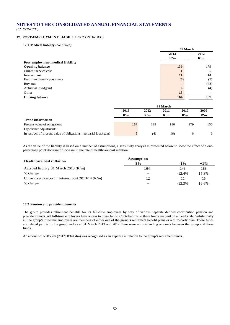*(CONTINUED)*

### **17. POST-EMPLOYMENT LIABILITIES** *(CONTINUED)*

**17.1 Medical liability** *(continued)*

| $\ldots$                                                           |      |          |          |      |      |  |  |
|--------------------------------------------------------------------|------|----------|----------|------|------|--|--|
|                                                                    |      |          | 31 March |      |      |  |  |
|                                                                    |      |          | 2013     |      | 2012 |  |  |
|                                                                    |      |          | R'm      |      | R'm  |  |  |
| Post-employment medical liability                                  |      |          |          |      |      |  |  |
| <b>Opening balance</b>                                             |      |          |          | 139  | 179  |  |  |
| Current service cost                                               |      |          |          | 1    | 5    |  |  |
| Interest cost                                                      |      |          |          | 11   | 14   |  |  |
| Employer benefit payments                                          |      |          |          | (6)  | (7)  |  |  |
| Buy-out                                                            |      |          |          |      | (48) |  |  |
| Actuarial loss/(gain)                                              |      |          |          | 6    | (4)  |  |  |
| Other                                                              |      |          |          | 13   |      |  |  |
| <b>Closing balance</b>                                             |      |          |          | 164  | 139  |  |  |
|                                                                    |      | 31 March |          |      |      |  |  |
|                                                                    | 2013 | 2012     | 2011     | 2010 | 2009 |  |  |
|                                                                    | R'm  | R'm      | R'm      | R'm  | R'm  |  |  |
| <b>Trend information</b>                                           |      |          |          |      |      |  |  |
| Present value of obligations                                       | 164  | 139      | 180      | 179  | 156  |  |  |
| Experience adjustments:                                            |      |          |          |      |      |  |  |
| In respect of present value of obligations - actuarial loss/(gain) | 6    | (4)      | (6)      | 6    | 6    |  |  |

As the value of the liability is based on a number of assumptions, a sensitivity analysis is presented below to show the effect of a onepercentage point decrease or increase in the rate of healthcare cost inflation:

| <b>Healthcare cost inflation</b>                     | <b>Assumption</b> |           |        |
|------------------------------------------------------|-------------------|-----------|--------|
|                                                      | 8%                | $-1\%$    | $+1\%$ |
| Accrued liability 31 M arch 2013 ( $\mathbb{R}^m$ )  | 164               | 143       | 188    |
| % change                                             |                   | $-12.4%$  | 15.3%  |
| Current service cost + interest cost $2013/14$ (R'm) | 12                | 11        |        |
| % change                                             |                   | $-13.3\%$ | 16.6%  |

#### **17.2 Pension and provident benefits**

The group provides retirement benefits for its full-time employees by way of various separate defined contribution pension and provident funds. All full-time employees have access to these funds. Contributions to these funds are paid on a fixed scale. Substantially all the group's full-time employees are members of either one of the group's retirement benefit plans or a third-party plan. These funds are related parties to the group and as at 31 March 2013 and 2012 there were no outstanding amounts between the group and these funds.

An amount of R385,2m (2012: R344,4m) was recognised as an expense in relation to the group's retirement funds.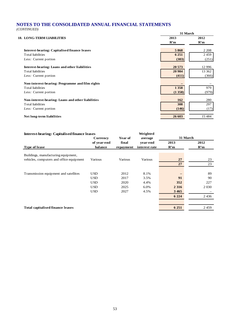*(CONTINUED)*

|                                                   |         | 31 March |  |  |  |
|---------------------------------------------------|---------|----------|--|--|--|
| <b>18. LONG-TERM LIABILITIES</b>                  | 2013    | 2012     |  |  |  |
|                                                   | R'm     | R'm      |  |  |  |
| Interest-bearing: Capitalised finance leases      | 5868    | 2 2 0 8  |  |  |  |
| <b>Total liabilities</b>                          | 6 2 5 1 | 2459     |  |  |  |
| Less: Current portion                             | (383)   | (251)    |  |  |  |
| Interest-bearing: Loans and other liabilities     | 20 573  | 12 9 96  |  |  |  |
| Total liabilities                                 | 20 984  | 13 3 6 2 |  |  |  |
| Less: Current portion                             | (411)   | (366)    |  |  |  |
| Non-interest-bearing: Programme and film rights   |         |          |  |  |  |
| Total liabilities                                 | 1 3 5 8 | 979      |  |  |  |
| Less: Current portion                             | (1358)  | (979)    |  |  |  |
| Non-interest-bearing: Loans and other liabilities | 162     | 280      |  |  |  |
| Total liabilities                                 | 308     | 297      |  |  |  |
| Less: Current portion                             | (146)   | (17)     |  |  |  |
| Net long-term liabilities                         | 26 603  | 15 4 8 4 |  |  |  |
|                                                   |         |          |  |  |  |

| <b>Interest-bearing: Capitalised finance leases</b> |                 | Weighted  |               |         |          |
|-----------------------------------------------------|-----------------|-----------|---------------|---------|----------|
|                                                     | <b>Currency</b> | Year of   | average       |         | 31 March |
|                                                     | of year-end     | final     | vear-end      | 2013    | 2012     |
| <b>Type of lease</b>                                | balance         | repayment | interest rate | R'm     | R'm      |
| Buildings, manufacturing equipment,                 |                 |           |               |         |          |
| vehicles, computers and office equipment            | Various         | Various   | Various       | 27      | 23       |
|                                                     |                 |           |               | 27      | 23       |
|                                                     |                 |           |               |         |          |
| Transmission equipment and satellites               | <b>USD</b>      | 2012      | 8.1%          |         | 89       |
|                                                     | <b>USD</b>      | 2017      | 3.5%          | 91      | 90       |
|                                                     | <b>USD</b>      | 2020      | 4.4%          | 352     | 227      |
|                                                     | <b>USD</b>      | 2025      | 6.0%          | 2 3 1 6 | 2 0 3 0  |
|                                                     | <b>USD</b>      | 2027      | 4.5%          | 3465    |          |
|                                                     |                 |           |               | 6 2 2 4 | 2436     |
|                                                     |                 |           |               |         |          |
| <b>Total capitalised finance leases</b>             |                 |           |               | 6 2 5 1 | 2459     |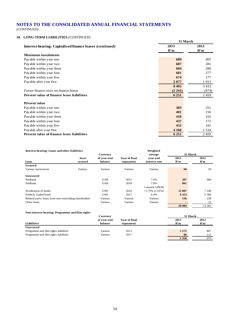*(CONTINUED)*

### **18. LONG-TERM LIABILITIES** *(CONTINUED)*

|                                                                 | 31 March |         |  |
|-----------------------------------------------------------------|----------|---------|--|
| <b>Interest-bearing: Capitalised finance leases (continued)</b> | 2013     | 2012    |  |
|                                                                 | R'm      | R'm     |  |
| <b>Minimum</b> instalments                                      |          |         |  |
| Payable within year one                                         | 689      | 405     |  |
| Payable within year two                                         | 687      | 281     |  |
| Payable within year three                                       | 684      | 280     |  |
| Payable within year four                                        | 681      | 277     |  |
| Payable within year five.                                       | 674      | 277     |  |
| Payable after year five                                         | 5 0 7 7  | 1913    |  |
|                                                                 | 8492     | 3 4 3 3 |  |
| Future finance costs on finance leases                          | (2 241)  | (974)   |  |
| <b>Present value of finance lease liabilities</b>               | 6 2 5 1  | 2459    |  |
|                                                                 |          |         |  |
| <b>Present value</b>                                            |          |         |  |
| Payable within year one                                         | 383      | 251     |  |
| Payable within year two                                         | 401      | 156     |  |
| Payable within year three                                       | 418      | 165     |  |
| Payable within year four                                        | 437      | 172     |  |
| Payable within year five                                        | 452      | 181     |  |
| Pay able after year five                                        | 4 1 6 0  | 1 5 3 4 |  |
| <b>Present value of finance lease liabilities</b>               | 6 2 5 1  | 2459    |  |

#### **Interest-bearing: Loans and other liabilities Weighted**

|                                                       |         | Currency    |                      | average           |         | 31 March |
|-------------------------------------------------------|---------|-------------|----------------------|-------------------|---------|----------|
|                                                       | Asset   | of vear-end | <b>Year of final</b> | vear-end          | 2013    | 2012     |
| Loan                                                  | secured | balance     | repayment            | interest rate     | R'm     | R'm      |
| <b>Secured</b>                                        |         |             |                      |                   |         |          |
| Various institutions                                  | Various | Various     | Various              | Various           | 60      | 29       |
| <b>Unsecured</b>                                      |         |             |                      |                   |         |          |
| Nedbank                                               |         | ZAR         | 2015                 | 7.6%              | 307     | 466      |
| Nedbank                                               |         | ZAR         | 2018                 | 7.0%              | 861     |          |
|                                                       |         |             |                      | 1-month LIBOR     |         |          |
| Syndication of banks                                  |         | <b>USD</b>  | 2016                 | $+1.75\%$ (1.95%) | 12807   | 7 2 4 8  |
| Publicly traded bond                                  |         | <b>USD</b>  | 2017                 | 6.4%              | 6413    | 5 3 6 8  |
| Related party loans from non-controlling shareholders |         | Various     | Various              | Various           | 536     | 228      |
| Other loans                                           |         | Various     | Various              | Various           |         | 23       |
|                                                       |         |             |                      |                   | 20 9 84 | 13 362   |
|                                                       |         |             |                      |                   |         |          |

#### **Non-interest-bearing: Programme and film rights**

|                                       | <b>Currency</b> |                      | 31 March |      |
|---------------------------------------|-----------------|----------------------|----------|------|
|                                       | of vear-end     | <b>Year of final</b> | 2013     | 2012 |
| Liabilities                           | balance         | repayment            | R'm      | R'm  |
| Unsecured                             |                 |                      |          |      |
| Programme and film rights liabilities | Various         | 2013                 | 1 2 7 2  | 867  |
| Programme and film rights liabilities | Various         | 2017                 | 86       | 112  |
|                                       |                 |                      | 1 3 5 8  | 979  |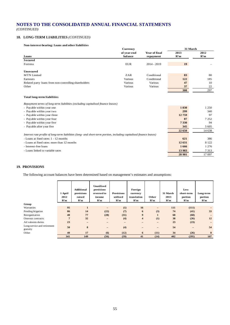*(CONTINUED)*

#### **18. LONG-TERM LIABILITIES** *(CONTINUED)*

#### **Non-interest-bearing: Loans and other liabilities**

|                                                                                 | Currency    |               | 31 March        |      |  |
|---------------------------------------------------------------------------------|-------------|---------------|-----------------|------|--|
|                                                                                 | of vear-end | Year of final | 2013            | 2012 |  |
| Loans                                                                           | balance     | repayment     | R'm             | R'm  |  |
| Secured                                                                         |             |               |                 |      |  |
| Fortress                                                                        | <b>EUR</b>  | $2014 - 2019$ | 19 <sup>°</sup> |      |  |
|                                                                                 |             |               |                 |      |  |
| <b>Unsecured</b>                                                                |             |               |                 |      |  |
| <b>MTN</b> Limited                                                              | ZAR         | Conditional   | 83              | 80   |  |
| Earnouts                                                                        | Various     | Conditional   | 122             | 185  |  |
| Related party loans from non-controlling shareholders                           | Various     | Various       | 47              | 10   |  |
| Other                                                                           | Various     | Various       | 37              | 22   |  |
|                                                                                 |             |               | 308             | 297  |  |
| <b>Total long-term liabilities</b>                                              |             |               |                 |      |  |
| Repayment terms of long-term liabilities (excluding capitalised finance leases) |             |               |                 |      |  |

| - Payable within year one                                                                                           | 1830    | 1 2 5 0 |
|---------------------------------------------------------------------------------------------------------------------|---------|---------|
| - Payable within year two                                                                                           | 299     | 340     |
| - Payable within year three                                                                                         | 12759   | 97      |
| - Payable within year four                                                                                          | 87      | 7 2 5 2 |
| - Payable within year five                                                                                          | 7 3 3 0 | 94      |
| - Payable after year five                                                                                           | 345     | 5 6 0 5 |
|                                                                                                                     | 22 650  | 14 638  |
| Interest rate profile of long-term liabilities (long- and short-term portion, including capitalised finance leases) |         |         |
| - Loans at fixed rates: 1 - 12 months                                                                               | 621     | 386     |
| - Loans at fixed rates: more than 12 months                                                                         | 12 631  | 8 1 2 2 |
| - Interest-free loans                                                                                               | 1666    | 1 2 7 6 |
| - Loans linked to variable rates                                                                                    | 13 983  | 7313    |
|                                                                                                                     | 28 901  | 17097   |

#### **19. PROVISIONS**

The following account balances have been determined based on management's estimates and assumptions:

|                                         | 1 April<br>2012<br>R'm | <b>Additional</b><br>provisions<br>raised<br>R'm | <b>Unutilised</b><br>provisions<br>reversed to<br>income<br>R'm | <b>Provisions</b><br>utilised<br>R'm | Foreign<br>currency<br>translation<br>R'm | Other<br>R'm             | 31 March<br>2013<br>R'm | Less<br>short-term<br>portion<br>R'm | Long-term<br>portion<br>R'm |
|-----------------------------------------|------------------------|--------------------------------------------------|-----------------------------------------------------------------|--------------------------------------|-------------------------------------------|--------------------------|-------------------------|--------------------------------------|-----------------------------|
| Group                                   |                        |                                                  |                                                                 |                                      |                                           |                          |                         |                                      |                             |
| Warranties                              | 95                     | $\mathbf{1}$                                     | $\overline{\phantom{0}}$                                        | (1)                                  | 16                                        | $\overline{\phantom{0}}$ | 111                     | (111)                                |                             |
| Pending litigation                      | 86                     | 14                                               | (22)                                                            | (7)                                  | 6                                         | (3)                      | 74                      | (41)                                 | 33                          |
| Reorganisation                          | 40                     | 77                                               | (28)                                                            | (31)                                 | 9                                         | $\mathbf{1}$             | 68                      | (68)                                 |                             |
| Onerous contracts                       | $7\phantom{.0}$        | 32                                               | $\overline{\phantom{0}}$                                        | (4)                                  | $\overline{\mathbf{4}}$                   | (1)                      | 38                      | (26)                                 | 12                          |
| Ad valorem duties                       | 23                     | $\qquad \qquad$                                  | $\overline{\phantom{0}}$                                        | $\overline{\phantom{0}}$             | —                                         | -                        | 23                      | (23)                                 | $\overline{\phantom{0}}$    |
| Long-service and retirement<br>gratuity | 50                     | 8                                                | $\overline{\phantom{0}}$                                        | (4)                                  | $\qquad \qquad -$                         | $\overline{\phantom{0}}$ | 54                      | $\overline{\phantom{0}}$             | 54                          |
| Other                                   | 40                     | 17                                               | (6)                                                             | (12)                                 | 6                                         | (11)                     | 34                      | (26)                                 | 8                           |
|                                         | 341                    | 149                                              | (56)                                                            | (59)                                 | 41                                        | (14)                     | 402                     | (295)                                | 107                         |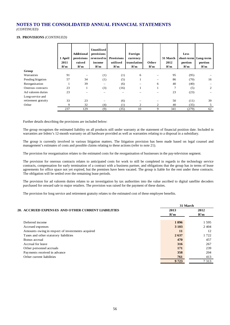*(CONTINUED)*

#### **19. PROVISIONS** *(CONTINUED)*

|                     | 1 April<br>2011<br>R'm | <b>Additional</b><br>provisions<br>raised<br>R'm | Unutilised<br>provisions<br>reversed to<br>income<br>R'm | <b>Provisions</b><br>utilised<br>R'm | Foreign<br>currency<br>translation<br>R'm | Other<br>R'm | 31 March<br>2012<br>R'm | Less<br>short-term<br>portion<br>R'm | Long-term<br>portion<br>R'm |
|---------------------|------------------------|--------------------------------------------------|----------------------------------------------------------|--------------------------------------|-------------------------------------------|--------------|-------------------------|--------------------------------------|-----------------------------|
| Group               |                        |                                                  |                                                          |                                      |                                           |              |                         |                                      |                             |
| Warranties          | 91                     |                                                  | (1)                                                      | (1)                                  | 6                                         |              | 95                      | (95)                                 |                             |
| Pending litigation  | 57                     | 34                                               | (1)                                                      | (5)                                  |                                           |              | 86                      | (70)                                 | 16                          |
| Reorganisation      |                        | 39                                               | -                                                        | (6)                                  | $\overline{\phantom{0}}$                  | 6            | 40                      | (40)                                 |                             |
| Onerous contracts   | 23                     |                                                  | (3)                                                      | (16)                                 |                                           |              | 7                       | (5)                                  | 2                           |
| Ad valorem duties   | 23                     |                                                  |                                                          |                                      |                                           |              | 23                      | (23)                                 |                             |
| Long-service and    |                        |                                                  |                                                          |                                      |                                           |              |                         |                                      |                             |
| retirement gratuity | 33                     | 23                                               |                                                          | (6)                                  |                                           |              | 50                      | (11)                                 | 39                          |
| Other               | 9                      | 32                                               | (4)                                                      | (1)                                  | 2                                         | 2            | 40                      | (35)                                 | 5                           |
|                     | 237                    | 129                                              | (9)                                                      | (35)                                 | 10                                        | 9            | 341                     | (279)                                | 62                          |

Further details describing the provisions are included below:

The group recognises the estimated liability on all products still under warranty at the statement of financial position date. Included in warranties are Irdeto's 12-month warranty on all hardware provided as well as warranties relating to a disposal in a subsidiary.

The group is currently involved in various litigation matters. The litigation provision has been made based on legal counsel and management's estimates of costs and possible claims relating to these actions (refer to note 21).

The provision for reorganisation relates to the estimated costs for the reorganisation of businesses in the pay-television segment.

The provision for onerous contracts relates to anticipated costs for work to still be completed in regards to the technology service contracts, compensation for early termination of a contract with a business partner, and obligations that the group has in terms of lease agreements for office space not yet expired, but the premises have been vacated. The group is liable for the rent under these contracts. The obligation will be settled over the remaining lease periods.

The provision for ad valorem duties relates to an investigation by tax authorities into the value ascribed to digital satellite decoders purchased for onward sale to major retailers. The provision was raised for the payment of these duties.

The provision for long service and retirement gratuity relates to the estimated cost of these employee benefits.

|                                                    | 31 March |         |  |
|----------------------------------------------------|----------|---------|--|
| 20. ACCRUED EXPENSES AND OTHER CURRENT LIABILITIES | 2013     | 2012    |  |
|                                                    | R'm      | R'm     |  |
| Deferred income                                    | 1896     | 1 5 9 5 |  |
| Accrued expenses                                   | 3 1 0 3  | 2404    |  |
| Amounts owing in respect of investments acquired   | 11       | 12      |  |
| Taxes and other statutory liabilities              | 2637     | 1722    |  |
| Bonus accrual                                      | 470      | 457     |  |
| Accrual for leave                                  | 316      | 267     |  |
| Other personnel accruals                           | 171      | 239     |  |
| Payments received in advance                       | 358      | 204     |  |
| Other current liabilities                          | 761      | 413     |  |
|                                                    | 9 7 2 3  | 7313    |  |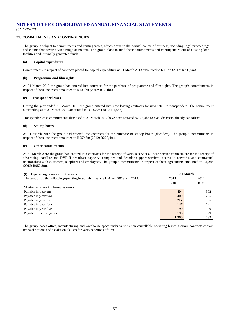#### **21. COMMITMENTS AND CONTINGENCIES**

The group is subject to commitments and contingencies, which occur in the normal course of business, including legal proceedings and claims that cover a wide range of matters. The group plans to fund these commitments and contingencies out of existing loan facilities and internally generated funds.

#### **(a) Capital expenditure**

Commitments in respect of contracts placed for capital expenditure at 31 March 2013 amounted to R1,1bn (2012: R298,9m).

#### **(b) Programme and film rights**

At 31 March 2013 the group had entered into contracts for the purchase of programme and film rights. The group's commitments in respect of these contracts amounted to R13,6bn (2012: R12,1bn).

#### **(c) Transponder leases**

During the year ended 31 March 2013 the group entered into new leasing contracts for new satellite transponders. The commitment outstanding as at 31 March 2013 amounted to R399,5m (2012: R4,5bn).

Transponder lease commitments disclosed at 31 March 2012 have been restated by R3,3bn to exclude assets already capitalised.

#### **(d) Set-top boxes**

At 31 March 2013 the group had entered into contracts for the purchase of set-top boxes (decoders). The group's commitments in respect of these contracts amounted to R559,6m (2012: R228,4m).

#### **(e) Other commitments**

At 31 March 2013 the group had entered into contracts for the receipt of various services. These service contracts are for the receipt of advertising, satellite and DVB-H broadcast capacity, computer and decoder support services, access to networks and contractual relationships with customers, suppliers and employees. The group's commitments in respect of these agreements amounted to R1,2bn (2012: R952,8m).

| <b>Operating lease commitments</b><br>(f)                                           |         | 31 March |
|-------------------------------------------------------------------------------------|---------|----------|
| The group has the following operating lease liabilities at 31 M arch 2013 and 2012: | 2013    | 2012     |
|                                                                                     | R'm     | R'm      |
| Minimum operating lease payments:                                                   |         |          |
| Payable in year one                                                                 | 404     | 302      |
| Payable in year two                                                                 | 300     | 235      |
| Payable in year three                                                               | 217     | 195      |
| Payable in year four                                                                | 147     | 121      |
| Payable in year five                                                                | 99      | 100      |
| Payable after five years                                                            | 193     | 129      |
|                                                                                     | 1 3 6 0 | 1082     |

The group leases office, manufacturing and warehouse space under various non-cancellable operating leases. Certain contracts contain renewal options and escalation clauses for various periods of time.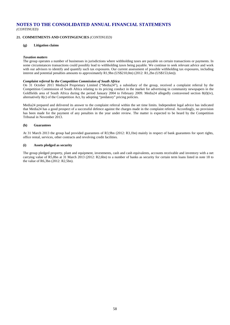*(CONTINUED)*

#### **21. COMMITMENTS AND CONTINGENCIES** *(CONTINUED)*

#### **(g) Litigation claims**

#### *Taxation matters*

The group operates a number of businesses in jurisdictions where withholding taxes are payable on certain transactions or payments. In some circumstances transactions could possibly lead to withholding taxes being payable. We continue to seek relevant advice and work with our advisors to identify and quantify such tax exposures. Our current assessment of possible withholding tax exposures, including interest and potential penalties amounts to approximately R1,9bn (US\$210,0m) (2012: R1,2bn (US\$153,6m)).

#### *Complaint referral by the Competition Commission of South Africa*

On 31 October 2011 Media24 Proprietary Limited ("Media24"), a subsidiary of the group, received a complaint referral by the Competition Commission of South Africa relating to its pricing conduct in the market for advertising in community newspapers in the Goldfields area of South Africa during the period January 2004 to February 2009. Media24 allegedly contravened section 8(d)(iv), alternatively 8(c) of the Competition Act, by adopting "predatory" pricing policies.

Media24 prepared and delivered its answer to the complaint referral within the set time limits. Independent legal advice has indicated that Media24 has a good prospect of a successful defence against the charges made in the complaint referral. Accordingly, no provision has been made for the payment of any penalties in the year under review. The matter is expected to be heard by the Competition Tribunal in November 2013.

#### **(h) Guarantees**

At 31 March 2013 the group had provided guarantees of R3,9bn (2012: R3,1bn) mainly in respect of bank guarantees for sport rights, office rental, services, other contracts and revolving credit facilities.

#### **(i) Assets pledged as security**

The group pledged property, plant and equipment, investments, cash and cash equivalents, accounts receivable and inventory with a net carrying value of R5,8bn at 31 March 2013 (2012: R2,6bn) to a number of banks as security for certain term loans listed in note 18 to the value of R6,3bn (2012: R2,5bn).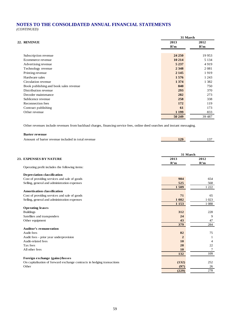*(CONTINUED)*

| 22. REVENUE<br>2012<br>2013<br>R'm<br>R'm<br>24 250<br>19 9 53<br>Subscription revenue<br>10 214<br>5 1 3 4<br>Ecommerce revenue<br>4919<br>5 2 3 7<br>Advertising revenue<br>2 3 4 8<br>Technology revenue<br>2 0 8 1<br>Printing revenue<br>2 1 4 5<br>1919<br>Hardware sales<br>1576<br>1 2 4 3<br>1 3 7 4<br>Circulation revenue<br>1 3 8 2<br>840<br>Book publishing and book sales revenue<br>750<br>Distribution revenue<br>293<br>370<br>282<br>Decoder maintenance<br>273<br>258<br>Sublicence revenue<br>338<br>Reconnection fees<br>172<br>119<br>61<br>Contract publishing<br>173<br>1 1 9 9<br>Other revenue<br>833<br>50 249<br>39 4 87 |  | 31 March |  |  |
|-------------------------------------------------------------------------------------------------------------------------------------------------------------------------------------------------------------------------------------------------------------------------------------------------------------------------------------------------------------------------------------------------------------------------------------------------------------------------------------------------------------------------------------------------------------------------------------------------------------------------------------------------------|--|----------|--|--|
|                                                                                                                                                                                                                                                                                                                                                                                                                                                                                                                                                                                                                                                       |  |          |  |  |
|                                                                                                                                                                                                                                                                                                                                                                                                                                                                                                                                                                                                                                                       |  |          |  |  |
|                                                                                                                                                                                                                                                                                                                                                                                                                                                                                                                                                                                                                                                       |  |          |  |  |
|                                                                                                                                                                                                                                                                                                                                                                                                                                                                                                                                                                                                                                                       |  |          |  |  |
|                                                                                                                                                                                                                                                                                                                                                                                                                                                                                                                                                                                                                                                       |  |          |  |  |
|                                                                                                                                                                                                                                                                                                                                                                                                                                                                                                                                                                                                                                                       |  |          |  |  |
|                                                                                                                                                                                                                                                                                                                                                                                                                                                                                                                                                                                                                                                       |  |          |  |  |
|                                                                                                                                                                                                                                                                                                                                                                                                                                                                                                                                                                                                                                                       |  |          |  |  |
|                                                                                                                                                                                                                                                                                                                                                                                                                                                                                                                                                                                                                                                       |  |          |  |  |
|                                                                                                                                                                                                                                                                                                                                                                                                                                                                                                                                                                                                                                                       |  |          |  |  |
|                                                                                                                                                                                                                                                                                                                                                                                                                                                                                                                                                                                                                                                       |  |          |  |  |
|                                                                                                                                                                                                                                                                                                                                                                                                                                                                                                                                                                                                                                                       |  |          |  |  |
|                                                                                                                                                                                                                                                                                                                                                                                                                                                                                                                                                                                                                                                       |  |          |  |  |
|                                                                                                                                                                                                                                                                                                                                                                                                                                                                                                                                                                                                                                                       |  |          |  |  |
|                                                                                                                                                                                                                                                                                                                                                                                                                                                                                                                                                                                                                                                       |  |          |  |  |
|                                                                                                                                                                                                                                                                                                                                                                                                                                                                                                                                                                                                                                                       |  |          |  |  |
|                                                                                                                                                                                                                                                                                                                                                                                                                                                                                                                                                                                                                                                       |  |          |  |  |
|                                                                                                                                                                                                                                                                                                                                                                                                                                                                                                                                                                                                                                                       |  |          |  |  |

Other revenues include revenues from backhaul charges, financing service fees, online deed searches and instant messaging.

#### **Barter revenue**

| Amount of barter revenue included in total revenue | 129 |  |
|----------------------------------------------------|-----|--|
|                                                    |     |  |

|                                                                         | 31 March     |         |
|-------------------------------------------------------------------------|--------------|---------|
| 23. EXPENSES BY NATURE                                                  | 2013         | 2012    |
|                                                                         | R'm          | R'm     |
| Operating profit includes the following items:                          |              |         |
| Depreciation classification                                             |              |         |
| Cost of providing services and sale of goods                            | 984          | 654     |
| Selling, general and administration expenses                            | 525          | 568     |
|                                                                         | 1509         | 1 2 2 2 |
| Amortisation classification                                             |              |         |
| Cost of providing services and sale of goods                            | 71           | 65      |
| Selling, general and administration expenses                            | 1 0 8 2      | 1 0 23  |
|                                                                         | 1 1 5 3      | 1 0 8 8 |
| <b>Operating leases</b>                                                 |              |         |
| <b>Buildings</b>                                                        | 312          | 228     |
| Satellites and transponders                                             | 24           | 9       |
| Other equipment                                                         | 43           | 47      |
|                                                                         | 379          | 284     |
| <b>Auditor's remuneration</b>                                           |              |         |
| Audit fees                                                              | 82           | 75      |
| Audit fees - prior year underprovision                                  | $\mathbf{2}$ | 1       |
| Audit-related fees                                                      | <b>10</b>    | 4       |
| Tax fees                                                                | 28           | 22      |
| All other fees                                                          | 10           | 7       |
|                                                                         | 132          | 109     |
| Foreign exchange (gains)/losses                                         |              |         |
| On capitalisation of forward exchange contracts in hedging transactions | (132)        | 252     |
| Other                                                                   | (97)         | 26      |
|                                                                         | (229)        | 278     |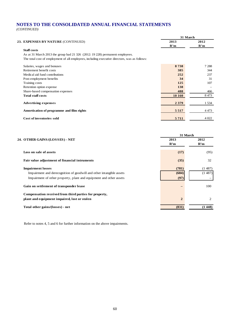*(CONTINUED)*

|                                                                                               |         | 31 March         |
|-----------------------------------------------------------------------------------------------|---------|------------------|
| 23. EXPENSES BY NATURE (CONTINUED)                                                            | 2013    | 2012             |
|                                                                                               | R'm     | R'm              |
| <b>Staff</b> costs                                                                            |         |                  |
| As at 31 March 2013 the group had 21 326 (2012: 19 228) permanent employees.                  |         |                  |
| The total cost of employment of all employees, including executive directors, was as follows: |         |                  |
| Salaries, wages and bonuses                                                                   | 8738    | 7 2 8 8          |
| Retirement benefit costs                                                                      | 385     | 344              |
| Medical aid fund contributions                                                                | 252     | 237              |
| Post-employment benefits                                                                      | 34      | 31               |
| Training costs                                                                                | 125     | 107              |
| Retention option expense                                                                      | 138     |                  |
| Share-based compensation expenses                                                             | 488     | 466              |
| <b>Total staff costs</b>                                                                      | 10 160  | 8 4 7 3          |
| <b>Advertising expenses</b>                                                                   | 2 3 7 9 | 1 5 3 4          |
| Amortisation of programme and film rights                                                     | 5 5 1 7 | 4 4 7 3          |
| <b>Cost of inventories sold</b>                                                               | 5711    | 4 0 22           |
|                                                                                               | 2013    | 31 March<br>2012 |
| 24. OTHER GAINS/(LOSSES) - NET                                                                |         |                  |
|                                                                                               | R'm     | R'm              |
| Loss on sale of assets                                                                        | (17)    | (95)             |
| Fair value adjustment of financial intruments                                                 | (35)    | 32               |
| <b>Impairment losses</b>                                                                      | (781)   | (1487)           |
| Impairment and derecognition of goodwill and other intangible assets                          | (684)   | (1487)           |
| Impairment of other property, plant and equipment and other assets                            | (97)    |                  |
|                                                                                               |         |                  |

#### **Gain on settlement of transponder lease** and the set of the set of the set of the set of the set of the set of the set of the set of the set of the set of the set of the set of the set of the set of the set of the set of

**Compensation received from third parties for property, plant and equipment impaired, lost or stolen 2** 2

**Total other gains/(losses) - net** (831) (1 448)

Refer to notes 4, 5 and 6 for further information on the above impairments.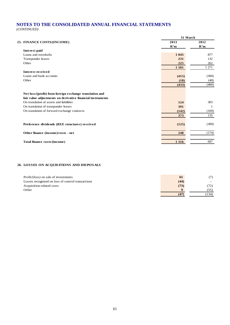*(CONTINUED)*

|                                                            |         | 31 March |
|------------------------------------------------------------|---------|----------|
| 25. FINANCE COSTS/(INCOME)                                 | 2013    | 2012     |
|                                                            | R'm     | R'm      |
| Interest paid                                              |         |          |
| Loans and overdrafts                                       | 1 0 4 5 | 877      |
| Transponder leases                                         | 231     | 132      |
| Other                                                      | 225     | 262      |
|                                                            | 1501    | 1 271    |
| Interest received                                          |         |          |
| Loans and bank accounts                                    | (415)   | (360)    |
| Other                                                      | (18)    | (40)     |
|                                                            | (433)   | (400)    |
|                                                            |         |          |
| Net loss/(profit) from foreign exchange translation and    |         |          |
| fair value adjustments on derivative financial instruments |         |          |
| On translation of assets and liabilities                   | 124     | 303      |
| On translation of transponder leases                       | 391     | 1        |
| On translation of forward exchange contracts               | (142)   | (169)    |
|                                                            | 373     | 135      |
|                                                            |         |          |
| Preference dividends (BEE structures) received             | (125)   | (309)    |
|                                                            |         |          |
| Other finance (income)/costs - net                         | 248     | (174)    |
|                                                            |         |          |
| Total finance costs/(income)                               | 1 3 1 6 | 697      |
|                                                            |         |          |

#### **26. LOSSES ON ACQUISITIONS AND DISPOSALS**

| Profit/(loss) on sale of investments              | 61       |                          |
|---------------------------------------------------|----------|--------------------------|
| Losses recognised on loss of control transactions | (44)     | $\overline{\phantom{a}}$ |
| Acquisition-related costs                         | (73)     | 72)                      |
| Other                                             | $\Omega$ | (55)                     |
|                                                   | (47)     | (134)                    |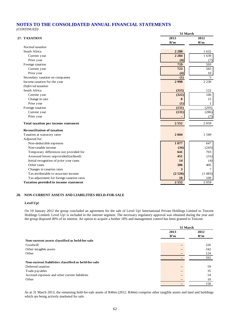*(CONTINUED)*

|                                           | 31 March |         |
|-------------------------------------------|----------|---------|
| 27. TAXATION                              | 2013     | 2012    |
|                                           | R'm      | R'm     |
| Normal taxation                           |          |         |
| South Africa                              | 2 2 8 0  | 1632    |
| Current year                              | 2 2 8 4  | 1 639   |
| Prior year                                | (4)      | (7)     |
| Foreign taxation                          | 719      | 593     |
| Current year                              | 723      | 583     |
| Prior year                                | (4)      | 10      |
| Secondary taxation on companies           | (1)      | 5       |
| Income taxation for the year              | 2998     | 2 2 3 0 |
| Deferred taxation                         |          |         |
| South Africa                              | (315)    | 122     |
| Current year                              | (322)    | 106     |
| Change in rate                            | 8        | 15      |
| Prior year                                | (1)      | 1       |
| Foreign taxation                          | (131)    | (293)   |
| Current year                              | (131)    | (286)   |
| Prior year                                |          | (7)     |
| Total taxation per income statement       | 2552     | 2059    |
| <b>Reconciliation of taxation</b>         |          |         |
| Taxation at statutory rates               | 2604     | 1549    |
| Adjusted for:                             |          |         |
| Non-deductible expenses                   | 1077     | 647     |
| Non-taxable income                        | (34)     | (243)   |
| Temporary differences not provided for    | 641      | 703     |
| Assessed losses unprovided/(utilised)     | 451      | (31)    |
| Initial recognition of prior year taxes   | 14       | (4)     |
| Other taxes                               | 306      | 405     |
| Changes in taxation rates                 | 3        | 7       |
| Tax attributable to associate income      | (2520)   | (1083)  |
| Tax adjustment for foreign taxation rates | 10       | 109     |
| Taxation provided in income statement     | 2 5 5 2  | 2059    |

#### **28. NON-CURRENT ASSETS AND LIABILITIES HELD-FOR-SALE**

#### **Level Up!**

On 19 January 2012 the group concluded an agreement for the sale of Level Up! International Private Holdings Limited to Tencent Holdings Limited. Level Up! is included in the internet segment. The necessary regulatory approval was obtained during the year and the group disposed 49% of its interest. An option to acquire a further 18% and management control has been granted to Tencent.

|                                                     | 31 March |      |
|-----------------------------------------------------|----------|------|
|                                                     | 2013     | 2012 |
|                                                     | R'm      | R'm  |
| Non-current assets classified as held-for-sale      |          |      |
| Goodwill                                            |          | 226  |
| Other intagible assets                              |          | 242  |
| Other                                               |          | 124  |
|                                                     |          | 592  |
| Non-current liabilities classified as held-for-sale |          |      |
| Deferred taxation                                   | -        | 59   |
| Trade payables                                      |          | 35   |
| Accrued expenses and other current liabilities      |          | 54   |
| Other                                               |          | 10   |
|                                                     |          | 158  |

As at 31 March 2013, the remaining held-for-sale assets of R46m (2012: R44m) comprise other tangible assets and land and buildings which are being actively marketed for sale.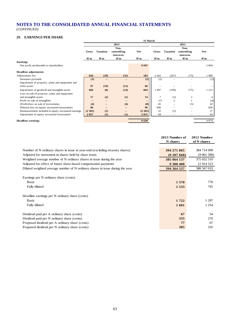*(CONTINUED)*

#### **29. EARNINGS PER SHARE**

| ,,,<br>lawww.c                                      | 31 March          |                   |                          |            |              |                 |                          |            |
|-----------------------------------------------------|-------------------|-------------------|--------------------------|------------|--------------|-----------------|--------------------------|------------|
|                                                     |                   | 2013<br>2012      |                          |            |              |                 |                          |            |
|                                                     |                   |                   | Non-                     |            |              |                 | Non-                     |            |
|                                                     | <b>Gross</b>      | <b>Taxation</b>   | controlling<br>interests | <b>Net</b> | <b>Gross</b> | <b>Taxation</b> | controlling<br>interests | <b>Net</b> |
|                                                     | R'm               | R'm               | R'm                      | R'm        | R'm          | R'm             | R'm                      | R'm        |
| Earnings                                            |                   |                   |                          |            |              |                 |                          |            |
| Net profit attributable to shareholders             |                   |                   |                          | 6 0 4 7    |              |                 |                          | 2894       |
|                                                     |                   |                   |                          |            |              |                 |                          |            |
| <b>Headline adjustments</b>                         |                   |                   |                          |            |              |                 |                          |            |
| Adjustments for:                                    | 644               | (29)              | (32)                     | 583        | 2 2 6 2      | (207)           | (75)                     | 1980       |
| Insurance proceeds                                  | (2)               | $\qquad \qquad -$ | $-$                      | (2)        | (2)          |                 |                          | (2)        |
| Impairment of property, plant and equipment and     |                   |                   |                          |            |              |                 |                          |            |
| other assets                                        | 97                | (19)              | (12)                     | 66         |              |                 |                          |            |
| Impairment of goodwill and intangible assets        | 684               | (6)               | (14)                     | 664        | 1487         | (199)           | (75)                     | 1 2 1 3    |
| Loss on sale of property, plant and equipment       |                   |                   |                          |            |              |                 |                          |            |
| and intangible assets                               | 17                | (2)               | (1)                      | 14         | 7            | (5)             | 2                        |            |
| Profit on sale of intangibles                       | $\qquad \qquad -$ |                   |                          |            | (7)          | $\overline{c}$  |                          | (4)        |
| (Profit)/loss on sale of investments                | (4)               |                   | (4)                      | (8)        | 45           |                 | (3)                      | 42         |
| Dilution loss on equity-accounted investments       | 96                |                   |                          | 96         | 606          |                 |                          | 606        |
| Remeasurement included in equity-accounted earnings | (2301)            | (1)               |                          | (2302)     | 32           | (5)             |                          | 27         |
| Impairment of equity-accounted investments          | 2057              | (1)               | (1)                      | 2 0 5 5    | 94           |                 |                          | 94         |
| <b>Headline earnings</b>                            |                   |                   |                          | 6 6 3 0    |              |                 |                          | 4 8 7 4    |
|                                                     |                   |                   |                          |            |              |                 |                          |            |

|                                                                               | 2013 Number of | 2012 Number |
|-------------------------------------------------------------------------------|----------------|-------------|
|                                                                               | N shares       | of N shares |
|                                                                               |                |             |
| Number of N ordinary shares in issue at year-end (excluding treasury shares)  | 394 271 805    | 384 714 099 |
| Adjusted for movement in shares held by share trusts                          | (9207668)      | (9061589)   |
| Weighted average number of N ordinary shares in issue during the year         | 385 064 137    | 375 652 510 |
| Adjusted for effect of future share-based compensation payments               | 9 300 400      | 12 914 523  |
| Diluted weighted average number of N ordinary shares in issue during the year | 394 364 537    | 388 567 033 |
|                                                                               |                |             |
| Earnings per N ordinary share (cents)                                         |                |             |
| <b>Basic</b>                                                                  | 1570           | 770         |
| Fully diluted                                                                 | 1533           | 745         |
|                                                                               |                |             |
| Headline earnings per N ordinary share (cents)                                |                |             |
| <b>Basic</b>                                                                  | 1722           | 1 297       |
| Fully diluted                                                                 | 1681           | 1 2 5 4     |
|                                                                               |                |             |
| Dividend paid per A ordinary share (cents)                                    | 67             | 54          |
| Dividend paid per N ordinary share (cents)                                    | 335            | 270         |
| Proposed dividend per A ordinary share (cents)                                | 77             | 67          |
| Proposed dividend per N ordinary share (cents)                                | 385            | 335         |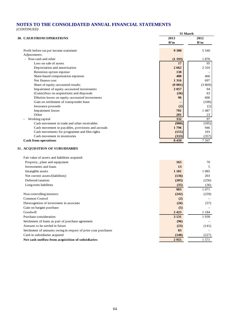*(CONTINUED)*

|                                                                | 31 March |         |  |
|----------------------------------------------------------------|----------|---------|--|
| <b>30. CASH FROM OPERATIONS</b>                                | 2013     | 2012    |  |
|                                                                | R'm      | R'm     |  |
| Profit before tax per income statement                         | 9 300    | 5 5 4 0 |  |
| Adjustments:                                                   |          |         |  |
| - Non-cash and other                                           | (1193)   | 1870    |  |
| Loss on sale of assets                                         | 17       | 95      |  |
| Depreciation and amortisation                                  | 2662     | 2 3 1 0 |  |
| Retention option expense                                       | 138      |         |  |
| Share-based compensation expenses                              | 488      | 466     |  |
| Net finance cost                                               | 1 3 1 6  | 697     |  |
| Share of equity-accounted results                              | (9001)   | (3869)  |  |
| Impairment of equity-accounted investments                     | 2057     | 94      |  |
| (Gains)/loss on acquisitions and disposals                     | (26)     | 63      |  |
| Dilution losses on equity-accounted investments                | 96       | 606     |  |
| Gain on settlement of transponder lease                        |          | (100)   |  |
| Insurance proceeds                                             | (2)      | (2)     |  |
| Impairment losses                                              | 781      | 1487    |  |
| Other                                                          | 281      | 23      |  |
| Working capital                                                | 332      | 97      |  |
| Cash movement in trade and other receivables                   | (980)    | (595)   |  |
| Cash movement in payables, provisions and accruals             | 1796     | 946     |  |
| Cash movements for programme and film rights                   | (151)    | 103     |  |
| Cash movement in inventories                                   | (333)    | (357)   |  |
| <b>Cash from operations</b>                                    | 8 4 3 9  | 7507    |  |
| 31. ACQUISITION OF SUBSIDIARIES                                |          |         |  |
| Fair value of assets and liabilities acquired:                 |          |         |  |
| Property, plant and equipment                                  | 165      | 70      |  |
| Investments and loans                                          | 13       | 5       |  |
| Intangible assets                                              | 1 1 8 1  | 1 0 8 5 |  |
| Net current assets/(liabilities)                               | (136)    | 203     |  |
| Deferred taxation                                              | (205)    | (256)   |  |
| Long-term liabilities                                          | (35)     | (36)    |  |
|                                                                | 983      | 1 0 7 1 |  |
|                                                                |          |         |  |
| Non-controlling interests                                      | (242)    | (259)   |  |
| Common Control                                                 | (2)      |         |  |
| Derecognition of investment in associate                       | (26)     | (57)    |  |
| Gain on bargain purchase                                       | (5)      |         |  |
| Goodwill                                                       | 2 4 2 3  | 1 1 8 4 |  |
| Purchase consideration                                         | 3 1 3 1  | 1939    |  |
| Settlement of loans as part of purchase agreement              | (96)     |         |  |
| Amount to be settled in future                                 | (23)     | (141)   |  |
| Settlement of amounts owing in respect of prior year purchases | 83       |         |  |
| Cash in subsidiaries acquired                                  | (140)    | (227)   |  |
| Net cash outflow from acquisition of subsidiaries              | 2955     | 1 571   |  |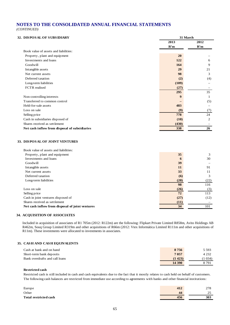*(CONTINUED)*

#### **32. DISPOSAL OF SUBSIDIARY**

|                                               | 2013  | 2012 |  |  |
|-----------------------------------------------|-------|------|--|--|
|                                               | R'm   | R'm  |  |  |
| Book value of assets and liabilities:         |       |      |  |  |
| Property, plant and equipment                 | 20    |      |  |  |
| Investments and loans                         | 122   | 6    |  |  |
| Goodwill                                      | 164   | 9    |  |  |
| Intangible assets                             | 29    | 21   |  |  |
| Net current assets                            | 98    | 3    |  |  |
| Deferred taxation                             | (2)   | (4)  |  |  |
| Long-term liabilities                         | (109) |      |  |  |
| FCTR realised                                 | (27)  |      |  |  |
|                                               | 295   | 35   |  |  |
| Non-controlling interests                     | 9     |      |  |  |
| Transferred to common control                 |       | (5)  |  |  |
| Held-for-sale assets                          | 483   |      |  |  |
| Loss on sale                                  | (9)   | (7)  |  |  |
| Selling price                                 | 778   | 24   |  |  |
| Cash in subsidiaries disposed of              | (10)  | 2    |  |  |
| Shares received as settlement                 | (430) |      |  |  |
| Net cash inflow from disposal of subsidiaries | 338   | 26   |  |  |
|                                               |       |      |  |  |
|                                               |       |      |  |  |
| <b>33. DISPOSAL OF JOINT VENTURES</b>         |       |      |  |  |
| Book value of assets and liabilities:         |       |      |  |  |

**31 March**

| Property, plant and equipment                   | 35   | 3    |
|-------------------------------------------------|------|------|
| Investments and loans                           | 6    | 30   |
| Goodwill                                        | 39   |      |
| Intangible assets                               | 11   | 91   |
| Net current assets                              | 33   | 11   |
| Deferred taxation                               | (6)  | 3    |
| Long-term liabilities                           | (20) | (22) |
|                                                 | 98   | 116  |
| Loss on sale                                    | (26) | (3)  |
| Selling price                                   | 72   | 113  |
| Cash in joint ventures disposed of              | (27) | (12) |
| Shares received as settlement                   | (11) |      |
| Net cash inflow from disposal of joint ventures | 34   | 101  |

#### **34. ACQUISITION OF ASSOCIATES**

Included in acquisition of associates of R1 705m (2012: R122m) are the following: Flipkart Private Limited R858m, Avito Holdings AB R462m, Souq Group Limited R319m and other acquisitions of R66m (2012: Vtex Informática Limited R111m and other acquisitions of R11m). These investments were allocated to investments in associates.

#### **35. CASH AND CASH EQUIVALENTS**

| Cash at bank and on hand       | 8756    | 5 5 9 3  |
|--------------------------------|---------|----------|
| Short-term bank deposits       | 7 0 5 7 | 4 2 3 2  |
| Bank overdrafts and call loans | (1423)  | $1\,034$ |
|                                | 14 390  | 8 7 9 1  |

**Restricted cash**

Restricted cash is still included in cash and cash equivalents due to the fact that it mostly relates to cash held on behalf of customers. The following cash balances are restricted from immediate use according to agreements with banks and other financial institutions:

| Europe                       | 412 | 278            |
|------------------------------|-----|----------------|
| Other                        | 44  | $\gamma$<br>رے |
| <b>Total restricted cash</b> | 456 | 303            |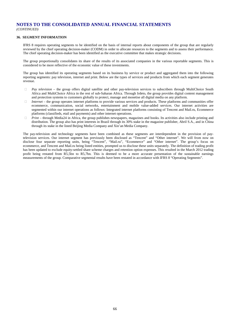*(CONTINUED)*

#### **36. SEGMENT INFORMATION**

IFRS 8 requires operating segments to be identified on the basis of internal reports about components of the group that are regularly reviewed by the chief operating decision-maker (CODM) in order to allocate resources to the segments and to assess their performance. The chief operating decision-maker has been identified as the executive committee that makes strategic decisions.

The group proportionally consolidates its share of the results of its associated companies in the various reportable segments. This is considered to be more reflective of the economic value of these investments.

The group has identified its operating segments based on its business by service or product and aggregated them into the following reporting segments: pay television, internet and print. Below are the types of services and products from which each segment generates revenue.

- *Pay television –* the group offers digital satellite and other pay-television services to subscribers through MultiChoice South Africa and MultiChoice Africa in the rest of sub-Saharan Africa. Through Irdeto, the group provides digital content management and protection systems to customers globally to protect, manage and monetise all digital media on any platform.
- *Internet* the group operates internet platforms to provide various services and products. These platforms and communities offer ecommerce, communication, social networks, entertainment and mobile value-added services. Our internet activities are segmented within our internet operations as follows: Integrated internet platforms consisting of Tencent and Mail.ru, Ecommerce platforms (classifieds, etail and payments) and other internet operations.
- *Print –* through Media24 in Africa, the group publishes newspapers, magazines and books. Its activities also include printing and distribution. The group also has print interests in Brazil through its 30% stake in the magazine publisher, Abril S.A., and in China through its stake in the listed Beijing Media Company and Xin'an Media Company.

The pay-television and technology segments have been combined as these segments are interdependent in the provision of paytelevision services. Our internet segment has previously been disclosed as "Tencent" and "Other internet". We will from now on disclose four separate reporting units, being "Tencent", "Mail.ru", "Ecommerce" and "Other internet". The group's focus on ecommerce, and Tencent and Mail.ru being listed entities, prompted us to disclose these units separately. The definition of trading profit has been updated to exclude equity-settled share scheme charges and retention option expenses. This resulted in the March 2012 trading profit being restated from R5,5bn to R5,7bn. This is deemed to be a more accurate presentation of the sustainable earnings measurements of the group. Comparative segmental results have been restated in accordance with IFRS 8 "Operating Segments".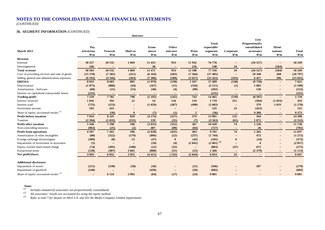*(CONTINUED)*

#### **36. SEGMENT INFORMATION** *(CONTINUED)*

|                                                  |                   | Internet                 |                   |        |                          |                          |                            |                          |                                         |                          |                          |
|--------------------------------------------------|-------------------|--------------------------|-------------------|--------|--------------------------|--------------------------|----------------------------|--------------------------|-----------------------------------------|--------------------------|--------------------------|
|                                                  | Pay               |                          |                   | Ecom-  | Other                    |                          | <b>Total</b><br>reportable |                          | Less:<br>Proportionally<br>consolidated | Elimi-                   |                          |
| March 2013                                       | television        | <b>Tencent</b>           | Mail.ru           | merce  | internet                 | Print                    | segments                   | Corporate                | associates                              | nations                  | <b>Total</b>             |
|                                                  | R'm               | R'm                      | R'm               | R'm    | R'm                      | R'm                      | R'm                        | R'm                      | R'm                                     | R'm                      | R'm                      |
| Revenue                                          |                   |                          |                   |        |                          |                          |                            |                          |                                         |                          |                          |
| External                                         | 30 257            | 20 532                   | 1669              | 11 433 | 953                      | 11932                    | 76 776                     | $\qquad \qquad -$        | (26527)                                 | $\overline{\phantom{a}}$ | 50 249                   |
| Intersegmental                                   | 246               |                          |                   | 38     | $\overline{\phantom{m}}$ | 256                      | 540                        | 24                       |                                         | (564)                    | $\overline{\phantom{m}}$ |
| <b>Total revenue</b>                             | 30 503            | 20 532                   | 1669              | 11 471 | 953                      | 12 188                   | 77 316                     | 24                       | (26527)                                 | (564)                    | 50 249                   |
| Cost of providing services and sale of goods     | (15378)           | (7585)                   | (411)             | (6164) | (503)                    | (7364)                   | (37405)                    | $\overline{\phantom{m}}$ | 10 340                                  | 268                      | (26797)                  |
| Selling, general and administration expenses     | (6192)            | (4344)                   | (363)             | (7286) | (580)                    | (3657)                   | (22 422)                   | (162)                    | 6 457                                   | 296                      | (15831)                  |
| <b>EBITDA</b>                                    | 8933              | 8 6 0 3                  | 895               | (1979) | (130)                    | 1 1 6 7                  | 17 489                     | (138)                    | (9730)                                  | $\overline{\phantom{m}}$ | 7621                     |
| Depreciation                                     | (1075)            | (880)                    | (44)              | (167)  | (11)                     | (334)                    | (2511)                     | (1)                      | 1 003                                   |                          | (1509)                   |
| Amortisation - Software                          | (68)              | (21)                     | (53)              | (46)   | (4)                      | (90)                     | (282)                      | $\qquad \qquad -$        | 130                                     |                          | (152)                    |
| Interest on capitalised transponder leases       | (231)             |                          |                   |        |                          |                          | (231)                      | $\qquad \qquad -$        |                                         |                          | (231)                    |
| <b>Trading profit</b>                            | 7559              | 7702                     | 798               | (2192) | (145)                    | 743                      | 14 4 65                    | (139)                    | (8597)                                  | $\overline{\phantom{0}}$ | 5729                     |
| Interest received                                | 1016              | 392                      | 22                | 54     | 116                      | 119                      | 1719                       | 251                      | (504)                                   | (1033)                   | 433                      |
| Interest paid                                    | (723)             | (153)                    | $\qquad \qquad -$ | (1029) | (287)                    | (490)                    | (2682)                     | $\equiv$                 | 379                                     | 1 0 3 3                  | (1 270)                  |
| Investment income                                | 102               | 423                      |                   |        |                          |                          | 525                        | 23                       | (423)                                   |                          | 125                      |
| Share of equity-accounted results <sup>(1)</sup> |                   | (39)                     | 9                 | (7)    | (1)                      | $\overline{2}$           | (36)                       |                          | 9 3 0 9                                 |                          | 9 2 7 3                  |
| Profit before taxation                           | 7954              | 8 3 2 5                  | 829               | (3174) | (317)                    | 374                      | 13 991                     | 135                      | 164                                     | $\overline{\phantom{0}}$ | 14 290                   |
| Taxation                                         | (2394)            | (1035)                   | (231)             | 139    | (35)                     | (7)                      | (3563)                     | (61)                     | 1072                                    | $\overline{\phantom{0}}$ | (2552)                   |
| <b>Profit after taxation</b>                     | 5 5 6 0           | 7 2 9 0                  | 598               | (3035) | (352)                    | 367                      | 10 4 28                    | 74                       | 1 2 3 6                                 | $\overline{\phantom{0}}$ | 11 738                   |
| Non-controlling interests                        | (963)             | (25)                     | (2)               | 407    | (80)                     | (64)                     | (727)                      |                          | 26                                      |                          | (701)                    |
| <b>Profit from operations</b>                    | 4597              | 7 2 6 5                  | 596               | (2628) | (432)                    | 303                      | 9701                       | 74                       | 1 2 6 2                                 | $\overline{\phantom{0}}$ | 11 037                   |
| Amortisation of other intangibles                | (88)              | (322)                    | (179)             | (896)  | (22)                     | (237)                    | (1744)                     |                          | 472                                     |                          | (1 272)                  |
| Foreign exchange (losses)/gains                  | (309)             | (8)                      | 53                | (47)   | $\boldsymbol{9}$         | (43)                     | (345)                      | 6                        | (34)                                    |                          | (373)                    |
| Impairment of investment in associates           | (5)               |                          |                   | (10)   | (4)                      | (2042)                   | $(2 061)^{(3)}$            | $\overline{\phantom{0}}$ | $\boldsymbol{\Lambda}$                  |                          | (2 057)                  |
| Equity-settled share-based charge                | (74)              | (495)                    | (180)             | (22)   | (32)                     | $\overline{\phantom{a}}$ | (803)                      | (47)                     | 675                                     |                          | (175)                    |
| Exceptional items                                | (128)             | (387)                    | 2 6 6 5           | (808)  | (51)                     | (25)                     | 1 2 6 6                    |                          | (2379)                                  |                          | (1113)                   |
| Net profit/(loss)                                | 3993              | 6 0 53                   | 2955              | (4411) | (532)                    | (2044)                   | 6 0 1 4                    | 33                       |                                         |                          | 6 0 4 7                  |
| <b>Additional disclosure</b>                     |                   |                          |                   |        |                          |                          |                            |                          |                                         |                          |                          |
| Impairment of assets                             | (121)             | (330)                    | (58)              | (36)   |                          | (21)                     | (566)                      |                          | 387                                     |                          | (179)                    |
| Impairment of goodwill                           | (140)             | $\overline{\phantom{a}}$ | $\qquad \qquad -$ | (436)  | $\qquad \qquad -$        | (26)                     | (602)                      |                          |                                         |                          | (602)                    |
| Share of equity-accounted results <sup>(2)</sup> | $\qquad \qquad -$ | 6 1 1 4                  | 2992              | (64)   | (17)                     | (24)                     | 9 0 0 1                    |                          |                                         |                          | 9 0 0 1                  |

 *Notes (1) Includes immaterial associates not proportionally consolidated. (2) All associates' results are accounted for using the equity method.*

*(3) Refer to note 7 for details on Abril S.A. and Xin'An Media Company Limited impairments.*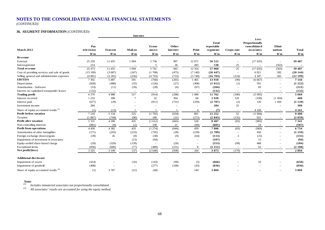*(CONTINUED)*

#### **36. SEGMENT INFORMATION** *(CONTINUED)*

|                                                  |                          | Internet                 |                          |                          |                                 |                          |                                               |                          |                                                              |                          |                          |
|--------------------------------------------------|--------------------------|--------------------------|--------------------------|--------------------------|---------------------------------|--------------------------|-----------------------------------------------|--------------------------|--------------------------------------------------------------|--------------------------|--------------------------|
| <b>March 2012</b>                                | Pay<br>television<br>R'm | <b>Tencent</b><br>R'm    | Mail.ru<br>R'm           | Ecom-<br>merce<br>R'm    | Other<br><i>internet</i><br>R'm | Print<br>R'm             | <b>Total</b><br>reportable<br>segments<br>R'm | Corpo-rate<br>R'm        | Less:<br>Proportionally<br>consolidated<br>associates<br>R'm | Elimi-<br>nations<br>R'm | <b>Total</b><br>R'm      |
| Revenue                                          |                          |                          |                          |                          |                                 |                          |                                               |                          |                                                              |                          |                          |
| External                                         | 25 25 9                  | 11 455                   | 1 0 9 4                  | 5 7 3 6                  | 907                             | 12 071                   | 56 522                                        | $\overline{\phantom{a}}$ | (17035)                                                      | $\overline{\phantom{a}}$ | 39 487                   |
| Intersegmental                                   | 214                      | $\overline{\phantom{a}}$ | $\overline{\phantom{a}}$ | 5                        | 36                              | 283                      | 538                                           | 25                       | $\overline{\phantom{a}}$                                     | (563)                    | $\overline{\phantom{m}}$ |
| <b>Total revenue</b>                             | 25 473                   | 11 455                   | 1 0 9 4                  | 5 7 4 1                  | 943                             | 12 3 54                  | 57 060                                        | 25                       | (17035)                                                      | (563)                    | 39 487                   |
| Cost of providing services and sale of goods     | (13190)                  | (3687)                   | (247)                    | (1708)                   | (475)                           | (7140)                   | (26447)                                       | $\overline{\phantom{a}}$ | 6 0 21                                                       | 282                      | (20144)                  |
| Selling, general and administration expenses     | (4891)                   | (2 281)                  | (256)                    | (4793)                   | (733)                           | (3749)                   | (16703)                                       | (124)                    | 4 3 4 7                                                      | 281                      | (12199)                  |
| <b>EBITDA</b>                                    | 7 3 9 2                  | 5 4 8 7                  | 591                      | (760)                    | (265)                           | 1465                     | 13 910                                        | (99)                     | (6667)                                                       | $\overline{\phantom{a}}$ | 7 1 4 4                  |
| Depreciation                                     | (828)                    | (488)                    | (35)                     | (126)                    | (27)                            | (308)                    | (1812)                                        | (1)                      | 591                                                          |                          | (1 222)                  |
| Amortisation - Software                          | (53)                     | (11)                     | (39)                     | (28)                     | (6)                             | (67)                     | (204)                                         |                          | 83                                                           |                          | (121)                    |
| Interest on capitalised transponder leases       | (132)                    | $\overline{\phantom{a}}$ | $\overline{\phantom{m}}$ | $\overline{\phantom{a}}$ | $\overline{\phantom{a}}$        | $\overline{\phantom{m}}$ | (132)                                         | $\overline{\phantom{a}}$ | $\overline{\phantom{a}}$                                     | $\overline{\phantom{a}}$ | (132)                    |
| <b>Trading profit</b>                            | 6 3 7 9                  | 4988                     | 517                      | (914)                    | (298)                           | 1 0 9 0                  | 11762                                         | (100)                    | (5993)                                                       |                          | 5 6 6 9                  |
| Interest received                                | 1 2 3 3                  | 188                      |                          | 32                       | 394                             | 66                       | 1920                                          | 129                      | (199)                                                        | (1450)                   | 400                      |
| Interest paid                                    | (677)                    | (29)                     |                          | (911)                    | (731)                           | (359)                    | (2707)                                        | (2)                      | 120                                                          | 1 4 5 0                  | (1139)                   |
| Investment income                                | 284                      | $\overline{\phantom{a}}$ |                          | -                        |                                 | $\overline{\phantom{a}}$ | 284                                           | 25                       | $\overline{\phantom{a}}$                                     | $\overline{\phantom{a}}$ | 309                      |
| Share of equity-accounted results <sup>(1)</sup> | (1)                      | (13)                     |                          |                          |                                 | $\overline{4}$           | (7)                                           |                          | 4 1 6 8                                                      |                          | 4 1 6 1                  |
| Profit before taxation                           | 7 2 1 8                  | 5 1 3 4                  | 525                      | (1792)                   | (634)                           | 801                      | 11 25 2                                       | 52                       | (1904)                                                       | $\sim$                   | 9 4 0 0                  |
| Taxation                                         | (1887)                   | (744)                    | (90)                     | 180                      | (31)                            | (273)                    | (2845)                                        | (135)                    | 921                                                          |                          | (2059)                   |
| <b>Profit after taxation</b>                     | 5 3 3 1                  | 4 3 9 0                  | 435                      | (1612)                   | (665)                           | 528                      | 8 4 0 7                                       | (83)                     | (983)                                                        |                          | 7 3 4 1                  |
| Non-controlling interests                        | (881)                    | (8)                      | (2)                      | 338                      | 21                              | (69)                     | (601)                                         |                          | 14                                                           |                          | (587)                    |
| Profit from operations                           | 4 4 5 0                  | 4 3 8 2                  | 433                      | (1274)                   | (644)                           | 459                      | 7806                                          | (83)                     | (969)                                                        |                          | 6754                     |
| Amortisation of other intangibles                | (171)                    | (293)                    | (233)                    | (745)                    | (28)                            | (239)                    | (1709)                                        |                          | 450                                                          |                          | (1259)                   |
| Foreign exchange (losses)/gains                  | (39)                     | 45                       | (8)                      | (38)                     | (9)                             | (64)                     | (113)                                         | 3                        | (25)                                                         |                          | (135)                    |
| Impairment of investment in associates           | $\overline{\phantom{a}}$ | $\overline{\phantom{a}}$ | (13)                     | (94)                     |                                 | $\sim$                   | (107)                                         |                          | 13                                                           |                          | (94)                     |
| Equity-settled share-based charge                | (59)                     | (329)                    | (139)                    |                          | (26)                            |                          | (553)                                         | (99)                     | 468                                                          |                          | (184)                    |
| Exceptional items                                | (856)                    | (606)                    | (77)                     | (489)                    | (231)                           | 8                        | (2 251)                                       |                          | 63                                                           |                          | (2188)                   |
| Net profit/(loss)                                | 3 3 2 5                  | 3 1 9 9                  | (37)                     | (2640)                   | (938)                           | 164                      | 3 0 7 3                                       | (179)                    |                                                              |                          | 2894                     |
| <b>Additional disclosure</b>                     |                          |                          |                          |                          |                                 |                          |                                               |                          |                                                              |                          |                          |
| Impairment of assets                             | (414)                    |                          | (16)                     | (143)                    | (90)                            | (3)                      | (666)                                         |                          | 16                                                           |                          | (650)                    |
| Impairment of goodwill                           | (408)                    |                          |                          | (277)                    | (108)                           | (43)                     | (836)                                         |                          |                                                              |                          | (836)                    |
| Share of equity-accounted results <sup>(2)</sup> | (1)                      | 3787                     | (21)                     | (40)                     | $\sim$                          | 144                      | 3869                                          |                          |                                                              |                          | 3869                     |

*Notes (1) Includes immaterial associates not proportionally consolidated. (2) All associates' results are accounted for using the equity method.*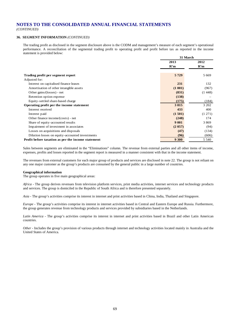*(CONTINUED)*

#### **36. SEGMENT INFORMATION** *(CONTINUED)*

The trading profit as disclosed in the segment disclosure above is the CODM and management's measure of each segment's operational performance. A reconciliation of the segmental trading profit to operating profit and profit before tax as reported in the income statement is provided below:

|                                                    | 31 March |         |  |  |
|----------------------------------------------------|----------|---------|--|--|
|                                                    | 2013     | 2012    |  |  |
|                                                    | R'm      | R'm     |  |  |
|                                                    |          |         |  |  |
| Trading profit per segment report                  | 5729     | 5 6 6 9 |  |  |
| Adjusted for:                                      |          |         |  |  |
| Interest on capitalised finance leases             | 231      | 132     |  |  |
| Amortisation of other intangible assets            | (1 001)  | (967)   |  |  |
| Other gains/(losses) - net                         | (831)    | (1448)  |  |  |
| Retention option expense                           | (138)    |         |  |  |
| Equity-settled share-based charge                  | (175)    | (184)   |  |  |
| Operating profit per the income statement          | 3815     | 3 202   |  |  |
| Interest received                                  | 433      | 400     |  |  |
| Interest paid                                      | (1501)   | (1 271) |  |  |
| Other finance income/(costs) - net                 | (248)    | 174     |  |  |
| Share of equity-accounted results                  | 9 0 0 1  | 3869    |  |  |
| Impairment of investment in associates             | (2 057)  | (94)    |  |  |
| Losses on acquisitions and disposals               | (47)     | (134)   |  |  |
| Dilution losses on equity-accounted investments    | (96)     | (606)   |  |  |
| Profit before taxation as per the income statement | 9 300    | 5 5 4 0 |  |  |

Sales between segments are eliminated in the "Eliminations" column. The revenue from external parties and all other items of income, expenses, profits and losses reported in the segment report is measured in a manner consistent with that in the income statement.

The revenues from external customers for each major group of products and services are disclosed in note 22. The group is not reliant on any one major customer as the group's products are consumed by the general public in a large number of countries.

#### **Geographical information**

The group operates in five main geographical areas:

*Africa -* The group derives revenues from television platform services, print media activities, internet services and technology products and services. The group is domiciled in the Republic of South Africa and is therefore presented separately.

*Asia -* The group's activities comprise its interest in internet and print activities based in China, India, Thailand and Singapore.

*Europe* - The group's activities comprise its interest in internet activities based in Central and Eastern Europe and Russia. Furthermore, the group generates revenue from technology products and services provided by subsidiaries based in the Netherlands.

*Latin America* - The group's activities comprise its interest in internet and print activities based in Brazil and other Latin American countries.

*Other -* Includes the group's provision of various products through internet and technology activities located mainly in Australia and the United States of America.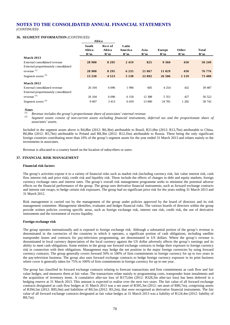**Africa**

#### **36. SEGMENT INFORMATION** *(CONTINUED)*

|                                       | 1.11.04                       |                                 |                         |             |                      |              |              |
|---------------------------------------|-------------------------------|---------------------------------|-------------------------|-------------|----------------------|--------------|--------------|
|                                       | <b>South</b><br>Africa<br>R'm | <b>Rest of</b><br>Africa<br>R'm | Latin<br>America<br>R'm | Asia<br>R'm | <b>Europe</b><br>R'm | Other<br>R'm | Total<br>R'm |
| <b>March 2013</b>                     |                               |                                 |                         |             |                      |              |              |
| External consolidated revenue         | 28 900                        | 8 2 9 5                         | 2419                    | 825         | 9 3 6 0              | 450          | 50 249       |
| External proportionately consolidated |                               |                                 |                         |             |                      |              |              |
| revenue $(1)$                         | 28 900                        | 8 2 9 5                         | 6 2 3 5                 | 21 867      | 11 029               | 450          | 76 776       |
| Segment assets <sup>(2)</sup>         | 13 230                        | 4 5 2 3                         | 5 1 3 0                 | 22 892      | 26 50 6              | 1 1 1 9      | 73 400       |
| <b>March 2012</b>                     |                               |                                 |                         |             |                      |              |              |
| External consolidated revenue         | 26 104                        | 6 0 9 6                         | 1996                    | 605         | 4 2 5 4              | 432          | 39 4 87      |
| External proportionately consolidated |                               |                                 |                         |             |                      |              |              |
| revenue $(1)$                         | 26 104                        | 6 0 9 6                         | 6 1 5 6                 | 12 3 8 8    | 5 3 5 1              | 427          | 56 522       |
| Segment assets $(2)$                  | 9607                          | 3413                            | 6 6 5 9                 | 13 000      | 24 781               | 1 2 8 2      | 58 742       |

### *Notes*

*(1) Revenue includes the group's proportionate share of associates' external revenue.*

*(2) Segment assets consist of non-current assets excluding financial instruments, deferred tax and the proportionate share of associates' assets.*

Included in the segment assets above is R4,8bn (2012: R6,3bn) attributable to Brazil, R21,0bn (2012: R12,7bn) attributable to China, R6,8bn (2012: R5,7bn) attributable to Poland and R8,3bn (2012: R12,1bn) attributable to Russia. These being the only significant foreign countries contributing more than 10% of the group's segment assets for the year ended 31 March 2013 and relates mainly to the investments in associates.

Revenue is allocated to a country based on the location of subscribers or users.

#### **37. FINANCIAL RISK MANAGEMENT**

#### **Financial risk factors**

The group's activities expose it to a variety of financial risks such as market risk (including currency risk, fair value interest risk, cash flow interest risk and price risk), credit risk and liquidity risk. These include the effects of changes in debt and equity markets, foreign currency exchange rates and interest rates. The group's overall risk management programme seeks to minimise the potential adverse effects on the financial performance of the group. The group uses derivative financial instruments, such as forward exchange contracts and interest rate swaps, to hedge certain risk exposures. The group had no significant price risk for the years ending 31 March 2013 and 31 March 2012.

Risk management is carried out by the management of the group under policies approved by the board of directors and its risk management committee. Management identifies, evaluates and hedges financial risks. The various boards of directors within the group provide written policies covering specific areas, such as foreign exchange risk, interest rate risk, credit risk, the use of derivative instruments and the investment of excess liquidity.

#### **Foreign exchange risk**

The group operates internationally and is exposed to foreign exchange risk. Although a substantial portion of the group's revenue is denominated in the currencies of the countries in which it operates, a significant portion of cash obligations, including satellite transponder leases and contracts for pay-television programming, are denominated in US dollars. Where the group's revenue is denominated in local currency depreciation of the local currency against the US dollar adversely affects the group's earnings and its ability to meet cash obligations. Some entities in the group use forward exchange contracts to hedge their exposure to foreign currency risk in connection with their obligations. Management may hedge the net position in the major foreign currencies by using forward currency contracts. The group generally covers forward 50% to 100% of firm commitments in foreign currency for up to two years in the pay-television business. The group also uses forward exchange contracts to hedge foreign currency exposure in its print business where cover is generally taken for 75% to 100% of firm commitments in foreign currency for up to one year.

The group has classified its forward exchange contracts relating to forecast transactions and firm commitments as cash flow and fair value hedges, and measures them at fair value. The transactions relate mainly to programming costs, transponder lease instalments and the acquisition of inventory items. A cumulative after-tax loss of R175,0m (2012: R328,3m after-tax loss) has been deferred in a hedging reserve at 31 March 2013. This amount is expected to realise over the next two years. The fair value of all forward exchange contracts designated as cash flow hedges at 31 March 2013 was a net asset of R395,3m (2012: net asset of R80,7m), comprising assets of R394,5m (2012: R85,9m) and liabilities of R0,5m (2012: R5,2m), that were recognised as derivative financial instruments. The fair value of all forward exchange contracts designated as fair value hedges at 31 March 2013 was a liability of R124,4m (2012: liability of R8,7m).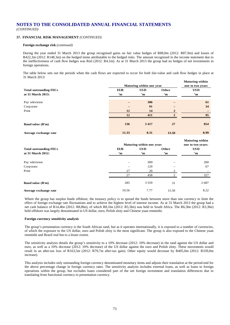# **37. FINANCIAL RISK MANAGEMENT** *(CONTINUED)*

#### **Foreign exchange risk** *(continued)*

During the year ended 31 March 2013 the group recognised gains on fair value hedges of R88,0m (2012: R87,9m) and losses of R422,3m (2012: R148,3m) on the hedged items attributable to the hedged risks. The amount recognised in the income statement due to the ineffectiveness of cash flow hedges was Rnil (2012: R4,1m). As at 31 March 2013 the group had no hedges of net investments in foreign operations.

The table below sets out the periods when the cash flows are expected to occur for both fair-value and cash flow hedges in place at 31 March 2013:

|                               | Maturing within one year | <b>Maturing within</b><br>one to two years |                  |                                             |
|-------------------------------|--------------------------|--------------------------------------------|------------------|---------------------------------------------|
| <b>Total outstanding FECs</b> | <b>EUR</b>               | <b>USD</b>                                 | Other            | <b>USD</b>                                  |
| at 31 March 2013:             | $\mathbf{m}$             | $\mathbf{m}$                               | 'm               | 'm                                          |
| Pay television                |                          | 306                                        |                  | 61                                          |
| Corporate                     |                          | 91                                         |                  | 34                                          |
| Print                         | 12                       | 14                                         | $\boldsymbol{2}$ |                                             |
|                               | 12                       | 411                                        | $\overline{2}$   | 95                                          |
| Rand value (R'm)              | 136                      | 3 4 1 7                                    | 27               | 854                                         |
| Average exchange rate         | 11.33                    | 8.31                                       | 13.50            | 8.99                                        |
|                               |                          | Maturing within one year:                  |                  | <b>Maturing within</b><br>one to two years: |
| <b>Total outstanding FECs</b> | <b>EUR</b>               | <b>USD</b>                                 | Other            | <b>USD</b>                                  |
| at 31 March 2012:             | $\mathbf{m}$             | $\mathbf{m}$                               | 'n               | $\mathbf{m}$                                |
| Pay television                |                          | 309                                        |                  | 260                                         |
| Corporate                     |                          | 129                                        |                  | 67                                          |
| Print                         | 27                       | 20                                         | 2                |                                             |
|                               | 27                       | 458                                        | $\overline{c}$   | 327                                         |
| Rand value (R'm)              | 285                      | 3 5 5 9                                    | 31               | 2687                                        |
| Average exchange rate         | 10.56                    | 7.77                                       | 15.50            | 8.22                                        |

Where the group has surplus funds offshore, the treasury policy is to spread the funds between more than one currency to limit the effect of foreign exchange rate fluctuations and to achieve the highest level of interest income. As at 31 March 2013 the group had a net cash balance of R14,4bn (2012: R8,8bn), of which R8,1bn (2012: R5,5bn) was held in South Africa. The R6,3bn (2012: R3,3bn) held offshore was largely denominated in US dollar, euro, Polish zloty and Chinese yuan renminbi.

#### **Foreign currency sensitivity analysis**

The group's presentation currency is the South African rand, but as it operates internationally, it is exposed to a number of currencies, of which the exposure to the US dollar, euro and Polish zloty is the most significant. The group is also exposed to the Chinese yuan renminbi and Brazil real but to a lesser extent.

The sensitivity analysis details the group's sensitivity to a 10% decrease (2012: 10% decrease) in the rand against the US dollar and euro, as well as a 10% decrease (2012: 10% decrease) of the US dollar against the euro and Polish zloty. These movements would result in an after-tax loss of R163,5m (2012: R79,7m after-tax gain). Other equity would decrease by R405,0m (2012: R339,0m increase).

This analysis includes only outstanding foreign currency denominated monetary items and adjusts their translation at the period-end for the above percentage change in foreign currency rates. The sensitivity analysis includes external loans, as well as loans to foreign operations within the group, but excludes loans considered part of the net foreign investment and translation differences due to translating from functional currency to presentation currency.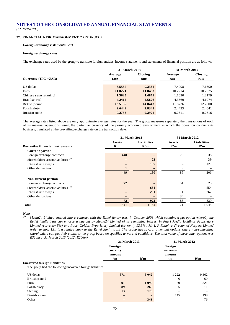# **37. FINANCIAL RISK MANAGEMENT** *(CONTINUED)*

#### **Foreign exchange risk** *(continued)*

#### **Foreign exchange rates**

The exchange rates used by the group to translate foreign entities' income statements and statements of financial position are as follows:

|                        | 31 March 2013   |                 | <b>31 March 2012</b> |                        |  |
|------------------------|-----------------|-----------------|----------------------|------------------------|--|
| Currency $(1FC = ZAR)$ | Average<br>rate | Closing<br>rate | Average<br>rate      | <b>Closing</b><br>rate |  |
| US dollar              | 8.5537          | 9.2364          | 7.4098               | 7.6690                 |  |
| Euro                   | 11.0271         | 11.8433         | 10.2214              | 10.2335                |  |
| Chinese yuan renminbi  | 1.3625          | 1.4879          | 1.1620               | 1.2179                 |  |
| Brazilian real         | 4.2415          | 4.5676          | 4.3660               | 4.1974                 |  |
| British pound          | 13.5135         | 14.0443         | 11.8736              | 12.2800                |  |
| Polish zloty           | 2.6449          | 2.8342          | 2.4423               | 2.4641                 |  |
| Russian ruble          | 0.2738          | 0.2974          | 0.2511               | 0.2616                 |  |

The average rates listed above are only approximate average rates for the year. The group measures separately the transactions of each of its material operations, using the particular currency of the primary economic environment in which the operation conducts its business, translated at the prevailing exchange rate on the transaction date.

|                                                 | 31 March 2013 |             | 31 March 2012 |             |  |
|-------------------------------------------------|---------------|-------------|---------------|-------------|--|
|                                                 | Assets        | Liabilities | <b>Assets</b> | Liabilities |  |
| <b>Derivative financial instruments</b>         | R'm           | R'm         | R'm           | R'm         |  |
| <b>Current portion</b>                          |               |             |               |             |  |
| Foreign exchange contracts                      | 448           |             | 76            | 38          |  |
| Shareholders' assets/liabilities <sup>(1)</sup> |               | 23          |               | 39          |  |
| Interest rate swaps                             |               | 157         |               | 129         |  |
| Other derivatives                               | 1             |             | 9             |             |  |
|                                                 | 449           | 180         | 85            | 206         |  |
| Non-current portion                             |               |             |               |             |  |
| Foreign exchange contracts                      | 72            |             | 51            | 23          |  |
| Shareholders' assets/liabilities <sup>(1)</sup> |               | 681         |               | 554         |  |
| Interest rate swaps                             |               | 291         |               | 262         |  |
| Other derivatives                               |               |             | 34            |             |  |
|                                                 | 72            | 972         | 86            | 839         |  |
| <b>Total</b>                                    | 521           | 1 1 5 2     | 171           | 1 0 4 5     |  |

*Note* 

*(1) Media24 Limited entered into a contract with the Retief family trust in October 2008 which contains a put option whereby the Retief family trust can enforce a buy-out by Media24 Limited of its remaining interest in Paarl Media Holdings Proprietary Limited (currently 5%) and Paarl Coldset Proprietary Limited (currently 12,6%). Mr L P Retief, a director of Naspers Limited (refer to note 13), is a related party to the Retief family trust. The group has several other put options where non-controlling shareholders can put their stakes to the group based on specified terms and conditions. The total value of these other options was R314m at 31 March 2013 (2012: R206m).*

|                                                            | 31 March 2013                              |         | 31 March 2012                 |         |  |
|------------------------------------------------------------|--------------------------------------------|---------|-------------------------------|---------|--|
|                                                            | Foreign<br>currency<br>amount<br>R'm<br>'n |         | Foreign<br>currency<br>amount | R'm     |  |
| Uncovered foreign liabilities                              |                                            |         | 'n                            |         |  |
| The group had the following uncovered foreign liabilities: |                                            |         |                               |         |  |
| US dollar                                                  | 871                                        | 8 0 4 2 | 1 2 2 2                       | 9 3 6 2 |  |
| British pound                                              |                                            |         | 6                             | 69      |  |
| Euro                                                       | 91                                         | 1 0 9 0 | 80                            | 821     |  |
| Polish zloty                                               | 89                                         | 260     | 5                             | 11      |  |
| Sterling                                                   | 13                                         | 176     |                               |         |  |
| Danish kroner                                              |                                            |         | 145                           | 199     |  |
| Other                                                      |                                            | 341     |                               | 76      |  |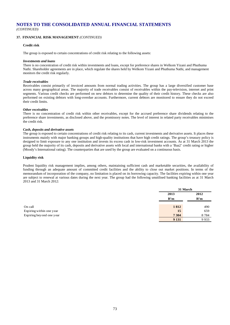### **37. FINANCIAL RISK MANAGEMENT** *(CONTINUED)*

#### **Credit risk**

The group is exposed to certain concentrations of credit risk relating to the following assets:

#### *Investments and loans*

There is no concentration of credit risk within investments and loans, except for preference shares in Welkom Yizani and Phuthuma Nathi. Shareholder agreements are in place, which regulate the shares held by Welkom Yizani and Phuthuma Nathi, and management monitors the credit risk regularly.

#### *Trade receivables*

Receivables consist primarily of invoiced amounts from normal trading activities. The group has a large diversified customer base across many geographical areas. The majority of trade receivables consist of receivables within the pay-television, internet and print segments. Various credit checks are performed on new debtors to determine the quality of their credit history. These checks are also performed on existing debtors with long-overdue accounts. Furthermore, current debtors are monitored to ensure they do not exceed their credit limits.

#### *Other receivables*

There is no concentration of credit risk within other receivables, except for the accrued preference share dividends relating to the preference share investments, as disclosed above, and the promissory notes. The level of interest in related party receivables minimises the credit risk.

#### *Cash, deposits and derivative assets*

The group is exposed to certain concentrations of credit risk relating to its cash, current investments and derivative assets. It places these instruments mainly with major banking groups and high-quality institutions that have high credit ratings. The group's treasury policy is designed to limit exposure to any one institution and invests its excess cash in low-risk investment accounts. As at 31 March 2013 the group held the majority of its cash, deposits and derivative assets with local and international banks with a 'Baa2' credit rating or higher (Moody's International rating). The counterparties that are used by the group are evaluated on a continuous basis.

#### **Liquidity risk**

Prudent liquidity risk management implies, among others, maintaining sufficient cash and marketable securities, the availability of funding through an adequate amount of committed credit facilities and the ability to close out market positions. In terms of the memorandum of incorporation of the company, no limitation is placed on its borrowing capacity. The facilities expiring within one year are subject to renewal at various dates during the next year. The group had the following unutilised banking facilities as at 31 March 2013 and 31 March 2012:

|                          | 31 March |      |  |
|--------------------------|----------|------|--|
|                          | 2013     | 2012 |  |
|                          | R'm      | R'm  |  |
| On call                  | 1812     | 490  |  |
| Expiring within one year | 15       | 659  |  |
| Expiring beyond one year | 7 3 0 4  | 8784 |  |
|                          | 9 1 3 1  | 9933 |  |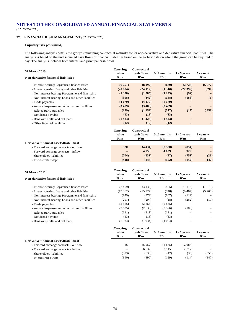# **37. FINANCIAL RISK MANAGEMENT** *(CONTINUED)*

#### **Liquidity risk** *(continued)*

The following analysis details the group's remaining contractual maturity for its non-derivative and derivative financial liabilities. The analysis is based on the undiscounted cash flows of financial liabilities based on the earliest date on which the group can be required to pay. The analysis includes both interest and principal cash flows.

| 31 March 2013                                       | Carrying<br>value | Contractual<br>cash flows | $0-12$ months | $1 - 5$ years     | $5$ years $+$ |
|-----------------------------------------------------|-------------------|---------------------------|---------------|-------------------|---------------|
| Non-derivative financial liabilities                | R'm               | R'm                       | R'm           | R'm               | R'm           |
| - Interest-bearing: Capitalised finance leases      | (6251)            | (8492)                    | (689)         | (2726)            | (5077)        |
| - Interest-bearing: Loans and other liabilities     | (20984)           | (24112)                   | (1316)        | (22399)           | (397)         |
| - Non-interest-bearing: Programme and film rights   | (1358)            | (1385)                    | (1 293)       | (92)              |               |
| - Non-interest-bearing: Loans and other liabilities | (308)             | (342)                     | (148)         | (188)             | (6)           |
| - Trade payables                                    | (4179)            | (4179)                    | (4179)        |                   |               |
| - Accrued expenses and other current liabilities    | (3489)            | (3489)                    | (3489)        | $\qquad \qquad -$ |               |
| - Related party payables                            | (139)             | (1452)                    | (577)         | (17)              | 858           |
| - Dividends payable                                 | (13)              | (13)                      | (13)          |                   |               |
| - Bank overdrafts and call loans                    | (1423)            | (1423)                    | (1423)        |                   |               |
| - Other financial liabilities                       | (12)              | (12)                      | (12)          |                   |               |
|                                                     |                   |                           |               |                   |               |

|                                           | Carrying<br>value | Contractual<br>cash flows | $0-12$ months | $1 - 2$ vears | $2$ years $+$ |
|-------------------------------------------|-------------------|---------------------------|---------------|---------------|---------------|
|                                           | R'm               | R'm                       | R'm           | R'm           | R'm           |
| Derivative financial assets/(liabilities) |                   |                           |               |               |               |
| - Forward exchange contracts - outflow    | 520               | (4434)                    | (3,580)       | (854)         |               |
| - Forward exchange contracts - inflow     | $\qquad \qquad -$ | 4958                      | 4 0 29        | 929           |               |
| - Shareholders' liabilities               | (704)             | (831)                     | (57)          | (751)         | (23)          |
| - Interest rate swaps                     | (448)             | (446)                     | (152)         | (152)         | (142)         |

| 31 March 2012                                       | Carrying<br>value | Contractual<br>cash flows | $0-12$ months | $1 - 5$ years | $5$ years $+$            |
|-----------------------------------------------------|-------------------|---------------------------|---------------|---------------|--------------------------|
| Non-derivative financial liabilities                | R'm               | R'm                       | R'm           | R'm           | R'm                      |
| - Interest-bearing: Capitalised finance leases      | (2459)            | (3433)                    | (405)         | (1115)        | (1913)                   |
| - Interest-bearing: Loans and other liabilities     | (13362)           | (15977)                   | (748)         | (9464)        | (5765)                   |
| - Non-interest-bearing: Programme and film rights   | (979)             | (979)                     | (867)         | (112)         | $\overline{\phantom{0}}$ |
| - Non-interest-bearing: Loans and other liabilities | (297)             | (297)                     | (18)          | (262)         | (17)                     |
| - Trade payables                                    | (2865)            | (2865)                    | (2865)        |               |                          |
| - Accrued expenses and other current liabilities    | (2635)            | (2635)                    | (2526)        | (109)         |                          |
| - Related party payables                            | (111)             | (111)                     | (111)         |               |                          |
| - Dividends payable                                 | (13)              | (13)                      | (13)          |               |                          |
| - Bank overdrafts and call loans                    | (1034)            | (1034)                    | (1034)        |               |                          |
|                                                     | Carrvino          | Contractual               |               |               |                          |

|                                           | Саггунія<br>value<br>R'm | Сопитасциан<br>cash flows<br>R'm | $0-12$ months<br>R'm | $1 - 2$ vears<br>R'm | $2$ years $+$<br>R'm |
|-------------------------------------------|--------------------------|----------------------------------|----------------------|----------------------|----------------------|
| Derivative financial assets/(liabilities) |                          |                                  |                      |                      |                      |
| - Forward exchange contracts - outflow    | 66                       | (6562)                           | (3875)               | (2687)               |                      |
| - Forward exchange contracts - inflow     | $\overline{\phantom{0}}$ | 6.632                            | 3915                 | 2 7 1 7              | -                    |
| - Shareholders' liabilities               | (593)                    | (636)                            | (42)                 | (36)                 | (558)                |
| - Interest rate swaps                     | (390)                    | (390)                            | (129)                | (114)                | (147)                |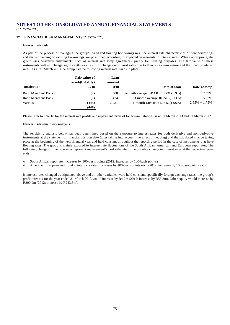# **37. FINANCIAL RISK MANAGEMENT** *(CONTINUED)*

#### **Interest rate risk**

As part of the process of managing the group's fixed and floating borrowings mix, the interest rate characteristics of new borrowings and the refinancing of existing borrowings are positioned according to expected movements in interest rates. Where appropriate, the group uses derivative instruments, such as interest rate swap agreements, purely for hedging purposes. The fair value of these instruments will not change significantly as a result of changes in interest rates due to their short-term nature and the floating interest rates. As at 31 March 2013 the group had the following interest rate swaps in place:

|                    | Fair value of     | Loan   |                                        |                   |
|--------------------|-------------------|--------|----------------------------------------|-------------------|
|                    | asset/(liability) | amount |                                        |                   |
| Institution        | R'm               | R'm    | Rate of loan                           | Rate of swap      |
| Rand Merchant Bank | (2)               | 500    | 3-month average JIBAR $+1.77\%$ (6.9%) | 7.59%             |
| Rand Merchant Bank | (1)               | 424    | 3-month average JIBAR (5.13%)          | 5.52%             |
| Various            | (445)             | 12 931 | 1-month LIBOR $+1.75\%$ (1.95%)        | $2.55\% + 1.75\%$ |
|                    | (448)             |        |                                        |                   |

Please refer to note 18 for the interest rate profile and repayment terms of long-term liabilities as at 31 March 2013 and 31 March 2012.

#### **Interest rate sensitivity analysis**

The sensitivity analysis below has been determined based on the exposure to interest rates for both derivative and non-derivative instruments at the statement of financial position date (after taking into account the effect of hedging) and the stipulated change taking place at the beginning of the next financial year and held constant throughout the reporting period in the case of instruments that have floating rates. The group is mainly exposed to interest rate fluctuations of the South African, American and European repo rates. The following changes in the repo rates represent management's best estimate of the possible change in interest rates at the respective yearends:

o South African repo rate: increases by 100-basis points (2012: increases by 100-basis points)

o American, European and London interbank rates: increases by 100-basis points each (2012: increases by 100-basis points each)

If interest rates changed as stipulated above and all other variables were held constant, specifically foreign exchange rates, the group's profit after tax for the year ended 31 March 2013 would increase by R4,7m (2012: increase by R56,2m). Other equity would increase by R200,9m (2012: increase by R243,5m).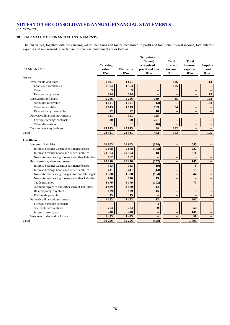*(CONTINUED)*

# **38. FAIR VALUE OF FINANCIAL INSTRUMENTS**

The fair values, together with the carrying values, net gains and losses recognised in profit and loss, total interest income, total interest expense and impairment of each class of financial instrument are as follows:

| <b>31 March 2013</b>                              | Carrying<br>value<br>R'm | <b>Fair value</b><br>R'm | Net gains and<br>(losses)<br>recognised in<br>profit and loss<br>R'm | Total<br>interest<br>income<br>R'm | Total<br>interest<br>expense<br>R'm | Impair-<br>ment<br>R'm |
|---------------------------------------------------|--------------------------|--------------------------|----------------------------------------------------------------------|------------------------------------|-------------------------------------|------------------------|
| <b>Assets</b>                                     |                          |                          |                                                                      |                                    |                                     |                        |
| Investments and loans                             | 1891                     | 1891                     |                                                                      | 126                                |                                     | 13                     |
| Loans and receivables                             | 1564                     | 1564                     | $\overline{\phantom{0}}$                                             | 125                                |                                     |                        |
| Other                                             | 3                        | 3                        |                                                                      | $\mathbf{1}$                       |                                     |                        |
| Related party loans                               | 324                      | 324                      |                                                                      |                                    |                                     | 13                     |
| Receivables and loans                             | 5 2 8 6                  | $\overline{5}286$        | 139                                                                  | 35                                 | $\overline{\phantom{0}}$            | 162                    |
| Accounts receivable                               | 4 1 2 1                  | 4 1 2 1                  | (2)                                                                  | $\mathbf{1}$                       | $\overline{\phantom{0}}$            | 162                    |
| Other receivables                                 | 1 1 4 3                  | 1 1 4 3                  | 123                                                                  | 34                                 | $\overline{\phantom{0}}$            |                        |
| Related party receivables                         | 22                       | 22                       | 18                                                                   | $\qquad \qquad -$                  | —                                   | $\qquad \qquad -$      |
| Derivative financial instruments                  | 521                      | 521                      | 225                                                                  | $\equiv$                           | $\equiv$                            | $\equiv$               |
| Foreign exchange contracts                        | 520                      | 520                      | 271                                                                  | $\overline{\phantom{0}}$           | $\overline{\phantom{0}}$            |                        |
| Other derivatives                                 | 1                        | 1                        | (46)                                                                 |                                    | $\overline{\phantom{0}}$            | $\qquad \qquad -$      |
| Cash and cash equivalents                         | 15813                    | 15813                    | 88                                                                   | 392                                | —                                   |                        |
| <b>Total</b>                                      | 23 511                   | 23 5 11                  | 452                                                                  | 553                                |                                     | 175                    |
|                                                   |                          |                          |                                                                      |                                    |                                     |                        |
| Liabilities                                       |                          |                          |                                                                      |                                    |                                     |                        |
| Long-term liabilities                             | 26 603                   | 26 603                   | (354)                                                                | -                                  | 1 0 4 5                             |                        |
| Interest-bearing: Capitalised finance leases      | 5868                     | 5868                     | (372)                                                                | $\overline{\phantom{0}}$           | 227                                 |                        |
| Interest-bearing: Loans and other liabilities     | 20 573                   | 20 573                   | 18                                                                   | $\qquad \qquad -$                  | 818                                 |                        |
| Non-interest-bearing: Loans and other liabilities | 162                      | 162                      |                                                                      | $\overline{\phantom{0}}$           |                                     |                        |
| Short-term payables and loans                     | 10 118                   | 10 118                   | (257)                                                                | $\qquad \qquad -$                  | 145                                 | $\qquad \qquad -$      |
| Interest-bearing: Capitalised finance leases      | 383                      | 383                      | (19)                                                                 | $\qquad \qquad -$                  | 6                                   |                        |
| Interest-bearing: Loans and other liabilities     | 411                      | 411                      | (14)                                                                 | $\qquad \qquad -$                  | 15                                  |                        |
| Non-interest-bearing: Programme and film rights   | 1 3 5 8                  | 1 3 5 8                  | (164)                                                                | $\qquad \qquad -$                  | 44                                  |                        |
| Non-interest-bearing: Loans and other liabilities | 146                      | 146                      | 13                                                                   | $\qquad \qquad -$                  |                                     |                        |
| Trade payables                                    | 4 1 7 9                  | 4 1 7 9                  | (102)                                                                | $\overline{\phantom{0}}$           | 75                                  |                        |
| Accrued expenses and other current liabilities    | 3489                     | 3 4 8 9                  | 14                                                                   | $\qquad \qquad -$                  |                                     |                        |
| Related party payables                            | 139                      | 139                      | 15                                                                   | $\overline{\phantom{0}}$           | 5                                   |                        |
| Dividends payable                                 | 13                       | 13                       |                                                                      | $\qquad \qquad -$                  |                                     | $\qquad \qquad -$      |
| Derivative financial instruments                  | 1 1 5 2                  | 1 1 5 2                  | 13                                                                   | $\equiv$                           | 203                                 |                        |
| Foreign exchange contracts                        |                          |                          | $\overline{\mathbf{4}}$                                              | $\qquad \qquad -$                  |                                     |                        |
| Shareholders' liabilities                         | 704                      | 704                      | 9                                                                    | $\overline{\phantom{0}}$           | 54                                  |                        |
| Interest rate swaps                               | 448                      | 448                      |                                                                      | $\qquad \qquad -$                  | 149                                 | $\qquad \qquad -$      |
| Bank overdrafts and call loans                    | 1423                     | 1423                     |                                                                      |                                    | 98                                  |                        |
| <b>Total</b>                                      | 39 29 6                  | 39 29 6                  | (598)                                                                |                                    | 1491                                |                        |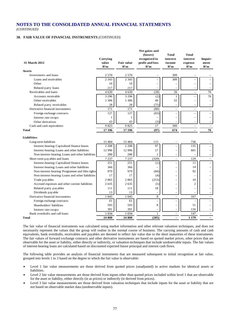#### **38. FAIR VALUE OF FINANCIAL INSTRUMENTS** *(CONTINUED)*

|                                                                                                    | Carrying     |                          | Net gains and<br>(losses)<br>recognised in | Total<br>interest                                    | Total<br>interest        | Impair-                              |
|----------------------------------------------------------------------------------------------------|--------------|--------------------------|--------------------------------------------|------------------------------------------------------|--------------------------|--------------------------------------|
| <b>31 March 2012</b>                                                                               | value<br>R'm | <b>Fair value</b><br>R'm | profit and loss<br>R'm                     | income<br>R'm                                        | expense<br>R'm           | ment<br>R'm                          |
| <b>Assets</b>                                                                                      |              |                          |                                            |                                                      |                          |                                      |
| Investments and loans                                                                              | 2 5 7 0      | 2 5 7 0                  |                                            | 309                                                  |                          |                                      |
| Loans and receivables                                                                              | 2 3 4 3      | 2 3 4 3                  |                                            | 309                                                  |                          |                                      |
| Other                                                                                              | 10           | 10                       |                                            |                                                      | $\overline{\phantom{0}}$ |                                      |
| Related party loans                                                                                | 217          | 217                      |                                            |                                                      |                          |                                      |
| Receivables and loans                                                                              | 4 6 3 0      | 4630                     | (28)                                       | 56                                                   | L.                       | 76                                   |
| Accounts receivable                                                                                | 3 2 9 6      | 3 2 9 6                  | (2)                                        | $\mathbf{1}$                                         | L.                       | 76                                   |
| Other receivables                                                                                  | 1 3 0 6      | 1 3 0 6                  | 49                                         | 55                                                   | $\overline{\phantom{0}}$ |                                      |
| Related party receivables                                                                          | 28           | 28                       | (75)                                       |                                                      |                          |                                      |
| Derivative financial instruments                                                                   | 171          | 171                      | (86)                                       | $\equiv$                                             | ÷                        | $\equiv$                             |
| Foreign exchange contracts                                                                         | 127          | 127                      | (83)                                       | $\overline{\phantom{0}}$                             | $\overline{\phantom{0}}$ | $\overline{\phantom{0}}$             |
| Interest rate swaps                                                                                | 1            | 1                        | $\overline{\phantom{0}}$                   | L.                                                   | ÷                        |                                      |
| Other derivatives                                                                                  | 43           | 43                       | (3)                                        |                                                      | ÷                        |                                      |
| Cash and cash equivalents                                                                          | 9825         | 9825                     | 17                                         | 309                                                  | $\overline{\phantom{0}}$ | $\overline{\phantom{0}}$             |
| <b>Total</b>                                                                                       | 17 19 6      | 17 19 6                  | (97)                                       | 674                                                  | L.                       | 76                                   |
| <b>Liabilities</b>                                                                                 |              |                          |                                            |                                                      |                          |                                      |
| Long-term liabilities                                                                              | 15 4 8 4     | 15 4 8 4                 | 115                                        |                                                      | 736                      |                                      |
|                                                                                                    | 2 2 0 8      | 2 2 0 8                  | 97                                         | L,                                                   | 135                      |                                      |
| Interest-bearing: Capitalised finance leases                                                       | 12 9 96      | 12 9 9 6                 | 17                                         |                                                      | 601                      |                                      |
| Interest-bearing: Loans and other liabilities<br>Non-interest-bearing: Loans and other liabilities | 280          | 280                      | 1                                          | $\overline{\phantom{0}}$                             |                          |                                      |
|                                                                                                    | 7 2 3 7      | 7 2 3 7                  | (329)                                      |                                                      | 129                      | $\overline{\phantom{0}}$<br>$\equiv$ |
| Short-term payables and loans                                                                      | 251          | 251                      |                                            |                                                      | 11                       |                                      |
| Interest-bearing: Capitalised finance leases<br>Interest-bearing: Loans and other liabilities      | 366          | 366                      | (1)                                        | $\equiv$                                             | 14                       |                                      |
| Non-interest-bearing: Programme and film rights                                                    | 979          | 979                      | (84)                                       | $\overline{\phantom{0}}$                             | 92                       |                                      |
| Non-interest-bearing: Loans and other liabilities                                                  | 17           | 17                       | (4)                                        | $\overline{\phantom{0}}$<br>$\overline{\phantom{0}}$ |                          |                                      |
| Trade payables                                                                                     | 2865         | 2865                     | (253)                                      | $\overline{\phantom{0}}$                             | 10                       |                                      |
| Accrued expenses and other current liabilities                                                     | 2635         | 2635                     | (5)                                        | -                                                    | $\overline{2}$           |                                      |
| Related party payables                                                                             | 111          | 111                      | 18                                         | $\overline{\phantom{0}}$                             |                          |                                      |
| Dividends payable                                                                                  | 13           | 13                       | $\overline{\phantom{m}}$                   | $\overline{\phantom{0}}$                             |                          |                                      |
| Derivative financial instruments                                                                   | 1 0 4 5      | 1 0 4 5                  | 8                                          | $\equiv$                                             | 167                      | $\overline{\phantom{0}}$             |
| Foreign exchange contracts                                                                         | 61           | 61                       | $\overline{\phantom{0}}$                   | $\overline{\phantom{0}}$                             |                          | $\equiv$                             |
| Shareholders' liabilities                                                                          | 593          | 593                      | 8                                          | $\overline{\phantom{0}}$                             | 51                       |                                      |
| Interest rate swaps                                                                                | 391          | 391                      | $\overline{\phantom{0}}$                   | $\overline{\phantom{0}}$                             | 116                      | $\overline{\phantom{0}}$             |
| Bank overdrafts and call loans                                                                     | 1 0 3 4      | 1 0 3 4                  | 1                                          | $\equiv$                                             | 147                      | L,                                   |
| <b>Total</b>                                                                                       | 24 800       | 24 800                   | (205)                                      |                                                      | 1 1 7 9                  | $\overline{\phantom{0}}$             |
|                                                                                                    |              |                          |                                            |                                                      |                          |                                      |

The fair value of financial instruments was calculated using market information and other relevant valuation techniques, and does not necessarily represent the values that the group will realise in the normal course of business. The carrying amounts of cash and cash equivalents, bank overdrafts, receivables and payables are deemed to reflect fair value due to the short maturities of these instruments. The fair values of forward exchange contracts and other derivative instruments are based on quoted market prices, other prices that are observable for the asset or liability, either directly or indirectly, or valuation techniques that include unobservable inputs. The fair values of interest-bearing loans are calculated based on discounted expected future principal and interest cash flows.

The following table provides an analysis of financial instruments that are measured subsequent to initial recognition at fair value, grouped into levels 1 to 3 based on the degree to which the fair value is observable:

- Level 1 fair value measurements are those derived from quoted prices (unadjusted) in active markets for identical assets or liabilities.
- Level 2 fair value measurements are those derived from inputs other than quoted prices included within level 1 that are observable for the asset or liability, either directly (ie as prices) or indirectly (ie derived from prices).
- Level 3 fair value measurements are those derived from valuation techniques that include inputs for the asset or liability that are not based on observable market data (unobservable inputs).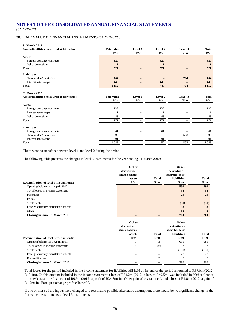# **38. FAIR VALUE OF FINANCIAL INSTRUMENTS** *(CONTINUED)*

| 31 March 2013                              |                   |         |         |         |              |
|--------------------------------------------|-------------------|---------|---------|---------|--------------|
| Assets/liabilities measured at fair value: | <b>Fair value</b> | Level 1 | Level 2 | Level 3 | <b>Total</b> |
|                                            | R'm               | R'm     | R'm     | R'm     | R'm          |
| <b>Assets</b>                              |                   |         |         |         |              |
| Foreign exchange contracts                 | 520               |         | 520     |         | 520          |
| Other derivatives                          | 1                 |         | 1       |         | $\mathbf{1}$ |
| <b>Total</b>                               | 521               |         | 521     |         | 521          |
| Liabilities                                |                   |         |         |         |              |
| Shareholders' liabilities                  | 704               |         |         | 704     | 704          |
| Interest rate swaps                        | 448               |         | 448     |         | 448          |
| <b>Total</b>                               | 1 1 5 2           |         | 448     | 704     | 1 1 5 2      |
| 31 March 2012                              |                   |         |         |         |              |
| Assets/liabilities measured at fair value: | <b>Fair value</b> | Level 1 | Level 2 | Level 3 | <b>Total</b> |
|                                            | R'm               | R'm     | R'm     | R'm     | R'm          |
| <b>Assets</b>                              |                   |         |         |         |              |
| Foreign exchange contracts                 | 127               |         | 127     |         | 127          |
| Interest rate swaps                        |                   |         |         |         |              |
| Other derivatives                          | 43                |         | 43      |         | 43           |
| <b>Total</b>                               | 171               |         | 171     |         | 171          |
| Liabilities                                |                   |         |         |         |              |
| Foreign exchange contracts                 | 61                |         | 61      |         | 61           |
| Shareholders' liabilities                  | 593               |         | -       | 593     | 593          |
| Interest rate swaps                        |                   |         |         |         |              |
|                                            | 391               |         | 391     |         | 391          |

There were no transfers between level 1 and level 2 during the period.

The following table presents the changes in level 3 instruments for the year ending 31 March 2013:

|                                               | Other         |              | Other          |              |
|-----------------------------------------------|---------------|--------------|----------------|--------------|
|                                               | derivatives - |              | derivatives -  |              |
|                                               | shareholders' |              | shareholders'  |              |
|                                               | assets        | <b>Total</b> | liabilities    | <b>Total</b> |
| <b>Reconciliation of level 3 instruments:</b> | R'm           | R'm          | R'm            | R'm          |
| Opening balance at 1 April 2012               |               |              | 593            | 593          |
| Total losses in income statement              |               |              | 56             | 56           |
| Purchases                                     |               |              | 29             | 29           |
| Issues                                        |               |              |                |              |
| Settlements                                   |               |              | (31)           | (31)         |
| Foreign currency translation effects          |               |              | 38             | 38           |
| Other                                         |               |              | 19             | 19           |
| Closing balance 31 March 2013                 |               |              | 704            | 704          |
|                                               | Other         |              | Other          |              |
|                                               | derivatives - |              | derivatives -  |              |
|                                               | shareholders' |              | shareholders'  |              |
|                                               | assets        | <b>Total</b> | liabilities    | <b>Total</b> |
| <b>Reconciliation of level 3 instruments:</b> | R'm           | R'm          | R'm            | R'm          |
| Opening balance at 1 April 2011               | 3             | 3            | 686            | 686          |
| Total losses in income statement              | (6)           | (6)          | $\overline{7}$ | 7            |
| Settlements                                   |               |              | (131)          | (131)        |
| Foreign currency translation effects          |               | -            | 28             | 28           |
| Reclassification                              | 3             | 3            | 3              | 3            |
| Closing balance 31 March 2012                 |               |              | 593            | 593          |

Total losses for the period included in the income statement for liabilities still held at the end of the period amounted to R57,0m (2012: R13,4m). Of this amount included in the income statement a loss of R54,2m (2012: a loss of R49,5m) was included in "Other finance income/(costs) – net", a profit of R9,9m (2012: a profit of R34,8m) in "Other gains/(losses) – net", and a loss of R1,0m (2012: a gain of R1,2m) in "Foreign exchange profits/(losses)".

If one or more of the inputs were changed to a reasonable possible alternative assumption, there would be no significant change in the fair value measurements of level 3 instruments.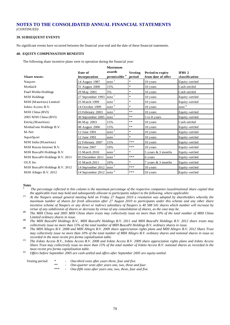*(CONTINUED)*

### **39. SUBSEQUENT EVENTS**

No significant events have occurred between the financial year-end and the date of these financial statements.

#### **40. EQUITY COMPENSATION BENEFITS**

The following share incentive plans were in operation during the financial year:

|                                |                                                               | махничн                        |                |                      |                   |
|--------------------------------|---------------------------------------------------------------|--------------------------------|----------------|----------------------|-------------------|
|                                | Date of                                                       | awards                         | <b>Vesting</b> | Period to expiry     | <b>IFRS 2</b>     |
| Share trusts:                  | Incorporation                                                 | permissible #                  | period         | from date of offer   | classification    |
| Naspers                        | 14 August 1987                                                | note                           | *              | 10 years             | Equity-settled    |
| Media24                        | 31 August 2000                                                | 15%                            | $\ast$         | 10 years             | Cash-settled      |
| Paarl Media Holdings           | 29 May 2001                                                   | 5%                             | $\ast$         | 10 years             | Cash-settled      |
| <b>MIH Holdings</b>            | 27 September 1993                                             | note <sup>1</sup>              | $\ast$         | 10 years             | Equity-settled    |
| MIH (Mauritius) Limited        | 25 March 1999                                                 | note <sup>1</sup>              | $\ast$         | 10 years             | Equity-settled    |
| Irdeto Access B.V.             | 14 October 1999                                               | note <sup>5</sup>              | $\ast$         | 10 years             | note <sup>6</sup> |
| MIH China (BVI)                | 23 February 2003                                              | note <sup>2</sup>              | $**$           | 10 years             | Equity-settled    |
| 2005 MIH China (BVI)           | 30 September 2005                                             | note <sup>2</sup>              | $**$           | 5 to 8 years         | Equity-settled    |
| Entriq (Mauritius)             | 06 May 2003                                                   | 15%                            | $***$          | 10 years             | Cash-settled      |
| MediaZone Holdings B.V.        | 08 August 2006                                                | 15%                            | $**$           | 10 years             | Equity-settled    |
| M-Net                          | 12 June 1991                                                  | note <sup>1</sup>              | $\ast$         | 10 years             | Equity-settled    |
| SuperSport                     | 12 June 1991                                                  | note <sup>1</sup>              | $\ast$         | 10 years             | Equity-settled    |
| MIH India (Mauritius)          | 22 February 2007                                              | 15%                            | ***            | 10 years             | Equity-settled    |
| MIH Russia Internet B.V.       | 04 June 2007                                                  | 10%                            | ***            | 10 years             | Equity-settled    |
| MIH BuscaPé Holdings B.V.      | 15 M arch 2010                                                | note <sup>3</sup>              | $\ast$         | 5 years $&$ 3 months | Equity-settled    |
| MIH BuscaPé Holdings B.V. 2011 | 05 December 2011                                              | note <sup>3</sup>              | ***            | 6 years              | Equity-settled    |
| OLX Inc                        | 31 March 2011                                                 | 10%                            | $\ast$         | 7 years & 3 months   | Equity-settled    |
| MIH BuscaPé Holdings B.V. 2012 | 14 September 2012                                             | $\frac{\text{note}}{\text{.}}$ | ***            | 10 years             | Equity-settled    |
| MIH Allegro B.V. 2012          | $\frac{14 \text{ September } 2012}{\text{note}}$ <sup>4</sup> |                                | ***            | 10 years             | Equity-settled    |

**Maximum** 

#### *Notes*

*# The percentage reflected in this column is the maximum percentage of the respective companies issued/notional share capital that the applicable trust may hold and subsequently allocate to participants subject to the following, where applicable:*

- <sup>(1)</sup> At the Naspers annual general meeting held on Friday 27 August 2010 a resolution was adopted by shareholders whereby the *maximum number of shares for fresh allocation after 27 August 2010 to participants under this scheme and any other share incentive scheme of Naspers or any direct or indirect subsidiary of Naspers is 40 588 541 shares which number will increase by*
- virtue of any subdivision of shares or decrease by virtue of any consolidation of shares, as the case may be.<br>
The MIH China and 2005 MIH China share trusts may collectively issue no more than 10% of the total number of M

*Limited ordinary shares in issue. (3) The MIH BuscaPé Holdings B.V., MIH BuscaPé Holdings B.V. 2011 and MIH BuscaPé Holdings B.V. 2012 share trusts may* 

- collectively issue no more than 15% of the total number of MIH BuscaPé Holdings B.V. ordinary shares in issue.<br><sup>(4)</sup> The MIH Allegro B.V. 2008 and MIH Allegro B.V. 2009 share appreciation rights plans and MIH Allegro B.V. *may collectively issue no more than 10% of the total number of MIH Allegro B.V. ordinary shares and notional shares in issue as recorded in the most recent pro forma capitalisation table. (5) The Irdeto Access B.V., Irdeto Access B.V. 2008 and Irdeto Access B.V. 2009 share appreciation rights plans and Irdeto Access*
- *Share Trust may collectively issue no more than 15% of the total number of Irdeto Access B.V. notional shares as recorded in the*  most recent pro forma capitalisation table.<br><sup>(6)</sup> Offers before September 2005 are cash-settled and offers after September 2005 are equity-settled.

| Vesting period: |  |  | One-third vests after years three, four and five. |
|-----------------|--|--|---------------------------------------------------|
|-----------------|--|--|---------------------------------------------------|

- *\*\* - One-quarter vests after years one, two, three and four.*
	- *\*\*\* - One-fifth vests after years one, two, three, four and five.*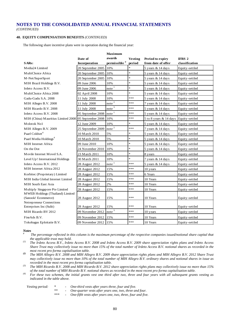#### **40. EQUITY COMPENSATION BENEFITS** *(CONTINUED)*

The following share incentive plans were in operation during the financial year:

|                                    |                   | <b>Maximum</b>           |                |                        |                |
|------------------------------------|-------------------|--------------------------|----------------|------------------------|----------------|
|                                    | Date of           | awards                   | <b>Vesting</b> | Period to expiry       | <b>IFRS 2</b>  |
| SARs:                              | Incorporation     | permissible <sup>#</sup> | period         | from date of offer     | classification |
| Media24 Limited                    | 20 September 2005 | 10%                      | $\ast$         | 5 years & 14 days      | Equity-settled |
| MultiChoice Africa                 | 20 September 2005 | 10%                      | $\ast$         | 5 years & 14 days      | Equity-settled |
| M-Net/SuperSport                   | 20 September 2005 | 10%                      | $\ast$         | 5 years & 14 days      | Equity-settled |
| MIH Brazil Holdings B.V.           | 09 June 2006      | 10%                      | $\ast$         | 5 years & 14 days      | Equity-settled |
| Irdeto Access B.V.                 | 09 June 2006      | $note$ <sup>1</sup>      | $\ast$         | 5 years & 14 days      | Equity-settled |
| MultiChoice Africa 2008            | 02 April 2008     | 10%                      | $\ast$         | 5 years & 14 days      | Equity-settled |
| Gadu-Gadu S.A. 2008                | 11 July 2008      | 10%                      | ***            | 5 years & 14 days      | Equity-settled |
| MIH Allegro B.V. 2008              | 11 July 2008      | note <sup>2</sup>        | ***            | 7 years & 14 days      | Equity-settled |
| MIH Ricardo B.V. 2008              | 11 July 2008      | note $3$                 | ***            | 5 years & 14 days      | Equity-settled |
| Irdeto Access B.V. 2008            | 05 September 2008 | note <sup>1</sup>        | ***            | 5 years & 14 days      | Equity-settled |
| MIH (China) Mauritius Limited 2008 | 05 September 2008 | 10%                      | ***            | 5 to 8 years & 14 days | Equity-settled |
| Molotok No1                        | 12 June 2009      | 10%                      | $\ast$         | 5 years & 14 days      | Equity-settled |
| MIH Allegro B.V. 2009              | 25 September 2009 | note <sup>2</sup>        | ***            | 7 years & 14 days      | Equity-settled |
| Paarl Coldset <sup>4</sup>         | 10 M arch 2010    | 5%                       | $\ast$         | 5 years & 14 days      | Equity-settled |
| Paarl Media Holdings <sup>4</sup>  | 10 M arch 2010    | 5%                       | $\ast$         | $5$ years & 14 days    | Equity-settled |
| <b>MIH</b> Internet Africa         | 09 June 2010      | 10%                      | $\ast$         | 5 years & 14 days      | Equity-settled |
| On the Dot                         | 24 November 2010  | 10%                      | $\ast$         | 5 years & 14 days      | Equity-settled |
| Movile Internet Movel S.A.         | 23 M arch 2011    | 10%                      | $\ast$         | 8 years                | Equity-settled |
| Level Up! International Holdings   | 30 M arch 2011    | 10%                      | $\ast$         | 7 years & 14 days      | Equity-settled |
| Irdeto Access B.V. 2012            | 28 August 2012    | note <sup>1</sup>        | ***            | 5 years & 14 days      | Equity-settled |
| MIH Internet Africa 2012           | 28 August 2012    | 15%                      | ***            | 10 years               | Equity-settled |
| Korbitec (Proprietary) Limited     | 28 August 2012    | 15%                      | ***            | 6 Years                | Equity-settled |
| MIH India Global Internet Limited  | 28 August 2012    | 15%                      | ***            | 10 Years               | Equity-settled |
| MIH South East Asia                | 28 August 2012    | 2%                       | ***            | 10 Years               | Equity-settled |
| Multiply Singapore Pte Limited     | 28 August 2012    | 15%                      | ***            | 10 Years               | Equity-settled |
| MWEB Holdings (Thailand) Limited   |                   |                          |                |                        |                |
| (Sanook! Ecommerce)                | 28 August 2012    | 15%                      | ***            | 10 Years               | Equity-settled |
| Netrepreneur Connections           |                   |                          | ***            |                        |                |
| Enterprises Inc (Sulit)            | 28 August 2012    | 15%                      |                | 10 Years               | Equity-settled |
| MIH Ricardo BV 2012                | 09 November 2012  | note <sup>3</sup>        | ***            | 10 years               | Equity-settled |
| FixeAds B.V.                       | 09 November 2012  | 15%                      | ***            | 10 Years               | Equity-settled |
| Tokobagus Eploitatie B.V.          | 09 November 2012  | 15%                      | ***            | 10 Years               | Equity-settled |

#### *Notes*

*# The percentage reflected in this column is the maximum percentage of the respective companies issued/notional share capital that the applicable trust may hold. (1) The Irdeto Access B.V., Irdeto Access B.V. 2008 and Irdeto Access B.V. 2009 share appreciation rights plans and Irdeto Access* 

*Share Trust may collectively issue no more than 15% of the total number of Irdeto Access B.V. notional shares as recorded in the* 

*most recent pro forma capitalisation table. (2) The MIH Allegro B.V. 2008 and MIH Allegro B.V. 2009 share appreciation rights plans and MIH Allegro B.V. 2012 Share Trust may collectively issue no more than 10% of the total number of MIH Allegro B.V. ordinary shares and notional shares in issue as recorded in the most recent pro forma capitalisation table. (3) The MIH Ricardo B.V. 2008 and MIH Ricardo B.V. 2012 share appreciation rights plans may collectively issue no more than 15%* 

*of the total number of MIH Ricardo B.V. notional shares as recorded in the most recent pro forma capitalisation table.*

*(4) For these two schemes, the initial grants vest one third after two, three and four years with all subsequent grants vesting as indicated in the table above.*

| <i>Vesting period:</i> |    | One-third vests after years three, four and five.       |
|------------------------|----|---------------------------------------------------------|
|                        | ** | One-quarter vests after years one, two, three and four. |

*\*\*\* - One-fifth vests after years one, two, three, four and five.*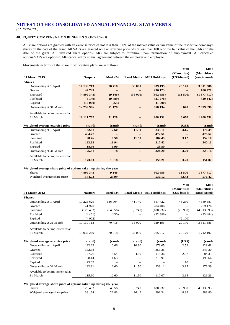*(CONTINUED)*

# **40. EQUITY COMPENSATION BENEFITS** *(CONTINUED)*

All share options are granted with an exercise price of not less than 100% of the market value or fair value of the respective company's shares on the date of the grant. All SARs are granted with an exercise price of not less than 100% of the fair value of the SARs on the date of the grant. All unvested share options/SARs are subject to forfeiture upon termination of employment. All cancelled options/SARs are options/SARs cancelled by mutual agreement between the employer and employee.

Movements in terms of the share trust incentive plans are as follows:

|                                                                                   |                   |                 |                            |                          | <b>MIH</b>               | <b>MIH</b>               |
|-----------------------------------------------------------------------------------|-------------------|-----------------|----------------------------|--------------------------|--------------------------|--------------------------|
|                                                                                   |                   |                 |                            |                          | (Mauritius)              | (Mauritius)              |
| 31 March 2013                                                                     | <b>Naspers</b>    | Media24         |                            | Paarl Media MIH Holdings | (US\$-based)             | (rand-based)             |
|                                                                                   |                   |                 |                            |                          |                          |                          |
| <b>Shares</b>                                                                     |                   | 70718           | 38 000                     |                          | 20 170                   |                          |
| Outstanding at 1 April                                                            | 17 130 713        |                 |                            | 939 195                  |                          | 3811386                  |
| Granted                                                                           | 42 745            |                 |                            | 236 173                  | L,                       | 186 271                  |
| Exercised                                                                         | (4899343)         | (9146)          | (38000)                    | (302 656)                | (11500)                  | (1877417)                |
| Forfeited                                                                         | (6149)            | (9489)          | -                          | (21578)                  |                          | (20342)                  |
| Expired                                                                           | (15000)           | (955)           |                            | (1 000)                  |                          |                          |
| Outstanding at 31 M arch                                                          | 12 252 966        | 51 1 28         | $\qquad \qquad -$          | 850 134                  | 8670                     | 2 099 898                |
| Available to be implemented at                                                    |                   |                 |                            |                          |                          |                          |
| 31 March                                                                          | 12 111 762        | 51 1 28         |                            | 208 131                  | 8670                     | 1 208 551                |
|                                                                                   |                   |                 |                            |                          |                          |                          |
| Weighted average exercise price                                                   | (rand)            | (rand)          | (rand)                     | (rand)                   | (US\$)                   | (rand)                   |
| Outstanding at 1 April                                                            | 132.81            | 12.60           | 11.50                      | 239.11                   | 3.15                     | 176.39                   |
| Granted                                                                           | 464.77            |                 |                            | 472.51                   | $\overline{\phantom{m}}$ | 476.57                   |
| Exercised                                                                         | 28.46             | 8.58            | 11.50                      | 184.49                   | 3.12                     | 152.10                   |
| Forfeited                                                                         | 182.32            | 13.94           |                            | 217.42                   | $=$                      | 340.13                   |
| Expired                                                                           | 18.50             | 6.90            | $\qquad \qquad -$          | 23.50                    | $\overline{\phantom{0}}$ | $\overline{\phantom{m}}$ |
| Outstanding at 31 March                                                           | 175.81            | 13.18           | $\qquad \qquad -$          | 324.20                   | 3.20                     | 223.14                   |
| Available to be implemented at                                                    |                   |                 |                            |                          |                          |                          |
| 31 March                                                                          | 173.83            | 13.18           |                            | 158.21                   | 3.20                     | 151.07                   |
|                                                                                   |                   |                 |                            |                          |                          |                          |
|                                                                                   |                   |                 |                            |                          |                          |                          |
| Weighted average share price of options taken up during the year                  |                   |                 |                            |                          |                          |                          |
| <b>Shares</b>                                                                     | 4 899 343         | 9 1 4 6         | $\overline{\phantom{0}}$   | 302 656                  | 11 500                   | 1877417                  |
| Weighted average share price                                                      | 544.73            | 25.99           | $\qquad \qquad -$          | 530.12                   | 62.43                    | 576.42                   |
|                                                                                   |                   |                 |                            |                          |                          |                          |
|                                                                                   |                   |                 |                            |                          | <b>MIH</b>               | MШ                       |
|                                                                                   |                   |                 |                            |                          | (Mauritius)              | (Mauritius)              |
| 31 March 2012                                                                     | <b>Naspers</b>    | Media24         |                            | Paarl Media MIH Holdings | (US\$-based)             | (rand-based)             |
| <b>Shares</b>                                                                     |                   |                 |                            |                          |                          |                          |
| Outstanding at 1 April                                                            | 17 225 629        | 136 004         | 41740                      | 857 722                  | 43 250                   | 7 589 587                |
| Granted                                                                           | 41 970            |                 |                            | 284 406                  |                          | 269 176                  |
| Exercised                                                                         | (128483)          | (64856)         | (3740)                     | (180 237)                | (20980)                  | (4013893)                |
| Forfeited                                                                         | (4401)            | (430)           | $\overline{\phantom{0}}$   | (22696)                  | $\overline{\phantom{0}}$ | (33 484)                 |
| Expired                                                                           | (4002)            |                 | $\overline{\phantom{0}}$   |                          | (2100)                   |                          |
| Outstanding at 31 March                                                           | 17 130 713        | 70718           | 38 000                     | 939 195                  | 20 170                   | 3811386                  |
|                                                                                   |                   |                 |                            |                          |                          |                          |
| Available to be implemented at                                                    |                   |                 |                            |                          |                          |                          |
| 31 March                                                                          | 13 032 269        | 70718           | 38 000                     | 265 917                  | 20 170                   | 1 7 1 2 1 9 2            |
|                                                                                   |                   |                 |                            |                          |                          |                          |
| Weighted average exercise price                                                   | (rand)            | (rand)          | (rand)<br>10.90            | (rand)                   | (US \$)                  | (rand)                   |
| Outstanding at 1 April                                                            | 132.23            | 10.66           | -                          | 173.05                   | 2.53                     | 121.68                   |
| Granted                                                                           | 352.58            |                 |                            | 358.38                   |                          | 348.30                   |
| Exercised                                                                         | 127.76            | 8.54            | 4.80                       | 115.36                   | 2.07                     | 84.33                    |
| Forfeited                                                                         | 198.14            | 11.63           |                            | 219.91                   |                          | 193.64                   |
| Expired                                                                           | 25.65             | 12.60           | $\qquad \qquad -$<br>11.50 | 239.11                   | 1.10<br>3.15             | 176.39                   |
| Outstanding at 31 March                                                           | 132.81            |                 |                            |                          |                          |                          |
| Available to be implemented at                                                    |                   |                 |                            |                          |                          |                          |
| 31 March                                                                          | 115.60            | 12.60           | 11.50                      | 110.07                   | 3.15                     | 129.26                   |
|                                                                                   |                   |                 |                            |                          |                          |                          |
| Weighted average share price of options taken up during the year<br><b>Shares</b> |                   |                 |                            |                          |                          |                          |
| Weighted average share price                                                      | 128 483<br>381.64 | 64 856<br>26.83 | 3740<br>26.49              | 180 237<br>391.34        | 20 980<br>48.33          | 4 013 893<br>388.80      |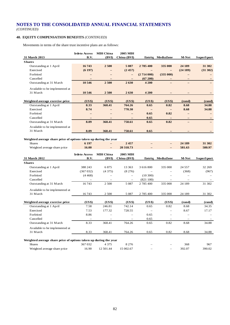# **40. EQUITY COMPENSATION BENEFITS** *(CONTINUED)*

Available to be implemented at

Movements in terms of the share trust incentive plans are as follows:

|                                                                  | <b>Irdeto Access</b> | <b>MIH China</b>  | <b>2005 MIH</b>          |                   |                          |                   |            |
|------------------------------------------------------------------|----------------------|-------------------|--------------------------|-------------------|--------------------------|-------------------|------------|
| 31 March 2013                                                    | B.V.                 | (BVI)             | China (BVI)              |                   | Entriq MediaZone         | <b>M-Net</b>      | SuperSport |
| <b>Shares</b>                                                    |                      |                   |                          |                   |                          |                   |            |
| Outstanding at 1 April                                           | 16743                | 2500              | 5 0 8 7                  | 2785400           | 335 000                  | 24 189            | 31 302     |
| Exercised                                                        | (6197)               |                   | (2457)                   |                   |                          | (24189)           | (31302)    |
| Forfeited                                                        |                      |                   |                          | (2714000)         | (335000)                 |                   |            |
| Cancelled                                                        | -                    | -                 |                          | (67200)           | $\qquad \qquad -$        | $\qquad \qquad -$ |            |
| Outstanding at 31 M arch                                         | 10 546               | 2500              | 2630                     | 4 200             | $\overline{\phantom{0}}$ |                   |            |
| Available to be implemented at                                   |                      |                   |                          |                   |                          |                   |            |
| 31 March                                                         | 10 546               | 2 500             | 2630                     | 4 200             |                          |                   |            |
|                                                                  |                      |                   |                          |                   |                          |                   |            |
| Weighted average exercise price                                  | (US\$)               | (US\$)            | (US\$)                   | (US\$)            | (US\$)                   | (rand)            | (rand)     |
| Outstanding at 1 April                                           | 8.33                 | 368.41            | 764.26                   | 0.65              | 0.82                     | 8.68              | 34.88      |
| Exercised                                                        | 8.74                 | $\qquad \qquad -$ | 770.30                   | $\qquad \qquad -$ | $\qquad \qquad -$        | 8.68              | 34.88      |
| Forfeited                                                        |                      |                   |                          | 0.65              | 0.82                     |                   |            |
| Cancelled                                                        |                      |                   |                          | 0.65              |                          |                   |            |
| Outstanding at 31 M arch                                         | 8.09                 | 368.41            | 758.61                   | 0.65              | 0.82                     | $\equiv$          |            |
| Available to be implemented at                                   |                      |                   |                          |                   |                          |                   |            |
| 31 March                                                         | 8.09                 | 368.41            | 758.61                   | 0.65              | $\overline{\phantom{m}}$ |                   |            |
|                                                                  |                      |                   |                          |                   |                          |                   |            |
| Weighted average share price of options taken up during the year |                      |                   |                          |                   |                          |                   |            |
| <b>Shares</b>                                                    | 6 197                |                   | 2457                     |                   | —                        | 24 189            | 31 302     |
| Weighted average share price                                     | 16.00                | -                 | 20 318.73                |                   | $\overline{\phantom{0}}$ | 581.63            | 580.97     |
|                                                                  | <b>Irdeto Access</b> | <b>MIH China</b>  | 2005 MIH                 |                   |                          |                   |            |
| 31 March 2012                                                    | B.V.                 | (BVI)             | China (BVI)              | Entriq            | <b>MediaZone</b>         | M-Net             | SuperSport |
| <b>Shares</b>                                                    |                      |                   |                          |                   |                          |                   |            |
| Outstanding at 1 April                                           | 388 243              | 6875              | 13 3 63                  | 3 616 800         | 335 000                  | 24 5 5 7          | 32 269     |
| Exercised                                                        | (367032)             | (4375)            | (8276)                   |                   |                          | (368)             | (967)      |
| Forfeited                                                        | (4468)               |                   | $\overline{\phantom{m}}$ | (10300)           |                          |                   |            |
| Cancelled                                                        |                      | $\equiv$          | $\overline{\phantom{m}}$ | (821100)          | $\equiv$                 | $\equiv$          |            |
| Outstanding at 31 M arch                                         | 16743                | 2 500             | 5 0 8 7                  | 2 785 400         | 335 000                  | 24 189            | 31 302     |

| Weighted average exercise price                                  | (US\$)                   | (US\$)                   | (US\$)                   | (US\$)                   | (US\$)   | (rand) | (rand) |
|------------------------------------------------------------------|--------------------------|--------------------------|--------------------------|--------------------------|----------|--------|--------|
| Outstanding at 1 April                                           | 7.58                     | 246.81                   | 742.14                   | 0.65                     | 0.82     | 8.68   | 34.35  |
| Exercised                                                        | 7.53                     | 177.32                   | 728.55                   | $\overline{\phantom{0}}$ | $\equiv$ | 8.67   | 17.17  |
| Forfeited                                                        | 8.86                     | $\overline{\phantom{0}}$ | $\overline{\phantom{m}}$ | 0.65                     |          |        |        |
| Cancelled                                                        | $\overline{\phantom{m}}$ | $\overline{\phantom{a}}$ |                          | 0.65                     |          |        |        |
| Outstanding at 31 M arch                                         | 8.33                     | 368.41                   | 764.26                   | 0.65                     | 0.82     | 8.68   | 34.88  |
| Available to be implemented at                                   |                          |                          |                          |                          |          |        |        |
| 31 March                                                         | 8.33                     | 368.41                   | 764.26                   | 0.65                     | 0.82     | 8.68   | 34.88  |
|                                                                  |                          |                          |                          |                          |          |        |        |
| Weighted average share price of options taken up during the year |                          |                          |                          |                          |          |        |        |

31 March 16 743 2 500 5 087 2 785 400 335 000 24 189 31 302

| Weighted average share price of options taken up during the year |         |           |           |                          |                          |        |        |
|------------------------------------------------------------------|---------|-----------|-----------|--------------------------|--------------------------|--------|--------|
| <b>Shares</b>                                                    | 367 032 | 4 3 7 5   | 8 2 7 6   | $\overline{\phantom{m}}$ | $\overline{\phantom{m}}$ | 368    | 967    |
| Weighted average share price                                     | 16.90   | 12.501.44 | 15 002.67 | $\overline{\phantom{m}}$ | $-$                      | 392.07 | 390.02 |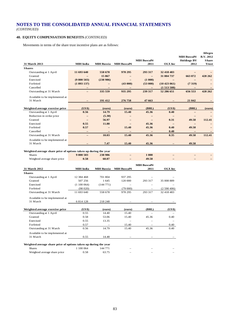# **40. EQUITY COMPENSATION BENEFITS** *(CONTINUED)*

Movements in terms of the share trust incentive plans are as follows:

|                                 |                   |                   |                          |                          |                  |                    | Allegro          |
|---------------------------------|-------------------|-------------------|--------------------------|--------------------------|------------------|--------------------|------------------|
|                                 |                   |                   |                          |                          |                  | <b>MIH BuscaPé</b> | <b>B.V. 2012</b> |
|                                 |                   |                   |                          | <b>MIH BuscaPé</b>       |                  | <b>Holdings BV</b> | <b>Share</b>     |
| 31 March 2013                   | <b>MIH</b> India  | <b>MIH Russia</b> | <b>MIH BuscaPé</b>       | 2011                     | OLX Inc          | 2012               | <b>Trust</b>     |
| <b>Shares</b>                   |                   |                   |                          |                          |                  |                    |                  |
| Outstanding at 1 April          | 11 693 640        | 558 678           | 978 295                  | 293 317                  | 32 418 483       |                    |                  |
| Granted                         |                   | 15867             |                          | $\qquad \qquad -$        | 31 804 737       | 663 872            | 428 262          |
| Exercised                       | (9800503)         | (238986)          |                          | (1 000)                  |                  | $\qquad \qquad -$  |                  |
| Forfeited                       | (1893137)         |                   | (43000)                  | (53000)                  | $(10\ 423\ 061)$ | (7319)             |                  |
| Cancelled                       |                   |                   |                          | $\overline{\phantom{m}}$ | (1513508)        | $\qquad \qquad -$  |                  |
| Outstanding at 31 M arch        |                   | 335 559           | 935 295                  | 239 317                  | 52 286 651       | 656 553            | 428 262          |
| Available to be implemented at  |                   |                   |                          |                          |                  |                    |                  |
| 31 March                        |                   | 191 412           | 276 758                  | 47 663                   |                  | 21 042             |                  |
|                                 |                   |                   |                          |                          |                  |                    |                  |
| Weighted average exercise price | (US\$)            | (euro)            | (euro)                   | (BRL)                    | (US\$)           | (BRL)              | (euro)           |
| Outstanding at 1 April          | 0.56              | 14.79             | 15.40                    | 45.36                    | 0.40             |                    |                  |
| Reduction in strike price       |                   | (5.30)            |                          |                          |                  |                    |                  |
| Granted                         |                   | 56.97             |                          |                          | 0.31             | 49.58              | 112.41           |
| Exercised                       | 0.55              | 11.88             |                          | 45.36                    |                  |                    |                  |
| Forfeited                       | 0.57              |                   | 15.40                    | 45.36                    | 0.40             | 49.58              |                  |
| Cancelled                       | $-$               | $\qquad \qquad -$ | $\overline{\phantom{0}}$ | $\qquad \qquad -$        | 0.40             |                    |                  |
| Outstanding at 31 M arch        | $\qquad \qquad -$ | 10.03             | 15.40                    | 45.36                    | 0.35             | 49.58              | 112.41           |
| Available to be implemented at  |                   |                   |                          |                          |                  |                    |                  |
| 31 March                        |                   | 7.47              | 15.40                    | 45.36                    |                  | 49.58              |                  |

#### **Weighted average share price of options taken up during the year**

| Shares                       | 9800503 | 238 986 | $\qquad \qquad \blacksquare$ | $\bf{000}$         | $\overline{\phantom{a}}$ | $\overline{\phantom{a}}$ | $\overline{\phantom{a}}$ |
|------------------------------|---------|---------|------------------------------|--------------------|--------------------------|--------------------------|--------------------------|
| Weighted average share price | 0.58    | 60.07   | $\overline{\phantom{0}}$     | 49.58              | $\overline{\phantom{a}}$ | $\overline{\phantom{a}}$ | $\overline{\phantom{a}}$ |
|                              |         |         |                              | <b>MIH BuscaPé</b> |                          |                          |                          |
|                              |         |         |                              |                    |                          |                          |                          |

| 31 March 2012                                                    | <b>MIH India</b> | <b>MIH Russia</b> | <b>MIH BuscaPé</b> | 2011    | OLX Inc    |
|------------------------------------------------------------------|------------------|-------------------|--------------------|---------|------------|
| <b>Shares</b>                                                    |                  |                   |                    |         |            |
| Outstanding at 1 April                                           | 12 384 468       | 701 804           | 937 295            |         |            |
| Granted                                                          | 507 256          | 1645              | 120 000            | 293 317 | 35 008 889 |
| Exercised                                                        | (1100064)        | (144771)          |                    |         |            |
| Forfeited                                                        | (98020)          |                   | (79000)            |         | (2590406)  |
| Outstanding at 31 M arch                                         | 11 693 640       | 558 678           | 978 295            | 293 317 | 32 418 483 |
| Available to be implemented at                                   |                  |                   |                    |         |            |
| 31 March                                                         | 6 8 14 1 28      | 218 248           |                    |         |            |
| Weighted average exercise price                                  | (US\$)           | (euro)            | (euro)             | (BRL)   | (US\$)     |
| Outstanding at 1 April                                           | 0.55             | 14.40             | 15.40              |         |            |
| Granted                                                          | 0.58             | 53.06             | 15.40              | 45.36   | 0.40       |
| Exercised                                                        | 0.55             | 13.35             |                    |         |            |
| Forfeited                                                        | 0.57             |                   | 15.40              |         | 0.40       |
| Outstanding at 31 M arch                                         | 0.56             | 14.79             | 15.40              | 45.36   | 0.40       |
| Available to be implemented at                                   |                  |                   |                    |         |            |
| 31 March                                                         | 0.55             | 14.48             |                    |         |            |
| Weighted average share price of options taken up during the year |                  |                   |                    |         |            |
| <b>Shares</b>                                                    | 1 100 064        | 144 771           |                    |         |            |
| Weighted average share price                                     | 0.58             | 63.75             |                    |         |            |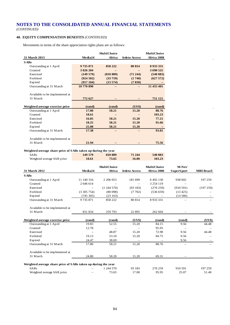# **40. EQUITY COMPENSATION BENEFITS** *(CONTINUED)*

Movements in terms of the share appreciation rights plans are as follows:

|                                 |            | <b>MultiChoice</b> |                      | <b>MultiChoice</b> |
|---------------------------------|------------|--------------------|----------------------|--------------------|
| 31 March 2013                   | Media24    | Africa             | <b>Irdeto Access</b> | Africa 2008        |
| <b>SARs</b>                     |            |                    |                      |                    |
| Outstanding at 1 April          | 9735871    | 858 222            | 80 814               | 8 9 3 3 3 3 3 1    |
| Granted                         | 3 026 204  |                    |                      | 3 690 525          |
| Exercised                       | (149579)   | (810 889)          | $(71\ 244)$          | (540 883)          |
| Forfeited                       | (924502)   | (33759)            | (1740)               | (627572)           |
| Expired                         | (917104)   | (13574)            | (7830)               |                    |
| Outstanding at 31 M arch        | 10 770 890 |                    |                      | 11 455 401         |
|                                 |            |                    |                      |                    |
| Available to be implemented at  |            |                    |                      |                    |
| 31 March                        | 772 627    |                    |                      | 751 121            |
|                                 |            |                    |                      |                    |
| Weighted average exercise price | (rand)     | (rand)             | (US\$)               | (rand)             |
| Outstanding at 1 April          | 17.80      | 58.21              | 15.20                | 88.76              |
| Granted                         | 18.61      |                    |                      | 103.23             |
| Exercised                       | 16.85      | 58.21              | 15.20                | 77.21              |
| Forfeited                       | 18.25      | 58.21              | 15.20                | 91.66              |
| Expired                         | 25.08      | 58.21              | 15.20                |                    |
| Outstanding at 31 M arch        | 17.38      |                    |                      | 93.81              |
|                                 |            |                    |                      |                    |
| Available to be implemented at  |            |                    |                      |                    |
| 31 March                        | 21.94      |                    |                      | 75.56              |

#### **Weighted average share price of SARs taken up during the year**

| SARs                       | 149 579 | 810 889 | 71 244 | 540 883 |
|----------------------------|---------|---------|--------|---------|
| Weighted average SAR price | 18.61   | 73.65   | 16.00  | 103.23  |

|                                                               |                          | <b>MultiChoice</b> |                      | <b>MultiChoice</b> | M-Net/                   |                   |
|---------------------------------------------------------------|--------------------------|--------------------|----------------------|--------------------|--------------------------|-------------------|
| 31 March 2012                                                 | Media24                  | Africa             | <b>Irdeto Access</b> | Africa 2008        | SuperSport               | <b>MIH Brazil</b> |
| <b>SARs</b>                                                   |                          |                    |                      |                    |                          |                   |
| Outstanding at 1 April                                        | 11 140 316               | 2 206 053          | 181 699              | 6492130            | 938 602                  | 197 259           |
| Granted                                                       | 2 646 614                |                    |                      | 3 254 119          |                          |                   |
| Exercised                                                     | $\overline{\phantom{0}}$ | (1244570)          | (93183)              | (276 259)          | (910591)                 | (197259)          |
| Forfeited                                                     | (3305754)                | (80098)            | (7702)               | (536 659)          | $(13\,425)$              |                   |
| Expired                                                       | (745305)                 | (23163)            |                      |                    | (14586)                  |                   |
| Outstanding at 31 M arch                                      | 9 7 3 5 8 7 1            | 858 222            | 80 814               | 8 9 3 3 3 3 1      | $\equiv$                 |                   |
| Available to be implemented at                                |                          |                    |                      |                    |                          |                   |
| 31 March                                                      | 831 834                  | 259 793            | 22 8 9 5             | 262 604            |                          |                   |
| Weighted average exercise price                               | (rand)                   | (rand)             | (US\$)               | (rand)             | (rand)                   | (US\$)            |
| Outstanding at 1 April                                        | 19.83                    | 52.55              | 15.20                | 84.15              | 9.56                     | 44.48             |
| Granted                                                       | 12.78                    |                    |                      | 95.95              |                          |                   |
| Exercised                                                     | $\overline{\phantom{m}}$ | 48.87              | 15.20                | 72.98              | 9.56                     | 44.48             |
| Forfeited                                                     | 19.13                    | 53.10              | 15.20                | 84.75              | 9.56                     |                   |
| Expired                                                       | 24.47                    | 38.69              |                      |                    | 9.56                     |                   |
| Outstanding at 31 M arch                                      | 17.80                    | 58.21              | 15.20                | 88.76              | $\overline{\phantom{0}}$ |                   |
| Available to be implemented at                                |                          |                    |                      |                    |                          |                   |
| 31 March                                                      | 24.80                    | 58.20              | 15.20                | 69.31              |                          |                   |
| Weighted average share price of SARs taken up during the year |                          |                    |                      |                    |                          |                   |
| <b>SARs</b>                                                   |                          | 1 244 570          | 93 183               | 276 259            | 910 591                  | 197 259           |
| Weighted average SAR price                                    |                          | 73.65              | 17.00                | 95.95              | 25.07                    | 51.40             |

l.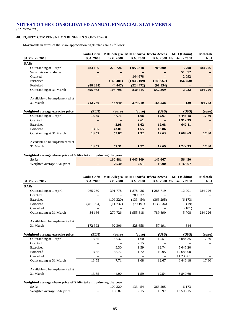# **40. EQUITY COMPENSATION BENEFITS** *(CONTINUED)*

Movements in terms of the share appreciation rights plans are as follows:

|                                                               | Gadu-Gadu         |                  |                  | <b>MIH Allegro MIH Ricardo Irdeto Access</b> | MIH (China)                     | <b>Molotok</b> |
|---------------------------------------------------------------|-------------------|------------------|------------------|----------------------------------------------|---------------------------------|----------------|
| 31 March 2013                                                 | S.A. 2008         | <b>B.V. 2008</b> | <b>B.V. 2008</b> |                                              | <b>B.V. 2008 Mauritius 2008</b> | No1            |
| <b>SARs</b>                                                   |                   |                  |                  |                                              |                                 |                |
| Outstanding at 1 April                                        | 484 166           | 270 726          | 1955 318         | 789 890                                      | 5708                            | 284 226        |
| Sub-division of shares                                        |                   |                  |                  |                                              | 51 372                          |                |
| Granted                                                       | -                 | -                | 144 678          |                                              | 2 0 9 2                         |                |
| Exercised                                                     | $\qquad \qquad -$ | (160 481)        | (1045109)        | (145667)                                     | (56 450)                        |                |
| Forfeited                                                     | (88 234)          | (4447)           | (224 472)        | (91854)                                      |                                 |                |
| Outstanding at 31 M arch                                      | 395 932           | 105 798          | 830 415          | 552 369                                      | 2722                            | 284 226        |
|                                                               |                   |                  |                  |                                              |                                 |                |
| Available to be implemented at                                |                   |                  |                  |                                              |                                 |                |
| 31 March                                                      | 212 786           | 43 640           | 374 910          | 168 538                                      | <b>120</b>                      | 94 742         |
|                                                               |                   |                  |                  |                                              |                                 |                |
| Weighted average exercise price                               | (PLN)             | (euro)           | (euro)           | (US\$)                                       | (US\$)                          | (euro)         |
| Outstanding at 1 April                                        | 13.55             | 47.71            | 1.68             | 12.67                                        | 6446.18                         | 17.80          |
| Granted                                                       |                   |                  | 2.61             |                                              | 1912.39                         |                |
| Exercised                                                     |                   | 42.98            | 1.62             | 12.08                                        | 642.41                          |                |
| Forfeited                                                     | 13.55             | 43.01            | 1.65             | 13.86                                        |                                 |                |
| Outstanding at 31 M arch                                      | 13.55             | 55.07            | 1.92             | 12.63                                        | 1 664.69                        | 17.80          |
|                                                               |                   |                  |                  |                                              |                                 |                |
| Available to be implemented at                                |                   |                  |                  |                                              |                                 |                |
| 31 March                                                      | 13.55             | 57.31            | 1.77             | 12.69                                        | 1 2 2 2 . 3 3                   | 17.80          |
|                                                               |                   |                  |                  |                                              |                                 |                |
| Weighted average share price of SARs taken up during the year |                   |                  |                  |                                              |                                 |                |
| CAD <sub>2</sub>                                              | 160.491           |                  | 1.045, 100       | 11567                                        | $E \in A E \cap$                |                |

| <b>SARs</b>                | $-$ | 160 481 | 1 045 109 | 145 667      | 56 450   |  |
|----------------------------|-----|---------|-----------|--------------|----------|--|
| Weighted average SAR price | -   | 76.30   | 2.61      | <b>16.00</b> | 2 168.67 |  |

|                                                               |           | Gadu-Gadu MIH Allegro MIH Ricardo Irdeto Access |                   |                   | MIH (China)                     | <b>Molotok</b> |
|---------------------------------------------------------------|-----------|-------------------------------------------------|-------------------|-------------------|---------------------------------|----------------|
| 31 March 2012                                                 | S.A. 2008 | <b>B.V. 2008</b>                                | <b>B.V. 2008</b>  |                   | <b>B.V. 2008 Mauritius 2008</b> | No1            |
| <b>SARs</b>                                                   |           |                                                 |                   |                   |                                 |                |
| Outstanding at 1 April                                        | 965 260   | 391 778                                         | 1 878 426         | 1 288 719         | 12 001                          | 284 226        |
| Granted                                                       |           |                                                 | 289 537           |                   |                                 |                |
| Exercised                                                     | -         | (109 320)                                       | (133 454)         | (363 295)         | (6173)                          |                |
| Forfeited                                                     | (481094)  | (11732)                                         | (79191)           | (135 534)         | (19)                            |                |
| Cancelled                                                     |           |                                                 |                   |                   | (101)                           |                |
| Outstanding at 31 M arch                                      | 484 166   | 270 726                                         | 1955318           | 789 890           | 5 7 0 8                         | 284 226        |
| Available to be implemented at                                |           |                                                 |                   |                   |                                 |                |
| 31 March                                                      | 172 392   | 92 306                                          | 828 658           | 57 191            | 344                             |                |
| Weighted average exercise price                               | (PLN)     | (euro)                                          | (euro)            | (US\$)            | (US\$)                          | (euro)         |
| Outstanding at 1 April                                        | 13.55     | 47.37                                           | 1.60              | 12.51             | 6 0 8 4 . 3 5                   | 17.80          |
| Granted                                                       |           |                                                 | 2.15              |                   |                                 |                |
| Exercised                                                     |           | 45.30                                           | 1.59              | 12.74             | 5 645.20                        |                |
| Forfeited                                                     | 13.55     | 58.72                                           | 1.72              | 10.95             | 12 688.00                       |                |
| Cancelled                                                     |           |                                                 | $\qquad \qquad -$ | $\qquad \qquad -$ | 11 233.61                       |                |
| Outstanding at 31 M arch                                      | 13.55     | 47.71                                           | 1.68              | 12.67             | 6446.18                         | 17.80          |
| Available to be implemented at                                |           |                                                 |                   |                   |                                 |                |
| 31 March                                                      | 13.55     | 44.90                                           | 1.59              | 12.54             | 6 849.60                        |                |
| Weighted average share price of SARs taken up during the year |           |                                                 |                   |                   |                                 |                |
| <b>SARs</b>                                                   |           | 109 320                                         | 133 454           | 363 295           | 6 1 7 3                         |                |
| Weighted average SAR price                                    |           | 108.87                                          | 2.15              | 16.97             | 12 505.15                       |                |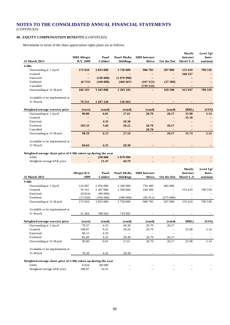*(CONTINUED)*

# **40. EQUITY COMPENSATION BENEFITS** *(CONTINUED)*

Movements in terms of the share appreciation rights plans are as follows:

|                                                               |                    |                          |                   |                          |                          | Movile            | Level Up! |
|---------------------------------------------------------------|--------------------|--------------------------|-------------------|--------------------------|--------------------------|-------------------|-----------|
|                                                               | <b>MIH Allegro</b> | Paarl                    | Paarl Media       | <b>MIH</b> Internet      |                          | Internet          | Inter-    |
| 31 March 2013                                                 | <b>B.V. 2009</b>   | Coldset                  | Holdings          | Africa                   | On the Dot               | Movel S.A         | national  |
| <b>SARs</b>                                                   |                    |                          |                   |                          |                          |                   |           |
| Outstanding at 1 April                                        | 172 834            | 3 833 000                | 3750000           | 906 785                  | 207 000                  | 155 610           | 790 539   |
| Granted                                                       |                    |                          |                   |                          | $\qquad \qquad -$        | 260 337           |           |
| Exercised                                                     | $\qquad \qquad -$  | (230 000)                | (1079990)         | $\equiv$                 |                          |                   |           |
| Forfeited                                                     | (6731)             | (160000)                 | (466667)          | (167552)                 | (37500)                  |                   |           |
| Cancelled                                                     | $\equiv$           | $\overline{\phantom{m}}$ | $\qquad \qquad -$ | (739 233)                |                          |                   |           |
| Outstanding at 31 M arch                                      | 166 103            | 3 443 000                | 2 203 343         |                          | 169 500                  | 415 947           | 790 539   |
|                                                               |                    |                          |                   |                          |                          |                   |           |
| Available to be implemented at                                |                    |                          |                   |                          |                          |                   |           |
| 31 March                                                      | 70 321             | 1 447 328                | 126 663           |                          |                          |                   |           |
|                                                               |                    |                          |                   |                          |                          |                   |           |
| Weighted average exercise price                               | (euro)             | (rand)                   | (rand)            | (rand)                   | (rand)                   | (BRL)             | (US\$)    |
| Outstanding at 1 April                                        | 90.80              | 6.01                     | 27.61             | 20.70                    | 20.27                    | 25.98             | 5.14      |
| Granted                                                       |                    | $\overline{\phantom{m}}$ |                   | $\overline{\phantom{m}}$ | $\qquad \qquad -$        | 35.18             |           |
| Exercised                                                     |                    | 4.35                     | 28.38             | $\overline{\phantom{m}}$ |                          | $\qquad \qquad -$ |           |
| Forfeited                                                     | 103.33             | 5.84                     | 28.22             | 20.70                    | 20.27                    |                   |           |
| Cancelled                                                     |                    |                          |                   | 20.70                    |                          | -                 |           |
| Outstanding at 31 M arch                                      | 90.29              | 6.13                     | 27.10             |                          | 20.27                    | 31.74             | 5.14      |
|                                                               |                    |                          |                   |                          |                          |                   |           |
| Available to be implemented at                                |                    |                          |                   |                          |                          |                   |           |
| 31 March                                                      | 84.64              | 4.35                     | 28.38             |                          |                          |                   |           |
|                                                               |                    |                          |                   |                          |                          |                   |           |
| Weighted average share price of SARs taken up during the year |                    |                          |                   |                          |                          |                   |           |
| <b>SARs</b>                                                   |                    | 230 000                  | 1 079 990         |                          |                          |                   |           |
| Weighted average SAR price                                    |                    | 11.47                    | 44.79             |                          |                          |                   |           |
|                                                               |                    |                          |                   |                          |                          |                   |           |
|                                                               |                    |                          |                   |                          |                          |                   |           |
|                                                               |                    |                          |                   |                          |                          | Movile            | Level Up! |
|                                                               | Allegro B.V.       | Paarl                    | Paarl Media       | <b>MIH</b> Internet      |                          | Internet          | Inter-    |
| 31 March 2012                                                 | 2009               | Coldset                  | Holdings          | Africa                   | On the Dot               | Movel S.A         | national  |
| <b>SARs</b>                                                   |                    |                          |                   |                          |                          |                   |           |
| Outstanding at 1 April                                        | 124 687            | 2 956 000                | 2 340 000         | 750 389                  | 482 000                  |                   |           |
| Granted                                                       | 70 101             | 1 307 000                | 1 590 000         | 249 309                  | $\overline{\phantom{0}}$ | 155 610           | 790 539   |
| Exercised                                                     | (8024)             | (80000)                  |                   |                          |                          |                   |           |
| Forfeited                                                     | (13930)            | (350000)                 | (180000)          | (92913)                  | (275000)                 |                   |           |
| Outstanding at 31 M arch                                      | 172 834            | 3 833 000                | 3 750 000         | 906 785                  | 207 000                  | 155 610           | 790 539   |
|                                                               |                    |                          |                   |                          |                          |                   |           |
| Available to be implemented at                                |                    |                          |                   |                          |                          |                   |           |
| 31 March                                                      | 31 304             | 788 664                  | 719 992           |                          |                          |                   |           |
|                                                               |                    |                          |                   |                          |                          |                   |           |
| Weighted average exercise price                               | (euro)             | (rand)                   | (rand)            | (rand)                   | (rand)                   | (BRL)             | (US\$)    |
| Outstanding at 1 April                                        | 79.37              | 4.35                     | 28.38             | 20.70                    | 20.27                    |                   |           |
| Granted                                                       | 108.87             | 9.22                     | 26.56             | 20.70                    | ÷                        | 25.98             | 5.14      |
| Exercised                                                     | 80.15              | 4.35                     |                   |                          |                          |                   |           |
| Forfeited                                                     | 85.60              | 4.35                     | 28.38             | 20.70                    | 20.27                    |                   |           |
| Outstanding at 31 M arch                                      | 90.80              | 6.01                     | 27.61             | 20.70                    | 20.27                    | 25.98             | 5.14      |
|                                                               |                    |                          |                   |                          |                          |                   |           |
| Available to be implemented at                                |                    |                          |                   |                          |                          |                   |           |
| 31 March                                                      | 76.50              | 4.35                     | 28.38             |                          |                          |                   |           |
|                                                               |                    |                          |                   |                          |                          |                   |           |
| Weighted average share price of SARs taken up during the year |                    |                          |                   |                          |                          |                   |           |
| <b>SARs</b><br>Weighted average SAR price                     | 8 0 2 4<br>108.87  | 80 000<br>10.41          |                   |                          |                          |                   |           |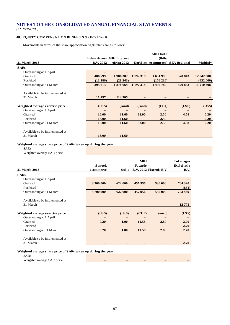# **40. EQUITY COMPENSATION BENEFITS** *(CONTINUED)*

Movements in terms of the share appreciation rights plans are as follows:

|                                 |                                   |             |           | <b>MIH</b> India |                                  |                 |
|---------------------------------|-----------------------------------|-------------|-----------|------------------|----------------------------------|-----------------|
|                                 | <b>Irdeto Access MIH Internet</b> |             |           | (Ibibo           |                                  |                 |
| 31 March 2013                   | <b>B.V. 2012</b>                  | Africa 2012 |           |                  | Korbitec ecommerce) SEA Regional | <b>Multiply</b> |
| <b>SARs</b>                     |                                   |             |           |                  |                                  |                 |
| Outstanding at 1 April          |                                   |             |           |                  |                                  |                 |
| Granted                         | 406 799                           | 1906 307    | 1 192 318 | 1651996          | 570 843                          | 12 042 308      |
| Forfeited                       | (11186)                           | (28 243)    |           | $(156\,216)$     |                                  | (832 000)       |
| Outstanding at 31 M arch        | 395 613                           | 1878 064    | 1 192 318 | 1495780          | 570 843                          | 11 210 308      |
| Available to be implemented at  |                                   |             |           |                  |                                  |                 |
| 31 March                        | 11 497                            | 113705      |           |                  |                                  |                 |
|                                 |                                   |             |           |                  |                                  |                 |
| Weighted average exercise price | (US\$)                            | (rand)      | (rand)    | (US\$)           | (US\$)                           | (US\$)          |
| Outstanding at 1 April          |                                   |             |           |                  |                                  |                 |
| Granted                         | 16.00                             | 11.60       | 32.00     | 2.50             | 4.58                             | 0.20            |
| Forfeited                       | 16.00                             | 11.60       |           | 2.50             | $\overline{\phantom{0}}$         | 0.20            |
| Outstanding at 31 M arch        | 16.00                             | 11.60       | 32.00     | 2.50             | 4.58                             | 0.20            |
| Available to be implemented at  |                                   |             |           |                  |                                  |                 |
| 31 March                        | 16.00                             | 11.60       |           |                  |                                  |                 |

### **Weighted average share price of SARs taken up during the year**

|                            | $\overline{\phantom{a}}$ | $\sim$ |  |  |
|----------------------------|--------------------------|--------|--|--|
| Weighted average SAR price | -                        | $\sim$ |  |  |
|                            |                          |        |  |  |

|                                                               |               |         | <b>MIH</b> |                        | <b>Tokobagus</b>   |
|---------------------------------------------------------------|---------------|---------|------------|------------------------|--------------------|
|                                                               | <b>Sanook</b> |         | Ricardo    |                        | <b>Exploitatie</b> |
| <b>31 March 2013</b>                                          | ecommerce     | Sulit   |            | B.V. 2012 FixeAds B.V. | <b>B.V.</b>        |
| <b>SARs</b>                                                   |               |         |            |                        |                    |
| Outstanding at 1 April                                        |               |         |            |                        |                    |
| Granted                                                       | 3700 000      | 622 000 | 457956     | 530 000                | 704 320            |
| Forfeited                                                     |               |         |            |                        | (851)              |
| Outstanding at 31 M arch                                      | 3700 000      | 622 000 | 457 956    | 530 000                | 703 469            |
| Available to be implemented at                                |               |         |            |                        |                    |
| 31 March                                                      |               |         |            |                        | 12771              |
|                                                               |               |         |            |                        |                    |
| Weighted average exercise price                               | (US\$)        | (US\$)  | (CHF)      | (euro)                 | (US\$)             |
| Outstanding at 1 April                                        |               |         |            |                        |                    |
| Granted                                                       | 0.20          | 1.00    | 11.58      | 2.80                   | 2.70               |
| Forfeited                                                     |               |         |            |                        | 2.70               |
| Outstanding at 31 M arch                                      | 0.20          | 1.00    | 11.58      | 2.80                   | 2.70               |
| Available to be implemented at                                |               |         |            |                        |                    |
| 31 March                                                      |               |         |            |                        | 2.70               |
|                                                               |               |         |            |                        |                    |
| Weighted average share price of SARs taken up during the year |               |         |            |                        |                    |

# SARs **– – – – –** Weighted average SAR price **– – – – –**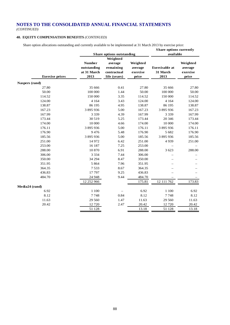*(CONTINUED)*

# **40. EQUITY COMPENSATION BENEFITS** *(CONTINUED)*

Share option allocations outstanding and currently available to be implemented at 31 March 2013 by exercise price:

| Share options outstanding<br>available<br>Weighted<br><b>Number</b><br>Weighted<br>Weighted<br>average<br><b>Exercisable</b> at<br>outstanding<br>remaining<br>average<br>average<br>at 31 March<br>exercise<br>31 March<br>exercise<br>contractual<br><b>Exercise</b> prices<br>2013<br>2013<br>life (years)<br>price<br>price<br>27.80<br>27.80<br>35 666<br>0.41<br>27.80<br>35 666<br>100 000<br>1.44<br>50.00<br>100 000<br>50.00<br>50.00<br>114.52<br>150 000<br>3.35<br>114.52<br>150 000<br>114.52<br>124.00<br>4 1 6 4<br>3.43<br>124.00<br>4 1 6 4<br>124.00<br>86 195<br>86 195<br>138.87<br>138.87<br>4.95<br>138.87<br>167.23<br>3 895 936<br>5.00<br>167.23<br>3 895 936<br>167.23<br>3 3 3 9<br>4.39<br>167.99<br>167.99<br>167.99<br>3 3 3 9<br>173.44<br>30 519<br>5.25<br>173.44<br>173.44<br>20 34 6<br>10 000<br>174.00<br>4.66<br>174.00<br>10 000<br>174.00<br>3 895 936<br>5.00<br>176.11<br>3 895 936<br>176.11<br>176.11<br>176.90<br>9476<br>5.48<br>176.90<br>5 6 8 2<br>176.90<br>3 895 936<br>3 895 936<br>185.56<br>185.56<br>5.00<br>185.56<br>14 972<br>251.00<br>6.42<br>251.00<br>4939<br>251.00<br>253.00<br>16 187<br>7.25<br>253.00<br>10870<br>6.91<br>288.00<br>288.00<br>288.00<br>3 6 2 3<br>306.00<br>3 3 3 4<br>7.44<br>306.00<br>34 294<br>350.00<br>8.47<br>350.00<br>5 8 6 4<br>7.96<br>351.95<br>351.95<br>364.35<br>7533<br>8.67<br>364.35<br>17797<br>436.83<br>9.25<br>436.83<br>484.70<br>9.44<br>24 948<br>484.70<br>12 252 966<br>175.81<br>12 111 762<br>173.83<br>6.92<br>1 100<br>6.92<br>1 100<br>6.92<br>8.12<br>8.12<br>7748<br>0.84<br>7748<br>8.12<br>11.63<br>1.47<br>11.63<br>29 560<br>11.63<br>29 560<br>20.42<br>12 7 20<br>2.47<br>20.42<br>20.42<br>12720<br>13.18<br>51 128<br>51 128<br>13.18 |                |  | <b>Share options currently</b> |  |
|----------------------------------------------------------------------------------------------------------------------------------------------------------------------------------------------------------------------------------------------------------------------------------------------------------------------------------------------------------------------------------------------------------------------------------------------------------------------------------------------------------------------------------------------------------------------------------------------------------------------------------------------------------------------------------------------------------------------------------------------------------------------------------------------------------------------------------------------------------------------------------------------------------------------------------------------------------------------------------------------------------------------------------------------------------------------------------------------------------------------------------------------------------------------------------------------------------------------------------------------------------------------------------------------------------------------------------------------------------------------------------------------------------------------------------------------------------------------------------------------------------------------------------------------------------------------------------------------------------------------------------------------------------------------------------------------------------------------------------------------------------------------|----------------|--|--------------------------------|--|
|                                                                                                                                                                                                                                                                                                                                                                                                                                                                                                                                                                                                                                                                                                                                                                                                                                                                                                                                                                                                                                                                                                                                                                                                                                                                                                                                                                                                                                                                                                                                                                                                                                                                                                                                                                      |                |  |                                |  |
|                                                                                                                                                                                                                                                                                                                                                                                                                                                                                                                                                                                                                                                                                                                                                                                                                                                                                                                                                                                                                                                                                                                                                                                                                                                                                                                                                                                                                                                                                                                                                                                                                                                                                                                                                                      |                |  |                                |  |
|                                                                                                                                                                                                                                                                                                                                                                                                                                                                                                                                                                                                                                                                                                                                                                                                                                                                                                                                                                                                                                                                                                                                                                                                                                                                                                                                                                                                                                                                                                                                                                                                                                                                                                                                                                      |                |  |                                |  |
|                                                                                                                                                                                                                                                                                                                                                                                                                                                                                                                                                                                                                                                                                                                                                                                                                                                                                                                                                                                                                                                                                                                                                                                                                                                                                                                                                                                                                                                                                                                                                                                                                                                                                                                                                                      |                |  |                                |  |
|                                                                                                                                                                                                                                                                                                                                                                                                                                                                                                                                                                                                                                                                                                                                                                                                                                                                                                                                                                                                                                                                                                                                                                                                                                                                                                                                                                                                                                                                                                                                                                                                                                                                                                                                                                      |                |  |                                |  |
|                                                                                                                                                                                                                                                                                                                                                                                                                                                                                                                                                                                                                                                                                                                                                                                                                                                                                                                                                                                                                                                                                                                                                                                                                                                                                                                                                                                                                                                                                                                                                                                                                                                                                                                                                                      |                |  |                                |  |
|                                                                                                                                                                                                                                                                                                                                                                                                                                                                                                                                                                                                                                                                                                                                                                                                                                                                                                                                                                                                                                                                                                                                                                                                                                                                                                                                                                                                                                                                                                                                                                                                                                                                                                                                                                      | Naspers (rand) |  |                                |  |
|                                                                                                                                                                                                                                                                                                                                                                                                                                                                                                                                                                                                                                                                                                                                                                                                                                                                                                                                                                                                                                                                                                                                                                                                                                                                                                                                                                                                                                                                                                                                                                                                                                                                                                                                                                      |                |  |                                |  |
|                                                                                                                                                                                                                                                                                                                                                                                                                                                                                                                                                                                                                                                                                                                                                                                                                                                                                                                                                                                                                                                                                                                                                                                                                                                                                                                                                                                                                                                                                                                                                                                                                                                                                                                                                                      |                |  |                                |  |
|                                                                                                                                                                                                                                                                                                                                                                                                                                                                                                                                                                                                                                                                                                                                                                                                                                                                                                                                                                                                                                                                                                                                                                                                                                                                                                                                                                                                                                                                                                                                                                                                                                                                                                                                                                      |                |  |                                |  |
|                                                                                                                                                                                                                                                                                                                                                                                                                                                                                                                                                                                                                                                                                                                                                                                                                                                                                                                                                                                                                                                                                                                                                                                                                                                                                                                                                                                                                                                                                                                                                                                                                                                                                                                                                                      |                |  |                                |  |
|                                                                                                                                                                                                                                                                                                                                                                                                                                                                                                                                                                                                                                                                                                                                                                                                                                                                                                                                                                                                                                                                                                                                                                                                                                                                                                                                                                                                                                                                                                                                                                                                                                                                                                                                                                      |                |  |                                |  |
|                                                                                                                                                                                                                                                                                                                                                                                                                                                                                                                                                                                                                                                                                                                                                                                                                                                                                                                                                                                                                                                                                                                                                                                                                                                                                                                                                                                                                                                                                                                                                                                                                                                                                                                                                                      |                |  |                                |  |
|                                                                                                                                                                                                                                                                                                                                                                                                                                                                                                                                                                                                                                                                                                                                                                                                                                                                                                                                                                                                                                                                                                                                                                                                                                                                                                                                                                                                                                                                                                                                                                                                                                                                                                                                                                      |                |  |                                |  |
|                                                                                                                                                                                                                                                                                                                                                                                                                                                                                                                                                                                                                                                                                                                                                                                                                                                                                                                                                                                                                                                                                                                                                                                                                                                                                                                                                                                                                                                                                                                                                                                                                                                                                                                                                                      |                |  |                                |  |
|                                                                                                                                                                                                                                                                                                                                                                                                                                                                                                                                                                                                                                                                                                                                                                                                                                                                                                                                                                                                                                                                                                                                                                                                                                                                                                                                                                                                                                                                                                                                                                                                                                                                                                                                                                      |                |  |                                |  |
|                                                                                                                                                                                                                                                                                                                                                                                                                                                                                                                                                                                                                                                                                                                                                                                                                                                                                                                                                                                                                                                                                                                                                                                                                                                                                                                                                                                                                                                                                                                                                                                                                                                                                                                                                                      |                |  |                                |  |
|                                                                                                                                                                                                                                                                                                                                                                                                                                                                                                                                                                                                                                                                                                                                                                                                                                                                                                                                                                                                                                                                                                                                                                                                                                                                                                                                                                                                                                                                                                                                                                                                                                                                                                                                                                      |                |  |                                |  |
|                                                                                                                                                                                                                                                                                                                                                                                                                                                                                                                                                                                                                                                                                                                                                                                                                                                                                                                                                                                                                                                                                                                                                                                                                                                                                                                                                                                                                                                                                                                                                                                                                                                                                                                                                                      |                |  |                                |  |
|                                                                                                                                                                                                                                                                                                                                                                                                                                                                                                                                                                                                                                                                                                                                                                                                                                                                                                                                                                                                                                                                                                                                                                                                                                                                                                                                                                                                                                                                                                                                                                                                                                                                                                                                                                      |                |  |                                |  |
|                                                                                                                                                                                                                                                                                                                                                                                                                                                                                                                                                                                                                                                                                                                                                                                                                                                                                                                                                                                                                                                                                                                                                                                                                                                                                                                                                                                                                                                                                                                                                                                                                                                                                                                                                                      |                |  |                                |  |
|                                                                                                                                                                                                                                                                                                                                                                                                                                                                                                                                                                                                                                                                                                                                                                                                                                                                                                                                                                                                                                                                                                                                                                                                                                                                                                                                                                                                                                                                                                                                                                                                                                                                                                                                                                      |                |  |                                |  |
|                                                                                                                                                                                                                                                                                                                                                                                                                                                                                                                                                                                                                                                                                                                                                                                                                                                                                                                                                                                                                                                                                                                                                                                                                                                                                                                                                                                                                                                                                                                                                                                                                                                                                                                                                                      |                |  |                                |  |
|                                                                                                                                                                                                                                                                                                                                                                                                                                                                                                                                                                                                                                                                                                                                                                                                                                                                                                                                                                                                                                                                                                                                                                                                                                                                                                                                                                                                                                                                                                                                                                                                                                                                                                                                                                      |                |  |                                |  |
|                                                                                                                                                                                                                                                                                                                                                                                                                                                                                                                                                                                                                                                                                                                                                                                                                                                                                                                                                                                                                                                                                                                                                                                                                                                                                                                                                                                                                                                                                                                                                                                                                                                                                                                                                                      |                |  |                                |  |
|                                                                                                                                                                                                                                                                                                                                                                                                                                                                                                                                                                                                                                                                                                                                                                                                                                                                                                                                                                                                                                                                                                                                                                                                                                                                                                                                                                                                                                                                                                                                                                                                                                                                                                                                                                      |                |  |                                |  |
|                                                                                                                                                                                                                                                                                                                                                                                                                                                                                                                                                                                                                                                                                                                                                                                                                                                                                                                                                                                                                                                                                                                                                                                                                                                                                                                                                                                                                                                                                                                                                                                                                                                                                                                                                                      |                |  |                                |  |
|                                                                                                                                                                                                                                                                                                                                                                                                                                                                                                                                                                                                                                                                                                                                                                                                                                                                                                                                                                                                                                                                                                                                                                                                                                                                                                                                                                                                                                                                                                                                                                                                                                                                                                                                                                      |                |  |                                |  |
|                                                                                                                                                                                                                                                                                                                                                                                                                                                                                                                                                                                                                                                                                                                                                                                                                                                                                                                                                                                                                                                                                                                                                                                                                                                                                                                                                                                                                                                                                                                                                                                                                                                                                                                                                                      |                |  |                                |  |
|                                                                                                                                                                                                                                                                                                                                                                                                                                                                                                                                                                                                                                                                                                                                                                                                                                                                                                                                                                                                                                                                                                                                                                                                                                                                                                                                                                                                                                                                                                                                                                                                                                                                                                                                                                      | Media24 (rand) |  |                                |  |
|                                                                                                                                                                                                                                                                                                                                                                                                                                                                                                                                                                                                                                                                                                                                                                                                                                                                                                                                                                                                                                                                                                                                                                                                                                                                                                                                                                                                                                                                                                                                                                                                                                                                                                                                                                      |                |  |                                |  |
|                                                                                                                                                                                                                                                                                                                                                                                                                                                                                                                                                                                                                                                                                                                                                                                                                                                                                                                                                                                                                                                                                                                                                                                                                                                                                                                                                                                                                                                                                                                                                                                                                                                                                                                                                                      |                |  |                                |  |
|                                                                                                                                                                                                                                                                                                                                                                                                                                                                                                                                                                                                                                                                                                                                                                                                                                                                                                                                                                                                                                                                                                                                                                                                                                                                                                                                                                                                                                                                                                                                                                                                                                                                                                                                                                      |                |  |                                |  |
|                                                                                                                                                                                                                                                                                                                                                                                                                                                                                                                                                                                                                                                                                                                                                                                                                                                                                                                                                                                                                                                                                                                                                                                                                                                                                                                                                                                                                                                                                                                                                                                                                                                                                                                                                                      |                |  |                                |  |
|                                                                                                                                                                                                                                                                                                                                                                                                                                                                                                                                                                                                                                                                                                                                                                                                                                                                                                                                                                                                                                                                                                                                                                                                                                                                                                                                                                                                                                                                                                                                                                                                                                                                                                                                                                      |                |  |                                |  |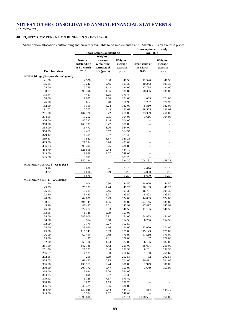# **40. EQUITY COMPENSATION BENEFITS** *(CONTINUED)*

Share option allocations outstanding and currently available to be implemented at 31 March 2013 by exercise price: **Share options currently** 

|                                             |             | Share options outstanding |          | энаге орионз сиггени у<br>available |          |  |  |
|---------------------------------------------|-------------|---------------------------|----------|-------------------------------------|----------|--|--|
|                                             |             | Weighted                  |          |                                     |          |  |  |
|                                             |             |                           |          |                                     |          |  |  |
|                                             | Number      | average                   | Weighted |                                     | Weighted |  |  |
|                                             | outstanding | remaining                 | average  | <b>Exercisable</b> at               | average  |  |  |
|                                             | at 31 March | contractual               | exercise | 31 March                            | exercise |  |  |
| <b>Exercise</b> prices                      | 2013        | life (years)              | price    | 2013                                | price    |  |  |
| <b>MIH Holdings (Naspers shares) (rand)</b> |             |                           |          |                                     |          |  |  |
| 41.50                                       | 12 5 26     | 0.90                      | 41.50    | 12 5 26                             | 41.50    |  |  |
| 105.35                                      | 10 24 2     | 2.45                      | 105.35   | 10 24 2                             | 105.35   |  |  |
| 124.00                                      | 17755       | 3.43                      | 124.00   | 17755                               | 124.00   |  |  |
| 138.87                                      | 98 3 96     | 4.95                      | 138.87   | 98 396                              | 138.87   |  |  |
| 173.44                                      | 4 4 5 7     | 5.25                      | 173.44   |                                     |          |  |  |
| 174.00                                      | 1 0 8 5     | 4.66                      | 174.00   | 1 0 8 5                             | 174.00   |  |  |
| 176.90                                      | 16 662      | 5.48                      | 176.90   | 7 2 3 7                             | 176.90   |  |  |
| 182.00                                      | 5 3 1 0     | 4.24                      | 182.00   | 5 3 1 0                             |          |  |  |
|                                             |             |                           |          |                                     | 182.00   |  |  |
| 191.02                                      | 18 5 6 5    | 4.49                      | 191.02   | 18 5 6 5                            | 191.02   |  |  |
| 251.00                                      | 104 180     | 6.42                      | 251.00   | 33 399                              | 251.00   |  |  |
| 304.05                                      | 13 26 2     | 6.95                      | 304.05   | 3616                                | 304.05   |  |  |
| 306.00                                      | 80 322      | 7.44                      | 306.00   |                                     |          |  |  |
| 350.00                                      | 163 191     | 8.47                      | 350.00   |                                     |          |  |  |
| 364.00                                      | 11 472      | 8.00                      | 364.00   |                                     |          |  |  |
| 364.35                                      | 14 4 62     | 8.67                      | 364.35   |                                     |          |  |  |
| 379.42                                      | 14 4 09     | 7.67                      | 379.42   |                                     |          |  |  |
| 389.33                                      | 7882        | 8.87                      | 389.33   |                                     |          |  |  |
| 423.00                                      | 21 334      | 8.98                      | 423.00   |                                     |          |  |  |
| 436.83                                      | 95 497      | 9.25                      | 436.83   |                                     |          |  |  |
| 484.70                                      | 121 598     | 9.44                      | 484.70   |                                     |          |  |  |
| 549.00                                      | 1928        | 9.67                      | 549.00   |                                     |          |  |  |
| 585.28                                      | 15 599      | 9.91                      | 585.28   |                                     |          |  |  |
|                                             | 850 134     |                           | 324.20   | 208 131                             | 158.21   |  |  |
| MIH (Mauritius) ADS - USD (US\$)            |             |                           |          |                                     |          |  |  |
| 3.18                                        | 4 670       |                           | 3.18     | 4670                                | 3.18     |  |  |
| 3.22                                        | 4 0 0 0     | 0.19                      | 3.22     | 4 0 0 0                             | 3.22     |  |  |
|                                             | 8670        |                           | 3.20     | 8670                                | 3.20     |  |  |
| MIH (Mauritius) - N - ZAR (rand)            |             |                           |          |                                     |          |  |  |
| 41.50                                       | 14 006      | 0.90                      | 41.50    | 14 006                              | 41.50    |  |  |
| 45.25                                       | 76 103      | 1.24                      | 45.25    | 76 103                              | 45.25    |  |  |
|                                             |             | 2.45                      |          |                                     |          |  |  |
| 105.35                                      | 16781       |                           | 105.35   | 16781                               | 105.35   |  |  |
| 123.50                                      | 5 4 2 3     | 2.97                      | 123.50   | 5 4 2 3                             | 123.50   |  |  |
| 124.00                                      | 44 889      | 3.43                      | 124.00   | 44 889                              | 124.00   |  |  |
| 138.87                                      | 494 145     | 4.95                      | 138.87   | 494 145                             | 138.87   |  |  |
| 145.99                                      | 47 497      | 3.71                      | 145.99   | 47 497                              | 145.99   |  |  |
| 146.50                                      | 22 27 2     | 5.93                      | 146.50   | 11 135                              | 146.50   |  |  |
| 153.06                                      | 1 1 4 6     | 5.79                      | 153.06   |                                     |          |  |  |
| 154.00                                      | 243 000     | 5.91                      | 154.00   | 154 833                             | 154.00   |  |  |
| 154.50                                      | 13514       | 5.68                      | 154.50   | 6756                                | 154.50   |  |  |
| 162.50                                      | 7 1 7 9     | 5.27                      | 162.50   |                                     |          |  |  |
| 174.00                                      | 23 070      | 4.66                      | 174.00   | 23 070                              | 174.00   |  |  |
| 175.00                                      | 115 143     | 3.99                      | 175.00   | 115 143                             | 175.00   |  |  |
| 176.90                                      | 67485       | 5.48                      | 176.90   | 37 510                              | 176.90   |  |  |
| 179.00                                      | 37          | 4.31                      | 179.00   | 37                                  | 179.00   |  |  |
| 182.00                                      | 66 186      | 4.24                      | 182.00   | 66 186                              | 182.00   |  |  |
| 251.00                                      | 182 135     | 6.42                      | 251.00   | 58 691                              | 251.00   |  |  |
| 251.50                                      | 27 27 2     | 6.44                      | 251.50   | 8 2 0 1                             | 251.50   |  |  |
| 256.67                                      | 4931        | 6.50                      | 256.67   | 1 1 6 0                             | 256.67   |  |  |
| 292.56                                      | 296         | 6.69                      | 292.56   | 52                                  | 292.56   |  |  |
| 304.05                                      | 61 483      | 6.95                      | 304.05   | 20 491                              | 304.05   |  |  |
| 306.00                                      | 136 751     | 7.44                      | 306.00   | 1979                                | 306.00   |  |  |
|                                             |             |                           |          |                                     |          |  |  |
| 350.00                                      | 205 172     | 8.47                      | 350.00   | 3 6 4 9                             | 350.00   |  |  |
| 364.00                                      | 15 634      | 8.00                      | 364.00   |                                     |          |  |  |
| 364.35                                      | 13 698      | 8.67                      | 364.35   |                                     |          |  |  |
| 379.42                                      | 6725        | 7.67                      | 379.42   |                                     |          |  |  |
| 388.70                                      | 3827        | 7.79                      | 388.70   |                                     |          |  |  |
| 436.83                                      | 40 489      | 9.25                      | 436.83   |                                     |          |  |  |
| 484.70                                      | 137 025     | 9.44                      | 484.70   | 814                                 | 484.70   |  |  |
| 549.00                                      | 6584        | 9.67                      | 549.00   |                                     |          |  |  |
|                                             | 2099898     |                           | 223.14   | 1 208 551                           | 151.07   |  |  |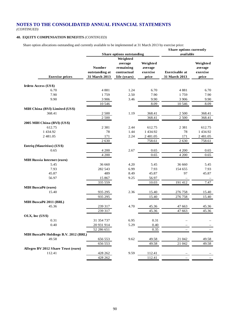*(CONTINUED)*

# **40. EQUITY COMPENSATION BENEFITS** *(CONTINUED)*

Share option allocations outstanding and currently available to be implemented at 31 March 2013 by exercise price:

|                                       |                |                           |          | <b>Share options currently</b> |               |
|---------------------------------------|----------------|---------------------------|----------|--------------------------------|---------------|
|                                       |                | Share options outstanding |          | available                      |               |
|                                       |                | Weighted                  |          |                                |               |
|                                       |                | average                   | Weighted |                                | Weighted      |
|                                       | <b>Number</b>  | remaining                 | average  |                                | average       |
|                                       | outstanding at | contractual               | exercise | <b>Exercisable</b> at          | exercise      |
| <b>Exercise prices</b>                | 31 March 2013  | life (years)              | price    | 31 March 2013                  | price         |
| Irdeto Access (US\$)                  |                |                           |          |                                |               |
| 6.70                                  | 4881           | 1.24                      | 6.70     | 4881                           | 6.70          |
| 7.90                                  | 1759           | 2.50                      | 7.90     | 1759                           | 7.90          |
| 9.90                                  | 3 9 0 6        | 3.46                      | 9.90     | 3 9 0 6                        | 9.90          |
|                                       | 10 546         |                           | 8.09     | 10 546                         | 8.09          |
| MIH China (BVI) Limited (US\$)        |                |                           |          |                                |               |
| 368.41                                | 2 5 0 0        | 1.19                      | 368.41   | 2 500                          | 368.41        |
|                                       | $2\;500$       |                           | 368.41   | 2 500                          | 368.41        |
|                                       |                |                           |          |                                |               |
| 2005 MIH China (BVI) (US\$)<br>612.75 |                | 2.44                      |          |                                |               |
|                                       | 2 3 8 1        |                           | 612.75   | 2 3 8 1                        | 612.75        |
| 1 434.92                              | 78             | 1.44                      | 1 434.92 | 78                             | 1 4 3 4 . 9 2 |
| 2 481.05                              | 171            | 2.24                      | 2 481.05 | 171                            | 2 481.05      |
|                                       | 2630           |                           | 758.61   | 2630                           | 758.61        |
| Entriq (Mauritius) (US\$)             |                |                           |          |                                |               |
| 0.65                                  | 4 200          | 2.67                      | 0.65     | 4 200                          | 0.65          |
|                                       | 4 200          |                           | 0.65     | 4 200                          | 0.65          |
| <b>MIH Russia Internet (euro)</b>     |                |                           |          |                                |               |
| 5.45                                  | 36 660         | 4.20                      | 5.45     | 36 660                         | 5.45          |
| 7.93                                  | 282 543        | 6.99                      | 7.93     | 154 655                        | 7.93          |
| 45.87                                 | 489            | 8.49                      | 45.87    | 97                             | 45.87         |
| 56.97                                 | 15 867         | 9.25                      | 56.97    |                                |               |
|                                       | 335 559        |                           | 10.03    | 191 412                        | 7.47          |
| <b>MIH BuscaPé (euro)</b>             |                |                           |          |                                |               |
| 15.40                                 | 935 295        | 2.36                      | 15.40    | 276 758                        | 15.40         |
|                                       | 935 295        |                           | 15.40    | 276 758                        | 15.40         |
| MIH BuscaPé 2011 (BRL)                |                |                           |          |                                |               |
| 45.36                                 | 239 317        | 4.70                      | 45.36    | 47 663                         | 45.36         |
|                                       | 239 317        |                           | 45.36    | 47 663                         | 45.36         |
| OLX, Inc (US\$)                       |                |                           |          |                                |               |
| 0.31                                  | 31 354 737     | 6.95                      | 0.31     |                                |               |
| 0.40                                  | 20 931 914     | 5.29                      | 0.40     |                                |               |
|                                       | 52 286 651     |                           | 0.35     |                                |               |
|                                       |                |                           |          |                                |               |
| MIH BuscaPé Holdings B.V. 2012 (BRL)  |                |                           |          |                                |               |
| 49.58                                 | 656 553        | 9.62                      | 49.58    | 21 042                         | 49.58         |
|                                       | 656 553        |                           | 49.58    | 21 042                         | 49.58         |
| Allegro BV 2012 Share Trust (euro)    |                |                           |          |                                |               |
| 112.41                                | 428 262        | 9.59                      | 112.41   |                                |               |
|                                       | 428 262        |                           | 112.41   |                                |               |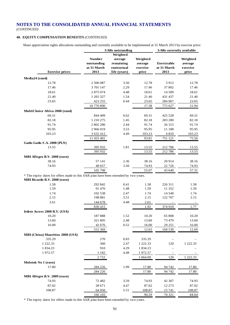*(CONTINUED)*

# **40. EQUITY COMPENSATION BENEFITS** *(CONTINUED)*

Share appreciation rights allocations outstanding and currently available to be implemented at 31 March 2013 by exercise price:

|                                                                                      |               | <b>SARs</b> outstanding |          | <b>SARs</b> currently available |          |
|--------------------------------------------------------------------------------------|---------------|-------------------------|----------|---------------------------------|----------|
|                                                                                      |               | Weighted                |          |                                 |          |
|                                                                                      | <b>Number</b> | average                 | Weighted |                                 | Weighted |
|                                                                                      | outstanding   | remaining               | average  | Exercisable                     | average  |
|                                                                                      | at 31 March   | contractual             | exercise | at 31 March                     | exercise |
| <b>Exercise prices</b>                                                               | 2013          | life (years)            | price    | 2013                            | price    |
|                                                                                      |               |                         |          |                                 |          |
| Media24 (rand)<br>12.78                                                              |               |                         |          | 3912                            |          |
|                                                                                      | 2 506 087     | 3.50                    | 12.78    |                                 | 12.78    |
| 17.46                                                                                | 3 701 147     | 2.29                    | 17.46    | 37 802                          | 17.46    |
| 18.61                                                                                | 2 875 074     | 4.48                    | 18.61    | 14 509                          | 18.61    |
| 21.40                                                                                | 1 265 327     | 1.54                    | 21.40    | 431 437                         | 21.40    |
| 23.65                                                                                | 423 255       | 0.44                    | 23.65    | 284 967                         | 23.65    |
|                                                                                      | 10 770 890    |                         | 17.38    | 772 627                         | 21.94    |
| MultiChoice Africa 2008 (rand)                                                       |               |                         |          |                                 |          |
| 69.31                                                                                | 844 409       | 0.62                    | 69.31    | 425 528                         | 69.31    |
| 82.18                                                                                | 1 210 275     | 1.45                    | 82.18    | 283 280                         | 82.18    |
| 91.74                                                                                | 2 802 286     | 2.44                    | 91.74    | 26 3 15                         | 91.74    |
| 95.95                                                                                | 2 966 019     | 3.53                    | 95.95    | 11 188                          | 95.95    |
| 103.23                                                                               | 3 632 412     | 4.49                    | 103.23   | 4810                            | 103.23   |
|                                                                                      | 11 455 401    |                         | 93.81    | 751 121                         | 75.56    |
| Gadu-Gadu S.A. 2008 (PLN)                                                            |               |                         |          |                                 |          |
| 13.55                                                                                | 395 932       | 1.81                    | 13.55    | 212786                          | 13.55    |
|                                                                                      | 395 932       |                         | 13.55    | 212786                          | 13.55    |
| MIH Allegro B.V. 2008 (euro)                                                         |               |                         |          |                                 |          |
| 38.16                                                                                | 57 141        | 2.36                    | 38.16    | 20914                           | 38.16    |
| 74.93                                                                                | 48 657        | 3.50                    | 74.93    | 22 7 26                         | 74.93    |
|                                                                                      | 105 798       |                         | 55.07    | 43 640                          | 57.31    |
| * The expiry dates for offers made in this SAR plan have been extended by two years. |               |                         |          |                                 |          |
| MIH Ricardo B.V. 2008 (euro)                                                         |               |                         |          |                                 |          |
| 1.58                                                                                 | 292 842       | 0.41                    | 1.58     | 226 311                         | 1.58     |
| 1.59                                                                                 | 91 476        | 1.48                    | 1.59     | 11 352                          | 1.59     |
| 1.74                                                                                 | 102 538       | 2.47                    | 1.74     | 14 540                          | 1.74     |
| 2.15                                                                                 | 198 881       | 3.51                    | 2.15     | 122 707                         | 2.15     |
| 2.61                                                                                 | 144 678       | 4.48                    | 2.61     |                                 |          |
|                                                                                      | 830 415       |                         | 1.92     | 374 910                         | 1.77     |
| Irdeto Access 2008 B.V. (US\$)                                                       |               |                         |          |                                 |          |
| 10.20                                                                                | 187888        | 1.52                    | 10.20    | 65 808                          | 10.20    |
| 13.60                                                                                | 321 805       | 2.48                    | 13.60    | 73 479                          | 13.60    |
| 16.00                                                                                | 42 676        | 0.52                    | 16.00    | 29 25 1                         | 16.00    |
|                                                                                      | 552 369       |                         | 12.63    | 168 538                         | 12.69    |
| MIH (China) Mauritius 2008 (US\$)                                                    |               |                         |          |                                 |          |
| 335.29                                                                               | 270           | 0.83                    | 335.29   |                                 |          |
| 1 222.33                                                                             | 360           | 2.47                    | 1 222.33 | 120                             | 1 222.33 |
| 1 834.23                                                                             | 910           | 4.29                    | 1 834.23 |                                 |          |
| 1972.57                                                                              | 1 1 8 2       | 4.48                    | 1972.57  |                                 |          |
|                                                                                      | 2722          |                         | 1 664.69 | 120                             | 1 222.33 |
| Molotok No 1 (euro)                                                                  |               |                         |          |                                 |          |
| 17.80                                                                                | 284 226       | 1.99                    | 17.80    | 94 742                          | 17.80    |
|                                                                                      | 284 226       |                         | 17.80    | 94 742                          | 17.80    |
| MIH Allegro B.V. 2009 (euro)                                                         |               |                         |          |                                 |          |
| 74.93                                                                                | 72482         | 3.59                    | 74.93    | 42 307                          | 74.93    |
| 87.02                                                                                | 28 671        | 4.47                    |          | 12 273                          |          |
|                                                                                      |               |                         | 87.02    |                                 | 87.02    |
| 108.87                                                                               | 64 950        | 5.51                    | 108.87   | 15 741                          | 108.87   |
|                                                                                      | 166 103       |                         | 90.29    | 70 321                          | 84.64    |

\* The expiry dates for offers made in this SAR plan have been extended by two years.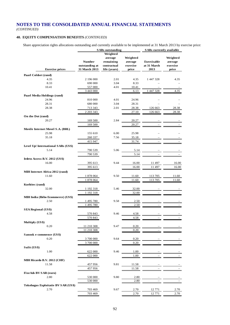*(CONTINUED)*

# **40. EQUITY COMPENSATION BENEFITS** *(CONTINUED)*

Share appreciation rights allocations outstanding and currently available to be implemented at 31 March 2013 by exercise price:

|                                       |                | <b>SARs</b> outstanding |          | SARs currently available |          |
|---------------------------------------|----------------|-------------------------|----------|--------------------------|----------|
|                                       |                | Weighted                |          |                          |          |
|                                       |                | average                 | Weighted |                          | Weighted |
|                                       | <b>Number</b>  | remaining               | average  | Exercisable              | average  |
|                                       | outstanding at | contractual             | exercise | at 31 March              | exercise |
|                                       | 31 March 2013  |                         |          | 2013                     |          |
| <b>Exercise prices</b>                |                | life (years)            | price    |                          | price    |
| Paarl Coldset (rand)                  |                |                         |          |                          |          |
| 4.35                                  | 2 196 000      | 2.01                    | 4.35     | 1 447 328                | 4.35     |
| 8.33                                  | 690 000        | 3.04                    | 8.33     |                          |          |
| 10.41                                 | 557 000        | 4.01                    | 10.41    |                          |          |
|                                       | 3 443 000      |                         | 6.13     | 1 447 328                |          |
|                                       |                |                         |          |                          | 4.35     |
| Paarl Media Holdings (rand)           |                |                         |          |                          |          |
| 24.96                                 | 810 000        | 4.01                    | 24.96    |                          |          |
| 28.31                                 | 680 000        | 3.04                    | 28.31    |                          |          |
| 28.38                                 | 713 343        | 2.01                    | 28.38    | 126 663                  | 28.38    |
|                                       | 2 2 0 3 3 4 3  |                         | 27.10    | 126 663                  | 28.38    |
|                                       |                |                         |          |                          |          |
| On the Dot (rand)                     |                |                         |          |                          |          |
| 20.27                                 | 169 500        | 2.84                    | 20.27    |                          |          |
|                                       | 169 500        |                         | 20.27    |                          |          |
| Movile Internet Movel S.A. (BRL)      |                |                         |          |                          |          |
| 25.98                                 | 155 610        | 6.00                    | 25.98    |                          |          |
| 35.18                                 | 260 337        | 7.56                    | 35.18    |                          |          |
|                                       | 415 947        |                         | 31.74    |                          |          |
|                                       |                |                         |          |                          |          |
| Level Up! International SARs (US\$)   |                |                         |          |                          |          |
| 5.14                                  | 790 539        | 5.06                    | 5.14     |                          |          |
|                                       | 790 539        |                         | 5.14     |                          |          |
| <b>Irdeto Access B.V. 2012 (US\$)</b> |                |                         |          |                          |          |
| 16.00                                 | 395 613        | 9.44                    | 16.00    | 11 497                   | 16.00    |
|                                       | 395 613        |                         | 16.00    | 11 497                   | 16.00    |
|                                       |                |                         |          |                          |          |
| MIH Internet Africa 2012 (rand)       |                |                         |          |                          |          |
| 11.60                                 | 1 878 064      | 9.50                    | 11.60    | 113 705                  | 11.60    |
|                                       | 1 878 064      |                         | 11.60    | 113 705                  | 11.60    |
| Korbitec (rand)                       |                |                         |          |                          |          |
| 32.00                                 | 1 192 318      | 5.46                    | 32.00    |                          |          |
|                                       |                |                         | 32.00    |                          |          |
|                                       | 1 192 318      |                         |          |                          |          |
| MIH India (Ibibo Ecommerce) (US\$)    |                |                         |          |                          |          |
| 2.50                                  | 1495780        | 9.58                    | 2.50     |                          |          |
|                                       | 1495780        |                         | 2.50     |                          |          |
| <b>SEA Regional (US\$)</b>            |                |                         |          |                          |          |
| 4.58                                  | 570 843        | 9.46                    | 4.58     |                          |          |
|                                       | 570 843        |                         | 4.58     |                          |          |
|                                       |                |                         |          |                          |          |
| Multiply (US\$)                       |                |                         |          |                          |          |
| 0.20                                  | 11 210 308     | 9.47                    | 0.20     |                          |          |
|                                       | 11 210 308     |                         | 0.20     |                          |          |
| Sanook e-commence (US\$)              |                |                         |          |                          |          |
| 0.20                                  | 3 700 000      | 9.64                    | 0.20     |                          |          |
|                                       | 3700000        |                         | 0.20     |                          |          |
| Sulit (US\$)                          |                |                         |          |                          |          |
|                                       |                |                         |          |                          |          |
| 1.00                                  | 622 000        | 9.46                    | 1.00     |                          |          |
|                                       | 622 000        |                         | 1.00     |                          |          |
| MIH Ricardo B.V. 2012 (CHF)           |                |                         |          |                          |          |
| 11.58                                 | 457956         | 9.81                    | 11.58    |                          |          |
|                                       | 457956         |                         | 11.58    |                          |          |
|                                       |                |                         |          |                          |          |
| FixeAds BV SAR (euro)                 |                |                         |          |                          |          |
| 2.80                                  | 530 000        | 9.80                    | 2.80     |                          |          |
|                                       | 530 000        |                         | 2.80     |                          |          |
| Tokobagus Exploitatie BV SAR (US\$)   |                |                         |          |                          |          |
| 2.70                                  | 703 469        | 9.67                    | 2.70     | 12771                    | 2.70     |
|                                       | 703 469        |                         | 2.70     | 12 771                   | 2.70     |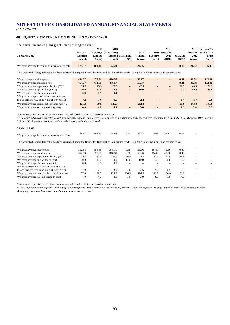*(CONTINUED)*

# **40. EQUITY COMPENSATION BENEFITS** *(CONTINUED)*

Share trust incentive plans grants made during the year:

|                                                 |                | MШ      | MШ                   |                          |        |                          | МІН                      |          |        | <b>MIH</b> Allegro BV |
|-------------------------------------------------|----------------|---------|----------------------|--------------------------|--------|--------------------------|--------------------------|----------|--------|-----------------------|
|                                                 | <b>Naspers</b> |         | Holdings (Mauritius) |                          | MШ     | MІН                      | BuscaPé                  |          |        | BuscaPé 2012 Share    |
| 31 March 2013                                   | Limited        | Limited |                      | Limited MIH India        | Russia | <b>BuscaPé</b>           | <b>2011</b>              | OLX Inc. | 2012   | Trust                 |
|                                                 | (rand)         | (rand)  | (rand)               | (US\$)                   | (euro) | (euro)                   | (BRL)                    | (BRL)    | (euro) | (euro)                |
|                                                 |                |         |                      |                          |        |                          |                          |          |        |                       |
| Weighted average fair value at measurement date | 171.57         | 181.44  | 174.29               | $\overline{\phantom{0}}$ | 24.55  | $\overline{\phantom{0}}$ | $\overline{\phantom{0}}$ | 0.10     | 24.62  | 36.83                 |

This weighted average fair value has been calculated using the Bermudan Binomial option pricing model, using the following inputs and assumptions:

| Weighted average share price                   | 464.77      | 472.51      | 476.57 | $\overline{\phantom{0}}$ | 56.97 | - | -                        | 0.31  | 49.58 | 112.41 |
|------------------------------------------------|-------------|-------------|--------|--------------------------|-------|---|--------------------------|-------|-------|--------|
| Weighted average exercise price                | 464.77      | 472.51      | 476.57 | $\overline{\phantom{a}}$ | 56.97 | - | -                        | 0.31  | 49.58 | 112.41 |
| Weighted average expected volatility $(\%)$ *  | 25.8        | 25.5        | 25.3   | $\overline{\phantom{a}}$ | 47.5  | - |                          | 30.9  | 48.3  | 31.9   |
| Weighted average option life (years)           | <b>10.0</b> | <b>10.0</b> | 10.0   | $\overline{\phantom{a}}$ | 10.0  | - | $\overline{\phantom{0}}$ | 7.2   | 10.0  | 10.0   |
| Weighted average dividend yield (%)            | 0.9         | 0.9         | 0.9    |                          |       |   |                          |       |       |        |
| Weighted average risk-free interest rate (%)   |             |             |        |                          |       |   |                          |       |       |        |
| (based on zero rate bond yield at perfect fit) | 7.0         | 7.0         | 6.9    | $\overline{\phantom{a}}$ | 2.2   | - |                          | 1.4   | 5.7   | 2.0    |
| Weighted average annual sub-optimal rate (%)   | 131.0       | 89.5        | 125.5  | $\overline{\phantom{a}}$ | 202.8 | - | $\overline{\phantom{a}}$ | 100.0 | 143.0 | 143.0  |
| Weighted average vesting period (years)        | 4.0         | 4.0         | 4.0    | $\overline{\phantom{0}}$ | 3.0   | - |                          | 4.0   | 3.0   | 3.0    |

Various early exercise expectations were calculated based on historical exercise behaviours

*\* The weighted average expected volatility of all share options listed above is determined using historical daily share prices except for the MIH India, MIH Buscapé, MIH Buscapé 2011 and OLX plans where historical annual company valuations are used.*

| 31 March 2012                                   |        |        |                   |  |      |      |                                 |                          |
|-------------------------------------------------|--------|--------|-------------------|--|------|------|---------------------------------|--------------------------|
| Weighted average fair value at measurement date | 168.87 | 167.23 | 158.84 0.24 28.22 |  | 5.43 | 2577 | $\hspace{0.1mm}-\hspace{0.1mm}$ | $\overline{\phantom{a}}$ |

This weighted average fair value has been calculated using the Bermudan Binomial option pricing model, using the following inputs and assumptions:

| Weighted average share price                   | 352.58 | 358.38 | 348.30 | 0.58                     | 53.06 | 15.40 | 45.36 | 0.40  |                          |  |
|------------------------------------------------|--------|--------|--------|--------------------------|-------|-------|-------|-------|--------------------------|--|
| Weighted average exercise price                | 352.58 | 358.38 | 348.30 | 0.58                     | 53.06 | 15.40 | 45.36 | 0.40  |                          |  |
| Weighted average expected volatility $(\%)$ *  | 34.6   | 33.8   | 34.4   | 38.9                     | 59.9  | 35.1  | 61.8  | 39.9  | $\sim$                   |  |
| Weighted average option life (years)           | 10.0   | 10.0   | 10.0   | 10.0                     | 10.0  | 5.3   | 6.0   | 7.2   |                          |  |
| Weighted average dividend yield (%)            | 0.8    | 0.8    | 0.8    | $\overline{\phantom{a}}$ |       |       |       |       |                          |  |
| Weighted average risk-free interest rate (%)   |        |        |        |                          |       |       |       |       |                          |  |
| (based on zero rate bond yield at perfect fit) | 7.9    | 7.9    | 8.0    | 3.6                      | 2.5   | 2.9   | 6.5   | 3.0   |                          |  |
| Weighted average annual sub-optimal rate (%)   | 77.0   | 89.5   | 124.7  | 106.5                    | 186.3 | 186.3 | 100.0 | 100.0 | $\overline{\phantom{a}}$ |  |
| Weighted average vesting period (years)        | 4.0    | 4.0    | 4.0    | 3.0                      | 3.0   | 4.0   | 3.0   | 4.0   |                          |  |
|                                                |        |        |        |                          |       |       |       |       |                          |  |

Various early exercise expectations were calculated based on historical exercise behaviours

*\* The weighted average expected volatility of all share options listed above is determined using historical daily share prices except for the MIH India, MIH Russia and MIH Buscapé plans where historical annual company valuations are used.*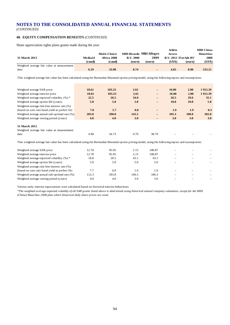*(CONTINUED)*

# **40. EQUITY COMPENSATION BENEFITS** *(CONTINUED)*

Share appreciation rights plans grants made during the year:

|                                            |         |                     |                  |                                | Irdeto               |        | <b>MIH China</b> |
|--------------------------------------------|---------|---------------------|------------------|--------------------------------|----------------------|--------|------------------|
|                                            |         | <b>Multi-Choice</b> |                  | <b>MIH Ricardo MIH Allegro</b> | <b>Access</b>        |        | <b>Mauritius</b> |
| 31 March 2013                              | Media24 | Africa 2008         | <b>B.V. 2008</b> | 2009                           | B.V. 2012 FixeAds BV |        | 2008             |
|                                            | (rand)  | (rand)              | (euro)           | (euro)                         | (US\$)               | (euro) | (US\$)           |
| Weighted average fair value at measurement |         |                     |                  |                                |                      |        |                  |
| date                                       | 6.19    | 33.98               | 0.74             | $\qquad \qquad -$              | 4.65                 | 0.90   | 533.21           |
|                                            |         |                     |                  |                                |                      |        |                  |

This weighted average fair value has been calculated using the Bermudan Binomial option pricing model, using the following inputs and assumptions:

| Weighted average SAR price                                                                                                                         | 18.61 | 103.23 | 2.61  | $\overline{\phantom{0}}$ | 16.00             | 2.80                     | 1912.39 |
|----------------------------------------------------------------------------------------------------------------------------------------------------|-------|--------|-------|--------------------------|-------------------|--------------------------|---------|
| Weighted average exercise price                                                                                                                    | 18.61 | 103.23 | 2.61  |                          | 16.00             | 2.80                     | 1912.39 |
| Weighted average expected volatility $(\%)$ *                                                                                                      | 22.5  | 26.5   | 34.0  |                          | 26.5              | 29.6                     | 35.1    |
| Weighted average option life (years)                                                                                                               | 5.0   | 5.0    | 5.0   |                          | 10.0              | 10.0                     | 5.0     |
| Weighted average risk-free interest rate (%)                                                                                                       |       |        |       |                          |                   |                          |         |
| (based on zero rate bond yield at perfect fit)                                                                                                     | 7.0   | 5.7    | 0.8   | $\qquad \qquad -$        | 1.9               | 1.9                      | 0.3     |
| Weighted average annual sub-optimal rate (%)                                                                                                       | 203.0 | 290.8  | 145.5 | -                        | 105.3             | 100.0                    | 202.8   |
| Weighted average vesting period (years)                                                                                                            | 4.0   | 4.0    | 3.0   |                          | 3.0               | 3.0                      | 3.0     |
|                                                                                                                                                    |       |        |       |                          |                   |                          |         |
| 31 March 2012                                                                                                                                      |       |        |       |                          |                   |                          |         |
| Weighted average fair value at measurement                                                                                                         |       |        |       |                          |                   |                          |         |
| date                                                                                                                                               | 4.98  | 34.73  | 0.79  | 38.79                    |                   |                          |         |
| This weighted average fair value has been calculated using the Bermudan Binomial option pricing model, using the following inputs and assumptions: |       |        |       |                          |                   |                          |         |
| Weighted average SAR price                                                                                                                         | 12.78 | 95.95  | 2.15  | 108.87                   |                   |                          |         |
|                                                                                                                                                    |       |        |       |                          |                   |                          |         |
| Weighted average exercise price                                                                                                                    | 12.78 | 95.95  | 2.15  | 108.87                   | $\equiv$          | $\overline{\phantom{0}}$ |         |
| Weighted average expected volatility $(\%)$ *                                                                                                      | 18.8  | 28.5   | 43.1  | 43.1                     |                   |                          |         |
| Weighted average option life (years)                                                                                                               | 5.0   | 5.0    | 5.0   | 5.0                      |                   |                          |         |
| Weighted average risk-free interest rate (%)                                                                                                       |       |        |       |                          |                   |                          |         |
| (based on zero rate bond yield at perfect fit)                                                                                                     | 7.7   | 6.8    | 1.6   | 1.6                      | $\qquad \qquad =$ |                          |         |
| Weighted average annual sub-optimal rate (%)                                                                                                       | 112.3 | 293.8  | 106.5 | 186.3                    |                   |                          |         |
| Weighted average vesting period (years)                                                                                                            | 4.0   | 4.0    | 3.0   | 3.0                      |                   |                          |         |

Various early exercise expectations were calculated based on historical exercise behaviours

*\*The weighted average expected volatility of all SAR grants listed above is determined using historical annual company valuations, except for the MIH (China) Mauritius 2008 plan where historical daily share prices are used.*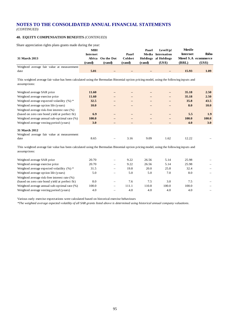*(CONTINUED)*

# **40. EQUITY COMPENSATION BENEFITS** *(CONTINUED)*

Share appreciation rights plans grants made during the year:

|                                            | MШ       |                   |         | Paarl  | LevelUp!             | Movile   |                     |
|--------------------------------------------|----------|-------------------|---------|--------|----------------------|----------|---------------------|
|                                            | Internet |                   | Paarl   |        | Media Internation    | Internet | <b>Ibibo</b>        |
| 31 March 2013                              |          | Africa On the Dot | Coldset |        | Holdings al Holdings |          | Movel S.A ecommerce |
|                                            | (rand)   | (rand)            | (rand)  | (rand) | (US\$)               | (BRL)    | (US\$)              |
|                                            |          |                   |         |        |                      |          |                     |
| Weighted average fair value at measurement |          |                   |         |        |                      |          |                     |

This weighted average fair value has been calculated using the Bermudan Binomial option pricing model, using the following inputs and assumptions:

| Weighted average SAR price                     | 11.60       |      |      | $\qquad \qquad -$        | 35.18        | 2.50  |
|------------------------------------------------|-------------|------|------|--------------------------|--------------|-------|
| Weighted average exercise price                | 11.60       |      |      | $\qquad \qquad -$        | 35.18        | 2.50  |
| Weighted average expected volatility $(\%)$ *  | 32.5        |      |      | $\overline{\phantom{0}}$ | 35.8         | 43.5  |
| Weighted average option life (years)           | <b>10.0</b> |      |      | $\overline{\phantom{0}}$ | 8.0          | 10.0  |
| Weighted average risk-free interest rate (%)   |             |      |      |                          |              |       |
| (based on zero rate bond yield at perfect fit) | 6.9         |      |      |                          | 5.5          | 1.9   |
| Weighted average annual sub-optimal rate (%)   | 100.0       |      |      | $\qquad \qquad -$        | <b>100.0</b> | 100.0 |
| Weighted average vesting period (years)        | 3.0         |      |      |                          | 4.0          | 3.0   |
|                                                |             |      |      |                          |              |       |
| 31 March 2012                                  |             |      |      |                          |              |       |
| Weighted average fair value at measurement     |             |      |      |                          |              |       |
| date                                           | 8.65        | 3.16 | 9.09 | 1.62                     | 12.22        |       |

This weighted average fair value has been calculated using the Bermudan Binomial option pricing model, using the following inputs and assumptions:

| Weighted average SAR price                     | 20.70 | $\overline{\phantom{0}}$ | 9.22  | 26.56 | 5.14  | 25.98 |   |
|------------------------------------------------|-------|--------------------------|-------|-------|-------|-------|---|
| Weighted average exercise price                | 20.70 | $\overline{\phantom{0}}$ | 9.22  | 26.56 | 5.14  | 25.98 |   |
| Weighted average expected volatility (%) *     | 31.5  |                          | 19.8  | 20.0  | 25.8  | 32.4  | - |
| Weighted average option life (years)           | 5.0   | $\overline{\phantom{0}}$ | 5.0   | 5.0   | 7.0   | 8.0   |   |
| Weighted average risk-free interest rate (%)   |       |                          |       |       |       |       |   |
| (based on zero rate bond yield at perfect fit) | 8.0   |                          | 7.6   | 7.5   | 3.0   | 7.5   |   |
| Weighted average annual sub-optimal rate (%)   | 100.0 | $\overline{\phantom{0}}$ | 111.1 | 110.8 | 100.0 | 100.0 |   |
| Weighted average vesting period (years)        | 4.0   |                          | 4.0   | 4.0   | 4.0   | 4.0   | - |
|                                                |       |                          |       |       |       |       |   |

Various early exercise expectations were calculated based on historical exercise behaviours

*\*The weighted average expected volatility of all SAR grants listed above is determined using historical annual company valuations.*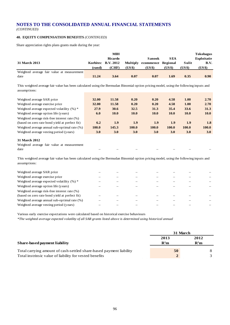*(CONTINUED)*

# **40. EQUITY COMPENSATION BENEFITS** *(CONTINUED)*

Share appreciation rights plans grants made during the year:

| 31 March 2013                              |        | <b>MIH</b><br>Ricardo<br>Korbitec B.V. 2012<br>(CHF) |        | Sanook<br>Multiply ecommence Regional | <b>SEA</b> | Sulit  | <b>Tokobagus</b><br><b>Exploitatie</b><br>B.V. |
|--------------------------------------------|--------|------------------------------------------------------|--------|---------------------------------------|------------|--------|------------------------------------------------|
| Weighted average fair value at measurement | (rand) |                                                      | (US\$) | (US\$)                                | (US\$)     | (US\$) | (US\$)                                         |
| date                                       | 11.24  | 3.64                                                 | 0.07   | 0.07                                  | 1.69       | 0.35   | 0.90                                           |

This weighted average fair value has been calculated using the Bermudan Binomial option pricing model, using the following inputs and assumptions:

| Weighted average SAR price                     | 32.00 | 11.58       | 0.20         | 0.20        | 4.58         | <b>1.00</b>  | 2.70         |
|------------------------------------------------|-------|-------------|--------------|-------------|--------------|--------------|--------------|
| Weighted average exercise price                | 32.00 | 11.58       | 0.20         | 0.20        | 4.58         | 1.00         | 2.70         |
| Weighted average expected volatility $(\%)$ *  | 27.9  | 30.6        | 32.5         | 31.3        | 35.4         | 33.6         | 31.3         |
| Weighted average option life (years)           | 6.0   | <b>10.0</b> | <b>10.0</b>  | <b>10.0</b> | 10.0         | <b>10.0</b>  | <b>10.0</b>  |
| Weighted average risk-free interest rate (%)   |       |             |              |             |              |              |              |
| (based on zero rate bond yield at perfect fit) | 6.2   | 1.9         | 1.9          | 1.9         | 1.9          | 1.9          | 1.8          |
| Weighted average annual sub-optimal rate (%)   | 100.0 | 145.3       | <b>100.0</b> | 100.0       | <b>100.0</b> | <b>100.0</b> | <b>100.0</b> |
| Weighted average vesting period (years)        | 3.0   | 3.0         | 3.0          | <b>3.0</b>  | 3.0          | 3.0          | 3.0          |
| <b>31 March 2012</b><br>$\sim$ $\sim$          |       |             |              |             |              |              |              |

Weighted average fair value at measurement date – – – – – – – – – – –

This weighted average fair value has been calculated using the Bermudan Binomial option pricing model, using the following inputs and assumptions:

| Weighted average SAR price                     |  |  |  |  |
|------------------------------------------------|--|--|--|--|
| Weighted average exercise price                |  |  |  |  |
| Weighted average expected volatility $(\%)$ *  |  |  |  |  |
| Weighted average option life (years)           |  |  |  |  |
| Weighted average risk-free interest rate (%)   |  |  |  |  |
| (based on zero rate bond yield at perfect fit) |  |  |  |  |
| Weighted average annual sub-optimal rate (%)   |  |  |  |  |
| Weighted average vesting period (years)        |  |  |  |  |
|                                                |  |  |  |  |

Various early exercise expectations were calculated based on historical exercise behaviours

*\*The weighted average expected volatility of all SAR grants listed above is determined using historical annual* 

|                                                                     |      | 31 March |
|---------------------------------------------------------------------|------|----------|
|                                                                     | 2013 | 2012     |
| Share-based payment liability                                       | R'm  | R'm      |
| Total carrying amount of cash-settled share-based payment liability | 50   |          |
| Total instrinsic value of liability for vested benefits             |      |          |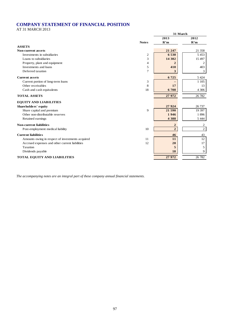# **COMPANY STATEMENT OF FINANCIAL POSITION**

AT 31 MARCH 2013

|                                                        |                         | 31 March       |
|--------------------------------------------------------|-------------------------|----------------|
|                                                        | 2013                    | 2012           |
| <b>Notes</b>                                           | R'm                     | R'm            |
| <b>ASSETS</b>                                          |                         |                |
| <b>Non-current assets</b>                              | 21 247                  | 21 358         |
| Investments in subsidiaries<br>$\mathbf{2}$            | 6 530                   | 5453           |
| 3<br>Loans to subsidiaries                             | 14 302                  | 15 497         |
| Property, plant and equipment<br>4                     | $\overline{\mathbf{2}}$ | $\overline{2}$ |
| Investments and loans<br>5                             | 410                     | 403            |
| Deferred taxation<br>7                                 | 3                       | 3              |
| <b>Current assets</b>                                  | 6725                    | 5 4 2 4        |
| Current portion of long-term loans<br>3                |                         | 1 1 0 5        |
| Other receivables<br>8                                 | 17                      | 13             |
| 18<br>Cash and cash equivalents                        | 6708                    | 4 3 0 6        |
| <b>TOTAL ASSETS</b>                                    | 27972                   | 26 782         |
| <b>EQUITY AND LIABILITIES</b>                          |                         |                |
| Shareholders' equity                                   | 27924                   | 26 737         |
| 9<br>Share capital and premium                         | 21 590                  | 19 397         |
| Other non-distributable reserves                       | 1946                    | 1896           |
| Retained earnings                                      | 4 3 8 8                 | 5 4 4 4        |
| <b>Non-current liabilities</b>                         | $\overline{2}$          | 2              |
| Post-employment medical liability<br>10                | $\overline{2}$          | $\overline{2}$ |
| <b>Current liabilities</b>                             | 46                      | 43             |
| Amounts owing in respect of investments acquired<br>11 | 11                      | 12             |
| Accrued expenses and other current liabilities<br>12   | 20                      | 17             |
| Taxation                                               | 5                       | 5              |
| Dividends payable                                      | <b>10</b>               | 9              |
| <b>TOTAL EQUITY AND LIABILITIES</b>                    | 27972                   | 26 782         |

*The accompanying notes are an integral part of these company annual financial statements.*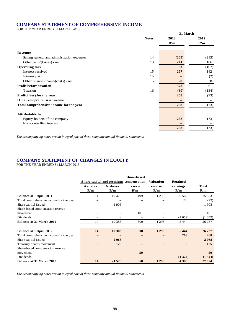# **COMPANY STATEMENT OF COMPREHENSIVE INCOME**

FOR THE YEAR ENDED 31 MARCH 2013

|                                              |              | 31 March |       |  |
|----------------------------------------------|--------------|----------|-------|--|
|                                              | <b>Notes</b> | 2013     | 2012  |  |
|                                              |              | R'm      | R'm   |  |
|                                              |              |          |       |  |
| Revenue                                      |              |          |       |  |
| Selling, general and administration expenses | 14           | (208)    | (213) |  |
| Other gains/(losses) - net                   | 13           | 241      | 106   |  |
| <b>Operating loss</b>                        |              | 33       | (107) |  |
| Interest received                            | 15           | 267      | 142   |  |
| Interest paid                                | 15           |          | (2)   |  |
| Other finance income/(costs) - net           | 15           | 28       | 28    |  |
| Profit before taxation                       |              | 328      | 61    |  |
| Taxation                                     | 16           | (60)     | (134) |  |
| Profit/(loss) for the year                   |              | 268      | (73)  |  |
| Other comprehensive income                   |              | -        |       |  |
| Total comprehensive income for the year      |              | 268      | (73)  |  |
|                                              |              |          |       |  |
| <b>Attributable to:</b>                      |              |          |       |  |
| Equity holders of the company                |              | 268      | (73)  |  |
| Non-controlling interest                     |              |          |       |  |
|                                              |              | 268      | (73)  |  |

*The accompanying notes are an integral part of these company annual financial statements.*

# **COMPANY STATEMENT OF CHANGES IN EQUITY**

FOR THE YEAR ENDED 31 MARCH 2013

|                                         |          |          | <b>Share-based</b>                     |                  |          |              |
|-----------------------------------------|----------|----------|----------------------------------------|------------------|----------|--------------|
|                                         |          |          | Share capital and premium compensation | <b>Valuation</b> | Retained |              |
|                                         | A shares | N shares | reserve                                | reserve          | earnings | <b>Total</b> |
|                                         | R'm      | R'm      | R'm                                    | R'm              | R'm      | R'm          |
| <b>Balance at 1 April 2011</b>          | 14       | 17475    | 499                                    | 1 2 9 6          | 6569     | 25 853       |
| Total comprehensive income for the year |          |          | $\overline{\phantom{0}}$               |                  | (73)     | (73)         |
| Share capital issued                    | -        | 1908     |                                        |                  |          | 1908         |
| Share-based compensation reserve        |          |          |                                        |                  |          |              |
| movement                                |          |          | 101                                    |                  |          | 101          |
| Dividends                               |          |          |                                        |                  | (1052)   | (1052)       |
| <b>Balance at 31 March 2012</b>         | 14       | 19 3 8 3 | 600                                    | 1 2 9 6          | 5 4 4 4  | 26 737       |
|                                         |          |          |                                        |                  |          |              |
| <b>Balance at 1 April 2012</b>          | 14       | 19 3 83  | 600                                    | 1 2 9 6          | 5 4 4 4  | 26 737       |
| Total comprehensive income for the year |          |          | -                                      |                  | 268      | 268          |
| Share capital issued                    |          | 2068     |                                        |                  |          | 2 0 6 8      |
| Treasury shares movement                |          | 125      |                                        |                  |          | 125          |
| Share-based compensation reserve        |          |          |                                        |                  |          |              |
| movement                                |          |          | 50                                     |                  |          | 50           |
| Dividends                               |          |          |                                        |                  | (1324)   | (1324)       |
| Balance at 31 March 2013                | 14       | 21 576   | 650                                    | 1 2 9 6          | 4 3 8 8  | 27 9 24      |

*The accompanying notes are an integral part of these company annual financial statements.*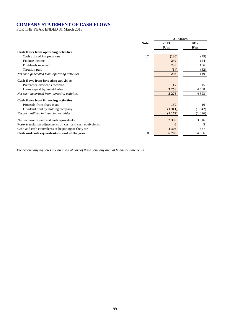# **COMPANY STATEMENT OF CASH FLOWS**

FOR THE YEAR ENDED 31 March 2013

|                                                            |             |         | 31 March |
|------------------------------------------------------------|-------------|---------|----------|
|                                                            | <b>Note</b> | 2013    | 2012     |
|                                                            |             | R'm     | R'm      |
| Cash flows from operating activities                       |             |         |          |
| Cash utilised in operations                                | 17          | (130)   | (79)     |
| Finance income                                             |             | 249     | 124      |
| Dividends received                                         |             | 238     | 106      |
| Taxation paid                                              |             | (64)    | (32)     |
| Net cash generated from operating activities               |             | 293     | 119      |
| Cash flows from investing activities                       |             |         |          |
| Preference dividends received                              |             | 17      | 15       |
| Loans repaid by subsidiaries                               |             | 3 2 5 8 | 4 5 0 8  |
| Net cash generated from investing activities               |             | 3 2 7 5 | 4 5 2 3  |
| Cash flows from financing activities                       |             |         |          |
| Proceeds from share issue.                                 |             | 139     | 16       |
| Dividend paid by holding company                           |             | (1311)  | (1042)   |
| Net cash utilised in financing activities                  |             | (1172)  | (1026)   |
| Net increase in cash and cash equivalents                  |             | 2 3 9 6 | 3 6 1 6  |
| Forex translation adjustments on cash and cash equivalents |             | 6       | 3        |
| Cash and cash equivalents at beginning of the year         |             | 4 3 0 6 | 687      |
| Cash and cash equivalents at end of the year               | 18          | 6 708   | 4 3 0 6  |

*The accompanying notes are an integral part of these company annual financial statements.*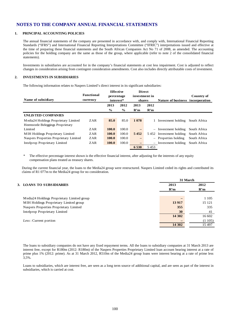#### **1. PRINCIPAL ACCOUNTING POLICIES**

The annual financial statements of the company are presented in accordance with, and comply with, International Financial Reporting Standards ("IFRS") and International Financial Reporting Interpretations Committee ("IFRIC") interpretations issued and effective at the time of preparing these financial statements and the South African Companies Act No 71 of 2008, as amended. The accounting policies for the holding company are the same as those of the group, where applicable (refer to note 2 of the consolidated financial statements).

Investments in subsidiaries are accounted for in the company's financial statements at cost less impairment. Cost is adjusted to reflect changes in consideration arising from contingent consideration amendments. Cost also includes directly attributable costs of investment.

#### **2. INVESTMENTS IN SUBSIDIARIES**

The following information relates to Naspers Limited's direct interest in its significant subsidiaries:

|                                        |                   | <b>Effective</b> |               | <b>Direct</b>            |      |                                  |              |
|----------------------------------------|-------------------|------------------|---------------|--------------------------|------|----------------------------------|--------------|
|                                        | <b>Functional</b> | percentage       |               | investment in            |      |                                  | Country of   |
| Name of subsidiary                     | currency          | interest*        |               | shares                   |      | Nature of business incorporation |              |
|                                        |                   | 2013             | 2012          | 2013                     | 2012 |                                  |              |
|                                        |                   | $\frac{6}{9}$    | $\frac{6}{6}$ | R'm                      | R'm  |                                  |              |
| <b>UNLISTED COMPANIES</b>              |                   |                  |               |                          |      |                                  |              |
| Media24 Holdings Proprietary Limited   | ZAR               | 85.0             | 85.0          | 1 0 7 8                  |      | 1 Investment holding             | South Africa |
| Heemstede Beleggings Proprietary       |                   |                  |               |                          |      |                                  |              |
| Limited                                | ZAR               | 100.0            | 100.0         | $\overline{\phantom{0}}$ |      | $-$ Investment holding           | South Africa |
| MIH Holdings Proprietary Limited       | ZAR               | <b>100.0</b>     | 100.0         | 5452                     |      | 5452 Investment holding          | South Africa |
| Naspers Properties Proprietary Limited | <b>ZAR</b>        | <b>100.0</b>     | 100.0         | -                        |      | $-$ Properties holding           | South Africa |
| Intelprop Proprietary Limited          | ZAR               | <b>100.0</b>     | 100.0         |                          |      | $-$ Investment holding           | South Africa |
|                                        |                   |                  |               | 6 5 3 0                  | 5453 |                                  |              |

\* The effective percentage interest shown is the effective financial interest, after adjusting for the interests of any equity compensation plans treated as treasury shares.

During the current financial year, the loans to the Media24 group were restructured. Naspers Limited ceded its rights and contributed its claims of R1 077m to the Media24 group for no consideration.

|                                            |         | 31 March |
|--------------------------------------------|---------|----------|
| 3. LOANS TO SUBSIDIARIES                   | 2013    | 2012     |
|                                            | R'm     | R'm      |
|                                            |         |          |
| Media24 Holdings Proprietary Limited group |         | 1 1 0 5  |
| MIH Holdings Proprietary Limited group     | 13 9 17 | 15 121   |
| Naspers Properties Proprietary Limited     | 355     | 335      |
| Intelprop Proprietary Limited              | 30      | 41       |
|                                            | 14 302  | 16 602   |
| Less: Current portion                      |         | (1105)   |
|                                            | 14 302  | 15 497   |
|                                            |         |          |

The loans to subsidiary companies do not have any fixed repayment terms. All the loans to subsidiary companies at 31 March 2013 are interest free, except for R180m (2012: R180m) of the Naspers Properties Proprietary Limited loan account bearing interest at a rate of prime plus 1% (2012: prime). As at 31 March 2012, R510m of the Media24 group loans were interest bearing at a rate of prime less 3,5%.

Loans to subsidiaries, which are interest free, are seen as a long term source of additional capital, and are seen as part of the interest in subsidiaries, which is carried at cost.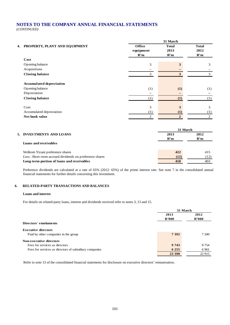*(CONTINUED)*

|    |                                                         | 31 March  |                         |              |  |  |  |
|----|---------------------------------------------------------|-----------|-------------------------|--------------|--|--|--|
| 4. | PROPERTY, PLANT AND EQUIPMENT                           | Office    | <b>Total</b>            | <b>Total</b> |  |  |  |
|    |                                                         | equipment | 2013                    | 2012         |  |  |  |
|    |                                                         | R'm       | R'm                     | R'm          |  |  |  |
|    | Cost                                                    |           |                         |              |  |  |  |
|    | Opening balance                                         | 3         | $\mathbf{3}$            | 3            |  |  |  |
|    | Acquisitions                                            | -         |                         |              |  |  |  |
|    | <b>Closing balance</b>                                  | 3         | $\overline{\mathbf{3}}$ | 3            |  |  |  |
|    | <b>Accumulated depreciation</b>                         |           |                         |              |  |  |  |
|    | Opening balance                                         | (1)       | (1)                     | (1)          |  |  |  |
|    | Depreciation                                            |           | -                       |              |  |  |  |
|    | <b>Closing balance</b>                                  | (1)       | (1)                     | (1)          |  |  |  |
|    | Cost                                                    | 3         | 3                       | 3            |  |  |  |
|    | Accumulated depreciation                                | (1)       | (1)                     | (1)          |  |  |  |
|    | Net book value                                          | 2         | $\overline{2}$          | 2            |  |  |  |
|    |                                                         |           | 31 March                |              |  |  |  |
|    | 5. INVESTMENTS AND LOANS                                |           | 2013                    | 2012         |  |  |  |
|    |                                                         |           | R'm                     | R'm          |  |  |  |
|    | Loans and receivables                                   |           |                         |              |  |  |  |
|    | Welkom Yizani preference shares                         |           | 422                     | 415          |  |  |  |
|    | Less: Short-term accrued dividends on preference shares |           | (12)                    | (12)         |  |  |  |
|    | Long-term portion of loans and receivables              |           | 410                     | 403          |  |  |  |

Preference dividends are calculated at a rate of 65% (2012: 65%) of the prime interest rate. See note 7 in the consolidated annual financial statements for further details concerning this investment.

#### **6. RELATED-PARTY TRANSACTIONS AND BALANCES**

#### **Loans and interest**

For details on related-party loans, interest and dividends received refer to notes 3, 13 and 15.

|                                                        |         | 31 March |  |
|--------------------------------------------------------|---------|----------|--|
|                                                        | 2013    | 2012     |  |
|                                                        | R'000   | R'000    |  |
| Directors' emoluments                                  |         |          |  |
| <b>Executive directors</b>                             |         |          |  |
| Paid by other companies in the group                   | 7 3 9 2 | 7 200    |  |
| Non-executive directors                                |         |          |  |
| Fees for services as directors                         | 9 7 4 3 | 8 7 5 4  |  |
| Fees for services as directors of subsidiary companies | 6 2 5 5 | 6961     |  |
|                                                        | 23 390  | 22 915   |  |

Refer to note 13 of the consolidated financial statements for disclosure on executive directors' remuneration.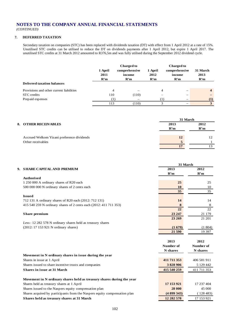*(CONTINUED)*

# **7. DEFERRED TAXATION**

Secondary taxation on companies (STC) has been replaced with dividends taxation (DT) with effect from 1 April 2012 at a rate of 15%. Unutilised STC credits can be utilised to reduce the DT on dividends payments after 1 April 2012, but expire 1 April 2017. The unutilised STC credits at 31 March 2012 amounted to R376,5m and was fully utilised during the September 2012 dividend cycle.

|                                          | 1 April<br>2011<br>R'm | <b>Charged to</b><br>comprehensive<br>income<br>R'm | 1 April<br>2012<br>R'm | <b>Charged to</b><br>comprehensive<br>income<br>R'm | 31 March<br>2013<br>R'm |
|------------------------------------------|------------------------|-----------------------------------------------------|------------------------|-----------------------------------------------------|-------------------------|
| <b>Deferred taxation balances</b>        |                        |                                                     |                        |                                                     |                         |
| Provisions and other current liabilities | 4                      |                                                     | 4                      | $\overline{\phantom{0}}$                            | $\overline{\mathbf{4}}$ |
| STC credits                              | 110                    | (110)                                               | -                      | $\overline{\phantom{0}}$                            | -                       |
| Prepaid expenses                         |                        | -                                                   | (1)                    | $\overline{\phantom{0}}$                            | (1)                     |
|                                          | 113                    | (110)                                               | 3                      | $\overline{\phantom{0}}$                            | 3                       |

|                                            | 31 March |      |  |
|--------------------------------------------|----------|------|--|
| <b>8. OTHER RECEIVABLES</b>                | 2013     | 2012 |  |
|                                            | R'm      | R'm  |  |
|                                            |          |      |  |
| Accrued Welkom Yizani preference dividends | 12       | 12   |  |
| Other receivables                          | 5        |      |  |
|                                            |          |      |  |

|                                                                           | 31 March        |             |
|---------------------------------------------------------------------------|-----------------|-------------|
| 9. SHARE CAPITAL AND PREMIUM                                              | 2013            | 2012        |
|                                                                           | R'm             | R'm         |
| <b>Authorised</b>                                                         |                 |             |
| 1 250 000 A ordinary shares of R20 each                                   | 25              | 25          |
| 500 000 000 N ordinary shares of 2 cents each                             | 10              | 10          |
|                                                                           | 35 <sup>5</sup> | 35          |
| <b>Issued</b>                                                             |                 |             |
| 712 131 A ordinary shares of R20 each (2012: 712 131)                     | 14              | 14          |
| 415 540 259 N ordinary shares of 2 cents each (2012: 411 711 353)         | 8               | 8           |
|                                                                           | 22              | 22          |
| Share premium                                                             | 23 247          | 21 179      |
|                                                                           | 23 269          | 21 201      |
| Less: 12 282 578 N ordinary shares held as treasury shares                |                 |             |
| (2012: 17 153 921 N ordinary shares)                                      | (1679)          | (1804)      |
|                                                                           | 21 590          | 19 397      |
|                                                                           |                 |             |
|                                                                           | 2013            | 2012        |
|                                                                           | Number of       | Number of   |
|                                                                           | N shares        | N shares    |
| Movement in N ordinary shares in issue during the year                    |                 |             |
| Shares in issue at 1 April                                                | 411 711 353     | 406 581 911 |
| Shares issued to share incentive trusts and companies                     | 3828906         | 5 129 442   |
| <b>Shares in issue at 31 March</b>                                        | 415 540 259     | 411 711 353 |
|                                                                           |                 |             |
| Movement in N ordinary shares held as treasury shares during the year     |                 |             |
| Shares held as treasury shares at 1 April                                 | 17 153 921      | 17 237 404  |
| Shares issued to the Naspers equity compensation plan                     | 28 000          | 45 000      |
| Shares acquired by participants from the Naspers equity compensation plan | (4899343)       | (128483)    |
| Shares held as treasury shares at 31 March                                | 12 282 578      | 17 153 921  |
|                                                                           |                 |             |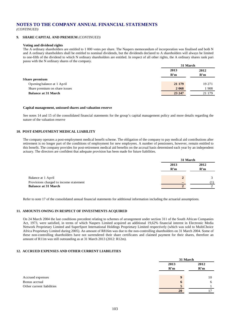*(CONTINUED)*

### **9. SHARE CAPITAL AND PREMIUM** *(CONTINUED)*

#### **Voting and dividend rights**

The A ordinary shareholders are entitled to 1 000 votes per share. The Naspers memorandum of incorporation was finalised and both N and A ordinary shareholders shall be entitled to nominal dividends, but the dividends declared to A shareholders will always be limited to one-fifth of the dividend to which N ordinary shareholders are entitled. In respect of all other rights, the A ordinary shares rank pari passu with the N ordinary shares of the company.

|                               |         | 31 March |  |
|-------------------------------|---------|----------|--|
|                               | 2013    | 2012     |  |
|                               | R'm     | R'm      |  |
| Share premium                 |         |          |  |
| Opening balance at 1 April    | 21 179  | 19 27 1  |  |
| Share premium on share issues | 2 0 6 8 | 1908     |  |
| <b>Balance at 31 March</b>    | 23 247  | 21 179   |  |

#### **Capital management, unissued shares and valuation reserve**

See notes 14 and 15 of the consolidated financial statements for the group's capital management policy and more details regarding the nature of the valuation reserve

### **10. POST-EMPLOYMENT MEDICAL LIABILITY**

The company operates a post-employment medical benefit scheme. The obligation of the company to pay medical aid contributions after retirement is no longer part of the conditions of employment for new employees. A number of pensioners, however, remain entitled to this benefit. The company provides for post-retirement medical aid benefits on the accrual basis determined each year by an independent actuary. The directors are confident that adequate provision has been made for future liabilities.

|                                        | 31 March    |             |
|----------------------------------------|-------------|-------------|
|                                        | 2013<br>R'm | 2012<br>R'm |
|                                        |             |             |
| Balance at 1 April                     | 2           |             |
| Provisions charged to income statement |             |             |
| <b>Balance at 31 March</b>             |             |             |

Refer to note 17 of the consolidated annual financial statements for additional information including the actuarial assumptions.

#### **11. AMOUNTS OWING IN RESPECT OF INVESTMENTS ACQUIRED**

On 24 March 2004 the last conditions precedent relating to schemes of arrangement under section 311 of the South African Companies Act, 1973, were satisfied, in terms of which Naspers Limited acquired an additional 19,62% financial interest in Electronic Media Network Proprietary Limited and SuperSport International Holdings Proprietary Limited respectively (which was sold to MultiChoice Africa Proprietary Limited during 2005). An amount of R816m was due to the non-controlling shareholders on 31 March 2004. Some of these non-controlling shareholders have not surrendered their share certificates and claimed payment for their shares, therefore an amount of R11m was still outstanding as at 31 March 2013 (2012: R12m).

#### **12. ACCRUED EXPENSES AND OTHER CURRENT LIABILITIES**

|                           |      | 31 March         |  |
|---------------------------|------|------------------|--|
|                           | 2013 | 2012             |  |
|                           | R'm  | R'm              |  |
| Accrued expenses          |      | q<br>10          |  |
| Bonus accrual             |      | $\mathbf b$<br>6 |  |
| Other current liabilities |      |                  |  |
|                           |      | 20               |  |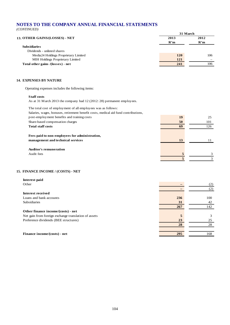*(CONTINUED)*

|                                         |      | 31 March |  |
|-----------------------------------------|------|----------|--|
| 13. OTHER GAINS/(LOSSES) - NET          | 2013 | 2012     |  |
|                                         | R'm  | R'm      |  |
| <b>Subsidiaries</b>                     |      |          |  |
| Dividends - unlisted shares             |      |          |  |
| Media24 Holdings Proprietary Limited    | 120  | 106      |  |
| <b>MIH Holdings Proprietary Limited</b> | 121  |          |  |
| Total other gains /(losses) - net       | 241  | 106      |  |

## **14. EXPENSES BY NATURE**

Operating expenses includes the following items:

#### **Staff costs**

As at 31 March 2013 the company had 12 (2012: 28) permanent employees.

The total cost of employment of all employees was as follows:

| Salaries, wages, bonuses, retirement benefit costs, medical aid fund contributions, |    |     |
|-------------------------------------------------------------------------------------|----|-----|
| post-employment benefits and training costs                                         | 19 | 25  |
| Share-based compensation charges                                                    | 50 | 101 |
| <b>Total staff costs</b>                                                            | 69 | 126 |
|                                                                                     |    |     |
| Fees paid to non-employees for administration,                                      |    |     |
| management and technical services                                                   | 13 |     |
|                                                                                     |    |     |
| <b>Auditor's remuneration</b>                                                       |    |     |
| Audit fees                                                                          | 5  | 3   |
|                                                                                     |    |     |
|                                                                                     |    |     |

# **15. FINANCE INCOME / (COSTS) - NET**

| Interest paid                                        |     |     |
|------------------------------------------------------|-----|-----|
| Other                                                |     | (2) |
|                                                      |     | (2) |
| Interest received                                    |     |     |
| Loans and bank accounts                              | 236 | 100 |
| <b>Subsidiaries</b>                                  | 31  | 42  |
|                                                      | 267 | 142 |
| Other finance income/(costs) - net                   |     |     |
| Net gain from foreign exchange translation of assets | 5   | 3   |
| Preference dividends (BEE structures)                | 23  | 25  |
|                                                      | 28  | 28  |
|                                                      |     |     |
| Finance income/(costs) - net                         | 295 | 168 |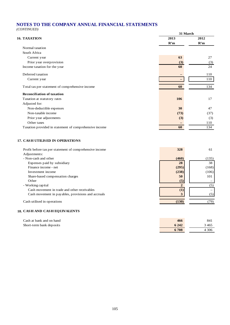*(CONTINUED)*

|                                                         | 31 March          |          |
|---------------------------------------------------------|-------------------|----------|
| <b>16. TAXATION</b>                                     | 2013              | 2012     |
|                                                         | R'm               | R'm      |
| Normal taxation                                         |                   |          |
| South Africa                                            |                   |          |
| Current year                                            | 63                | 27       |
| Prior year overprovision                                | (3)               | (3)      |
| Income taxation for the year                            | 60                | 24       |
| Deferred taxation                                       |                   | 110      |
| Current year                                            | $\qquad \qquad -$ | 110      |
| Total tax per statement of comprehensive income         | 60                | 134      |
| <b>Reconciliation of taxation</b>                       |                   |          |
| Taxation at statutory rates                             | 106               | 17       |
| Adjusted for:                                           |                   |          |
| Non-deductible expenses                                 | 30                | 47       |
| Non-taxable income                                      | (73)              | (37)     |
| Prior year adjustments                                  | (3)               | (3)      |
| Other taxes                                             | $\qquad \qquad -$ | 110      |
| Taxation provided in statement of comprehensive income  | 60                | 134      |
| <b>17. CASH UTILISED IN OPERATIONS</b>                  |                   |          |
| Profit before tax per statement of comprehensive income | 328               | 61       |
| Adjustments:                                            |                   |          |
| - Non-cash and other                                    | (460)             | (135)    |
| Expenses paid by subsidiary                             | 28                | 38       |
| Finance income - net                                    | (295)             | (168)    |
| Investment income                                       | (238)             | (106)    |
| Share-based compensation charges                        | 50                | 101      |
| Other                                                   | (5)               |          |
| - Working capital                                       | $\boldsymbol{2}$  | (5)      |
| Cash movement in trade and other receivables            | (1)               | $\equiv$ |

Cash movement in payables, provisions and accruals **3** (5)

Cash utilised in operations (130) (79)

# **18. CASH AND CASH EQUIVALENTS**

| Cash at bank and on hand | 466     | 841     |
|--------------------------|---------|---------|
| Short-term bank deposits | 6 2 4 2 | 3 465   |
|                          | 6708    | 4 3 0 6 |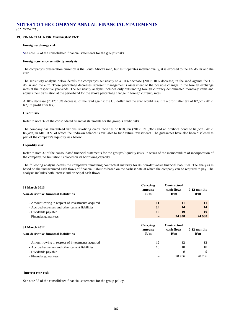# **NOTES TO THE COMPANY ANNUAL FINANCIAL STATEMENTS** *(CONTINUED)*

#### **19. FINANCIAL RISK MANAGEMENT**

#### **Foreign exchange risk**

See note 37 of the consolidated financial statements for the group's risks.

#### **Foreign currency sensitivity analysis**

The company's presentation currency is the South African rand, but as it operates internationally, it is exposed to the US dollar and the euro.

The sensitivity analysis below details the company's sensitivity to a 10% decrease (2012: 10% decrease) in the rand against the US dollar and the euro. These percentage decreases represent management's assessment of the possible changes in the foreign exchange rates at the respective year-ends. The sensitivity analysis includes only outstanding foreign currency denominated monetary items and adjusts their translation at the period-end for the above percentage change in foreign currency rates.

A 10% decrease (2012: 10% decrease) of the rand against the US dollar and the euro would result in a profit after tax of R2,5m (2012: R2,1m profit after tax).

#### **Credit risk**

Refer to note 37 of the consolidated financial statements for the group's credit risks.

The company has guaranteed various revolving credit facilities of R18,5bn (2012: R15,3bn) and an offshore bond of R6,5bn (2012: R5,4bn) in MIH B.V. of which the undrawn balance is available to fund future investments. The guarantees have also been disclosed as part of the company's liquidity risk below.

#### **Liquidity risk**

Refer to note 37 of the consolidated financial statements for the group's liquidity risks. In terms of the memorandum of incorporation of the company, no limitation is placed on its borrowing capacity.

The following analysis details the company's remaining contractual maturity for its non-derivative financial liabilities. The analysis is based on the undiscounted cash flows of financial liabilities based on the earliest date at which the company can be required to pay. The analysis includes both interest and principal cash flows.

| <b>31 March 2013</b><br>Non-derivative financial liabilities | Carrying<br>amount<br>R'm | Contractual<br>cash flows<br>R'm | $0-12$ months<br>R'm |
|--------------------------------------------------------------|---------------------------|----------------------------------|----------------------|
|                                                              |                           |                                  |                      |
| - Amount owing in respect of investments acquired            | 11                        | 11                               | <b>11</b>            |
| - Accrued expenses and other current liabilities             | 14                        | 14                               | 14                   |
| - Dividends payable                                          | 10                        | 10                               | <b>10</b>            |
| - Financial guarantees                                       |                           | 24 9 38                          | 24 9 38              |
| <b>31 March 2012</b><br>Non-derivative financial liabilities | Carrying<br>amount<br>R'm | Contractual<br>cash flows<br>R'm | $0-12$ months<br>R'm |
|                                                              |                           |                                  |                      |
| - Amount owing in respect of investments acquired            | 12                        | 12                               | 12                   |
| - Accrued expenses and other current liabilities             | 10                        | 10                               | 10                   |

- Dividends payable 9 9 9
- Financial guarantees 20 706 20 706

#### **Interest rate risk**

See note 37 of the consolidated financial statements for the group policy.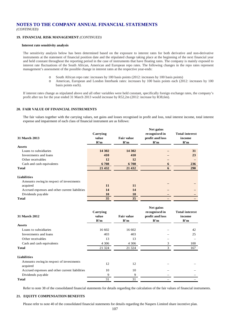# **NOTES TO THE COMPANY ANNUAL FINANCIAL STATEMENTS**

*(CONTINUED)*

## **19. FINANCIAL RISK MANAGEMENT** *(CONTINUED)*

#### **Interest rate sensitivity analysis**

The sensitivity analysis below has been determined based on the exposure to interest rates for both derivative and non-derivative instruments at the statement of financial position date and the stipulated change taking place at the beginning of the next financial year and held constant throughout the reporting period in the case of instruments that have floating rates. The company is mainly exposed to interest rate fluctuations of the South African, American and European repo rates. The following changes in the repo rates represent management's assessment of the possible change in interest rates at the respective year-ends:

- o South African repo rate: increases by 100 basis points (2012: increases by 100 basis points)
- American, European and London Interbank rates: increases by 100 basis points each (2012: increases by 100 basis points each).

If interest rates change as stipulated above and all other variables were held constant, specifically foreign exchange rates, the company's profit after tax for the year ended 31 March 2013 would increase by R52,2m (2012: increase by R38,6m).

#### **20. FAIR VALUE OF FINANCIAL INSTRUMENTS**

The fair values together with the carrying values, net gains and losses recognised in profit and loss, total interest income, total interest expense and impairment of each class of financial instrument are as follows:

| <b>31 March 2013</b><br><b>Assets</b>          | Carrying<br>value<br>R'm | <b>Fair value</b><br>R'm | Net gains<br>recognised in<br>profit and loss<br>R'm | <b>Total interest</b><br>income<br>R'm |
|------------------------------------------------|--------------------------|--------------------------|------------------------------------------------------|----------------------------------------|
| Loans to subsidiaries                          | 14 302                   | 14 302                   |                                                      | 31                                     |
| Investments and loans                          | 410                      | 410                      |                                                      | 23                                     |
| Other receivables                              | 12                       | 12                       |                                                      |                                        |
| Cash and cash equivalents                      | 6 708                    | 6708                     | 6                                                    | 236                                    |
| Total                                          | 21 432                   | 21 432                   | 6                                                    | 290                                    |
| <b>Liabilities</b>                             |                          |                          |                                                      |                                        |
| Amounts owing in respect of investments        |                          |                          |                                                      |                                        |
| acquired                                       | 11                       | 11                       |                                                      |                                        |
| Accrued expenses and other current liabilities | 14                       | 14                       |                                                      |                                        |
| Dividends payable                              | 10                       | 10                       |                                                      |                                        |
| <b>Total</b>                                   | 35                       | 35                       |                                                      |                                        |

| 31 March 2012                                       | Carrying<br>value<br>R'm | <b>Fair value</b><br>R'm | Net gains<br>recognised in<br>profit and loss<br>R'm | <b>Total interest</b><br>income<br>R'm |
|-----------------------------------------------------|--------------------------|--------------------------|------------------------------------------------------|----------------------------------------|
| <b>Assets</b>                                       |                          |                          |                                                      |                                        |
| Loans to subsidiaries                               | 16 602                   | 16 602                   |                                                      | 42                                     |
| Investments and loans                               | 403                      | 403                      |                                                      | 25                                     |
| Other receivables                                   | 13                       | 13                       |                                                      |                                        |
| Cash and cash equivalents                           | 4 3 0 6                  | 4 3 0 6                  | 3                                                    | 100                                    |
| Total                                               | 21 3 24                  | 21 3 24                  | 3                                                    | 167                                    |
| Liabilities                                         |                          |                          |                                                      |                                        |
| Amounts owing in respect of investments<br>acquired | 12                       | 12                       |                                                      |                                        |
| Accrued expenses and other current liabilities      | 10                       | 10                       |                                                      |                                        |
| Dividends payable                                   | 9                        | 9                        |                                                      |                                        |
| Total                                               | 31                       | 31                       |                                                      |                                        |

Refer to note 38 of the consolidated financial statements for details regarding the calculation of the fair values of financial instruments.

#### **21. EQUITY COMPENSATION BENEFITS**

Please refer to note 40 of the consolidated financial statements for details regarding the Naspers Limited share incentive plan.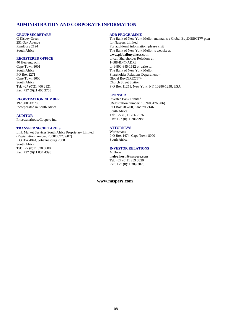# **ADMINISTRATION AND CORPORATE INFORMATION**

#### **GROUP SECRETARY**

G Kisbey-Green 251 Oak Avenue Randburg 2194 South Africa

### **REGISTERED OFFICE**

40 Heerengracht Cape Town 8001 South Africa PO Box 2271 Cape Town 8000 South Africa Tel: +27 (0)21 406 2121 Fax: +27 (0)21 406 3753

### **REGISTRATION NUMBER**

1925/001431/06 Incorporated in South Africa

#### **AUDITOR**

PricewaterhouseCoopers Inc.

## **TRANSFER SECRETARIES**

Link Market Services South Africa Proprietary Limited (Registration number: 2000/007239/07) P O Box 4844, Johannesburg 2000 South Africa Tel: +27 (0)11 630 0800 Fax: +27 (0)11 834 4398

#### **ADR PROGRAMME**

The Bank of New York Mellon maintains a Global BuyDIRECT™ plan for Naspers Limited. For additional information, please visit The Bank of New York Mellon's website at **[www.globalbuydirect.com](http://www.globalbuydirect.com/)** or call Shareholder Relations at 1-888-BNY-ADRS or 1-800-345-1612 or write to: The Bank of New York Mellon Shareholder Relations Department – Global BuyDIRECT™ Church Street Station P O Box 11258, New York, NY 10286-1258, USA

#### **SPONSOR**

Investec Bank Limited (Registration number: 1969/004763/06) P O Box 785700, Sandton 2146 South Africa Tel: +27 (0)11 286 7326 Fax: +27 (0)11 286 9986

#### **ATTORNEYS**

Werksmans P O Box 1474, Cape Town 8000 South Africa

#### **INVESTOR RELATIONS**

M Horn **[meloy.horn@naspers.com](mailto:meloy.horn@naspers.com)** Tel: +27 (0)11 289 3320 Fax: +27 (0)11 289 3026

#### **[www.naspers.com](http://www.naspers.com/)**